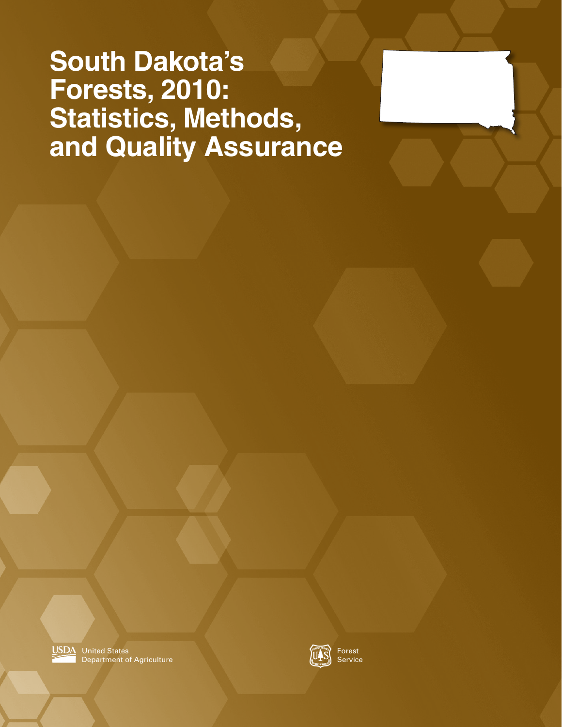### **South Dakota's Forests, 2010: Statistics, Methods, and Quality Assurance**





Forest Service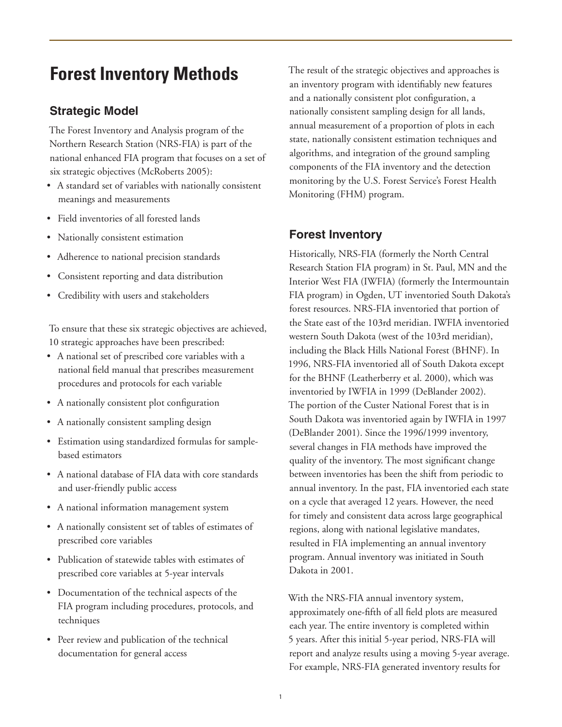### **Forest Inventory Methods**

#### **Strategic Model**

The Forest Inventory and Analysis program of the Northern Research Station (NRS-FIA) is part of the national enhanced FIA program that focuses on a set of six strategic objectives (McRoberts 2005):

- • A standard set of variables with nationally consistent meanings and measurements
- • Field inventories of all forested lands
- • Nationally consistent estimation
- • Adherence to national precision standards
- • Consistent reporting and data distribution
- • Credibility with users and stakeholders

To ensure that these six strategic objectives are achieved, 10 strategic approaches have been prescribed:

- • A national set of prescribed core variables with a national field manual that prescribes measurement procedures and protocols for each variable
- • A nationally consistent plot configuration
- A nationally consistent sampling design
- • Estimation using standardized formulas for samplebased estimators
- • A national database of FIA data with core standards and user-friendly public access
- A national information management system
- • A nationally consistent set of tables of estimates of prescribed core variables
- • Publication of statewide tables with estimates of prescribed core variables at 5-year intervals
- • Documentation of the technical aspects of the FIA program including procedures, protocols, and techniques
- Peer review and publication of the technical documentation for general access

The result of the strategic objectives and approaches is an inventory program with identifiably new features and a nationally consistent plot configuration, a nationally consistent sampling design for all lands, annual measurement of a proportion of plots in each state, nationally consistent estimation techniques and algorithms, and integration of the ground sampling components of the FIA inventory and the detection monitoring by the U.S. Forest Service's Forest Health Monitoring (FHM) program.

#### **Forest Inventory**

Historically, NRS-FIA (formerly the North Central Research Station FIA program) in St. Paul, MN and the Interior West FIA (IWFIA) (formerly the Intermountain FIA program) in Ogden, UT inventoried South Dakota's forest resources. NRS-FIA inventoried that portion of the State east of the 103rd meridian. IWFIA inventoried western South Dakota (west of the 103rd meridian), including the Black Hills National Forest (BHNF). In 1996, NRS-FIA inventoried all of South Dakota except for the BHNF (Leatherberry et al. 2000), which was inventoried by IWFIA in 1999 (DeBlander 2002). The portion of the Custer National Forest that is in South Dakota was inventoried again by IWFIA in 1997 (DeBlander 2001). Since the 1996/1999 inventory, several changes in FIA methods have improved the quality of the inventory. The most significant change between inventories has been the shift from periodic to annual inventory. In the past, FIA inventoried each state on a cycle that averaged 12 years. However, the need for timely and consistent data across large geographical regions, along with national legislative mandates, resulted in FIA implementing an annual inventory program. Annual inventory was initiated in South Dakota in 2001.

With the NRS-FIA annual inventory system, approximately one-fifth of all field plots are measured each year. The entire inventory is completed within 5 years. After this initial 5-year period, NRS-FIA will report and analyze results using a moving 5-year average. For example, NRS-FIA generated inventory results for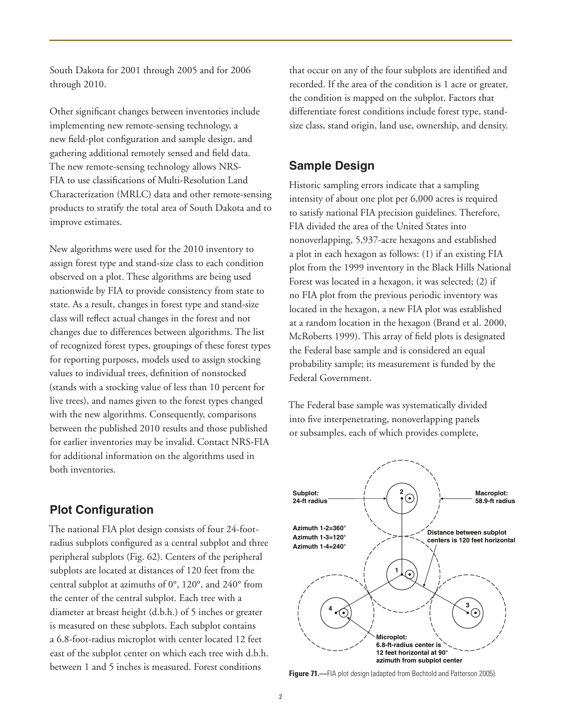South Dakota for 2001 through 2005 and for 2006 through 2010.

Other significant changes between inventories include implementing new remote-sensing technology, a new field-plot configuration and sample design, and gathering additional remotely sensed and field data. The new remote-sensing technology allows NRS-FIA to use classifications of Multi-Resolution Land Characterization (MRLC) data and other remote-sensing products to stratify the total area of South Dakota and to improve estimates.

New algorithms were used for the 2010 inventory to assign forest type and stand-size class to each condition observed on a plot. These algorithms are being used nationwide by FIA to provide consistency from state to state. As a result, changes in forest type and stand-size class will reflect actual changes in the forest and not changes due to differences between algorithms. The list of recognized forest types, groupings of these forest types for reporting purposes, models used to assign stocking values to individual trees, definition of nonstocked (stands with a stocking value of less than 10 percent for live trees), and names given to the forest types changed with the new algorithms. Consequently, comparisons between the published 2010 results and those published for earlier inventories may be invalid. Contact NRS-FIA for additional information on the algorithms used in both inventories.

#### **Plot Configuration**

The national FIA plot design consists of four 24-footradius subplots configured as a central subplot and three peripheral subplots (Fig. 62). Centers of the peripheral subplots are located at distances of 120 feet from the central subplot at azimuths of 0°, 120°, and 240° from the center of the central subplot. Each tree with a diameter at breast height (d.b.h.) of 5 inches or greater is measured on these subplots. Each subplot contains a 6.8-foot-radius microplot with center located 12 feet east of the subplot center on which each tree with d.b.h. between 1 and 5 inches is measured. Forest conditions

that occur on any of the four subplots are identified and recorded. If the area of the condition is 1 acre or greater, the condition is mapped on the subplot. Factors that differentiate forest conditions include forest type, standsize class, stand origin, land use, ownership, and density.

#### **Sample Design**

Historic sampling errors indicate that a sampling intensity of about one plot per 6,000 acres is required to satisfy national FIA precision guidelines. Therefore, FIA divided the area of the United States into nonoverlapping, 5,937-acre hexagons and established a plot in each hexagon as follows: (1) if an existing FIA plot from the 1999 inventory in the Black Hills National Forest was located in a hexagon, it was selected; (2) if no FIA plot from the previous periodic inventory was located in the hexagon, a new FIA plot was established at a random location in the hexagon (Brand et al. 2000, McRoberts 1999). This array of field plots is designated the Federal base sample and is considered an equal probability sample; its measurement is funded by the Federal Government.

The Federal base sample was systematically divided into five interpenetrating, nonoverlapping panels or subsamples, each of which provides complete,



**Figure 71.**—FIA plot design (adapted from Bechtold and Patterson 2005).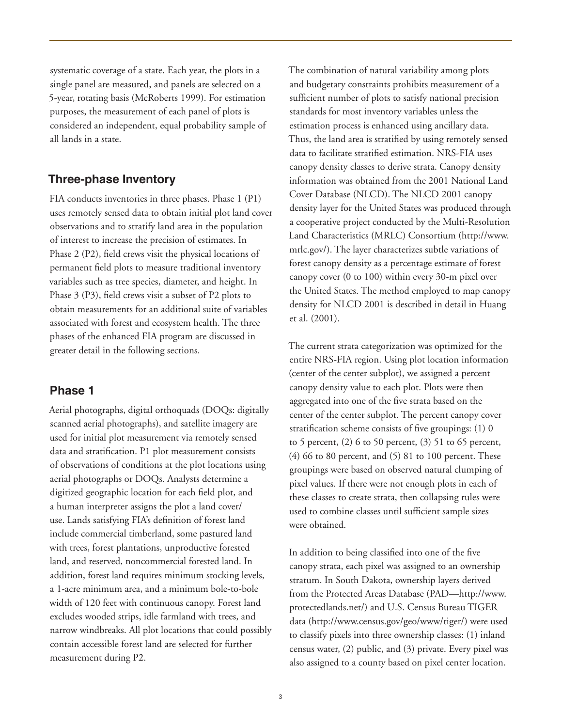systematic coverage of a state. Each year, the plots in a single panel are measured, and panels are selected on a 5-year, rotating basis (McRoberts 1999). For estimation purposes, the measurement of each panel of plots is considered an independent, equal probability sample of all lands in a state.

#### **Three-phase Inventory**

FIA conducts inventories in three phases. Phase 1 (P1) uses remotely sensed data to obtain initial plot land cover observations and to stratify land area in the population of interest to increase the precision of estimates. In Phase 2 (P2), field crews visit the physical locations of permanent field plots to measure traditional inventory variables such as tree species, diameter, and height. In Phase 3 (P3), field crews visit a subset of P2 plots to obtain measurements for an additional suite of variables associated with forest and ecosystem health. The three phases of the enhanced FIA program are discussed in greater detail in the following sections.

#### **Phase 1**

Aerial photographs, digital orthoquads (DOQs: digitally scanned aerial photographs), and satellite imagery are used for initial plot measurement via remotely sensed data and stratification. P1 plot measurement consists of observations of conditions at the plot locations using aerial photographs or DOQs. Analysts determine a digitized geographic location for each field plot, and a human interpreter assigns the plot a land cover/ use. Lands satisfying FIA's definition of forest land include commercial timberland, some pastured land with trees, forest plantations, unproductive forested land, and reserved, noncommercial forested land. In addition, forest land requires minimum stocking levels, a 1-acre minimum area, and a minimum bole-to-bole width of 120 feet with continuous canopy. Forest land excludes wooded strips, idle farmland with trees, and narrow windbreaks. All plot locations that could possibly contain accessible forest land are selected for further measurement during P2.

The combination of natural variability among plots and budgetary constraints prohibits measurement of a sufficient number of plots to satisfy national precision standards for most inventory variables unless the estimation process is enhanced using ancillary data. Thus, the land area is stratified by using remotely sensed data to facilitate stratified estimation. NRS-FIA uses canopy density classes to derive strata. Canopy density information was obtained from the 2001 National Land Cover Database (NLCD). The NLCD 2001 canopy density layer for the United States was produced through a cooperative project conducted by the Multi-Resolution Land Characteristics (MRLC) Consortium (http://www. mrlc.gov/). The layer characterizes subtle variations of forest canopy density as a percentage estimate of forest canopy cover (0 to 100) within every 30-m pixel over the United States. The method employed to map canopy density for NLCD 2001 is described in detail in Huang et al. (2001).

The current strata categorization was optimized for the entire NRS-FIA region. Using plot location information (center of the center subplot), we assigned a percent canopy density value to each plot. Plots were then aggregated into one of the five strata based on the center of the center subplot. The percent canopy cover stratification scheme consists of five groupings: (1) 0 to 5 percent, (2) 6 to 50 percent, (3) 51 to 65 percent, (4) 66 to 80 percent, and (5) 81 to 100 percent. These groupings were based on observed natural clumping of pixel values. If there were not enough plots in each of these classes to create strata, then collapsing rules were used to combine classes until sufficient sample sizes were obtained.

In addition to being classified into one of the five canopy strata, each pixel was assigned to an ownership stratum. In South Dakota, ownership layers derived from the Protected Areas Database (PAD—http://www. protectedlands.net/) and U.S. Census Bureau TIGER data (http://www.census.gov/geo/www/tiger/) were used to classify pixels into three ownership classes: (1) inland census water, (2) public, and (3) private. Every pixel was also assigned to a county based on pixel center location.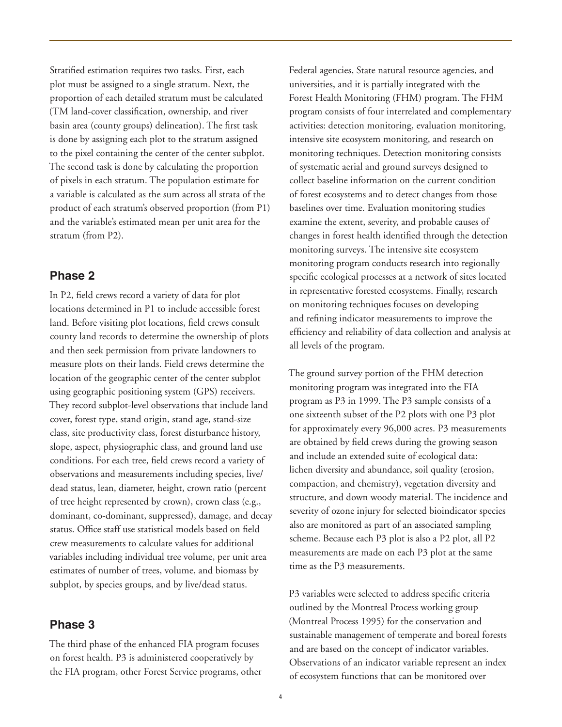Stratified estimation requires two tasks. First, each plot must be assigned to a single stratum. Next, the proportion of each detailed stratum must be calculated (TM land-cover classification, ownership, and river basin area (county groups) delineation). The first task is done by assigning each plot to the stratum assigned to the pixel containing the center of the center subplot. The second task is done by calculating the proportion of pixels in each stratum. The population estimate for a variable is calculated as the sum across all strata of the product of each stratum's observed proportion (from P1) and the variable's estimated mean per unit area for the stratum (from P2).

#### **Phase 2**

In P2, field crews record a variety of data for plot locations determined in P1 to include accessible forest land. Before visiting plot locations, field crews consult county land records to determine the ownership of plots and then seek permission from private landowners to measure plots on their lands. Field crews determine the location of the geographic center of the center subplot using geographic positioning system (GPS) receivers. They record subplot-level observations that include land cover, forest type, stand origin, stand age, stand-size class, site productivity class, forest disturbance history, slope, aspect, physiographic class, and ground land use conditions. For each tree, field crews record a variety of observations and measurements including species, live/ dead status, lean, diameter, height, crown ratio (percent of tree height represented by crown), crown class (e.g., dominant, co-dominant, suppressed), damage, and decay status. Office staff use statistical models based on field crew measurements to calculate values for additional variables including individual tree volume, per unit area estimates of number of trees, volume, and biomass by subplot, by species groups, and by live/dead status.

#### **Phase 3**

The third phase of the enhanced FIA program focuses on forest health. P3 is administered cooperatively by the FIA program, other Forest Service programs, other Federal agencies, State natural resource agencies, and universities, and it is partially integrated with the Forest Health Monitoring (FHM) program. The FHM program consists of four interrelated and complementary activities: detection monitoring, evaluation monitoring, intensive site ecosystem monitoring, and research on monitoring techniques. Detection monitoring consists of systematic aerial and ground surveys designed to collect baseline information on the current condition of forest ecosystems and to detect changes from those baselines over time. Evaluation monitoring studies examine the extent, severity, and probable causes of changes in forest health identified through the detection monitoring surveys. The intensive site ecosystem monitoring program conducts research into regionally specific ecological processes at a network of sites located in representative forested ecosystems. Finally, research on monitoring techniques focuses on developing and refining indicator measurements to improve the efficiency and reliability of data collection and analysis at all levels of the program.

The ground survey portion of the FHM detection monitoring program was integrated into the FIA program as P3 in 1999. The P3 sample consists of a one sixteenth subset of the P2 plots with one P3 plot for approximately every 96,000 acres. P3 measurements are obtained by field crews during the growing season and include an extended suite of ecological data: lichen diversity and abundance, soil quality (erosion, compaction, and chemistry), vegetation diversity and structure, and down woody material. The incidence and severity of ozone injury for selected bioindicator species also are monitored as part of an associated sampling scheme. Because each P3 plot is also a P2 plot, all P2 measurements are made on each P3 plot at the same time as the P3 measurements.

P3 variables were selected to address specific criteria outlined by the Montreal Process working group (Montreal Process 1995) for the conservation and sustainable management of temperate and boreal forests and are based on the concept of indicator variables. Observations of an indicator variable represent an index of ecosystem functions that can be monitored over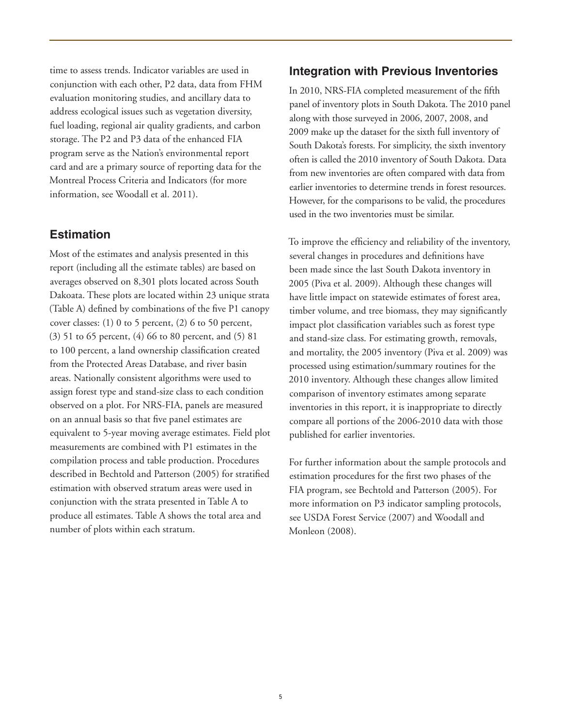time to assess trends. Indicator variables are used in conjunction with each other, P2 data, data from FHM evaluation monitoring studies, and ancillary data to address ecological issues such as vegetation diversity, fuel loading, regional air quality gradients, and carbon storage. The P2 and P3 data of the enhanced FIA program serve as the Nation's environmental report card and are a primary source of reporting data for the Montreal Process Criteria and Indicators (for more information, see Woodall et al. 2011).

#### **Estimation**

Most of the estimates and analysis presented in this report (including all the estimate tables) are based on averages observed on 8,301 plots located across South Dakoata. These plots are located within 23 unique strata (Table A) defined by combinations of the five P1 canopy cover classes: (1) 0 to 5 percent, (2) 6 to 50 percent, (3) 51 to 65 percent, (4) 66 to 80 percent, and (5) 81 to 100 percent, a land ownership classification created from the Protected Areas Database, and river basin areas. Nationally consistent algorithms were used to assign forest type and stand-size class to each condition observed on a plot. For NRS-FIA, panels are measured on an annual basis so that five panel estimates are equivalent to 5-year moving average estimates. Field plot measurements are combined with P1 estimates in the compilation process and table production. Procedures described in Bechtold and Patterson (2005) for stratified estimation with observed stratum areas were used in conjunction with the strata presented in Table A to produce all estimates. Table A shows the total area and number of plots within each stratum.

#### **Integration with Previous Inventories**

In 2010, NRS-FIA completed measurement of the fifth panel of inventory plots in South Dakota. The 2010 panel along with those surveyed in 2006, 2007, 2008, and 2009 make up the dataset for the sixth full inventory of South Dakota's forests. For simplicity, the sixth inventory often is called the 2010 inventory of South Dakota. Data from new inventories are often compared with data from earlier inventories to determine trends in forest resources. However, for the comparisons to be valid, the procedures used in the two inventories must be similar.

To improve the efficiency and reliability of the inventory, several changes in procedures and definitions have been made since the last South Dakota inventory in 2005 (Piva et al. 2009). Although these changes will have little impact on statewide estimates of forest area, timber volume, and tree biomass, they may significantly impact plot classification variables such as forest type and stand-size class. For estimating growth, removals, and mortality, the 2005 inventory (Piva et al. 2009) was processed using estimation/summary routines for the 2010 inventory. Although these changes allow limited comparison of inventory estimates among separate inventories in this report, it is inappropriate to directly compare all portions of the 2006-2010 data with those published for earlier inventories.

For further information about the sample protocols and estimation procedures for the first two phases of the FIA program, see Bechtold and Patterson (2005). For more information on P3 indicator sampling protocols, see USDA Forest Service (2007) and Woodall and Monleon (2008).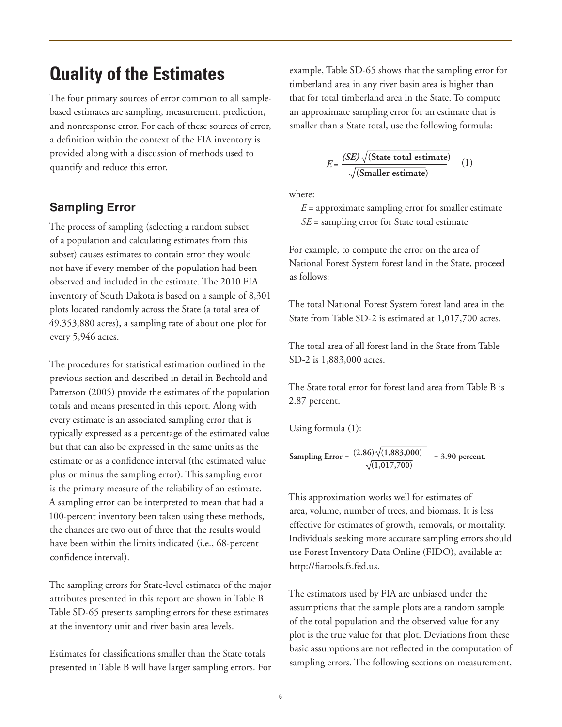### **Quality of the Estimates**

The four primary sources of error common to all samplebased estimates are sampling, measurement, prediction, and nonresponse error. For each of these sources of error, a definition within the context of the FIA inventory is provided along with a discussion of methods used to quantify and reduce this error.

#### **Sampling Error**

The process of sampling (selecting a random subset of a population and calculating estimates from this subset) causes estimates to contain error they would not have if every member of the population had been observed and included in the estimate. The 2010 FIA inventory of South Dakota is based on a sample of 8,301 plots located randomly across the State (a total area of 49,353,880 acres), a sampling rate of about one plot for every 5,946 acres.

The procedures for statistical estimation outlined in the previous section and described in detail in Bechtold and Patterson (2005) provide the estimates of the population totals and means presented in this report. Along with every estimate is an associated sampling error that is typically expressed as a percentage of the estimated value but that can also be expressed in the same units as the estimate or as a confidence interval (the estimated value plus or minus the sampling error). This sampling error is the primary measure of the reliability of an estimate. A sampling error can be interpreted to mean that had a 100-percent inventory been taken using these methods, the chances are two out of three that the results would have been within the limits indicated (i.e., 68-percent confidence interval).

The sampling errors for State-level estimates of the major attributes presented in this report are shown in Table B. Table SD-65 presents sampling errors for these estimates at the inventory unit and river basin area levels.

Estimates for classifications smaller than the State totals presented in Table B will have larger sampling errors. For example, Table SD-65 shows that the sampling error for timberland area in any river basin area is higher than that for total timberland area in the State. To compute an approximate sampling error for an estimate that is smaller than a State total, use the following formula:

$$
E = \frac{(SE)\sqrt{\text{(State total estimate)}}}{\sqrt{\text{(Smaller estimate)}}}
$$
 (1)

where:

 $E =$  approximate sampling error for smaller estimate *SE* = sampling error for State total estimate

For example, to compute the error on the area of National Forest System forest land in the State, proceed as follows:

The total National Forest System forest land area in the State from Table SD-2 is estimated at 1,017,700 acres.

The total area of all forest land in the State from Table SD-2 is 1,883,000 acres.

The State total error for forest land area from Table B is 2.87 percent.

Using formula (1):

 $\text{Sampling Error} = \frac{(2.86)\sqrt{(1,883,000)}}{1,883,000} = 3.90 \text{ percent.}$ **(1,017,700)**

This approximation works well for estimates of area, volume, number of trees, and biomass. It is less effective for estimates of growth, removals, or mortality. Individuals seeking more accurate sampling errors should use Forest Inventory Data Online (FIDO), available at http://fiatools.fs.fed.us.

The estimators used by FIA are unbiased under the assumptions that the sample plots are a random sample of the total population and the observed value for any plot is the true value for that plot. Deviations from these basic assumptions are not reflected in the computation of sampling errors. The following sections on measurement,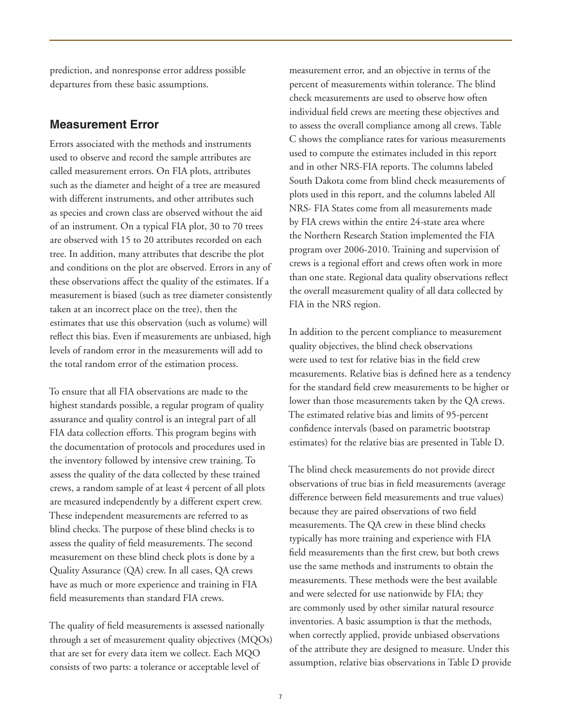prediction, and nonresponse error address possible departures from these basic assumptions.

#### **Measurement Error**

Errors associated with the methods and instruments used to observe and record the sample attributes are called measurement errors. On FIA plots, attributes such as the diameter and height of a tree are measured with different instruments, and other attributes such as species and crown class are observed without the aid of an instrument. On a typical FIA plot, 30 to 70 trees are observed with 15 to 20 attributes recorded on each tree. In addition, many attributes that describe the plot and conditions on the plot are observed. Errors in any of these observations affect the quality of the estimates. If a measurement is biased (such as tree diameter consistently taken at an incorrect place on the tree), then the estimates that use this observation (such as volume) will reflect this bias. Even if measurements are unbiased, high levels of random error in the measurements will add to the total random error of the estimation process.

To ensure that all FIA observations are made to the highest standards possible, a regular program of quality assurance and quality control is an integral part of all FIA data collection efforts. This program begins with the documentation of protocols and procedures used in the inventory followed by intensive crew training. To assess the quality of the data collected by these trained crews, a random sample of at least 4 percent of all plots are measured independently by a different expert crew. These independent measurements are referred to as blind checks. The purpose of these blind checks is to assess the quality of field measurements. The second measurement on these blind check plots is done by a Quality Assurance (QA) crew. In all cases, QA crews have as much or more experience and training in FIA field measurements than standard FIA crews.

The quality of field measurements is assessed nationally through a set of measurement quality objectives (MQOs) that are set for every data item we collect. Each MQO consists of two parts: a tolerance or acceptable level of

measurement error, and an objective in terms of the percent of measurements within tolerance. The blind check measurements are used to observe how often individual field crews are meeting these objectives and to assess the overall compliance among all crews. Table C shows the compliance rates for various measurements used to compute the estimates included in this report and in other NRS-FIA reports. The columns labeled South Dakota come from blind check measurements of plots used in this report, and the columns labeled All NRS- FIA States come from all measurements made by FIA crews within the entire 24-state area where the Northern Research Station implemented the FIA program over 2006-2010. Training and supervision of crews is a regional effort and crews often work in more than one state. Regional data quality observations reflect the overall measurement quality of all data collected by FIA in the NRS region.

In addition to the percent compliance to measurement quality objectives, the blind check observations were used to test for relative bias in the field crew measurements. Relative bias is defined here as a tendency for the standard field crew measurements to be higher or lower than those measurements taken by the QA crews. The estimated relative bias and limits of 95-percent confidence intervals (based on parametric bootstrap estimates) for the relative bias are presented in Table D.

The blind check measurements do not provide direct observations of true bias in field measurements (average difference between field measurements and true values) because they are paired observations of two field measurements. The QA crew in these blind checks typically has more training and experience with FIA field measurements than the first crew, but both crews use the same methods and instruments to obtain the measurements. These methods were the best available and were selected for use nationwide by FIA; they are commonly used by other similar natural resource inventories. A basic assumption is that the methods, when correctly applied, provide unbiased observations of the attribute they are designed to measure. Under this assumption, relative bias observations in Table D provide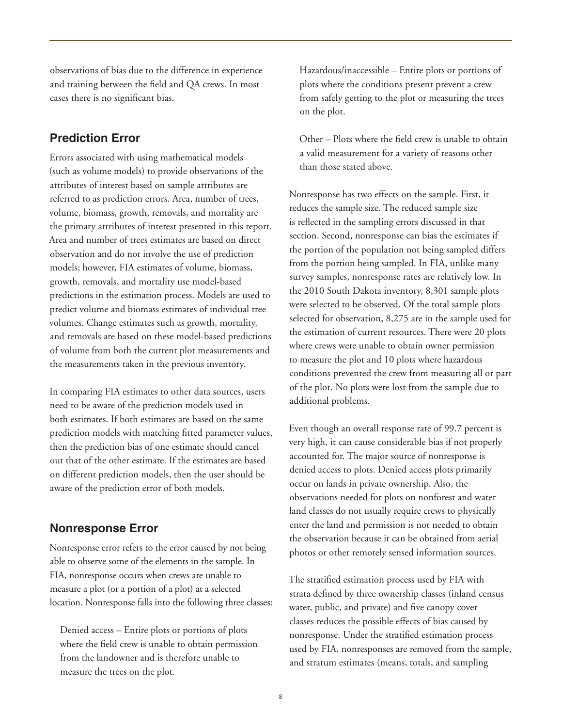observations of bias due to the difference in experience and training between the field and QA crews. In most cases there is no significant bias.

#### **Prediction Error**

Errors associated with using mathematical models (such as volume models) to provide observations of the attributes of interest based on sample attributes are referred to as prediction errors. Area, number of trees, volume, biomass, growth, removals, and mortality are the primary attributes of interest presented in this report. Area and number of trees estimates are based on direct observation and do not involve the use of prediction models; however, FIA estimates of volume, biomass, growth, removals, and mortality use model-based predictions in the estimation process. Models are used to predict volume and biomass estimates of individual tree volumes. Change estimates such as growth, mortality, and removals are based on these model-based predictions of volume from both the current plot measurements and the measurements taken in the previous inventory.

In comparing FIA estimates to other data sources, users need to be aware of the prediction models used in both estimates. If both estimates are based on the same prediction models with matching fitted parameter values, then the prediction bias of one estimate should cancel out that of the other estimate. If the estimates are based on different prediction models, then the user should be aware of the prediction error of both models.

#### **Nonresponse Error**

Nonresponse error refers to the error caused by not being able to observe some of the elements in the sample. In FIA, nonresponse occurs when crews are unable to measure a plot (or a portion of a plot) at a selected location. Nonresponse falls into the following three classes:

 Denied access – Entire plots or portions of plots where the field crew is unable to obtain permission from the landowner and is therefore unable to measure the trees on the plot.

 Hazardous/inaccessible – Entire plots or portions of plots where the conditions present prevent a crew from safely getting to the plot or measuring the trees on the plot.

 Other – Plots where the field crew is unable to obtain a valid measurement for a variety of reasons other than those stated above.

Nonresponse has two effects on the sample. First, it reduces the sample size. The reduced sample size is reflected in the sampling errors discussed in that section. Second, nonresponse can bias the estimates if the portion of the population not being sampled differs from the portion being sampled. In FIA, unlike many survey samples, nonresponse rates are relatively low. In the 2010 South Dakota inventory, 8,301 sample plots were selected to be observed. Of the total sample plots selected for observation, 8,275 are in the sample used for the estimation of current resources. There were 20 plots where crews were unable to obtain owner permission to measure the plot and 10 plots where hazardous conditions prevented the crew from measuring all or part of the plot. No plots were lost from the sample due to additional problems.

Even though an overall response rate of 99.7 percent is very high, it can cause considerable bias if not properly accounted for. The major source of nonresponse is denied access to plots. Denied access plots primarily occur on lands in private ownership. Also, the observations needed for plots on nonforest and water land classes do not usually require crews to physically enter the land and permission is not needed to obtain the observation because it can be obtained from aerial photos or other remotely sensed information sources.

The stratified estimation process used by FIA with strata defined by three ownership classes (inland census water, public, and private) and five canopy cover classes reduces the possible effects of bias caused by nonresponse. Under the stratified estimation process used by FIA, nonresponses are removed from the sample, and stratum estimates (means, totals, and sampling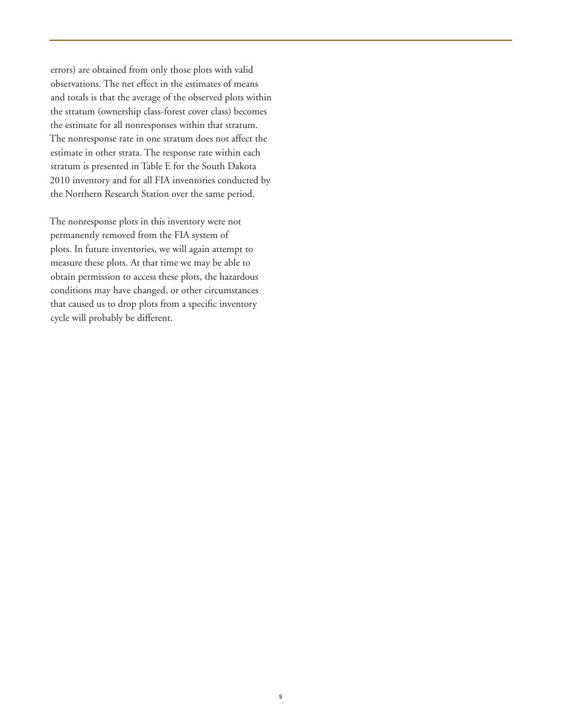errors) are obtained from only those plots with valid observations. The net effect in the estimates of means and totals is that the average of the observed plots within the stratum (ownership class-forest cover class) becomes the estimate for all nonresponses within that stratum. The nonresponse rate in one stratum does not affect the estimate in other strata. The response rate within each stratum is presented in Table E for the South Dakota 2010 inventory and for all FIA inventories conducted by the Northern Research Station over the same period.

The nonresponse plots in this inventory were not permanently removed from the FIA system of plots. In future inventories, we will again attempt to measure these plots. At that time we may be able to obtain permission to access these plots, the hazardous conditions may have changed, or other circumstances that caused us to drop plots from a specific inventory cycle will probably be different.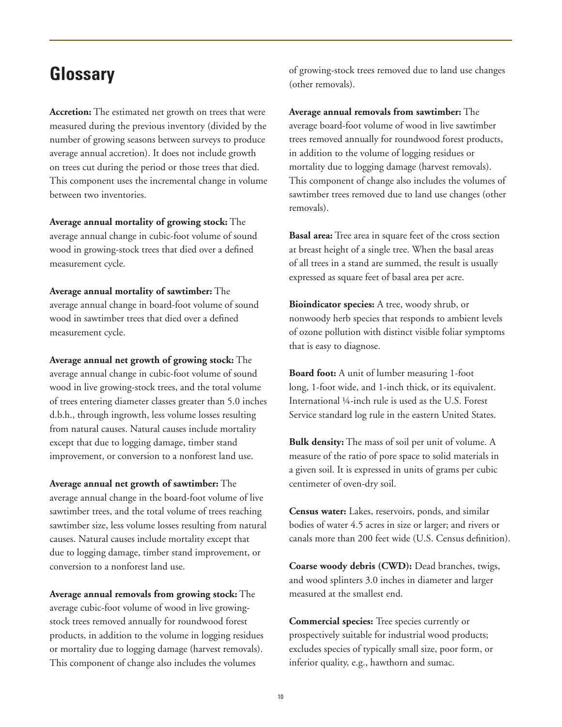### **Glossary**

**Accretion:** The estimated net growth on trees that were measured during the previous inventory (divided by the number of growing seasons between surveys to produce average annual accretion). It does not include growth on trees cut during the period or those trees that died. This component uses the incremental change in volume between two inventories.

**Average annual mortality of growing stock:** The average annual change in cubic-foot volume of sound wood in growing-stock trees that died over a defined measurement cycle.

**Average annual mortality of sawtimber:** The average annual change in board-foot volume of sound wood in sawtimber trees that died over a defined measurement cycle.

**Average annual net growth of growing stock:** The average annual change in cubic-foot volume of sound wood in live growing-stock trees, and the total volume of trees entering diameter classes greater than 5.0 inches d.b.h., through ingrowth, less volume losses resulting from natural causes. Natural causes include mortality except that due to logging damage, timber stand improvement, or conversion to a nonforest land use.

**Average annual net growth of sawtimber:** The average annual change in the board-foot volume of live sawtimber trees, and the total volume of trees reaching sawtimber size, less volume losses resulting from natural causes. Natural causes include mortality except that due to logging damage, timber stand improvement, or conversion to a nonforest land use.

**Average annual removals from growing stock:** The average cubic-foot volume of wood in live growingstock trees removed annually for roundwood forest products, in addition to the volume in logging residues or mortality due to logging damage (harvest removals). This component of change also includes the volumes

of growing-stock trees removed due to land use changes (other removals).

**Average annual removals from sawtimber:** The average board-foot volume of wood in live sawtimber trees removed annually for roundwood forest products, in addition to the volume of logging residues or mortality due to logging damage (harvest removals). This component of change also includes the volumes of sawtimber trees removed due to land use changes (other removals).

**Basal area:** Tree area in square feet of the cross section at breast height of a single tree. When the basal areas of all trees in a stand are summed, the result is usually expressed as square feet of basal area per acre.

**Bioindicator species:** A tree, woody shrub, or nonwoody herb species that responds to ambient levels of ozone pollution with distinct visible foliar symptoms that is easy to diagnose.

**Board foot:** A unit of lumber measuring 1-foot long, 1-foot wide, and 1-inch thick, or its equivalent. International ¼-inch rule is used as the U.S. Forest Service standard log rule in the eastern United States.

**Bulk density:** The mass of soil per unit of volume. A measure of the ratio of pore space to solid materials in a given soil. It is expressed in units of grams per cubic centimeter of oven-dry soil.

**Census water:** Lakes, reservoirs, ponds, and similar bodies of water 4.5 acres in size or larger; and rivers or canals more than 200 feet wide (U.S. Census definition).

**Coarse woody debris (CWD):** Dead branches, twigs, and wood splinters 3.0 inches in diameter and larger measured at the smallest end.

**Commercial species:** Tree species currently or prospectively suitable for industrial wood products; excludes species of typically small size, poor form, or inferior quality, e.g., hawthorn and sumac.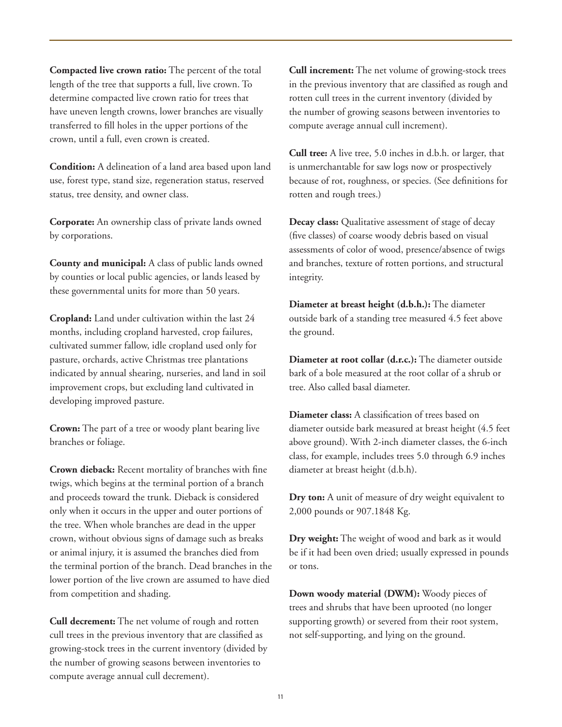**Compacted live crown ratio:** The percent of the total length of the tree that supports a full, live crown. To determine compacted live crown ratio for trees that have uneven length crowns, lower branches are visually transferred to fill holes in the upper portions of the crown, until a full, even crown is created.

**Condition:** A delineation of a land area based upon land use, forest type, stand size, regeneration status, reserved status, tree density, and owner class.

**Corporate:** An ownership class of private lands owned by corporations.

**County and municipal:** A class of public lands owned by counties or local public agencies, or lands leased by these governmental units for more than 50 years.

**Cropland:** Land under cultivation within the last 24 months, including cropland harvested, crop failures, cultivated summer fallow, idle cropland used only for pasture, orchards, active Christmas tree plantations indicated by annual shearing, nurseries, and land in soil improvement crops, but excluding land cultivated in developing improved pasture.

**Crown:** The part of a tree or woody plant bearing live branches or foliage.

**Crown dieback:** Recent mortality of branches with fine twigs, which begins at the terminal portion of a branch and proceeds toward the trunk. Dieback is considered only when it occurs in the upper and outer portions of the tree. When whole branches are dead in the upper crown, without obvious signs of damage such as breaks or animal injury, it is assumed the branches died from the terminal portion of the branch. Dead branches in the lower portion of the live crown are assumed to have died from competition and shading.

**Cull decrement:** The net volume of rough and rotten cull trees in the previous inventory that are classified as growing-stock trees in the current inventory (divided by the number of growing seasons between inventories to compute average annual cull decrement).

**Cull increment:** The net volume of growing-stock trees in the previous inventory that are classified as rough and rotten cull trees in the current inventory (divided by the number of growing seasons between inventories to compute average annual cull increment).

**Cull tree:** A live tree, 5.0 inches in d.b.h. or larger, that is unmerchantable for saw logs now or prospectively because of rot, roughness, or species. (See definitions for rotten and rough trees.)

**Decay class:** Qualitative assessment of stage of decay (five classes) of coarse woody debris based on visual assessments of color of wood, presence/absence of twigs and branches, texture of rotten portions, and structural integrity.

**Diameter at breast height (d.b.h.):** The diameter outside bark of a standing tree measured 4.5 feet above the ground.

**Diameter at root collar (d.r.c.):** The diameter outside bark of a bole measured at the root collar of a shrub or tree. Also called basal diameter.

**Diameter class:** A classification of trees based on diameter outside bark measured at breast height (4.5 feet above ground). With 2-inch diameter classes, the 6-inch class, for example, includes trees 5.0 through 6.9 inches diameter at breast height (d.b.h).

**Dry ton:** A unit of measure of dry weight equivalent to 2,000 pounds or 907.1848 Kg.

**Dry weight:** The weight of wood and bark as it would be if it had been oven dried; usually expressed in pounds or tons.

**Down woody material (DWM):** Woody pieces of trees and shrubs that have been uprooted (no longer supporting growth) or severed from their root system, not self-supporting, and lying on the ground.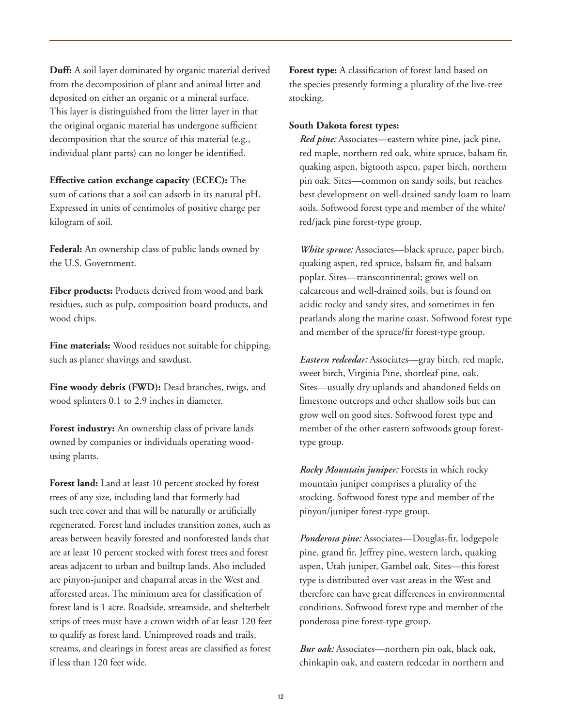**Duff:** A soil layer dominated by organic material derived from the decomposition of plant and animal litter and deposited on either an organic or a mineral surface. This layer is distinguished from the litter layer in that the original organic material has undergone sufficient decomposition that the source of this material (e.g., individual plant parts) can no longer be identified.

#### **Effective cation exchange capacity (ECEC):** The

sum of cations that a soil can adsorb in its natural pH. Expressed in units of centimoles of positive charge per kilogram of soil.

**Federal:** An ownership class of public lands owned by the U.S. Government.

**Fiber products:** Products derived from wood and bark residues, such as pulp, composition board products, and wood chips.

**Fine materials:** Wood residues not suitable for chipping, such as planer shavings and sawdust.

**Fine woody debris (FWD):** Dead branches, twigs, and wood splinters 0.1 to 2.9 inches in diameter.

**Forest industry:** An ownership class of private lands owned by companies or individuals operating woodusing plants.

**Forest land:** Land at least 10 percent stocked by forest trees of any size, including land that formerly had such tree cover and that will be naturally or artificially regenerated. Forest land includes transition zones, such as areas between heavily forested and nonforested lands that are at least 10 percent stocked with forest trees and forest areas adjacent to urban and builtup lands. Also included are pinyon-juniper and chaparral areas in the West and afforested areas. The minimum area for classification of forest land is 1 acre. Roadside, streamside, and shelterbelt strips of trees must have a crown width of at least 120 feet to qualify as forest land. Unimproved roads and trails, streams, and clearings in forest areas are classified as forest if less than 120 feet wide.

**Forest type:** A classification of forest land based on the species presently forming a plurality of the live-tree stocking.

#### **South Dakota forest types:**

*Red pine:* Associates—eastern white pine, jack pine, red maple, northern red oak, white spruce, balsam fir, quaking aspen, bigtooth aspen, paper birch, northern pin oak. Sites—common on sandy soils, but reaches best development on well-drained sandy loam to loam soils. Softwood forest type and member of the white/ red/jack pine forest-type group.

*White spruce:* Associates—black spruce, paper birch, quaking aspen, red spruce, balsam fir, and balsam poplar. Sites—transcontinental; grows well on calcareous and well-drained soils, but is found on acidic rocky and sandy sites, and sometimes in fen peatlands along the marine coast. Softwood forest type and member of the spruce/fir forest-type group.

*Eastern redcedar:* Associates—gray birch, red maple, sweet birch, Virginia Pine, shortleaf pine, oak. Sites—usually dry uplands and abandoned fields on limestone outcrops and other shallow soils but can grow well on good sites. Softwood forest type and member of the other eastern softwoods group foresttype group.

*Rocky Mountain juniper:* Forests in which rocky mountain juniper comprises a plurality of the stocking. Softwood forest type and member of the pinyon/juniper forest-type group.

*Ponderosa pine:* Associates—Douglas-fir, lodgepole pine, grand fir, Jeffrey pine, western larch, quaking aspen, Utah juniper, Gambel oak. Sites—this forest type is distributed over vast areas in the West and therefore can have great differences in environmental conditions. Softwood forest type and member of the ponderosa pine forest-type group.

*Bur oak:* Associates—northern pin oak, black oak, chinkapin oak, and eastern redcedar in northern and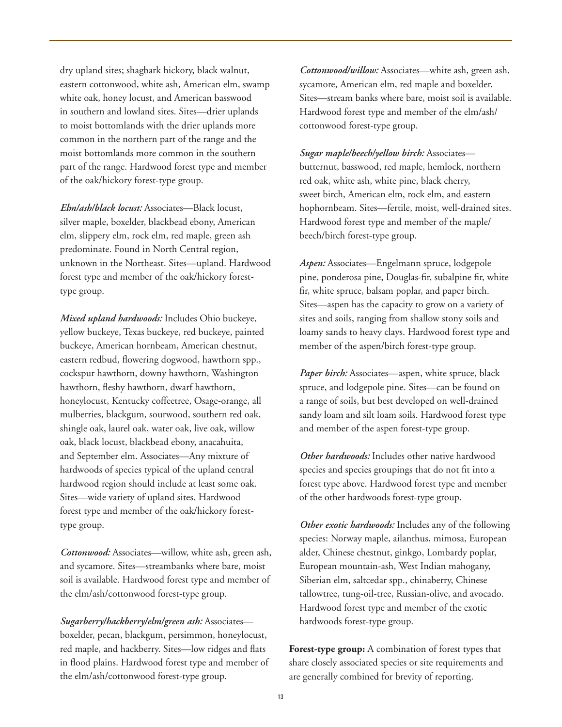dry upland sites; shagbark hickory, black walnut, eastern cottonwood, white ash, American elm, swamp white oak, honey locust, and American basswood in southern and lowland sites. Sites—drier uplands to moist bottomlands with the drier uplands more common in the northern part of the range and the moist bottomlands more common in the southern part of the range. Hardwood forest type and member of the oak/hickory forest-type group.

 *Elm/ash/black locust:* Associates—Black locust, silver maple, boxelder, blackbead ebony, American elm, slippery elm, rock elm, red maple, green ash predominate. Found in North Central region, unknown in the Northeast. Sites—upland. Hardwood forest type and member of the oak/hickory foresttype group.

 *Mixed upland hardwoods:* Includes Ohio buckeye, yellow buckeye, Texas buckeye, red buckeye, painted buckeye, American hornbeam, American chestnut, eastern redbud, flowering dogwood, hawthorn spp., cockspur hawthorn, downy hawthorn, Washington hawthorn, fleshy hawthorn, dwarf hawthorn, honeylocust, Kentucky coffeetree, Osage-orange, all mulberries, blackgum, sourwood, southern red oak, shingle oak, laurel oak, water oak, live oak, willow oak, black locust, blackbead ebony, anacahuita, and September elm. Associates—Any mixture of hardwoods of species typical of the upland central hardwood region should include at least some oak. Sites—wide variety of upland sites. Hardwood forest type and member of the oak/hickory foresttype group.

 *Cottonwood:* Associates—willow, white ash, green ash, and sycamore. Sites—streambanks where bare, moist soil is available. Hardwood forest type and member of the elm/ash/cottonwood forest-type group.

 *Sugarberry/hackberry/elm/green ash:* Associates boxelder, pecan, blackgum, persimmon, honeylocust, red maple, and hackberry. Sites—low ridges and flats in flood plains. Hardwood forest type and member of the elm/ash/cottonwood forest-type group.

 *Cottonwood/willow:* Associates—white ash, green ash, sycamore, American elm, red maple and boxelder. Sites—stream banks where bare, moist soil is available. Hardwood forest type and member of the elm/ash/ cottonwood forest-type group.

*Sugar maple/beech/yellow birch:* Associates butternut, basswood, red maple, hemlock, northern red oak, white ash, white pine, black cherry, sweet birch, American elm, rock elm, and eastern hophornbeam. Sites—fertile, moist, well-drained sites. Hardwood forest type and member of the maple/ beech/birch forest-type group.

*Aspen:* Associates—Engelmann spruce, lodgepole pine, ponderosa pine, Douglas-fir, subalpine fir, white fir, white spruce, balsam poplar, and paper birch. Sites—aspen has the capacity to grow on a variety of sites and soils, ranging from shallow stony soils and loamy sands to heavy clays. Hardwood forest type and member of the aspen/birch forest-type group.

Paper birch: Associates-aspen, white spruce, black spruce, and lodgepole pine. Sites—can be found on a range of soils, but best developed on well-drained sandy loam and silt loam soils. Hardwood forest type and member of the aspen forest-type group.

*Other hardwoods:* Includes other native hardwood species and species groupings that do not fit into a forest type above. Hardwood forest type and member of the other hardwoods forest-type group.

*Other exotic hardwoods:* Includes any of the following species: Norway maple, ailanthus, mimosa, European alder, Chinese chestnut, ginkgo, Lombardy poplar, European mountain-ash, West Indian mahogany, Siberian elm, saltcedar spp., chinaberry, Chinese tallowtree, tung-oil-tree, Russian-olive, and avocado. Hardwood forest type and member of the exotic hardwoods forest-type group.

**Forest-type group:** A combination of forest types that share closely associated species or site requirements and are generally combined for brevity of reporting.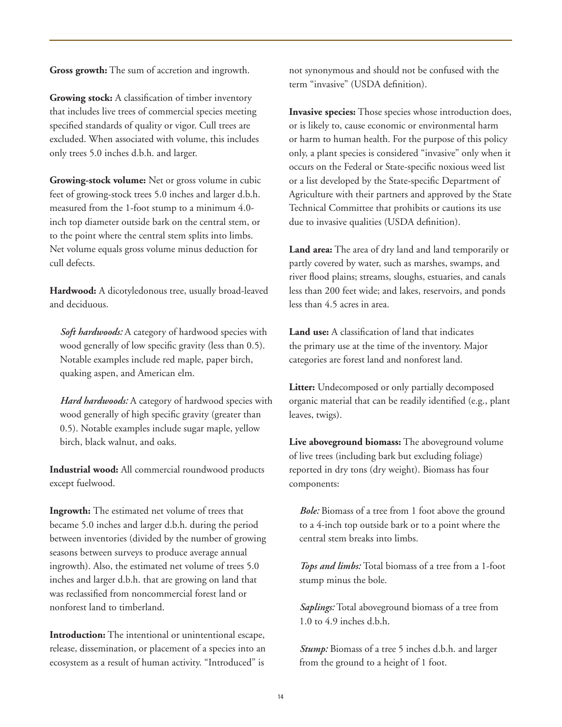**Gross growth:** The sum of accretion and ingrowth.

**Growing stock:** A classification of timber inventory that includes live trees of commercial species meeting specified standards of quality or vigor. Cull trees are excluded. When associated with volume, this includes only trees 5.0 inches d.b.h. and larger.

**Growing-stock volume:** Net or gross volume in cubic feet of growing-stock trees 5.0 inches and larger d.b.h. measured from the 1-foot stump to a minimum 4.0 inch top diameter outside bark on the central stem, or to the point where the central stem splits into limbs. Net volume equals gross volume minus deduction for cull defects.

**Hardwood:** A dicotyledonous tree, usually broad-leaved and deciduous.

*Soft hardwoods:* A category of hardwood species with wood generally of low specific gravity (less than 0.5). Notable examples include red maple, paper birch, quaking aspen, and American elm.

Hard hardwoods: A category of hardwood species with wood generally of high specific gravity (greater than 0.5). Notable examples include sugar maple, yellow birch, black walnut, and oaks.

**Industrial wood:** All commercial roundwood products except fuelwood.

**Ingrowth:** The estimated net volume of trees that became 5.0 inches and larger d.b.h. during the period between inventories (divided by the number of growing seasons between surveys to produce average annual ingrowth). Also, the estimated net volume of trees 5.0 inches and larger d.b.h. that are growing on land that was reclassified from noncommercial forest land or nonforest land to timberland.

**Introduction:** The intentional or unintentional escape, release, dissemination, or placement of a species into an ecosystem as a result of human activity. "Introduced" is

not synonymous and should not be confused with the term "invasive" (USDA definition).

**Invasive species:** Those species whose introduction does, or is likely to, cause economic or environmental harm or harm to human health. For the purpose of this policy only, a plant species is considered "invasive" only when it occurs on the Federal or State-specific noxious weed list or a list developed by the State-specific Department of Agriculture with their partners and approved by the State Technical Committee that prohibits or cautions its use due to invasive qualities (USDA definition).

**Land area:** The area of dry land and land temporarily or partly covered by water, such as marshes, swamps, and river flood plains; streams, sloughs, estuaries, and canals less than 200 feet wide; and lakes, reservoirs, and ponds less than 4.5 acres in area.

**Land use:** A classification of land that indicates the primary use at the time of the inventory. Major categories are forest land and nonforest land.

**Litter:** Undecomposed or only partially decomposed organic material that can be readily identified (e.g., plant leaves, twigs).

**Live aboveground biomass:** The aboveground volume of live trees (including bark but excluding foliage) reported in dry tons (dry weight). Biomass has four components:

*Bole:* Biomass of a tree from 1 foot above the ground to a 4-inch top outside bark or to a point where the central stem breaks into limbs.

*Tops and limbs:* Total biomass of a tree from a 1-foot stump minus the bole.

*Saplings:* Total aboveground biomass of a tree from 1.0 to 4.9 inches d.b.h.

*Stump:* Biomass of a tree 5 inches d.b.h. and larger from the ground to a height of 1 foot.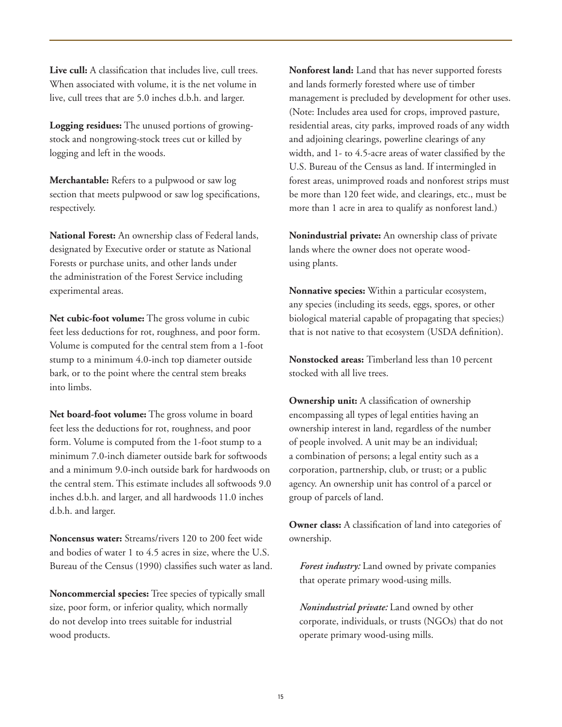**Live cull:** A classification that includes live, cull trees. When associated with volume, it is the net volume in live, cull trees that are 5.0 inches d.b.h. and larger.

**Logging residues:** The unused portions of growingstock and nongrowing-stock trees cut or killed by logging and left in the woods.

**Merchantable:** Refers to a pulpwood or saw log section that meets pulpwood or saw log specifications, respectively.

**National Forest:** An ownership class of Federal lands, designated by Executive order or statute as National Forests or purchase units, and other lands under the administration of the Forest Service including experimental areas.

**Net cubic-foot volume:** The gross volume in cubic feet less deductions for rot, roughness, and poor form. Volume is computed for the central stem from a 1-foot stump to a minimum 4.0-inch top diameter outside bark, or to the point where the central stem breaks into limbs.

**Net board-foot volume:** The gross volume in board feet less the deductions for rot, roughness, and poor form. Volume is computed from the 1-foot stump to a minimum 7.0-inch diameter outside bark for softwoods and a minimum 9.0-inch outside bark for hardwoods on the central stem. This estimate includes all softwoods 9.0 inches d.b.h. and larger, and all hardwoods 11.0 inches d.b.h. and larger.

**Noncensus water:** Streams/rivers 120 to 200 feet wide and bodies of water 1 to 4.5 acres in size, where the U.S. Bureau of the Census (1990) classifies such water as land.

**Noncommercial species:** Tree species of typically small size, poor form, or inferior quality, which normally do not develop into trees suitable for industrial wood products.

**Nonforest land:** Land that has never supported forests and lands formerly forested where use of timber management is precluded by development for other uses. (Note: Includes area used for crops, improved pasture, residential areas, city parks, improved roads of any width and adjoining clearings, powerline clearings of any width, and 1- to 4.5-acre areas of water classified by the U.S. Bureau of the Census as land. If intermingled in forest areas, unimproved roads and nonforest strips must be more than 120 feet wide, and clearings, etc., must be more than 1 acre in area to qualify as nonforest land.)

**Nonindustrial private:** An ownership class of private lands where the owner does not operate woodusing plants.

**Nonnative species:** Within a particular ecosystem, any species (including its seeds, eggs, spores, or other biological material capable of propagating that species;) that is not native to that ecosystem (USDA definition).

**Nonstocked areas:** Timberland less than 10 percent stocked with all live trees.

**Ownership unit:** A classification of ownership encompassing all types of legal entities having an ownership interest in land, regardless of the number of people involved. A unit may be an individual; a combination of persons; a legal entity such as a corporation, partnership, club, or trust; or a public agency. An ownership unit has control of a parcel or group of parcels of land.

**Owner class:** A classification of land into categories of ownership.

*Forest industry:* Land owned by private companies that operate primary wood-using mills.

*Nonindustrial private:* Land owned by other corporate, individuals, or trusts (NGOs) that do not operate primary wood-using mills.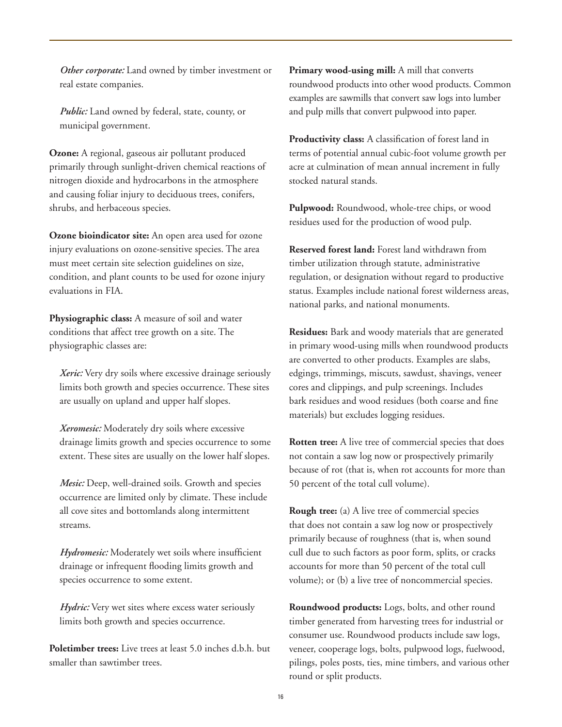*Other corporate:* Land owned by timber investment or real estate companies.

*Public:* Land owned by federal, state, county, or municipal government.

**Ozone:** A regional, gaseous air pollutant produced primarily through sunlight-driven chemical reactions of nitrogen dioxide and hydrocarbons in the atmosphere and causing foliar injury to deciduous trees, conifers, shrubs, and herbaceous species.

**Ozone bioindicator site:** An open area used for ozone injury evaluations on ozone-sensitive species. The area must meet certain site selection guidelines on size, condition, and plant counts to be used for ozone injury evaluations in FIA.

**Physiographic class:** A measure of soil and water conditions that affect tree growth on a site. The physiographic classes are:

*Xeric:* Very dry soils where excessive drainage seriously limits both growth and species occurrence. These sites are usually on upland and upper half slopes.

*Xeromesic:* Moderately dry soils where excessive drainage limits growth and species occurrence to some extent. These sites are usually on the lower half slopes.

*Mesic:* Deep, well-drained soils. Growth and species occurrence are limited only by climate. These include all cove sites and bottomlands along intermittent streams.

*Hydromesic:* Moderately wet soils where insufficient drainage or infrequent flooding limits growth and species occurrence to some extent.

*Hydric:* Very wet sites where excess water seriously limits both growth and species occurrence.

**Poletimber trees:** Live trees at least 5.0 inches d.b.h. but smaller than sawtimber trees.

Primary wood-using mill: A mill that converts roundwood products into other wood products. Common examples are sawmills that convert saw logs into lumber and pulp mills that convert pulpwood into paper.

**Productivity class:** A classification of forest land in terms of potential annual cubic-foot volume growth per acre at culmination of mean annual increment in fully stocked natural stands.

**Pulpwood:** Roundwood, whole-tree chips, or wood residues used for the production of wood pulp.

**Reserved forest land:** Forest land withdrawn from timber utilization through statute, administrative regulation, or designation without regard to productive status. Examples include national forest wilderness areas, national parks, and national monuments.

**Residues:** Bark and woody materials that are generated in primary wood-using mills when roundwood products are converted to other products. Examples are slabs, edgings, trimmings, miscuts, sawdust, shavings, veneer cores and clippings, and pulp screenings. Includes bark residues and wood residues (both coarse and fine materials) but excludes logging residues.

**Rotten tree:** A live tree of commercial species that does not contain a saw log now or prospectively primarily because of rot (that is, when rot accounts for more than 50 percent of the total cull volume).

**Rough tree:** (a) A live tree of commercial species that does not contain a saw log now or prospectively primarily because of roughness (that is, when sound cull due to such factors as poor form, splits, or cracks accounts for more than 50 percent of the total cull volume); or (b) a live tree of noncommercial species.

**Roundwood products:** Logs, bolts, and other round timber generated from harvesting trees for industrial or consumer use. Roundwood products include saw logs, veneer, cooperage logs, bolts, pulpwood logs, fuelwood, pilings, poles posts, ties, mine timbers, and various other round or split products.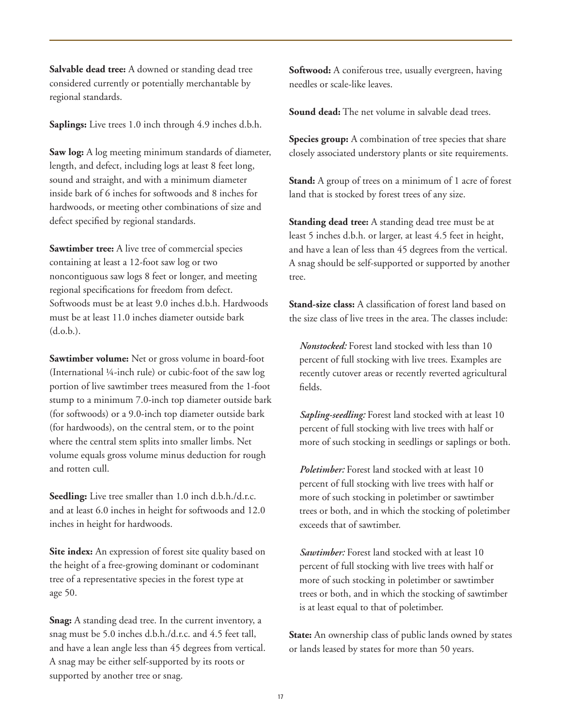**Salvable dead tree:** A downed or standing dead tree considered currently or potentially merchantable by regional standards.

**Saplings:** Live trees 1.0 inch through 4.9 inches d.b.h.

**Saw log:** A log meeting minimum standards of diameter, length, and defect, including logs at least 8 feet long, sound and straight, and with a minimum diameter inside bark of 6 inches for softwoods and 8 inches for hardwoods, or meeting other combinations of size and defect specified by regional standards.

**Sawtimber tree:** A live tree of commercial species containing at least a 12-foot saw log or two noncontiguous saw logs 8 feet or longer, and meeting regional specifications for freedom from defect. Softwoods must be at least 9.0 inches d.b.h. Hardwoods must be at least 11.0 inches diameter outside bark (d.o.b.).

**Sawtimber volume:** Net or gross volume in board-foot (International ¼-inch rule) or cubic-foot of the saw log portion of live sawtimber trees measured from the 1-foot stump to a minimum 7.0-inch top diameter outside bark (for softwoods) or a 9.0-inch top diameter outside bark (for hardwoods), on the central stem, or to the point where the central stem splits into smaller limbs. Net volume equals gross volume minus deduction for rough and rotten cull.

**Seedling:** Live tree smaller than 1.0 inch d.b.h./d.r.c. and at least 6.0 inches in height for softwoods and 12.0 inches in height for hardwoods.

**Site index:** An expression of forest site quality based on the height of a free-growing dominant or codominant tree of a representative species in the forest type at age 50.

**Snag:** A standing dead tree. In the current inventory, a snag must be 5.0 inches d.b.h./d.r.c. and 4.5 feet tall, and have a lean angle less than 45 degrees from vertical. A snag may be either self-supported by its roots or supported by another tree or snag.

**Softwood:** A coniferous tree, usually evergreen, having needles or scale-like leaves.

**Sound dead:** The net volume in salvable dead trees.

**Species group:** A combination of tree species that share closely associated understory plants or site requirements.

**Stand:** A group of trees on a minimum of 1 acre of forest land that is stocked by forest trees of any size.

**Standing dead tree:** A standing dead tree must be at least 5 inches d.b.h. or larger, at least 4.5 feet in height, and have a lean of less than 45 degrees from the vertical. A snag should be self-supported or supported by another tree.

**Stand-size class:** A classification of forest land based on the size class of live trees in the area. The classes include:

*Nonstocked:* Forest land stocked with less than 10 percent of full stocking with live trees. Examples are recently cutover areas or recently reverted agricultural fields.

*Sapling-seedling:* Forest land stocked with at least 10 percent of full stocking with live trees with half or more of such stocking in seedlings or saplings or both.

*Poletimber:* Forest land stocked with at least 10 percent of full stocking with live trees with half or more of such stocking in poletimber or sawtimber trees or both, and in which the stocking of poletimber exceeds that of sawtimber.

*Sawtimber:* Forest land stocked with at least 10 percent of full stocking with live trees with half or more of such stocking in poletimber or sawtimber trees or both, and in which the stocking of sawtimber is at least equal to that of poletimber.

**State:** An ownership class of public lands owned by states or lands leased by states for more than 50 years.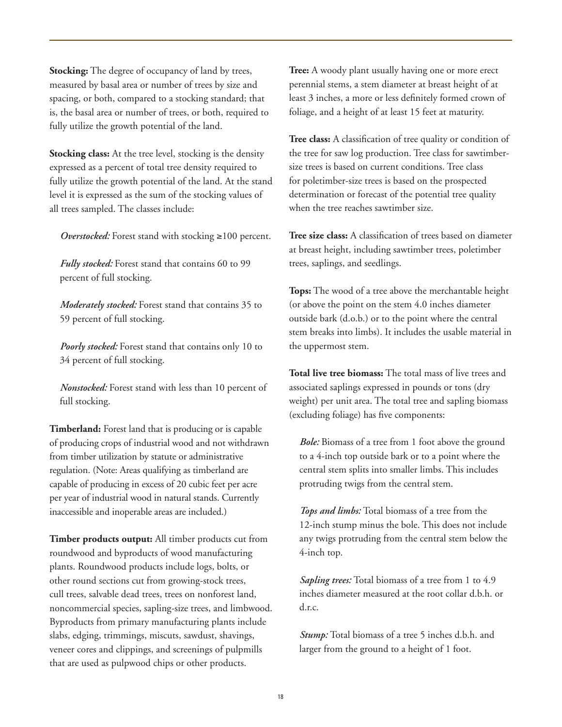**Stocking:** The degree of occupancy of land by trees, measured by basal area or number of trees by size and spacing, or both, compared to a stocking standard; that is, the basal area or number of trees, or both, required to fully utilize the growth potential of the land.

**Stocking class:** At the tree level, stocking is the density expressed as a percent of total tree density required to fully utilize the growth potential of the land. At the stand level it is expressed as the sum of the stocking values of all trees sampled. The classes include:

*Overstocked:* Forest stand with stocking ≥100 percent.

*Fully stocked:* Forest stand that contains 60 to 99 percent of full stocking.

*Moderately stocked:* Forest stand that contains 35 to 59 percent of full stocking.

*Poorly stocked:* Forest stand that contains only 10 to 34 percent of full stocking.

*Nonstocked:* Forest stand with less than 10 percent of full stocking.

**Timberland:** Forest land that is producing or is capable of producing crops of industrial wood and not withdrawn from timber utilization by statute or administrative regulation. (Note: Areas qualifying as timberland are capable of producing in excess of 20 cubic feet per acre per year of industrial wood in natural stands. Currently inaccessible and inoperable areas are included.)

**Timber products output:** All timber products cut from roundwood and byproducts of wood manufacturing plants. Roundwood products include logs, bolts, or other round sections cut from growing-stock trees, cull trees, salvable dead trees, trees on nonforest land, noncommercial species, sapling-size trees, and limbwood. Byproducts from primary manufacturing plants include slabs, edging, trimmings, miscuts, sawdust, shavings, veneer cores and clippings, and screenings of pulpmills that are used as pulpwood chips or other products.

**Tree:** A woody plant usually having one or more erect perennial stems, a stem diameter at breast height of at least 3 inches, a more or less definitely formed crown of foliage, and a height of at least 15 feet at maturity.

**Tree class:** A classification of tree quality or condition of the tree for saw log production. Tree class for sawtimbersize trees is based on current conditions. Tree class for poletimber-size trees is based on the prospected determination or forecast of the potential tree quality when the tree reaches sawtimber size.

**Tree size class:** A classification of trees based on diameter at breast height, including sawtimber trees, poletimber trees, saplings, and seedlings.

**Tops:** The wood of a tree above the merchantable height (or above the point on the stem 4.0 inches diameter outside bark (d.o.b.) or to the point where the central stem breaks into limbs). It includes the usable material in the uppermost stem.

**Total live tree biomass:** The total mass of live trees and associated saplings expressed in pounds or tons (dry weight) per unit area. The total tree and sapling biomass (excluding foliage) has five components:

*Bole:* Biomass of a tree from 1 foot above the ground to a 4-inch top outside bark or to a point where the central stem splits into smaller limbs. This includes protruding twigs from the central stem.

*Tops and limbs:* Total biomass of a tree from the 12-inch stump minus the bole. This does not include any twigs protruding from the central stem below the 4-inch top.

*Sapling trees:* Total biomass of a tree from 1 to 4.9 inches diameter measured at the root collar d.b.h. or d.r.c.

*Stump:* Total biomass of a tree 5 inches d.b.h. and larger from the ground to a height of 1 foot.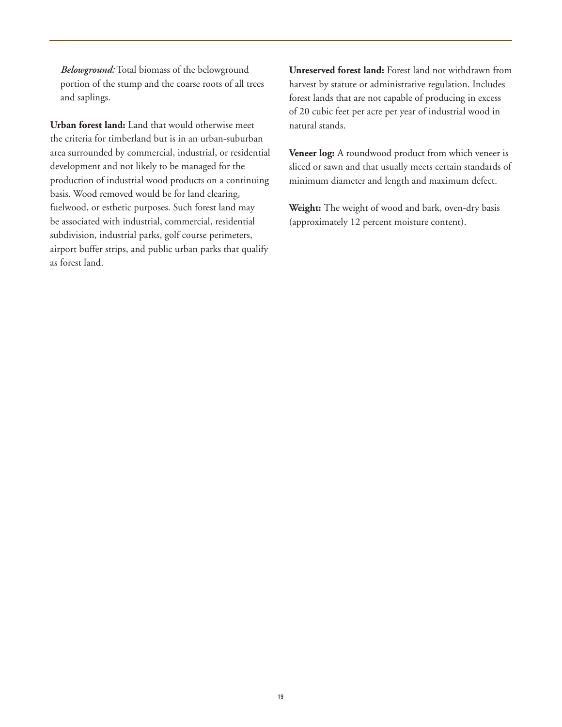*Belowground:* Total biomass of the belowground portion of the stump and the coarse roots of all trees and saplings.

**Urban forest land:** Land that would otherwise meet the criteria for timberland but is in an urban-suburban area surrounded by commercial, industrial, or residential development and not likely to be managed for the production of industrial wood products on a continuing basis. Wood removed would be for land clearing, fuelwood, or esthetic purposes. Such forest land may be associated with industrial, commercial, residential subdivision, industrial parks, golf course perimeters, airport buffer strips, and public urban parks that qualify as forest land.

**Unreserved forest land:** Forest land not withdrawn from harvest by statute or administrative regulation. Includes forest lands that are not capable of producing in excess of 20 cubic feet per acre per year of industrial wood in natural stands.

**Veneer log:** A roundwood product from which veneer is sliced or sawn and that usually meets certain standards of minimum diameter and length and maximum defect.

**Weight:** The weight of wood and bark, oven-dry basis (approximately 12 percent moisture content).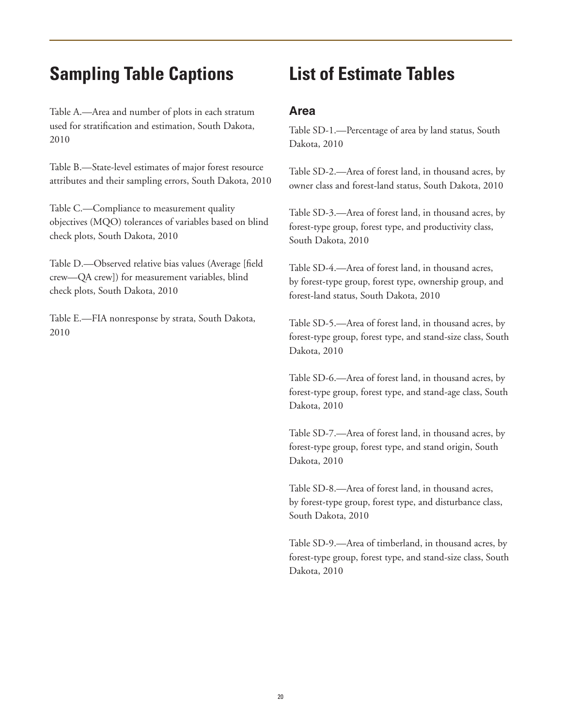### **Sampling Table Captions**

Table A.—Area and number of plots in each stratum used for stratification and estimation, South Dakota, 2010

Table B.—State-level estimates of major forest resource attributes and their sampling errors, South Dakota, 2010

Table C.—Compliance to measurement quality objectives (MQO) tolerances of variables based on blind check plots, South Dakota, 2010

Table D.—Observed relative bias values (Average [field crew—QA crew]) for measurement variables, blind check plots, South Dakota, 2010

Table E.—FIA nonresponse by strata, South Dakota, 2010

### **List of Estimate Tables**

#### **Area**

Table SD-1.—Percentage of area by land status, South Dakota, 2010

Table SD-2.—Area of forest land, in thousand acres, by owner class and forest-land status, South Dakota, 2010

Table SD-3.—Area of forest land, in thousand acres, by forest-type group, forest type, and productivity class, South Dakota, 2010

Table SD-4.—Area of forest land, in thousand acres, by forest-type group, forest type, ownership group, and forest-land status, South Dakota, 2010

Table SD-5.—Area of forest land, in thousand acres, by forest-type group, forest type, and stand-size class, South Dakota, 2010

Table SD-6.—Area of forest land, in thousand acres, by forest-type group, forest type, and stand-age class, South Dakota, 2010

Table SD-7.—Area of forest land, in thousand acres, by forest-type group, forest type, and stand origin, South Dakota, 2010

Table SD-8.—Area of forest land, in thousand acres, by forest-type group, forest type, and disturbance class, South Dakota, 2010

Table SD-9.—Area of timberland, in thousand acres, by forest-type group, forest type, and stand-size class, South Dakota, 2010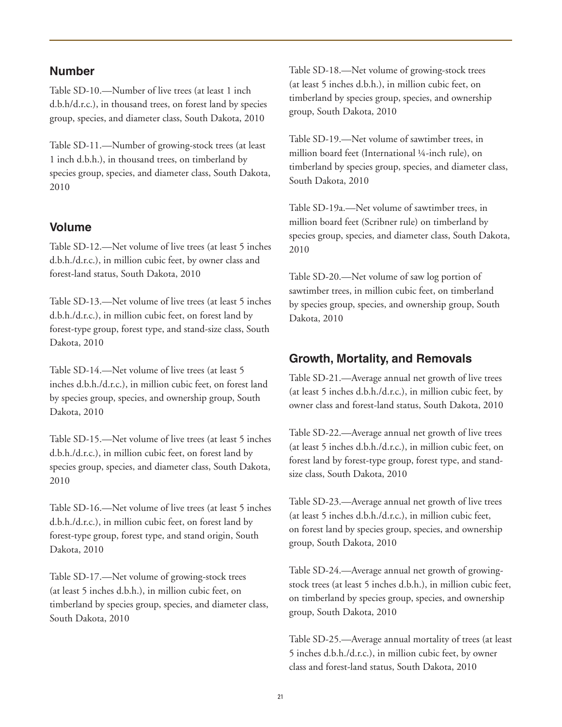#### **Number**

Table SD-10.—Number of live trees (at least 1 inch d.b.h/d.r.c.), in thousand trees, on forest land by species group, species, and diameter class, South Dakota, 2010

Table SD-11.—Number of growing-stock trees (at least 1 inch d.b.h.), in thousand trees, on timberland by species group, species, and diameter class, South Dakota, 2010

#### **Volume**

Table SD-12.—Net volume of live trees (at least 5 inches d.b.h./d.r.c.), in million cubic feet, by owner class and forest-land status, South Dakota, 2010

Table SD-13.—Net volume of live trees (at least 5 inches d.b.h./d.r.c.), in million cubic feet, on forest land by forest-type group, forest type, and stand-size class, South Dakota, 2010

Table SD-14.—Net volume of live trees (at least 5 inches d.b.h./d.r.c.), in million cubic feet, on forest land by species group, species, and ownership group, South Dakota, 2010

Table SD-15.—Net volume of live trees (at least 5 inches d.b.h./d.r.c.), in million cubic feet, on forest land by species group, species, and diameter class, South Dakota, 2010

Table SD-16.—Net volume of live trees (at least 5 inches d.b.h./d.r.c.), in million cubic feet, on forest land by forest-type group, forest type, and stand origin, South Dakota, 2010

Table SD-17.—Net volume of growing-stock trees (at least 5 inches d.b.h.), in million cubic feet, on timberland by species group, species, and diameter class, South Dakota, 2010

Table SD-18.—Net volume of growing-stock trees (at least 5 inches d.b.h.), in million cubic feet, on timberland by species group, species, and ownership group, South Dakota, 2010

Table SD-19.—Net volume of sawtimber trees, in million board feet (International ¼-inch rule), on timberland by species group, species, and diameter class, South Dakota, 2010

Table SD-19a.—Net volume of sawtimber trees, in million board feet (Scribner rule) on timberland by species group, species, and diameter class, South Dakota, 2010

Table SD-20.—Net volume of saw log portion of sawtimber trees, in million cubic feet, on timberland by species group, species, and ownership group, South Dakota, 2010

#### **Growth, Mortality, and Removals**

Table SD-21.—Average annual net growth of live trees (at least 5 inches d.b.h./d.r.c.), in million cubic feet, by owner class and forest-land status, South Dakota, 2010

Table SD-22.—Average annual net growth of live trees (at least 5 inches d.b.h./d.r.c.), in million cubic feet, on forest land by forest-type group, forest type, and standsize class, South Dakota, 2010

Table SD-23.—Average annual net growth of live trees (at least 5 inches d.b.h./d.r.c.), in million cubic feet, on forest land by species group, species, and ownership group, South Dakota, 2010

Table SD-24.—Average annual net growth of growingstock trees (at least 5 inches d.b.h.), in million cubic feet, on timberland by species group, species, and ownership group, South Dakota, 2010

Table SD-25.—Average annual mortality of trees (at least 5 inches d.b.h./d.r.c.), in million cubic feet, by owner class and forest-land status, South Dakota, 2010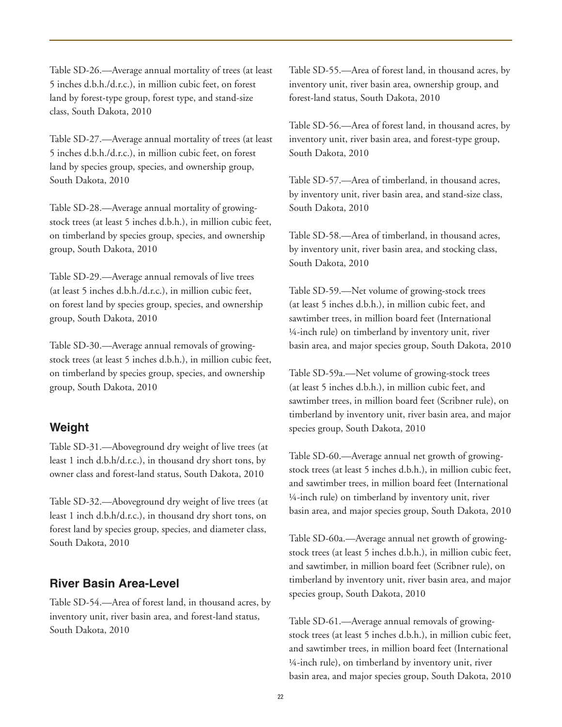Table SD-26.—Average annual mortality of trees (at least 5 inches d.b.h./d.r.c.), in million cubic feet, on forest land by forest-type group, forest type, and stand-size class, South Dakota, 2010

Table SD-27.—Average annual mortality of trees (at least 5 inches d.b.h./d.r.c.), in million cubic feet, on forest land by species group, species, and ownership group, South Dakota, 2010

Table SD-28.—Average annual mortality of growingstock trees (at least 5 inches d.b.h.), in million cubic feet, on timberland by species group, species, and ownership group, South Dakota, 2010

Table SD-29.—Average annual removals of live trees (at least 5 inches d.b.h./d.r.c.), in million cubic feet, on forest land by species group, species, and ownership group, South Dakota, 2010

Table SD-30.—Average annual removals of growingstock trees (at least 5 inches d.b.h.), in million cubic feet, on timberland by species group, species, and ownership group, South Dakota, 2010

#### **Weight**

Table SD-31.—Aboveground dry weight of live trees (at least 1 inch d.b.h/d.r.c.), in thousand dry short tons, by owner class and forest-land status, South Dakota, 2010

Table SD-32.—Aboveground dry weight of live trees (at least 1 inch d.b.h/d.r.c.), in thousand dry short tons, on forest land by species group, species, and diameter class, South Dakota, 2010

#### **River Basin Area-Level**

Table SD-54.—Area of forest land, in thousand acres, by inventory unit, river basin area, and forest-land status, South Dakota, 2010

Table SD-55.—Area of forest land, in thousand acres, by inventory unit, river basin area, ownership group, and forest-land status, South Dakota, 2010

Table SD-56.—Area of forest land, in thousand acres, by inventory unit, river basin area, and forest-type group, South Dakota, 2010

Table SD-57.—Area of timberland, in thousand acres, by inventory unit, river basin area, and stand-size class, South Dakota, 2010

Table SD-58.—Area of timberland, in thousand acres, by inventory unit, river basin area, and stocking class, South Dakota, 2010

Table SD-59.—Net volume of growing-stock trees (at least 5 inches d.b.h.), in million cubic feet, and sawtimber trees, in million board feet (International ¼-inch rule) on timberland by inventory unit, river basin area, and major species group, South Dakota, 2010

Table SD-59a.—Net volume of growing-stock trees (at least 5 inches d.b.h.), in million cubic feet, and sawtimber trees, in million board feet (Scribner rule), on timberland by inventory unit, river basin area, and major species group, South Dakota, 2010

Table SD-60.—Average annual net growth of growingstock trees (at least 5 inches d.b.h.), in million cubic feet, and sawtimber trees, in million board feet (International ¼-inch rule) on timberland by inventory unit, river basin area, and major species group, South Dakota, 2010

Table SD-60a.—Average annual net growth of growingstock trees (at least 5 inches d.b.h.), in million cubic feet, and sawtimber, in million board feet (Scribner rule), on timberland by inventory unit, river basin area, and major species group, South Dakota, 2010

Table SD-61.—Average annual removals of growingstock trees (at least 5 inches d.b.h.), in million cubic feet, and sawtimber trees, in million board feet (International ¼-inch rule), on timberland by inventory unit, river basin area, and major species group, South Dakota, 2010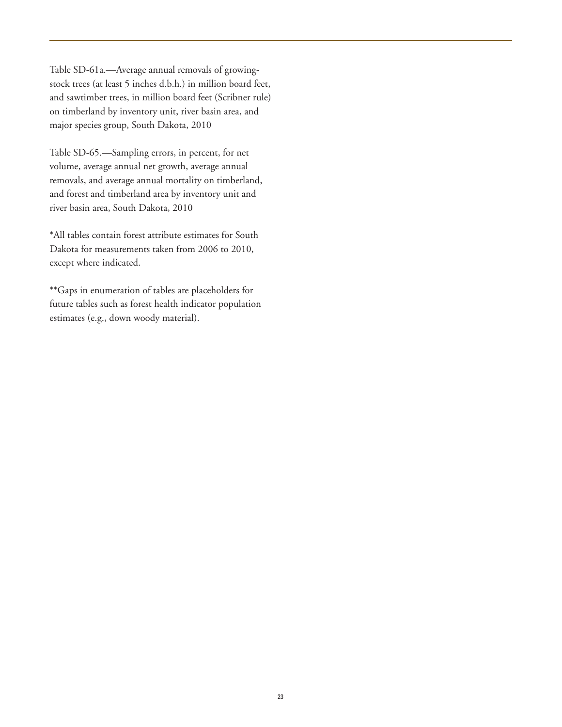Table SD-61a.—Average annual removals of growingstock trees (at least 5 inches d.b.h.) in million board feet, and sawtimber trees, in million board feet (Scribner rule) on timberland by inventory unit, river basin area, and major species group, South Dakota, 2010

Table SD-65.—Sampling errors, in percent, for net volume, average annual net growth, average annual removals, and average annual mortality on timberland, and forest and timberland area by inventory unit and river basin area, South Dakota, 2010

\*All tables contain forest attribute estimates for South Dakota for measurements taken from 2006 to 2010, except where indicated.

\*\*Gaps in enumeration of tables are placeholders for future tables such as forest health indicator population estimates (e.g., down woody material).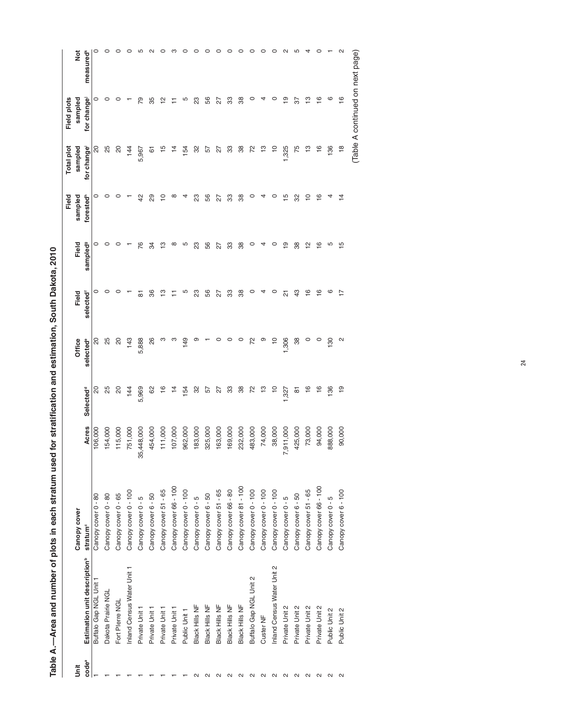|                   | Table A.--Area and number of plots in each stratum used |                                             |                  |                            | for stratification and estimation, South Dakota, 2010 |                |                           |                            |                  |                                  |                       |
|-------------------|---------------------------------------------------------|---------------------------------------------|------------------|----------------------------|-------------------------------------------------------|----------------|---------------------------|----------------------------|------------------|----------------------------------|-----------------------|
|                   |                                                         |                                             |                  |                            |                                                       |                |                           | Field                      | Total plot       | Field plots                      |                       |
| <b>Jnit</b>       | Estimation unit description <sup>b</sup>                | Canopy cover                                |                  |                            | Office                                                | Field          | Field                     | sampled                    | sampled          | sampled                          | ă                     |
| code <sup>a</sup> | Buffalo Gap NGL Unit 1                                  | Canopy cover 0 - 80<br>stratum <sup>c</sup> | Acres<br>106,000 | S<br>Selected <sup>d</sup> | 20<br>selected <sup>e</sup>                           | 0<br>selected  | 0<br>sampled <sup>9</sup> | forested <sup>h</sup><br>0 | for change<br>20 | for change<br>0                  | measured <sup>k</sup> |
|                   |                                                         |                                             |                  |                            |                                                       |                |                           |                            |                  |                                  |                       |
|                   | Dakota Prairie NGL                                      | Canopy cover 0 - 80                         | 54,000           | 25                         | 25                                                    | 0              |                           | o                          | 25               | 0                                |                       |
|                   | Fort Plerre NGL                                         | Canopy cover 0 - 65                         | 115,000          | 20                         | 20                                                    | c              |                           | 0                          | 20               | c                                |                       |
|                   | Inland Census Water Unit 1                              | Canopy cover 0 - 100                        | 751,000          | 144                        | 143                                                   |                |                           |                            | 144              |                                  |                       |
|                   | Private Unit 1                                          | Canopy cover 0 - 5                          | 35,448,000       | 5,969                      | 5,888                                                 | ᇮ              | 76                        | $\overline{4}$             | 5,967            | 54                               |                       |
|                   | Private Unit 1                                          | Canopy cover 6 - 50                         | 454,000          | 8                          | 26                                                    | 86             | 34                        | 29                         | 6                | 35                               |                       |
|                   | Private Unit 1                                          | Canopy cover 51 - 65                        | 111,000          | $\frac{6}{5}$              | ო                                                     | ≌              | ო                         | ₽                          | 15               | 으                                |                       |
|                   | Private Unit 1                                          | Canopy cover 66 - 100                       | 107,000          | $\overline{4}$             | ო                                                     |                | ∞                         | ∞                          |                  |                                  |                       |
|                   | Public Unit 1                                           | Canopy cover 0 - 100                        | 962,000          | 154                        | 149                                                   | ۱С             | Ю                         | 4                          | 154              | Ю                                |                       |
|                   | Black Hills NF                                          | Canopy cover 0 - 5                          | 183,000          | 8                          | ග                                                     | 23             | 23                        | 23                         | 32               | 23                               |                       |
| $\sim$            | Black Hills NF                                          | Canopy cover 6 - 50                         | 325,000          | 57                         |                                                       | 56             | 56                        | 56                         | 57               | 56                               |                       |
| $\mathbf{\Omega}$ | Black Hills NF                                          | Canopy cover 51 - 65                        | 163,000          | 27                         | 0                                                     | 27             | 27                        | 27                         | 27               | 27                               |                       |
| $\sim$            | Black Hills NF                                          | Canopy cover 66 - 80                        | 169,000          | 33                         | 0                                                     | 33             | 33                        | 33                         | 33               | 33                               |                       |
| $\mathbf{\Omega}$ | Black Hills NF                                          | Canopy cover 81 - 100                       | 232,000          | 38                         |                                                       | 38             | 38                        | 38                         | 38               | 38                               |                       |
| $\mathbf{\Omega}$ | Buffalo Gap NGL Unit 2                                  | Canopy cover 0 - 100                        | 483,000          | 72                         |                                                       | c              | c                         | c                          | 72               | c                                |                       |
| $\mathbf{\Omega}$ | Custer NF                                               | Canopy cover 0 - 100                        | 74,000           | ာ                          |                                                       |                |                           |                            | ဗ္               |                                  |                       |
| $\mathbf{\Omega}$ | Inland Census Water Unit 2                              | Canopy cover 0 - 100                        | 38,000           | <u>۽</u>                   |                                                       | c              |                           | o                          | ₽                | c                                |                       |
| $\mathbf{\Omega}$ | Private Unit 2                                          | Canopy cover 0 - 5                          | ,911,000<br>∼    | ,327                       | 306                                                   | ಸ              | ഉ                         | $\frac{5}{1}$              | ,325             | <u>စု</u>                        |                       |
| $\mathbf{\Omega}$ | Private Unit 2                                          | Canopy cover 6 - 50                         | 425,000          | 61                         | 38                                                    | 43             | 38                        | 32                         | 75               | 52                               |                       |
| $\mathbf{\Omega}$ | Private Unit 2                                          | Canopy cover 51 - 65                        | 73,000           | $\frac{6}{1}$              | 0                                                     | $\overline{6}$ | 으                         | $\overline{C}$             | ဗ္               | ဗ္                               |                       |
| $\mathbf{C}$      | Private Unit 2                                          | Canopy cover 66 - 100                       | 94,000           | $\frac{6}{1}$              | $\circ$                                               | $\overline{6}$ | $\overline{\circ}$        | $\frac{6}{5}$              | $\frac{6}{1}$    | $\frac{6}{1}$                    |                       |
| $\mathbf{\Omega}$ | Public Unit 2                                           | Canopy cover 0 - 5                          | 888,000          | 136                        | $\frac{30}{2}$                                        | ဖ              | Ю                         | 4                          | 136              | ဖ                                |                       |
| $\mathbf{c}$      | Public Unit 2                                           | Canopy cover 6 - 100                        | 90,000           | $\frac{1}{2}$              | N                                                     | 17             | Ю                         | $\overline{4}$             | $\frac{8}{10}$   | $\overline{6}$                   |                       |
|                   |                                                         |                                             |                  |                            |                                                       |                |                           |                            |                  | (Table A continued on next page) |                       |

24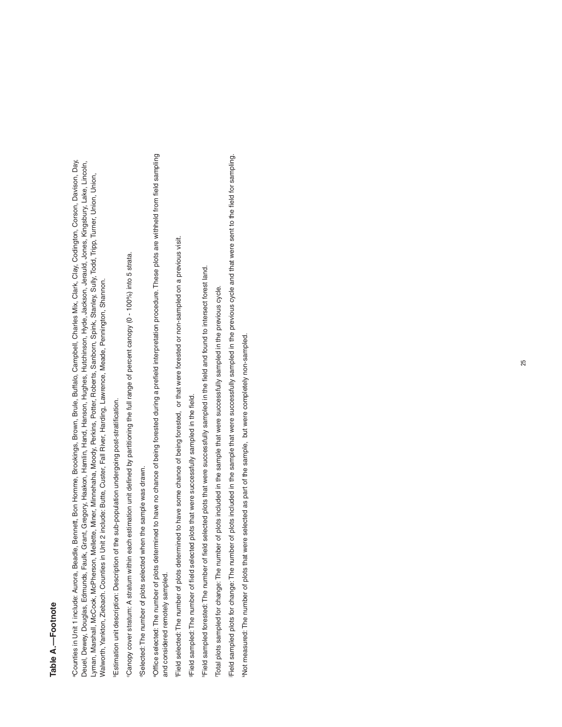## Table A.-Footnote **Table A.—Footnote**

aCounties in Unit 1 include: Aurora, Beadle, Bennett, Bon Homme, Brookings, Brown, Brule, Buffalo, Campbell, Charles Mix, Clark, Clay, Codington, Corson, Davison, Day, "Counties in Unit 1 include: Aurora, Beadle, Bennett, Bon Homme, Brookings, Brown, Brule, Buffalo, Campbell, Charles Mix, Clark, Clay, Codington, Corson, Davison, Day, Deuel, Dewey, Douglas, Edmunds, Faulk, Grant, Gregory, Haakon, Hamlin, Hand, Hanson, Hughes, Hutchinson, Hyde, Jackson, Jerauld, Jones, Kingsbury, Lake, Lincoln, Deuel, Dewey, Douglas, Edmunds, Faulk, Grant, Gregory, Haakon, Hamlin, Hand, Hanson, Hughes, Hutchinson, Hyde, Jackson, Jerauld, Jones, Kingsbury, Lake, Lincoln, Lyman, Marshall, McCook, McPherson, Mellette, Miner, Minnehaha, Moody, Perkins, Potter, Roberts, Sanborn, Spink, Stanley, Sully, Todd, Tripp, Turner, Union, Union, Lyman, Marshall, McCook, McPherson, Mellette, Miner, Minnehaha, Moody, Perkins, Potter, Roberts, Sanborn, Spink, Stanley, Sully, Todd, Tripp, Turner, Union, Union, Walworth, Yankton, Ziebach. Counties in Unit 2 include: Butte, Custer, Fall River, Harding, Lawrence, Meade, Pennington, Shannon. Walworth, Yankton, Ziebach. Counties in Unit 2 include: Butte, Custer, Fall River, Harding, Lawrence, Meade, Pennington, Shannon.

Estimation unit description: Description of the sub-population undergoing post-stratification. bEstimation unit description: Description of the sub-population undergoing post-stratification. Canopy cover stratum: A stratum within each estimation unit defined by partitioning the full range of percent canopy (0 - 100%) into 5 strata. cCanopy cover stratum: A stratum within each estimation unit defined by partitioning the full range of percent canopy (0 - 100%) into 5 strata.

"Selected: The number of plots selected when the sample was drawn dSelected: The number of plots selected when the sample was drawn. "Office selected: The number of plots determined to have no chance of being forested during a prefield interpretation procedure. These plots are withheld from field sampling eOffice selected: The number of plots determined to have no chance of being forested during a prefield interpretation procedure. These plots are withheld from field sampling and considered remotely sampled. and considered remotely sampled.

Field selected: The number of plots determined to have some chance of being forested, or that were forested or non-sampled on a previous visit. fField selected: The number of plots determined to have some chance of being forested, or that were forested or non-sampled on a previous visit.

PField sampled: The number of field selected plots that were successfully sampled in the field. gField sampled: The number of field selected plots that were successfully sampled in the field.

Field sampled forested: The number of field selected plots that were successfully sampled in the field and found to intersect forest land. hField sampled forested: The number of field selected plots that were successfully sampled in the field and found to intersect forest land.

ITotal plots sampled for change: The number of plots included in the sample that were successfully sampled in the previous cycle. Total plots sampled for change: The number of plots included in the sample that were successfully sampled in the previous cycle. Field sampled plots for change: The number of plots included in the sample that were successfully sampled in the previous cycle and that were sent to the field for sampling. jField sampled plots for change: The number of plots included in the sample that were successfully sampled in the previous cycle and that were sent to the field for sampling.

"Not measured: The number of plots that were selected as part of the sample, but were completely non-sampled. kNot measured: The number of plots that were selected as part of the sample, but were completely non-sampled.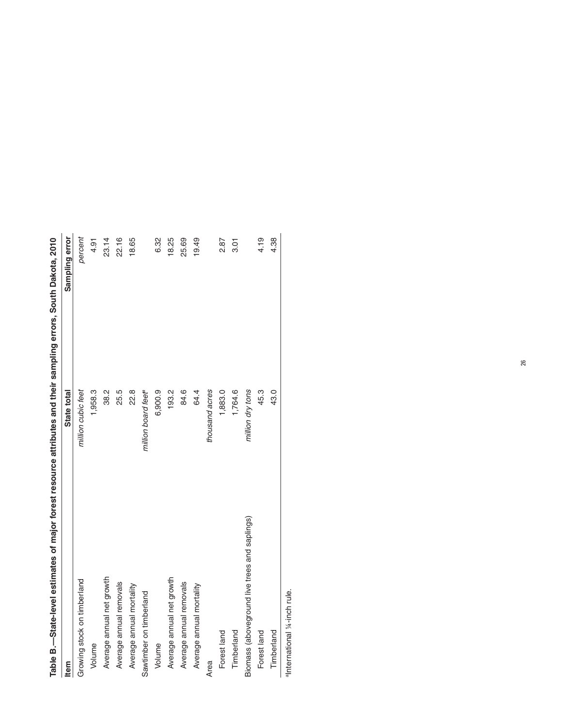| Table B —State-level estimates of major forest resource attributes and their sampling errors, South Dakota, 2010 |                                 |                |
|------------------------------------------------------------------------------------------------------------------|---------------------------------|----------------|
| <b>Item</b>                                                                                                      | State total                     | Sampling error |
| Growing stock on timberland                                                                                      | million cubic feet              | percent        |
| Volume                                                                                                           | 1,958.3                         | 4.91           |
| Average annual net growth                                                                                        | 38.2                            | 23.14          |
| Average annual removals                                                                                          | 25.5                            | 22.16          |
| Average annual mortality                                                                                         | 22.8                            | 18.65          |
| Sawtimber on timberland                                                                                          | million board feet <sup>e</sup> |                |
| Volume                                                                                                           | 6,900.9                         | 6.32           |
| Average annual net growth                                                                                        | 193.2                           | 18.25          |
| Average annual removals                                                                                          | 84.6                            | 25.69          |
| Average annual mortality                                                                                         | 64.4                            | 19.49          |
| Area                                                                                                             | thousand acres                  |                |
| Forest land                                                                                                      | 1,883.0                         | 2.87           |
| Timberland                                                                                                       | 1,764.6                         | 3.01           |
| Biomass (aboveground live trees and saplings)                                                                    | million dry tons                |                |
| Forest land                                                                                                      | 45.3                            | 4.19           |
| Timberland                                                                                                       | 43.0                            | 4.38           |
|                                                                                                                  |                                 |                |

anternational 1/4-inch rule. aInternational ¼-inch rule.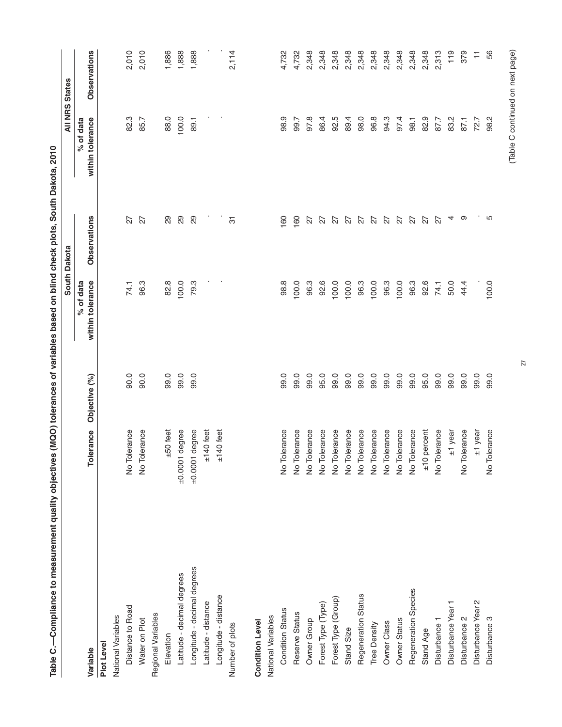| Table C.—Compliance to measurement quality objectives (MQO) tolerances of variables based on blind check plots, South Dakota, 2010 |                  |               |                               |              |                               |                       |
|------------------------------------------------------------------------------------------------------------------------------------|------------------|---------------|-------------------------------|--------------|-------------------------------|-----------------------|
|                                                                                                                                    |                  |               |                               | South Dakota |                               | <b>All NRS States</b> |
| Variable                                                                                                                           | Tolerance        | Objective (%) | within tolerance<br>% of data | Observations | within tolerance<br>% of data | Observations          |
| Plot Level                                                                                                                         |                  |               |                               |              |                               |                       |
| National Variables                                                                                                                 |                  |               |                               |              |                               |                       |
| Distance to Road                                                                                                                   | No Tolerance     | 0.06          | 74.1                          | 27           | 82.3                          | 2,010                 |
| Water on Plot                                                                                                                      | No Tolerance     | 90.0          | 96.3                          | 27           | 85.7                          | 2,010                 |
| Regional Variables                                                                                                                 |                  |               |                               |              |                               |                       |
| Elevation                                                                                                                          | $±50$ feet       | 99.0          | 82.8                          | 29           | 88.0                          | 1,886                 |
| Latitude - decimal degrees                                                                                                         | $±0.0001$ degree | 99.0          | 100.0                         | 29           | 100.0                         | 1,888                 |
| Longitude - decimal degrees                                                                                                        | $±0.0001$ degree | 99.0          | 79.3                          | 29           | 89.1                          | 1,888                 |
| Latitude - distance                                                                                                                | $±140$ feet      |               |                               |              |                               |                       |
| Longitude - distance                                                                                                               | $±140$ feet      |               |                               |              |                               |                       |
| Number of plots                                                                                                                    |                  |               |                               | 75           |                               | 2,114                 |
| <b>Condition Level</b>                                                                                                             |                  |               |                               |              |                               |                       |
| National Variables                                                                                                                 |                  |               |                               |              |                               |                       |
| <b>Condition Status</b>                                                                                                            | No Tolerance     | 99.0          | 98.8                          | 160          | 98.9                          | 4,732                 |
| Reserve Status                                                                                                                     | No Tolerance     | 99.0          | 100.0                         | 160          | 99.7                          | 4,732                 |
| Owner Group                                                                                                                        | No Tolerance     | 99.0          | 96.3                          | 27           | 97.8                          | 2,348                 |
| Forest Type (Type)                                                                                                                 | No Tolerance     | 95.0          | 92.6                          | 27           | 86.4                          | 2,348                 |
| Forest Type (Group)                                                                                                                | No Tolerance     | 99.0          | 100.0                         | 27           | 92.5                          | 2,348                 |
| Stand Size                                                                                                                         | No Tolerance     | 99.0          | 100.0                         | 27           | 89.4                          | 2,348                 |
| Regeneration Status                                                                                                                | No Tolerance     | 99.0          | 96.3                          | 27           | 98.0                          | 2,348                 |
| Tree Density                                                                                                                       | No Tolerance     | 99.0          | 100.0                         | 27           | 96.8                          | 2,348                 |
| Owner Class                                                                                                                        | No Tolerance     | 99.0          | 96.3                          | 27           | 94.3                          | 2,348                 |
| Owner Status                                                                                                                       | No Tolerance     | 99.0          | 100.0                         | 27           | 97.4                          | 2,348                 |
| Regeneration Species                                                                                                               | No Tolerance     | 99.0          | 96.3                          | 27           | 98.1                          | 2,348                 |
| Stand Age                                                                                                                          | $±10$ percent    | 95.0          | 92.6                          | 27           | 82.9                          | 2,348                 |
| Disturbance -                                                                                                                      | No Tolerance     | 99.0          | 74.1                          | 27           | 87.7                          | 2,313                 |
| Disturbance Year                                                                                                                   | $±1$ year        | 99.0          | 50.0                          | 4            | 83.2                          | 119                   |
| Disturbance 2                                                                                                                      | No Tolerance     | 99.0          | 44.4                          | ာ            | 87.1                          | 379                   |
| Disturbance Year 2                                                                                                                 | $±1$ year        | 99.0          |                               |              | 72.7                          | Ξ                     |
| Disturbance 3                                                                                                                      | No Tolerance     | 99.0          | 100.0                         | 5            | 98.2                          | 56                    |
|                                                                                                                                    |                  |               |                               |              |                               |                       |

27

## (Table C continued on next page) (Table C continued on next page)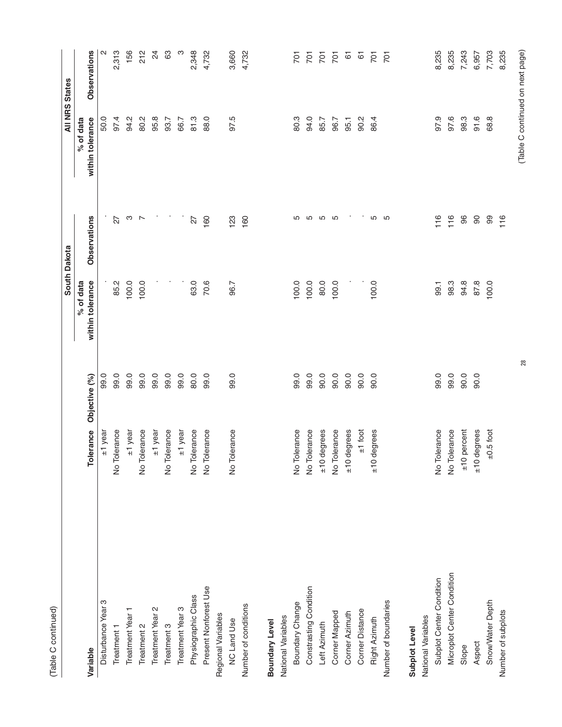|                            |                          |               |                  | South Dakota   |                  | <b>All NRS States</b> |
|----------------------------|--------------------------|---------------|------------------|----------------|------------------|-----------------------|
|                            |                          |               | % of data        |                | % of data        |                       |
| Variable                   | Tolerance                | Objective (%) | within tolerance | Observations   | within tolerance | Observations          |
| Disturbance Year 3         | ±1 year                  | 99.0          |                  |                | 50.0             | N                     |
| Treatment                  | No Tolerance             | 99.0          | 85.2             | 27             | 97.4             | 2,313                 |
| Treatment Year 1           | ±1 year                  | 99.0          | 100.0            | ო              | 94.2             | 156                   |
| Treatment 2                | No Tolerance             | 99.0          | 100.0            | $\overline{ }$ | 80.2             | 212                   |
| Treatment Year 2           | $±1$ year                | 99.0          |                  |                | 95.8             | $\overline{2}$        |
| Treatment 3                | No Tolerance             | 99.0          |                  |                | 93.7             | 83                    |
| Treatment Year 3           | ±1 year                  | 99.0          |                  |                | 66.7             | ო                     |
| Physiographic Class        | No Tolerance             | 80.0          | 63.0             | 27             | 81.3             | 2,348                 |
| Present Nonforest Use      | No Tolerance             | 99.0          | 70.6             | 160            | 88.0             | 4,732                 |
| Regional Variables         |                          |               |                  |                |                  |                       |
| <b>NC Land Use</b>         | No Tolerance             | 99.0          | 96.7             | 123            | 97.5             | 3,660                 |
| Number of conditions       |                          |               |                  | 160            |                  | 4,732                 |
| Boundary Level             |                          |               |                  |                |                  |                       |
| National Variables         |                          |               |                  |                |                  |                       |
| Boundary Change            | No Tolerance             | 99.0          | 100.0            | 5              | 80.3             | $\overline{5}$        |
| Constrasting Condition     | No Tolerance             | 99.0          | 100.0            | 5              | 94.0             | $\overline{5}$        |
| Left Azimuth               | $±10$ degrees            | 90.0          | 80.0             | S              | 85.7             | $\overline{5}$        |
| Corner Mapped              | No Tolerance             | 90.0          | 100.0            | S              | 96.7             | $\overline{701}$      |
| Corner Azimuth             | $±10$ degrees            | 90.0          |                  |                | 95.1             | 61                    |
| Corner Distance            | $±1$ foot                | 90.0          |                  |                | 90.2             | 67                    |
| Right Azimuth              | degrees<br>$\frac{1}{2}$ | 0.06          | 100.0            | 5              | 86.4             | $\overline{701}$      |
| Number of boundaries       |                          |               |                  | 5              |                  | $\overline{5}$        |
| Subplot Level              |                          |               |                  |                |                  |                       |
| National Variables         |                          |               |                  |                |                  |                       |
| Subplot Center Condition   | No Tolerance             | 99.0          | 99.1             | 116            | 97.9             | 8,235                 |
| Microplot Center Condition | No Tolerance             | 99.0          | 98.3             | 116            | 97.6             | 8,235                 |
| Slope                      | $±10$ percent            | 90.0          | 94.8             | 96             | 98.3             | 7,243                 |
| Aspect                     | degrees<br>$\frac{1}{2}$ | 90.0          | 87.8             | $\infty$       | 91.6             | 6,957                 |
| Snow/Water Depth           | $\pm 0.5$ foot           |               | 100.0            | 99             | 68.8             | 7,703                 |
| Number of subplots         |                          |               |                  | 116            |                  | 8,235                 |

28

# (Table C continued on next page) (Table C continued on next page)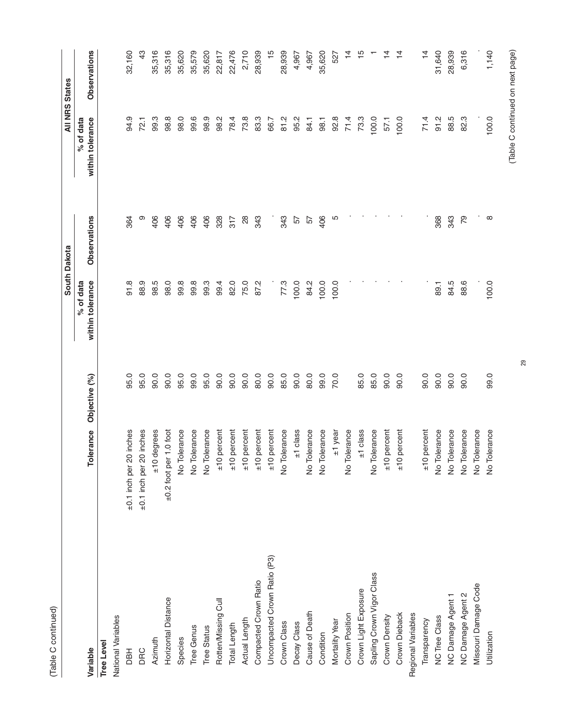| t |  |
|---|--|
| ć |  |
|   |  |

|                              |                             |               |                               | South Dakota  |                               | <b>All NRS States</b> |
|------------------------------|-----------------------------|---------------|-------------------------------|---------------|-------------------------------|-----------------------|
| Variable                     | Tolerance                   | Objective (%) | within tolerance<br>% of data | Observations  | within tolerance<br>% of data | Observations          |
| <b>Tree Level</b>            |                             |               |                               |               |                               |                       |
| National Variables           |                             |               |                               |               |                               |                       |
| <b>HBU</b>                   | ±0.1 inch per 20 inches     | 95.0          | 91.8                          | 364           | 94.9                          | 32,160                |
| DRC                          | ±0.1 inch per 20 inches     | 95.0          | 88.9                          | თ             | 72.1                          | 43                    |
| Azimuth                      | $±10$ degrees               | 90.0          | 98.5                          | 406           | 99.3                          | 35,316                |
| Horizontal Distance          | $\pm 0.2$ foot per 1.0 foot | 90.0          | 98.0                          | 406           | 98.8                          | 35,316                |
| Species                      | No Tolerance                | 95.0          | 99.8                          | 406           | 98.0                          | 35,620                |
| Tree Genus                   | No Tolerance                | 99.0          | 99.8                          | 406           | 99.6                          | 35,579                |
| <b>Tree Status</b>           | No Tolerance                | 95.0          | 99.3                          | 406           | 98.9                          | 35,620                |
| Rotten/Missing Cull          | $±10$ percent               | 90.0          | 99.4                          | 328           | 98.2                          | 22,817                |
| Total Length                 | ±10 percent                 | 90.0          | 82.0                          | 317           | 78.4                          | 22,476                |
| Actual Length                | $±10$ percent               | 90.0          | 75.0                          | $\frac{8}{2}$ | 73.8                          | 2,710                 |
| Compacted Crown Ratio        | $±10$ percent               | 80.0          | 87.2                          | 343           | 83.3                          | 28,939                |
| Uncompacted Crown Ratio (P3) | $±10$ percent               | 90.0          |                               |               | 66.7                          | $\frac{5}{1}$         |
| Crown Class                  | No Tolerance                | 85.0          | 77.3                          | 343           | 81.2                          | 28,939                |
| Decay Class                  | $±1$ class                  | 90.0          | 100.0                         | 57            | 95.2                          | 4,967                 |
| Cause of Death               | No Tolerance                | 80.0          | 84.2                          | 57            | 84.1                          | 4,967                 |
| Condition                    | No Tolerance                | 99.0          | 100.0                         | 406           | 98.1                          | 35,620                |
| Mortality Year               | ±1 year                     | 70.0          | 100.0                         | Ю             | 92.8                          | 527                   |
| Crown Position               | No Tolerance                |               |                               |               | 71.4                          | $\overline{4}$        |
| Crown Light Exposure         | $±1$ class                  | 85.0          |                               |               | 73.3                          | $\frac{15}{1}$        |
| Sapling Crown Vigor Class    | No Tolerance                | 85.0          |                               |               | 100.0                         |                       |
| Crown Density                | $±10$ percent               | 90.0          |                               |               | 57.1                          | $\overline{4}$        |
| Crown Dieback                | ±10 percent                 | 90.0          |                               |               | 100.0                         | $\overline{4}$        |
| Regional Variables           |                             |               |                               |               |                               |                       |
| Transparency                 | $±10$ percent               | 0.06          |                               |               | 71.4                          | $\frac{1}{4}$         |
| <b>NC Tree Class</b>         | No Tolerance                | 90.0          | 89.1                          | 368           | 91.2                          | 31,640                |
| NC Damage Agent 1            | No Tolerance                | 90.0          | 84.5                          | 343           | 88.5                          | 28,939                |
| NC Damage Agent 2            | No Tolerance                | 90.0          | 88.6                          | 79            | 82.3                          | 6,316                 |
| Missouri Damage Code         | No Tolerance                |               |                               |               |                               |                       |
| Utilization                  | No Tolerance                | 99.0          | 100.0                         | $\infty$      | 100.0                         | 1,140                 |

# (Table C continued on next page) (Table C continued on next page)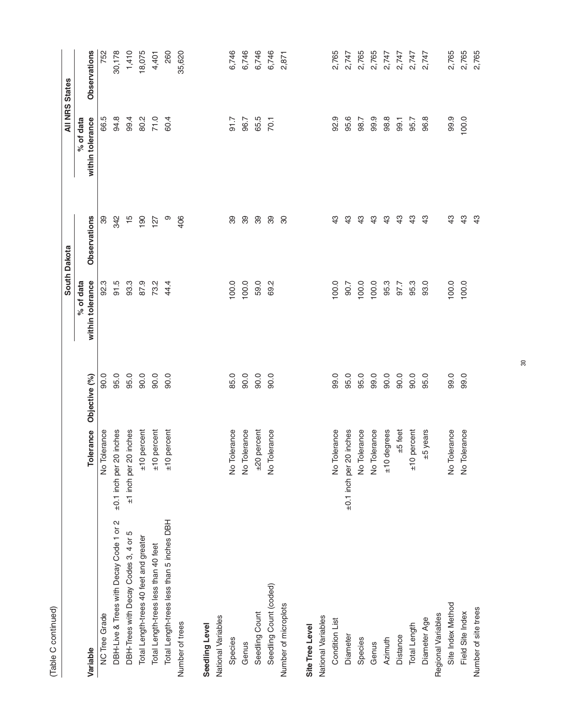| Š<br>continuo<br>Ξ<br>أم<br>أم |  |
|--------------------------------|--|

|                                           |                          |               |                  | South Dakota        |                  | <b>All NRS States</b> |
|-------------------------------------------|--------------------------|---------------|------------------|---------------------|------------------|-----------------------|
|                                           |                          |               | % of data        |                     | % of data        |                       |
| Variable                                  | Tolerance                | Objective (%) | within tolerance | <b>Observations</b> | within tolerance | Observations          |
| <b>NC Tree Grade</b>                      | No Tolerance             | 90.0          | 92.3             | 39                  | 66.5             | 752                   |
| DBH-Live & Trees with Decay Code 1 or 2   | ±0.1 inch per 20 inches  | 95.0          | 91.5             | 342                 | 94.8             | 30,178                |
| DBH-Trees with Decay Codes 3, 4 or 5      | ±1 inch per 20 inches    | 95.0          | 93.3             | $\frac{5}{1}$       | 99.4             | 1,410                 |
| Total Length-trees 40 feet and greater    | percent<br>$rac{1}{2}$   | 90.0          | 87.9             | 190                 | 80.2             | 18,075                |
| Total Length-trees less than 40 feet      | percent<br>$\frac{1}{2}$ | 90.0          | 73.2             | 127                 | 71.0             | 4,401                 |
| Total Length-trees less than 5 inches DBH | percent<br>$\frac{1}{2}$ | 90.0          | 44.4             | တ                   | 60.4             | 260                   |
| Number of trees                           |                          |               |                  | 406                 |                  | 35,620                |
| Seedling Level                            |                          |               |                  |                     |                  |                       |
| National Variables                        |                          |               |                  |                     |                  |                       |
| Species                                   | No Tolerance             | 85.0          | 100.0            | 39                  | $-1.7$           | 6,746                 |
| Genus                                     | No Tolerance             | 90.0          | 100.0            | 39                  | 96.7             | 6,746                 |
| Seedling Count                            | percent<br>$03\pm$       | 90.0          | 59.0             | 89                  | 65.5             | 6,746                 |
| Seedling Count (coded)                    | No Tolerance             | $-0.06$       | 69.2             | 39                  | 70.1             | 6,746                 |
| Number of microplots                      |                          |               |                  | 80                  |                  | 2,871                 |
|                                           |                          |               |                  |                     |                  |                       |
| Site Tree Level                           |                          |               |                  |                     |                  |                       |
| National Variables                        |                          |               |                  |                     |                  |                       |
| Condition List                            | No Tolerance             | 99.0          | 100.0            | 43                  | 92.9             | 2,765                 |
| Diameter                                  | ±0.1 inch per 20 inches  | 95.0          | 90.7             | $\frac{3}{4}$       | 95.6             | 2,747                 |
| Species                                   | No Tolerance             | 95.0          | 100.0            | $\frac{3}{4}$       | 98.7             | 2,765                 |
| Genus                                     | No Tolerance             | 99.0          | 100.0            | 43                  | 99.9             | 2,765                 |
| Azimuth                                   | ±10 degrees              | 90.0          | 95.3             | 43                  | 98.8             | 2,747                 |
| Distance                                  | $±5$ feet                | 90.0          | 97.7             | 43                  | 99.1             | 2,747                 |
| Total Length                              | percent<br>$\frac{1}{2}$ | 90.0          | 95.3             | $\frac{3}{4}$       | 95.7             | 2,747                 |
| Diameter Age                              | ±5 years                 | 95.0          | 93.0             | $\frac{3}{4}$       | 96.8             | 2,747                 |
| Regional Variables                        |                          |               |                  |                     |                  |                       |
| Site Index Method                         | No Tolerance             | 99.0          | 100.0            | $\frac{3}{4}$       | 99.9             | 2,765                 |
| Field Site Index                          | No Tolerance             | 99.0          | 100.0            | $\frac{3}{4}$       | 100.0            | 2,765                 |
| Number of site trees                      |                          |               |                  | $\frac{3}{2}$       |                  | 2,765                 |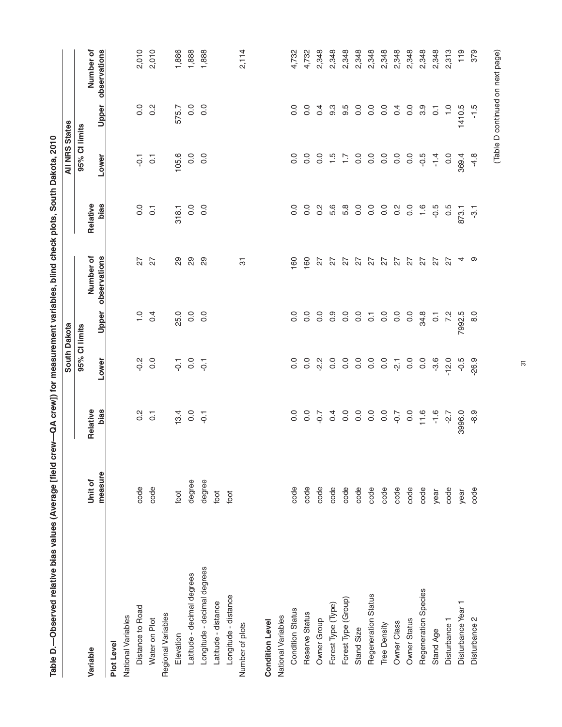| Table D.-Observed relative bias values (Average [field |                    | crew—QA crew]) for measurement variables, blind check plots, South Dakota, 2010 |                                                                             |                   |                           |                         |                       |                    |                           |
|--------------------------------------------------------|--------------------|---------------------------------------------------------------------------------|-----------------------------------------------------------------------------|-------------------|---------------------------|-------------------------|-----------------------|--------------------|---------------------------|
|                                                        |                    |                                                                                 | South Dakota                                                                |                   |                           |                         | <b>All NRS States</b> |                    |                           |
|                                                        |                    |                                                                                 | 95% Cl limits                                                               |                   |                           |                         | 95% Cl limits         |                    |                           |
| Variable                                               | measure<br>Unit of | bias<br>Relative                                                                | Lower                                                                       | Upper             | Number of<br>observations | <b>bias</b><br>Relative | Lower                 | Upper              | observations<br>Number of |
| Plot Level                                             |                    |                                                                                 |                                                                             |                   |                           |                         |                       |                    |                           |
| National Variables                                     |                    |                                                                                 |                                                                             |                   |                           |                         |                       |                    |                           |
| Distance to Road                                       | code               | $\frac{2}{3}$                                                                   | $\frac{2}{5}$                                                               |                   | 27                        | 0.0                     | $\overline{Q}$        | $\frac{0}{0}$      | 2,010                     |
| Water on Plot                                          | code               | $\overline{c}$                                                                  | 0.0                                                                         | $\frac{1}{0}$ 9.4 | 27                        | $\overline{c}$          | $\overline{C}$        | $0.\overline{2}$   | 2,010                     |
| Regional Variables                                     |                    |                                                                                 |                                                                             |                   |                           |                         |                       |                    |                           |
| Elevation                                              | foot               | 13.4                                                                            |                                                                             | 25.0              | 29                        | 318.1                   | 105.6                 | 575.7              | 1,886                     |
| Latitude - decimal degrees                             | degree             | 0.0                                                                             | $\begin{array}{ccc} \tau & \circ & \tau \\ \phi & \circ & \phi \end{array}$ | 0.0               | 29                        | $\overline{0}$          | 0.0                   | $\overline{0}$ .   | 1,888                     |
| Longitude - decimal degrees                            | degree             |                                                                                 |                                                                             | $\frac{0}{0}$     | 29                        | $\overline{0}$          | 0.0                   | $\overline{0}$ .   | 1,888                     |
| Latitude - distance                                    | foot               |                                                                                 |                                                                             |                   |                           |                         |                       |                    |                           |
| Longitude - distance                                   | foot               |                                                                                 |                                                                             |                   |                           |                         |                       |                    |                           |
| Number of plots                                        |                    |                                                                                 |                                                                             |                   | 5                         |                         |                       |                    | 2,114                     |
| <b>Condition Level</b>                                 |                    |                                                                                 |                                                                             |                   |                           |                         |                       |                    |                           |
| National Variables                                     |                    |                                                                                 |                                                                             |                   |                           |                         |                       |                    |                           |
| <b>Condition Status</b>                                | code               | 0.0                                                                             | 0.0                                                                         | 0.0               | 160                       | 0.0                     | 0.0                   | $\frac{0}{0}$      | 4,732                     |
| Reserve Status                                         | code               | $\overline{0}$ .                                                                | 0.0                                                                         | $\overline{0}$ .  | 160                       | 0.0                     | $\overline{0}$        | $\overline{0}$ .   | 4,732                     |
| Owner Group                                            | code               | $-0.7$                                                                          | $-2.2$                                                                      | $\overline{0}$ .  | 27                        | $\frac{2}{3}$           | °°                    | 0.4                | 2,348                     |
| Forest Type (Type)                                     | code               | 0.4                                                                             | $\overline{0}$                                                              | ိ ၀               | 27                        | 5.6                     | $\frac{15}{1}$        | 9.3                | 2,348                     |
| Forest Type (Group)                                    | code               |                                                                                 | $\frac{0}{0}$                                                               | $\frac{0}{5}$     | 27                        | 5.8                     | $\ddot{ }$ :          | 9.5                | 2,348                     |
| Stand Size                                             | code               | $\begin{array}{ccc}\n0 & 0 & 0 \\ 0 & 0 & 0\n\end{array}$                       |                                                                             |                   | 27                        | $\frac{0}{2}$           | 0.0                   | 0.0                | 2,348                     |
| Regeneration Status                                    | code               |                                                                                 | $\overline{0}$ .                                                            | $\overline{c}$    | 27                        | $\overline{0}$          | 0.0                   | 0.0                | 2,348                     |
| Tree Density                                           | code               | $\overline{0}$ .                                                                | $\frac{0}{0}$                                                               | $\overline{0}$    |                           | 0.0                     | 0.0                   | 0.0                | 2,348                     |
| Owner Class                                            | code               | $-0.7$                                                                          | $\overline{2}$                                                              | 0.0               | $27$ $27$                 | $\frac{2}{3}$           | $\overline{0}$        | 0.4                | 2,348                     |
| Owner Status                                           | code               | $\overline{0}$ .                                                                | $\overline{0}$                                                              | $\overline{0}$    |                           | 0.0                     | $\frac{0}{0}$         | 0.0                | 2,348                     |
| Regeneration Species                                   | code               | 11.6                                                                            | $\overline{0}$ .                                                            | 34.8              | 27                        | $\frac{6}{1}$           | $-0.5$                | 3.9                | 2,348                     |
| Stand Age                                              | year               | $-1.6$                                                                          | $-3.6$                                                                      | $\overline{C}$    | 27                        | $-0.5$                  | $-1.4$                | $\overline{\circ}$ | 2,348                     |
| Disturbance 1                                          | code               | $-2.7$                                                                          | $-12.0$                                                                     | 7.2               | 22                        | 0.5                     | 0.0                   | $\frac{0}{1}$      | 2,313                     |
| Disturbance Year 1                                     | year               | 3996.0                                                                          | $-0.5$                                                                      | 7992.5            |                           | 873.1                   | 369.4                 | 1410.5             | 119                       |
| Disturbance 2                                          | code               | $-8.9$                                                                          | $-26.9$                                                                     | 8.0               | ာ                         | ှာ                      | $-4.8$                | $-1.5$             | 379                       |
|                                                        |                    |                                                                                 |                                                                             |                   |                           |                         |                       |                    |                           |

31

# (Table D continued on next page) (Table D continued on next page)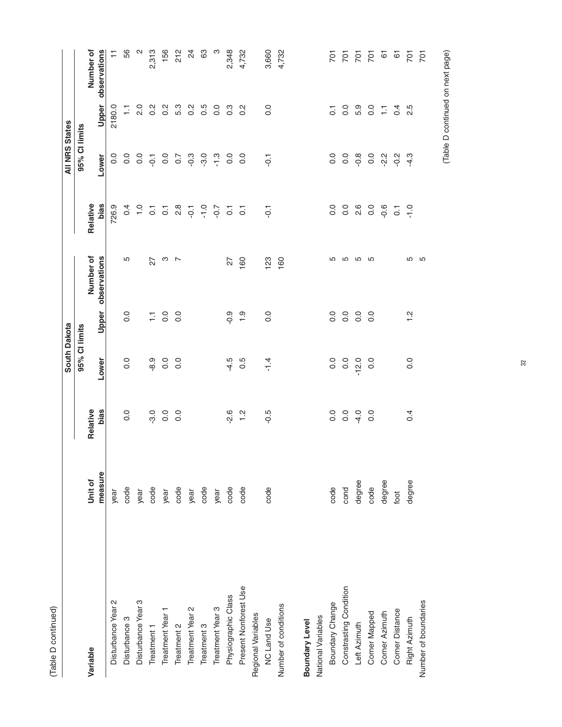|                        |         |                | South Dakota     |                  |                |                      | <b>All NRS States</b> |                  |                          |
|------------------------|---------|----------------|------------------|------------------|----------------|----------------------|-----------------------|------------------|--------------------------|
|                        |         |                | 95% Cl limits    |                  |                |                      | 95% Cl limits         |                  |                          |
| Variable               | Unit of | Relative       |                  |                  | Number of      | Relative             |                       |                  | Number of                |
|                        | measure | bias           | Lower            | Upper            | observations   | <b>bias</b>          | Lower                 | Upper            | observations             |
| Disturbance Year 2     | year    |                |                  |                  |                | 726.9                | $\frac{0}{0}$         | 2180.0           | ∓                        |
| Disturbance 3          | code    | 0.0            | $\overline{0}$ . | 0.0              | Ю              | 0.4                  | 0.0                   | Ξ                | 56                       |
| Disturbance Year 3     | year    |                |                  |                  |                | $\frac{0}{1}$        | $\overline{0}$ .      | 2.0              | $\sim$                   |
| Treatment <sub>1</sub> | code    | $-3.0$         | $-8.9$           |                  | 27             | $\overline{O}$       | $\overline{Q}$        | $0.\overline{2}$ | 2,313                    |
| Treatment Year 1       | year    | $\overline{0}$ | $\overline{0}$ . | $\frac{1}{2}$ 0. | ო              | $\overline{O}$       |                       | $0.\overline{2}$ | 156                      |
| Treatment 2            | code    | 0.0            | 0.0              | $\overline{0}$ . | $\overline{a}$ |                      | 0.0                   | 5.3              | 212                      |
| Treatment Year 2       | year    |                |                  |                  |                | $20 - 5$<br>$20 - 5$ | $-0.3$                | $0.\overline{2}$ | $\overline{\mathcal{C}}$ |
| Treatment 3            | code    |                |                  |                  |                |                      | $-3.0$                | 0.5              | 63                       |
| Treatment Year 3       | year    |                |                  |                  |                | $-0.7$               | $\frac{3}{1}$         | 0.0              | ო                        |
| Physiographic Class    | code    | $-2.6$         | $-4.5$           | $-0.9$           | 27             | $\overline{O}$       | 0.0                   | $0.\overline{3}$ | 2,348                    |
| Present Nonforest Use  | code    | $\frac{1}{2}$  | 0.5              | $\frac{0}{1}$    | 160            | $\overline{c}$       | $\overline{0}$        | $0.\overline{2}$ | 4,732                    |
| Regional Variables     |         |                |                  |                  |                |                      |                       |                  |                          |
| <b>NC Land Use</b>     | code    | $-0.5$         | $-1.4$           | 0.0              | 123            | $\overline{Q}$       | $-0.1$                | 0.0              | 3,660                    |
| Number of conditions   |         |                |                  |                  | 160            |                      |                       |                  | 4,732                    |
| Boundary Level         |         |                |                  |                  |                |                      |                       |                  |                          |
| National Variables     |         |                |                  |                  |                |                      |                       |                  |                          |
| Boundary Change        | code    | 0.0            | 0.0              | $\overline{0}$ . | ပ              | 0.0                  | $\overline{0}$ .      | 5                | $\overline{5}$           |
| Constrasting Condition | cond    | $\overline{0}$ | 0.0              | 0.0              | 5              | 0.0                  | $\rm ^{0}$            | $\overline{0}$ . | $\overline{5}$           |
| Left Azimuth           | degree  | $-4.0$         | $-12.0$          | $\overline{0}$ . | S              | 2.6                  | $-0.8$                | 5.9              | $\frac{5}{20}$           |
| Corner Mapped          | code    | $\overline{0}$ | 0.0              | 0.0              | S              | 0.0                  | 0.0                   | $\rm ^{0}$       |                          |
| Corner Azimuth         | degree  |                |                  |                  |                | $-0.6$               | $2^{2}$               | 들                | <u>ය</u>                 |
| Corner Distance        | foot    |                |                  |                  |                | $\overline{C}$       | $-0.2$                | 0.4              | $rac{5}{20}$             |
| Right Azimuth          | degree  | 0.4            | 0.0              | $\frac{1}{2}$    | ပ              | $\frac{0}{1}$        | $-4.3$                | 2.5              |                          |
| Number of boundaries   |         |                |                  |                  | 5              |                      |                       |                  | $\overline{5}$           |

(Table D continued on next page) (Table D continued on next page)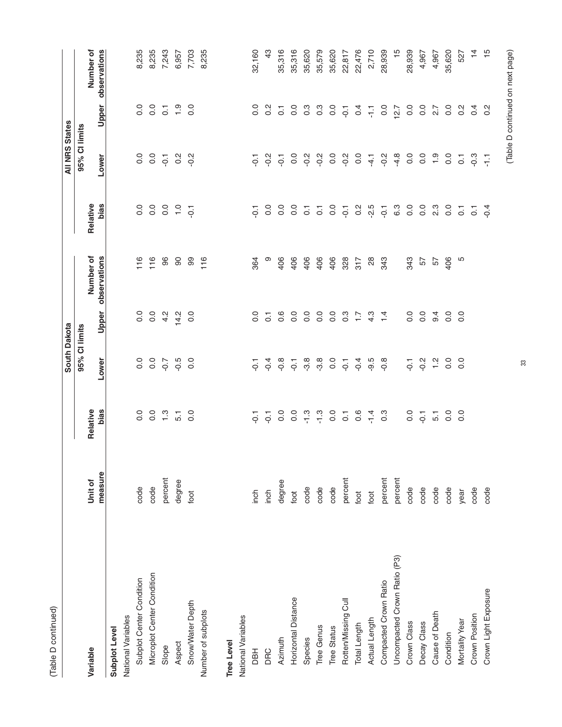| г |  |
|---|--|
|   |  |

|                              |         |                  | South Dakota   |                  |                    |                  | <b>All NRS States</b> |                    |                |
|------------------------------|---------|------------------|----------------|------------------|--------------------|------------------|-----------------------|--------------------|----------------|
|                              |         |                  | 95% CI limits  |                  |                    |                  | 95% Cl limits         |                    |                |
| Variable                     | Unit of | Relative         |                |                  | Number of          | Relative         |                       |                    | Number of      |
|                              | measure | bias             | Lower          |                  | Upper observations | bias             | Lower                 | Upper              | observations   |
| Subplot Level                |         |                  |                |                  |                    |                  |                       |                    |                |
| National Variables           |         |                  |                |                  |                    |                  |                       |                    |                |
| Subplot Center Condition     | code    | $\overline{0}$ . | $\frac{0}{0}$  | $\frac{0}{0}$    | 116                | 0.0              | 0.0                   | $\frac{0}{0}$      | 8,235          |
| Microplot Center Condition   | code    | 0.0              | 0.0            | $\overline{0}$ . | 116                | 0.0              | $\overline{0}$        | $\overline{0}$ .   | 8,235          |
| Slope                        | percent | $\ddot{ }$ .     | $-0.7$         | 4.2              | 96                 | $\rm ^{0}$       | $\overline{Q}$        | $\overline{O}$ .   | 7,243          |
| Aspect                       | degree  | $\overline{5}$   | $-0.5$         | 14.2             | 90                 | $\frac{0}{1}$    | $\frac{2}{3}$         | $\frac{5}{1}$      | 6,957          |
| Snow/Water Depth             | foot    | $\overline{0}$   | 0.0            | 0.0              | 99                 | $\overline{Q}$   | $-0.2$                | 0.0                | 7,703          |
| Number of subplots           |         |                  |                |                  | 116                |                  |                       |                    | 8,235          |
| <b>Tree Level</b>            |         |                  |                |                  |                    |                  |                       |                    |                |
| National Variables           |         |                  |                |                  |                    |                  |                       |                    |                |
| <b>HBL</b>                   | inch    | $\overline{Q}$   | $\overline{Q}$ | $\overline{0}$ . | 364                | $\overline{Q}$   | $\overline{Q}$        | 0.0                | 32,160         |
| DRC                          | inch    | $\overline{Q}$   | $-0.4$         | $\overline{C}$   | ၜ                  | 0.0              | $-0.2$                | $0.\overline{2}$   | 43             |
| Azimuth                      | degree  | 0.0              | $-0.8$         | 0.6              | 406                | 0.0              | $\overline{Q}$        | $\overline{\circ}$ | 35,316         |
| Horizontal Distance          | foot    | 0.0              | $\overline{Q}$ | $\overline{0}$ . | 406                | 0.0              | $\frac{0}{2}$         | 0.0                | 35,316         |
| Species                      | code    | $\frac{3}{1}$    | $-3.8$         | 0.0              | 406                | $\overline{C}$   | $-0.2$                | $0.\overline{3}$   | 35,620         |
| Tree Genus                   | code    | $\frac{3}{1}$    | $-3.8$         | $\overline{0}$ . | 406                | $\overline{c}$   | $-0.2$                | $0.\overline{3}$   | 35,579         |
| <b>Tree Status</b>           | code    | $\frac{0}{0}$    | $\overline{0}$ | $\overline{0}$ . | 406                | 0.0              | $\rm ^{0}$            | $\overline{0}$     | 35,620         |
| Rotten/Missing Cull          | percent | $\overline{c}$   | $\overline{Q}$ | $0.\overline{3}$ | 328                | $\overline{Q}$   | $-0.2$                | $\overline{Q}$     | 22,817         |
| Total Length                 | foot    | $\frac{6}{1}$    | $-9.4$         | $\ddot{ }$ :     | 317                | 0.2              | 0.0                   | 0.4                | 22,476         |
| Actual Length                | foot    | $-1.4$           | $-9.5$         | 4.3              | $\frac{8}{2}$      | $-2.5$           | $-4.1$                | 두                  | 2,710          |
| Compacted Crown Ratio        | percent | 0.3              | $-0.8$         | $\overline{4}$   | 343                | $\overline{Q}$   | $-0.2$                | 0.0                | 28,939         |
| Uncompacted Crown Ratio (P3) | percent |                  |                |                  |                    | 6.3              | $-4.8$                | 12.7               | $\frac{15}{1}$ |
| Crown Class                  | code    | 0.0              | $\overline{Q}$ | 0.0              | 343                | 0.0              | $\overline{0}$ .      | 0.0                | 28,939         |
| Decay Class                  | code    | $\overline{Q}$   | $-0.2$         | $\overline{0}$ . | 29                 | 0.0              | $\rm ^{0}$            | $\frac{0}{0}$      | 4,967          |
| Cause of Death               | code    | $\overline{5}$   | $\frac{1}{2}$  | 9.4              | 57                 | $2.\overline{3}$ | $\frac{5}{1}$         | $\overline{2.7}$   | 4,967          |
| Condition                    | code    | $\frac{0}{2}$    | 0.0            | 0.0              | 406                | 0.0              | $\overline{0}$        | $\overline{0}$     | 35,620         |
| Mortality Year               | year    | $\overline{0}$   | 0.0            | $\overline{0}$ . | Ю                  | $\overline{C}$   | $\overline{C}$        | $\frac{2}{5}$      | 527            |
| Crown Position               | code    |                  |                |                  |                    | 5                | c.o                   | 0.4                | $\overline{4}$ |
| Crown Light Exposure         | code    |                  |                |                  |                    | $-0.4$           | 두                     | $0.\overline{2}$   | $\frac{1}{2}$  |
|                              |         |                  |                |                  |                    |                  |                       |                    |                |

# (Table D continued on next page) (Table D continued on next page)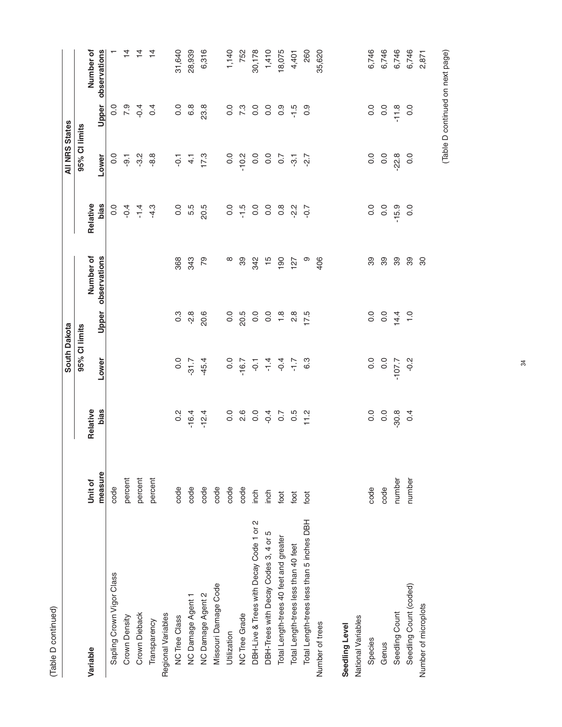|                                           |         |                  | South Dakota                                                                                                                                                              |                  |               |                  | <b>All NRS States</b> |                  |                    |
|-------------------------------------------|---------|------------------|---------------------------------------------------------------------------------------------------------------------------------------------------------------------------|------------------|---------------|------------------|-----------------------|------------------|--------------------|
|                                           |         |                  | 95% CI limits                                                                                                                                                             |                  |               |                  | 95% Cl limits         |                  |                    |
| Variable                                  | Unit of | Relative         |                                                                                                                                                                           |                  | Number of     | Relative         |                       |                  | Number of          |
|                                           | measure | bias             | Lower                                                                                                                                                                     | Upper            | observations  | bias             | Lower                 |                  | Upper observations |
| Sapling Crown Vigor Class                 | code    |                  |                                                                                                                                                                           |                  |               | 0.0              | 0.0                   | $\frac{0}{0}$    |                    |
| Crown Density                             | percent |                  |                                                                                                                                                                           |                  |               | $-0.4$           | $-9.1$                | 7.9              | $\overline{4}$     |
| Crown Dieback                             | percent |                  |                                                                                                                                                                           |                  |               | $-1.4$           | 3.2                   | $-0.4$           | $\overline{4}$     |
| Transparency                              | percent |                  |                                                                                                                                                                           |                  |               | $-4.3$           | $-8.8$                | 0.4              | $\overline{4}$     |
| Regional Variables                        |         |                  |                                                                                                                                                                           |                  |               |                  |                       |                  |                    |
| NC Tree Class                             | code    | 0.2              | 0.0                                                                                                                                                                       | $0.\overline{3}$ | 368           | 0.0              | $\overline{Q}$        | $\frac{0}{0}$    | 31,640             |
| NC Damage Agent 1                         | code    | $-16.4$          | $-31.7$                                                                                                                                                                   | ہم.<br>م         | 343           | 5.5              | $\overline{4}$        | 6.8              | 28,939             |
| NC Damage Agent 2                         | code    | $-12.4$          | $-45.4$                                                                                                                                                                   | 20.6             | 79            | 20.5             | 17.3                  | 23.8             | 6,316              |
| Missouri Damage Code                      | code    |                  |                                                                                                                                                                           |                  |               |                  |                       |                  |                    |
| Utilization                               | code    | $\frac{0}{0}$    | 0.0                                                                                                                                                                       | $\frac{0}{0}$    | œ             | 0.0              | 0.0                   | $\overline{0}$ . | 1,140              |
| <b>NC Tree Grade</b>                      | code    | 2.6              | $-16.7$                                                                                                                                                                   | 20.5             | 39            | $-1.5$           | $-10.2$               | 7.3              | 752                |
| DBH-Live & Trees with Decay Code 1 or 2   | inch    | $\overline{0}$ . | $\overline{Q}$                                                                                                                                                            | $\overline{0}$ . | 342           | $\overline{0}$   | 0.0                   | $\overline{0}$   | 30,178             |
| DBH-Trees with Decay Codes 3, 4 or 5      | inch    | $-0.4$           |                                                                                                                                                                           | $\overline{0}$   | $\frac{5}{1}$ | 0.0              | 0.0                   | 0.0              | 1,410              |
| Total Length-trees 40 feet and greater    | foot    | $\overline{0.7}$ |                                                                                                                                                                           | $\frac{8}{1}$    | 190           | $0.\overline{8}$ | $\overline{0.7}$      | $0.\overline{9}$ | 18,075             |
| Total Length-trees less than 40 feet      | foot    | 0.5              | $\begin{array}{ccccccccc}\n\downarrow & \downarrow & \downarrow & \downarrow & \downarrow \\ \downarrow & \downarrow & \downarrow & \downarrow & \downarrow\n\end{array}$ | 2.8              | 127           | $-2.2$           | $\overline{3}$        | $-1.5$           | 4,401              |
| Total Length-trees less than 5 inches DBH | foot    | 11.2             | 6.3                                                                                                                                                                       | 17.5             | ၜ             | $-0.7$           | -2.7                  | 0.9              | 260                |
| Number of trees                           |         |                  |                                                                                                                                                                           |                  | 406           |                  |                       |                  | 35,620             |
| Seedling Level                            |         |                  |                                                                                                                                                                           |                  |               |                  |                       |                  |                    |
| National Variables                        |         |                  |                                                                                                                                                                           |                  |               |                  |                       |                  |                    |
| Species                                   | code    | 0.0              | 0.0                                                                                                                                                                       | 0.0              | 89            | 0.0              | $\overline{0}$ .      | 0.0              | 6,746              |
| Genus                                     | code    | $\frac{0}{0}$    | $\overline{0}$ .                                                                                                                                                          | $\overline{0}$   | 89            | 0.0              | 0.0                   | 0.0              | 6,746              |
| Seedling Count                            | number  | $-30.8$          | $-107.7$                                                                                                                                                                  | 14.4             | 89            | $-15.9$          | $-22.8$               | $-11.8$          | 6,746              |
| Seedling Count (coded)                    | number  | 0.4              | $-0.2$                                                                                                                                                                    | $\frac{0}{1}$    | 89            | 0.0              | $\overline{0}$        | $\overline{0}$   | 6,746              |
| Number of microplots                      |         |                  |                                                                                                                                                                           |                  | 80            |                  |                       |                  | 2,871              |

34

## (Table D continued on next page) (Table D continued on next page)

(Table D continued) (Table D continued)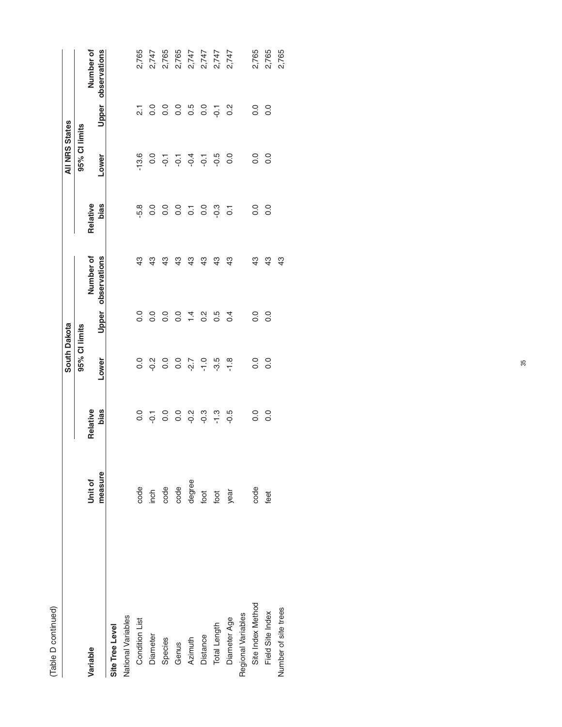| i<br>ç |  |
|--------|--|
|        |  |
|        |  |

|                      |         |                | South Dakota  |                  |                    |                    | <b>All NRS States</b>                                                 |                     |                    |
|----------------------|---------|----------------|---------------|------------------|--------------------|--------------------|-----------------------------------------------------------------------|---------------------|--------------------|
|                      |         |                | 95% CI limits |                  |                    |                    | 95% Cl limits                                                         |                     |                    |
| Variable             | Unit of | Relative       |               |                  | Number of          | Relative           |                                                                       |                     | Number of          |
|                      | measure | bias           | Lower         |                  | Upper observations | bias               | Lower                                                                 |                     | Upper observations |
| Site Tree Level      |         |                |               |                  |                    |                    |                                                                       |                     |                    |
| National Variables   |         |                |               |                  |                    |                    |                                                                       |                     |                    |
| Condition List       | code    | $\frac{0}{0}$  | 0.0           | 0.0              | 43                 | $-5.8$             | $-13.6$                                                               | $\overline{\Omega}$ | 2,765              |
| Diameter             | inch    | $\overline{Q}$ | $-0.2$        | $\overline{0}$ . | 43                 | 0.0                | 0.0                                                                   | 0.0                 | 2,747              |
| Species              | code    | 0.0            | 0.0           | $\frac{0}{0}$    | 43                 | $\rm ^{0}$         |                                                                       | 0.0                 | 2,765              |
| Genus                | code    | $\overline{0}$ | 0.0           | 0.0              | $\frac{3}{4}$      | $\rm ^{0}$         |                                                                       | 0.0                 | 2,765              |
| Azimuth              | degree  | $-0.2$         | $-2.7$        | $1\overline{4}$  | $\frac{3}{4}$      | $\overline{\circ}$ | $\frac{1}{6}$ $\frac{1}{6}$ $\frac{1}{6}$ $\frac{1}{6}$ $\frac{1}{6}$ | 0.5                 | 2,747              |
| Distance             | foot    | ာ့             | $-1.0$        | $0.\overline{2}$ | $\frac{3}{4}$      | $\overline{0}$ .   |                                                                       | 0.0                 | 2,747              |
| Total Length         | foot    | $\frac{3}{1}$  | $-3.5$        | $\frac{5}{2}$    | $\frac{3}{4}$      | $-0.3$             | -0.5                                                                  | $\overline{Q}$      | 2,747              |
| Diameter Age         | year    | $-0.5$         | $-1.8$        | 0.4              | 43                 | $\overline{c}$     | $\frac{0}{0}$                                                         | $\frac{2}{3}$       | 2,747              |
| Regional Variables   |         |                |               |                  |                    |                    |                                                                       |                     |                    |
| Site Index Method    | code    | 0.0            | 0.0           | 0.0              | $\frac{3}{4}$      | $\rm ^{0}$         | 0.0                                                                   | $\overline{0}$ .    | 2,765              |
| Field Site Index     | feet    | 0.0            | 0.0           | 0.0              | $\frac{3}{4}$      | 0.0                | 0.0                                                                   | 0.0                 | 2,765              |
| Number of site trees |         |                |               |                  | \$                 |                    |                                                                       |                     | 2,765              |
|                      |         |                |               |                  |                    |                    |                                                                       |                     |                    |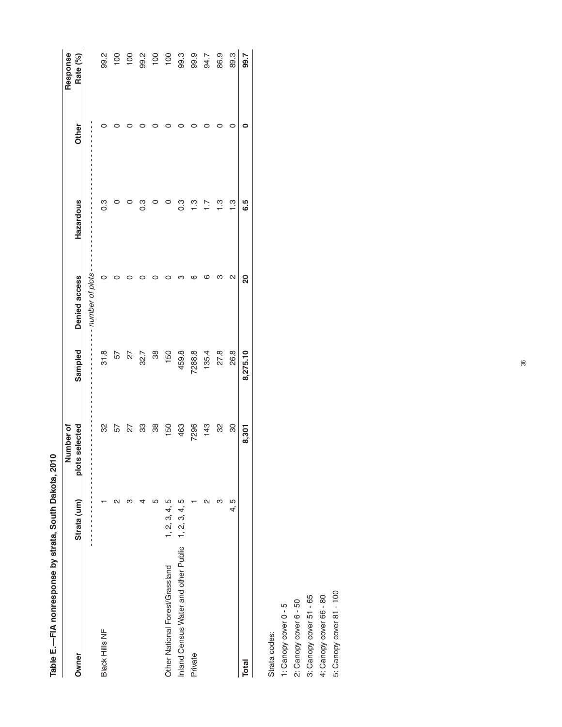|                                                    |               | Number of          |          |                 |           |       | Response          |
|----------------------------------------------------|---------------|--------------------|----------|-----------------|-----------|-------|-------------------|
| Owner                                              | Strata (um)   | selected<br>plots: | Sampled  | Denied access   | Hazardous | Other | Rate (%)          |
|                                                    |               | $\frac{1}{1}$      |          | number of plots |           |       |                   |
| Black Hills NF                                     |               | လ္က                | 31.8     |                 | ိ         |       | 99.2              |
|                                                    | N             | 57                 | 57       |                 |           |       | $\frac{100}{100}$ |
|                                                    |               | 27                 | 27       |                 |           |       | $\overline{100}$  |
|                                                    |               | 33                 | 32.7     |                 | က<br>ဝ    |       | 99.2              |
|                                                    | ഥ             | 88                 | 38       |                 |           |       | 100               |
| Other National Forest/Grassland                    | 1, 2, 3, 4, 5 | 150                | 150      |                 |           |       | $\overline{100}$  |
| Inland Census Water and other Public 1, 2, 3, 4, 5 |               | 463                | 459.8    |                 | ი<br>0    |       | 99.3              |
| Private                                            |               | 7296               | 7288.8   |                 | <u>ო</u>  |       | 99.9              |
|                                                    | ุ             | 143                | 135.4    |                 |           |       | 94.7              |
|                                                    | ო             | လ္က                | 27.8     |                 | <u>က</u>  |       | 86.9              |
|                                                    | 4, 5          | 8                  | 26.8     | N               | ن<br>ب    |       | 89.3              |
| <b>Total</b>                                       |               | 8,301              | 8,275.10 | 20              | 6.5       |       | 99.7              |
|                                                    |               |                    |          |                 |           |       |                   |

Table E.-FIA nonresponse by strata, South Dakota, 2010 **Table E.—FIA nonresponse by strata, South Dakota, 2010**

Strata codes: Strata codes:

1: Canopy cover 0 - 5 1: Canopy cover 0 - 5

2: Canopy cover 6 - 50

2: Canopy cover 6 - 50<br>3: Canopy cover 51 - 65 3: Canopy cover 51 - 65

4: Canopy cover 66 - 80 4: Canopy cover 66 - 80

5: Canopy cover 81 - 100 5: Canopy cover 81 - 100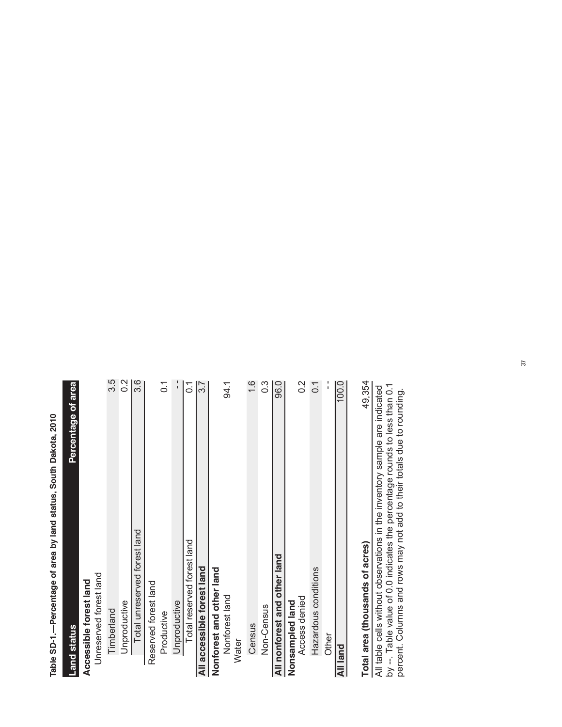Table SD-1 .-- Percentage of area by land status, South Dakota, 2010 **Table SD-1.—Percentage of area by land status, South Dakota, 2010**

| <b>Land status</b>                                                         | Percentage of area |
|----------------------------------------------------------------------------|--------------------|
| Accessible forest land                                                     |                    |
| Unreserved forest land                                                     |                    |
| Timberland                                                                 | 3.5                |
| Unproductive                                                               | $0.\overline{2}$   |
| Total unreserved forest land                                               | 3.6                |
| Reserved forest land                                                       |                    |
| Productive                                                                 | $\overline{0}$ .   |
| Unproductive                                                               |                    |
| Total reserved forest land                                                 | $\overline{0}$ :   |
| All accessible forest land                                                 | $\overline{3.7}$   |
| Nonforest and other land                                                   |                    |
| Nonforest land                                                             | 94.1               |
| <b>Water</b>                                                               |                    |
| Census                                                                     | $\frac{6}{1}$      |
| Non-Census                                                                 | $\frac{3}{2}$      |
| All nonforest and other land                                               | 96.0               |
| Nonsampled land                                                            |                    |
| Access denied                                                              | 0.2                |
| Hazardous conditions                                                       | $\overline{0}$ .   |
| Other                                                                      | $\frac{1}{1}$      |
| All land                                                                   | 100.0              |
| Total area (thousands of acres)                                            | 49,354             |
| All table cells without observations in the inventory sample are indicated |                    |
| by --. Table value of 0.0 indicates the percentage rounds to less than 0.1 |                    |
| percent. Columns and rows may not add to their totals due to rounding.     |                    |

37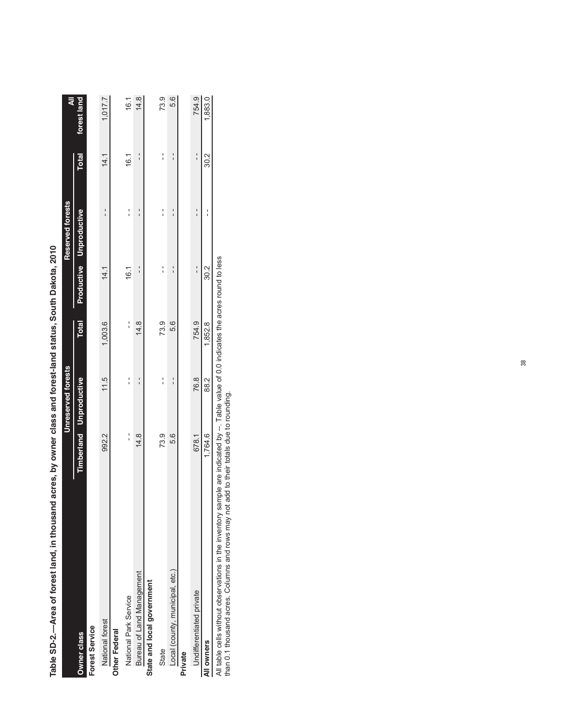| i dub Sulta Sulta Sulta Sulta Sulta Sulta Sulta Sulta Sulta Sulta Sulta Sulta Sulta Sulta Sulta Sulta Sulta Sulta Sulta Sulta Sulta Sulta Sulta Sulta Sulta Sulta Sulta Sulta Sulta Sulta Sulta Sulta Sulta Sulta Sulta Sulta |         |                                |              |      |                         |              |             |
|-------------------------------------------------------------------------------------------------------------------------------------------------------------------------------------------------------------------------------|---------|--------------------------------|--------------|------|-------------------------|--------------|-------------|
|                                                                                                                                                                                                                               |         | Unreserved forests             |              |      | Reserved forests        |              | ₹           |
| <b>Owner class</b>                                                                                                                                                                                                            |         | <b>Timberland Unproductive</b> | <b>Total</b> |      | Productive Unproductive | <b>Total</b> | forest land |
| <b>Forest Service</b>                                                                                                                                                                                                         |         |                                |              |      |                         |              |             |
| National forest                                                                                                                                                                                                               | 992.2   | 11.5                           | 1,003.6      | 14.1 | $\frac{1}{1}$           | 14.1         | 1,017.7     |
| Other Federal                                                                                                                                                                                                                 |         |                                |              |      |                         |              |             |
| National Park Service                                                                                                                                                                                                         |         |                                | :            | 16.1 |                         | 16.1         | 16.1        |
| Bureau of Land Management                                                                                                                                                                                                     | 14.8    |                                | 14.8         |      |                         |              | 14.8        |
| State and local government                                                                                                                                                                                                    |         |                                |              |      |                         |              |             |
| State                                                                                                                                                                                                                         | 73.9    |                                | 73.9         |      | י<br>י                  | י<br>י       | 73.9        |
| Local (county, municipal, etc.)                                                                                                                                                                                               | 5.6     |                                | 5.6          |      |                         |              | 5.6         |
| Private                                                                                                                                                                                                                       |         |                                |              |      |                         |              |             |
| Undifferentiated private                                                                                                                                                                                                      | 678.1   | 76.8                           | 754.9        |      |                         |              | 754.9       |
| All owners                                                                                                                                                                                                                    | 1,764.6 | 88.2                           | 1,852.8      | 30.2 |                         | 30.2         | 1,883.0     |

-Area of forest land, in thousand acres, by owner class and forest-land status. South Dakota, 2010 **Table SD-2.—Area of forest land, in thousand acres, by owner class and forest-land status, South Dakota, 2010** Table SD-2.

All table cells without observations in the inventory sample are indicated by --. Table value of 0.0 indicates the acres round to less<br>than 0.1 thousand acres. Columns and rows may not add to their totals due to rounding. All table cells without observations in the inventory sample are indicated by --. Table value of 0.0 indicates the acres round to less

than 0.1 thousand acres. Columns and rows may not add to their totals due to rounding.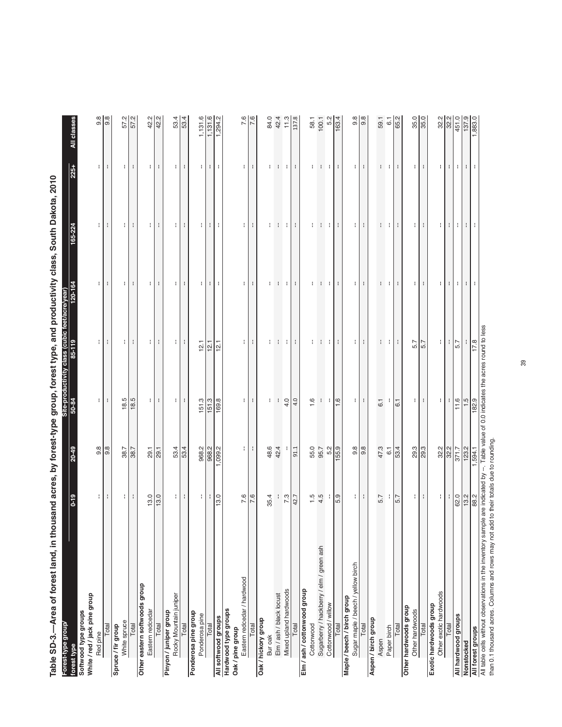Table SD-3.-Area of forest land, in thousand acres, by forest-type group, forest type, and productivity class, South Dakota, 2010 **Table SD-3.—Area of forest land, in thousand acres, by forest-type group, forest type, and productivity class, South Dakota, 2010**

| Forest-type group/<br>forest type                                                                                                      | $0 - 19$         | $20 - 49$           | 50-84            | Site-productivity class (cubic feet/acre/year)<br>85-119 | 120-164               | 165-224      | $225 +$        | All classes         |
|----------------------------------------------------------------------------------------------------------------------------------------|------------------|---------------------|------------------|----------------------------------------------------------|-----------------------|--------------|----------------|---------------------|
| Softwood type groups                                                                                                                   |                  |                     |                  |                                                          |                       |              |                |                     |
| White / red / jack pine group                                                                                                          |                  |                     |                  |                                                          |                       |              |                |                     |
| Red pine                                                                                                                               | ÷.               | 9.8                 | ÷                | ÷.                                                       | ÷.                    | ÷.           | ÷.             | $\frac{8}{20}$      |
| Total                                                                                                                                  | ÷                | $\frac{8}{9}$       | ÷                | ÷                                                        | ÷                     | ÷            | ÷              | $\frac{8}{9}$       |
| Spruce / fir group                                                                                                                     |                  |                     |                  |                                                          |                       |              |                |                     |
| White spruce                                                                                                                           | $\lceil$         | 38.7                | 18.5             | ÷.                                                       | $\mathbf{H}$          | ÷            | ÷              | 57.2                |
| Total                                                                                                                                  | ÷                | $\sqrt{38.7}$       | $\frac{18.5}{ }$ | $\mathbf{f}$                                             | ÷                     | ÷            | ÷              | 57.2                |
| Other eastern softwoods group                                                                                                          |                  |                     |                  |                                                          |                       |              |                |                     |
| Eastern redcedar                                                                                                                       | 13.0             | 29.1                | ÷                | ÷.                                                       | $\mathbf{H}$          | ÷.           | ÷              | 42.2                |
| Total                                                                                                                                  | 13.0             | 29.1                | ÷                | $\mathbf{L}$                                             | ÷                     | ÷            | ÷              | 42.2                |
| Pinyon / juniper group                                                                                                                 |                  |                     |                  |                                                          |                       |              |                |                     |
| Rocky Mountain juniper                                                                                                                 | ÷                |                     | ÷                | $\mathbf{H}$                                             | $\mathbf{H}$          | ÷            | ÷              |                     |
| Total                                                                                                                                  | ÷                | 53.4                | ÷                | ÷                                                        | ÷                     | $\mathbf{I}$ | ÷              | 53.4                |
| Ponderosa pine group                                                                                                                   |                  |                     |                  |                                                          |                       |              |                |                     |
| Ponderosa pine                                                                                                                         | ŧ.               | 968.2               | 151.3            | 12.1                                                     | $\mathbf{H}$          | $\mathbf{H}$ | ÷.             | 1,131.6             |
| Total                                                                                                                                  | ÷                | 968.2               | 151.3            | 12.1                                                     |                       | $\pm$        | $\mathbb{R}^n$ | 1,131.6             |
| All softwood groups                                                                                                                    | $\frac{13.0}{2}$ | 1,099.2             | 169.8            | $\frac{121}{2}$                                          | 3 L L                 | ÷            | ÷              | 1,294.2             |
| Hardwood type groups                                                                                                                   |                  |                     |                  |                                                          |                       |              |                |                     |
| Oak/pine group                                                                                                                         |                  |                     |                  |                                                          |                       |              |                |                     |
| Eastern redcedar / hardwood                                                                                                            | 7.6              | Н                   | $\mathbf{H}$     | Ħ                                                        | ÷ I                   | Ħ            | $\mathbf{H}$   | 7.6                 |
| Total                                                                                                                                  | $\frac{8}{7}$    | ÷                   | ÷                | ÷                                                        | ÷                     | ÷            | ÷              | $\frac{8}{7}$       |
| Oak / hickory group                                                                                                                    |                  |                     |                  |                                                          |                       |              |                |                     |
| Bur oak                                                                                                                                | 35.4             |                     | ÷                | ÷                                                        |                       | ÷            | ÷              | 84.0                |
| Elm / ash / black locust                                                                                                               |                  | 48.6<br>42.4        | ÷                | ÷                                                        |                       | $\cdot$ :    | - 11           | 42.4                |
| Mixed upland hardwoods                                                                                                                 | 7.3              |                     | 4.0              | ÷.                                                       | 1:1:1                 | $\mathbf{H}$ | $\mathbf{H}$   | 11.3                |
| Total                                                                                                                                  | 42.7             | 91.1                | 4.0              | н.                                                       | ÷                     | $\mathbf{r}$ | ÷              | 137.8               |
| Elm / ash / cottonwood group                                                                                                           |                  |                     |                  |                                                          |                       |              |                |                     |
| Cottonwood                                                                                                                             |                  |                     | 1.6              | ÷                                                        | ÷                     | ÷            | ÷              | 58.1                |
| Sugarberry / hackberry / elm / green ash                                                                                               | $\frac{1}{4}$ .5 | 55.0<br>95.7        |                  | ÷                                                        | $\mathcal{L}$         | ÷            | ÷              | $100.1$<br>5.2      |
| Cottonwood / willow                                                                                                                    |                  | 5.2                 | $\pm$            | $\pm$                                                    | Ħ                     | $\pm$        | л.             |                     |
| Total                                                                                                                                  | 5.9              | 155.9               | 1.6              | $\mathbf{H}$                                             | н.                    | $\mathbf{H}$ | ÷              | 163.4               |
| Maple / beech / birch group                                                                                                            |                  |                     |                  |                                                          |                       |              |                |                     |
| Sugar maple / beech / yellow birch                                                                                                     | ПI               |                     | Ħ                | $\mathbf{H}$                                             | $\lvert \cdot \rvert$ | $\pm$        | ÷              |                     |
| Total                                                                                                                                  | $\mathbf{I}$     | 9.8                 | $\mathbf{I}$     | ÷                                                        | ÷                     | $\mathbf{I}$ | ÷              | $\frac{8}{9}$       |
| Aspen / birch group                                                                                                                    |                  |                     |                  |                                                          |                       |              |                |                     |
| Aspen                                                                                                                                  | 5.7              | 47.3                | 6.1              | ÷                                                        | ÷                     | ÷            | ÷              | 59.1                |
| Paper birch                                                                                                                            |                  | $6.1$               |                  | $\pm$                                                    | $\pm$                 |              | ÷              | 6.1                 |
| Total                                                                                                                                  | 5.7              | 53.4                | 6.1              | ÷                                                        | $\mathbf{r}$          | $\pm$ $\pm$  | ÷              | 65.2                |
| Other hardwoods group                                                                                                                  |                  |                     |                  |                                                          |                       |              |                |                     |
| Other hardwoods                                                                                                                        | $\mathbf{H}$     |                     | Ħ                | 5.7                                                      | $\mathbf{H}$          | $\mathbf{H}$ | ÷.             |                     |
| Total                                                                                                                                  | $\pm$            | $\frac{29.3}{29.3}$ | $\pm$            | $\frac{57}{5}$                                           | ÷                     | $\pm$        | ÷              | $\frac{35.0}{35.0}$ |
| Exotic hardwoods group                                                                                                                 |                  |                     |                  |                                                          |                       |              |                |                     |
| Other exotic hardwoods                                                                                                                 | ÷                |                     | ÷                | ÷                                                        | ÷                     | ÷            | ÷              | 32.2                |
| Total                                                                                                                                  | ÷                | 32.2                | ÷                | ÷                                                        | $\mathbf{H}$          | ÷            | ÷              | 32.2                |
| All hardwood groups                                                                                                                    | 62.0             | 371.7               | 11.6             | 5.7                                                      | $\mathbf{H}$          | $\mathbf{H}$ | ÷              | 451.0               |
| Nonstocked                                                                                                                             | 13.2             | 123.2               | $\frac{1}{5}$    |                                                          | $\pm$                 | $\pm$        | ÷.             | 137.9               |
| All forest groups                                                                                                                      | 88.2             | 1,594.1             | 182.9            | 17.8                                                     | $\mathbf{L}$          | $\mathbf{r}$ | ÷              | 1,883.0             |
| All table cells without observations in the inventory sample are indicated by --. Table value of 0.0 indicates the acres round to less |                  |                     |                  |                                                          |                       |              |                |                     |
| than 0.1 thousand acres. Columns and rows may not add to their totals due to rounding.                                                 |                  |                     |                  |                                                          |                       |              |                |                     |
|                                                                                                                                        |                  |                     |                  |                                                          |                       |              |                |                     |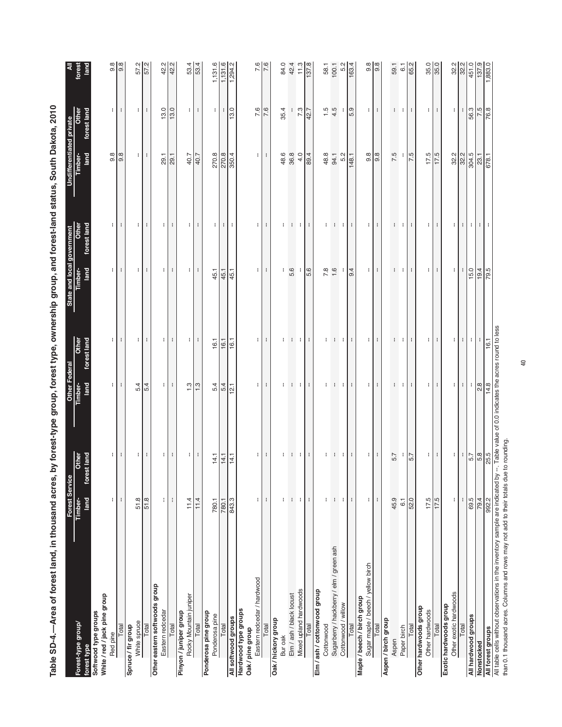| Forest-type group/                                                   | <b>Forest Service</b><br>Timber-   | Other               | Other Federal<br>Timber- | Other                | State and local government<br>Timber-Othe | Other              | Undifferentiated private<br>Timber-<br>Other |                      | forest         |
|----------------------------------------------------------------------|------------------------------------|---------------------|--------------------------|----------------------|-------------------------------------------|--------------------|----------------------------------------------|----------------------|----------------|
| White / red / jack pine group<br>Softwood type groups<br>forest type | land                               | forest land         | land                     | forest land          | forest land<br>land                       |                    | land                                         | forest land          | land           |
| Red pine                                                             | ÷.                                 | ÷.                  | ÷.                       | $\mathbb{I}$         | ÷.                                        | $\mathbf{H}$       | $9.\overline{8}$                             | ÷.                   | 9.8            |
| Total                                                                | $\mathbf i$                        |                     | ÷                        | ÷                    | ÷                                         | $\mathbf{I}$       | $\frac{8}{9}$                                | $\mathbf{I}$         | $\sqrt{8}$     |
| Spruce / fir group                                                   |                                    |                     |                          |                      |                                           |                    |                                              |                      |                |
| White spruce                                                         | 51.8                               | ÷                   | 5.4                      | ÷                    | ÷                                         | ÷                  | ÷                                            | ÷                    | 57.2           |
| Total                                                                | 51.8                               | ÷                   | 5.4                      | ÷                    | ÷                                         | ÷                  | ÷                                            | H                    | 57.2           |
| Other eastern softwoods group<br>Eastern redcedar                    | ŧ.                                 | ÷.                  | ÷.                       |                      |                                           | ł.                 | 29.1                                         | 13.0                 | 42.2           |
| Total                                                                | ÷                                  | ÷                   | ÷                        | ÷.<br>÷              | $\cdot$<br>÷.                             | ÷                  | 29.1                                         | $\overline{13.0}$    | 42.2           |
| Pinyon / juniper group                                               |                                    |                     |                          |                      |                                           |                    |                                              |                      |                |
| Rocky Mountain juniper                                               | 11.4                               | ÷.                  | $1.3$                    | $\mathbb{I}$         | ÷.                                        | $\mathbf{H}$       | 40.7                                         | $\mathbf{H}$         | 53.4           |
| Total                                                                | 11.4                               |                     | 1.3                      |                      | ÷                                         | $\mathbf{I}$       | 40.7                                         | $\mathbf{L}$         | 53.4           |
| Ponderosa pine group<br>Ponderosa pine                               | 780.1                              | 14.1                | 5.4                      | 16.1                 | 45.1                                      | ÷                  | 270.8                                        | ÷                    | 1,131.6        |
| Total                                                                | $\frac{780.1}{ }$                  | $\frac{14.1}{14.1}$ | 5.4                      | 16.1                 | 45.1                                      | ÷                  | 270.8                                        | ÷                    | 1,131.6        |
| All softwood groups                                                  | 843.3                              | 14.1                | 12.1                     | 16.1                 | 45.1                                      | ÷                  | 350.4                                        | 13.0                 | 1,294.2        |
| Hardwood type groups<br>Oak / pine group                             |                                    |                     |                          |                      |                                           |                    |                                              |                      |                |
| Eastern redcedar / hardwood                                          | t                                  |                     |                          |                      |                                           |                    |                                              | 7.6                  | 7.6            |
| Total                                                                |                                    | $\mathbf{H}$<br>н.  | ÷<br>÷                   | $\mathbb{I}$<br>÷    | ÷<br>$\mathbf{r}$                         | ÷.<br>$\mathbf{r}$ | $\mathbf{H}$<br>÷                            | 7.6                  | 7.6            |
| Oak / hickory group                                                  | ÷                                  |                     |                          |                      |                                           |                    |                                              |                      |                |
| Bur oak                                                              | ÷                                  | ÷                   | ÷                        |                      |                                           | ÷                  | 48.6                                         | 35.4                 | 84.0           |
| Elm / ash / black locust                                             | $\left\langle \cdot \right\rangle$ | ÷                   | $\mathbf{H}$             | $\mathcal{L}$        | 5.6                                       | $\mathbf{H}$       | 36.8                                         | ÷                    | 42.4           |
| Mixed upland hardwoods                                               | $\mathbf{I}$                       | ÷                   | $\pm$                    | $\ddot{\phantom{a}}$ | ÷                                         | ÷                  | 4.0                                          | 7.3                  | 11.3           |
| Total                                                                | ÷                                  | ÷                   | $\mathbf{r}$             | ÷                    | 5.6                                       | ÷                  | 89.4                                         | 42.7                 | 137.8          |
| Elm / ash / cottonwood group                                         |                                    |                     |                          |                      |                                           |                    |                                              |                      |                |
| Cottonwood                                                           | ÷                                  | ł                   | ÷.                       | ÷                    | 7.8                                       | ÷                  | 48.8                                         |                      | 58.1           |
| Sugarberry / hackberry / elm / green ash                             | ÷                                  | ÷                   | п.                       | ÷                    | 1.6                                       | - 1                | 94.1                                         | $1.5$<br>4.5         | 100.1          |
| Cottonwood / willow                                                  | ÷                                  | ÷                   | н.                       | ÷                    | ÷                                         | ÷                  | 5.2                                          | ÷                    | 5.2            |
| Total                                                                | ÷                                  | ÷                   | $\mathbf{H}$             | ÷                    | 9.4                                       | $\mathbf{r}$       | 148.1                                        | 5.9                  | 163.4          |
| Maple / beech / birch group                                          |                                    |                     |                          |                      |                                           |                    |                                              |                      |                |
| Sugar maple / beech / yellow birch<br>Total                          | $\mathbf{I}$<br>÷.                 | ÷.<br>÷             | ÷<br>÷.                  | ÷<br>H               | $\mathbf{I}$<br>÷.                        | $\mathbf{I}$<br>÷. | 9.8<br> ္တ                                   | $\mathbf{I}$<br>÷.   | 9.8<br> ္တ     |
| Aspen / birch group                                                  |                                    |                     |                          |                      |                                           |                    |                                              |                      |                |
| Aspen                                                                | 45.9                               | 5.7                 | ÷                        |                      | ÷                                         | ÷                  | 7.5                                          | ÷                    | 59.1           |
| Paper birch                                                          | $\overline{6}$ .                   |                     | - 1                      | - 11                 | ÷.                                        | - 1                | ÷                                            | n t                  | $\overline{6}$ |
| Total                                                                | 52.0                               | 5.7                 | ÷                        | ÷                    | ÷                                         | ÷                  | $\frac{5}{15}$                               | ÷                    | 65.2           |
| Other hardwoods group                                                |                                    |                     |                          |                      |                                           |                    |                                              |                      |                |
| Other hardwoods                                                      | 17.5                               | $\mathbf{H}$        | ÷                        | ÷                    | $\mathbf{H}$                              | ÷                  | 17.5                                         | ÷.                   | 35.0           |
| Total                                                                | 17.5                               | ÷                   | $\mathbf{r}$             | ÷                    | $\ddot{\phantom{a}}$                      | $\mathbf{r}$       | 17.5                                         | $\ddot{\phantom{a}}$ |                |
| Other exotic hardwoods<br>Exotic hardwoods group                     | ŧ.                                 | ÷.                  | ÷.                       | ÷.                   | ÷.                                        | ÷.                 | 32.2                                         | ÷.                   | 32.2           |
| Total                                                                |                                    |                     | $\pm$                    | $\cdot$              |                                           | $\pm$              |                                              |                      |                |
| All hardwood groups                                                  | 69.5                               | $\overline{5.7}$    | ÷                        | ÷                    | 15.0                                      | ÷                  | 32.2                                         | 56.3                 | 32.2           |
|                                                                      |                                    |                     |                          | ÷                    |                                           | $\mathbb{R}^n$     |                                              |                      |                |
| Nonstocked<br>All forest groups                                      | 792.2                              | $\frac{5.8}{25.5}$  | $\frac{28}{14.8}$        | 16.1                 | $\frac{19.4}{79.5}$                       | ÷                  | 23.1                                         | 7.5                  | 137.9          |
|                                                                      |                                    |                     |                          |                      |                                           |                    |                                              |                      |                |

Table SD-4.-Area of forest land, in thousand acres, by forest-type group, forest type, ownership group, and forest-land status, South Dakota, 2010 **Table SD-4.—Area of forest land, in thousand acres, by forest-type group, forest type, ownership group, and forest-land status, South Dakota, 2010**

All table cells without observations in the inventory sample are indicated by --. Table value of 0.0 indicates the acres round to less<br>than 0.1 thousand acres. Columns and rows may not add to their totals due to rounding. All table cells without observations in the inventory sample are indicated by --. Table value of 0.0 indicates the acres round to less than 0.1 thousand acres. Columns and rows may not add to their totals due to rounding.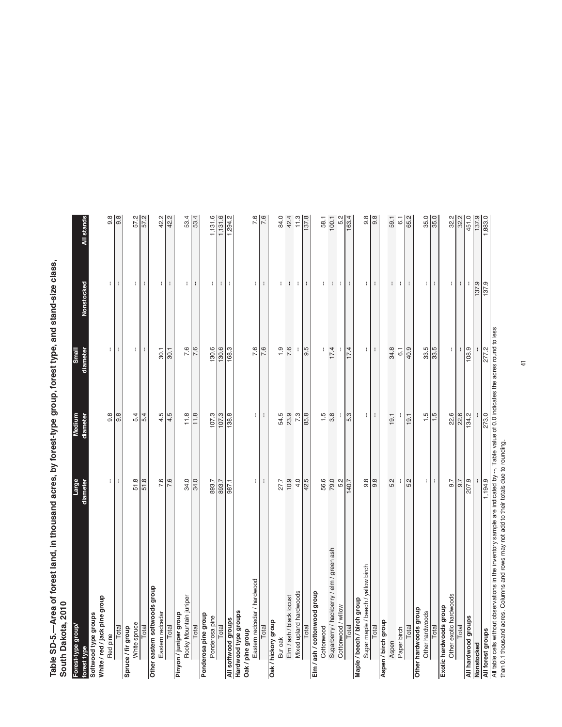Table SD-5.—Area of forest land, in thousand acres, by forest-type group, forest type, and stand-size class,<br>South Dakota, 2010 **Table SD-5.—Area of forest land, in thousand acres, by forest-type group, forest type, and stand-size class, South Dakota, 2010**

| Forest-type group                                                             | Large         | Medium                                              | <b>Small</b>                    |              |                |
|-------------------------------------------------------------------------------|---------------|-----------------------------------------------------|---------------------------------|--------------|----------------|
| forest type                                                                   | diameter      | diameter                                            | diameter                        | Nonstocked   | All stands     |
| Softwood type groups                                                          |               |                                                     |                                 |              |                |
| White / red / jack pine group                                                 |               |                                                     |                                 |              |                |
| Red pine                                                                      | ł             | $9.\overline{8}$                                    | ŧ.                              | ŧ.           | 9.8            |
| Total                                                                         | ÷             | $\frac{8}{9}$                                       | ÷                               | ÷            | $\frac{8}{9}$  |
| Spruce / fir group                                                            |               |                                                     |                                 |              |                |
| White spruce                                                                  | 51.8          | 5.4                                                 | ÷                               | ÷            | 57.2           |
| Total                                                                         | 51.8          | 5.4                                                 | $\mathbf{I}$                    | ÷            | 57.2           |
| Other eastern softwoods group                                                 |               |                                                     |                                 |              |                |
| Eastern redcedar                                                              | 7.6           | 4.5                                                 | 30.1                            | ÷            | 42.2           |
| Total                                                                         | 7.6           | 4.5                                                 | 30.1                            | ÷            | 42.2           |
| Pinyon / juniper group                                                        |               |                                                     |                                 |              |                |
| Rocky Mountain juniper                                                        | 34.0          | 11.8                                                | 7.6                             | Ħ            | 53.4           |
| Total                                                                         | 34.0          | 11.8                                                | 7.6                             | ÷            | 53.4           |
| Ponderosa pine group                                                          |               |                                                     |                                 |              |                |
| Ponderosa pine                                                                | 893.7         | 107.3                                               | 130.6                           | ÷            | 1,131.6        |
| Total                                                                         | 893.7         | $\frac{107.3}{ }$                                   | 130.6                           | ÷            | 1,131.6        |
| All softwood groups                                                           | 987.1         | 138.8                                               | 168.3                           | ÷            | 1,294.2        |
| Hardwood type groups                                                          |               |                                                     |                                 |              |                |
| Oak/pine group                                                                |               |                                                     |                                 |              |                |
| Eastern redcedar / hardwood                                                   | ÷             | ÷                                                   | 7.6                             | ÷            | 7.6            |
| Total                                                                         | ÷             | ÷                                                   | 7.6                             | ÷            | 7.6            |
| Oak / hickory group                                                           |               |                                                     |                                 |              |                |
| Bur oak                                                                       | 27.7          | 54.5                                                | $\frac{0}{1}$                   | ÷            | 84.0           |
| Elm / ash / black locust                                                      | 10.9          | 23.9                                                | 7.6                             | ł            | 42.4           |
| Mixed upland hardwoods                                                        | 4.0           | 7.3                                                 |                                 | ÷            | 11.3           |
| Total                                                                         | 42.5          | 85.8                                                | 9.5                             | ÷            | 137.8          |
| Elm / ash / cottonwood group                                                  |               |                                                     |                                 |              |                |
| Cottonwood                                                                    | 56.6          | 1.5                                                 | ł                               | ÷            | 58.1           |
| Sugarberry / hackberry / elm / green ash                                      | 79.0          | $3.\overline{8}$                                    | 17.4                            | ÷            | 100.1          |
|                                                                               | 5.2           | ÷                                                   |                                 | ÷            | 5.2            |
| Cottonwood / willow                                                           | 140.7         | 5.3                                                 | 17.4                            |              | 163.4          |
| Maple / beech / birch group                                                   |               |                                                     |                                 |              |                |
| Sugar maple / beech / yellow birch                                            | 9.8           | ÷                                                   | ÷                               |              | $\frac{8}{9}$  |
| Total                                                                         | 9.8           | ł                                                   | ÷                               | ÷            | $\frac{8}{9}$  |
| Aspen / birch group                                                           |               |                                                     |                                 |              |                |
| Aspen                                                                         | 5.2           | 19.1                                                | 34.8                            |              | 59.1           |
| Paper birch                                                                   |               |                                                     | $\overline{6}$                  | ÷            | $\overline{6}$ |
| Total                                                                         | $\frac{1}{5}$ | 19.1                                                | $\frac{6}{101}$                 | ÷            | 65.2           |
| Other hardwoods group                                                         |               |                                                     |                                 |              |                |
| Other hardwoods                                                               | ÷             | 1.5                                                 | 33.5                            | $\mathbf{H}$ | 35.0           |
| Total                                                                         | ÷             | 1.5                                                 | $\overline{\phantom{0}}^{33.5}$ | ÷            | 35.0           |
| Exotic hardwoods group                                                        |               |                                                     |                                 |              |                |
| Other exotic hardwoods                                                        | $-6.7$        | 22.6                                                | ÷                               | ÷            | 32.2           |
| Total                                                                         | <br> a        | 22.6                                                |                                 | ÷            |                |
| All hardwood groups                                                           | 207.9         | 134.2                                               | 108.9                           |              | 451.0          |
| Nonstocked                                                                    |               |                                                     |                                 | 137.9        | 137.9          |
| All forest groups                                                             | 1,194.9       | 273.0                                               | 277.2                           | 137.9        | ,883.0         |
| All table cells without observations in the inventory sample are indicated by |               | able value of 0.0 indicates the acres round to less |                                 |              |                |

All table cells without observations in the inventory sample are indicated by --. Table value of 0.0 indicates the acres round to less

ראו ומשופ כיפווש אינווטער טטאפוראפוניסוא או ווויפ ווויפטוער אפשרון אפי מי פון וויטעמפיט טץ ידי. ו משופ אי און<br>than 0.1 thousand acres. Columns and rows may not add to their totals due to rounding. than 0.1 thousand acres. Columns and rows may not add to their totals due to rounding.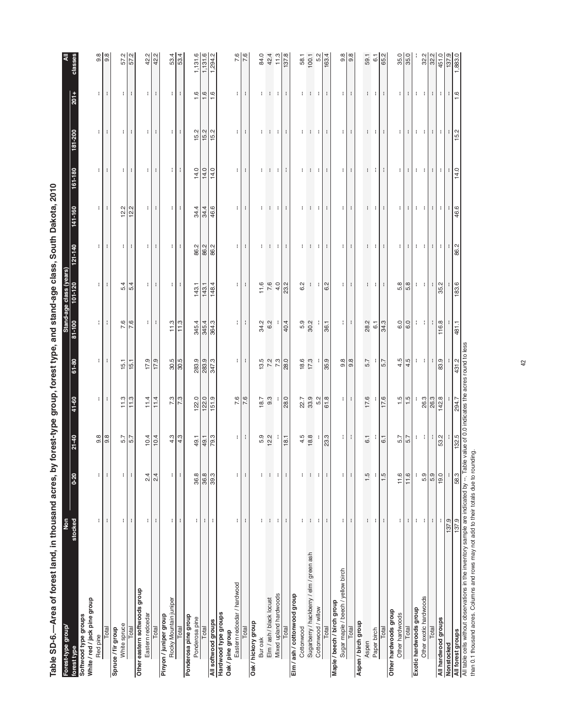| Softwood type groups<br>forest type                                                                          | stocked                   | $0 - 20$       | $21 - 40$             | 41-60                 | $61 - 80$                                               | 81-100         | Stand-age class (years)<br>101-120 | $121 - 140$     | 141-160                                                 | 161-180           | 181-200             | $201+$           | classes                   |
|--------------------------------------------------------------------------------------------------------------|---------------------------|----------------|-----------------------|-----------------------|---------------------------------------------------------|----------------|------------------------------------|-----------------|---------------------------------------------------------|-------------------|---------------------|------------------|---------------------------|
| White / red / jack pine group                                                                                |                           |                |                       |                       |                                                         |                |                                    |                 |                                                         |                   |                     |                  |                           |
| Red pine                                                                                                     | ÷                         | ÷              | $9.\overline{8}$      | ÷                     | ÷                                                       | ÷              | ÷                                  | ÷               | ÷                                                       | ÷                 | ÷                   | ÷                | $9.\overline{8}$          |
| Total                                                                                                        | ÷                         | t              | $\frac{8}{9}$         | ÷                     | ÷                                                       | ÷              | ÷                                  | ÷               | ÷                                                       | t                 | ÷                   | ÷                | 9.8                       |
| Spruce / fir group                                                                                           |                           |                |                       |                       |                                                         |                |                                    |                 |                                                         |                   |                     |                  |                           |
| White spruce                                                                                                 | ÷                         | ÷              | 5.7                   | 11.3                  | 15.1                                                    | 7.6            | 4<br>ம்                            | $\mathbf{H}$    | 12.2                                                    | $\mathbf{H}$      | $\mathbf{H}$        | $\mathbf{H}$     | Μj<br>57.                 |
| Total                                                                                                        | ÷                         | ÷              |                       | 11.3                  | 15.1                                                    | 7.6            | 5.4                                | ÷               | 12.2                                                    | ÷                 | ÷                   | ÷                | 57.2                      |
| Other eastern softwoods group                                                                                |                           |                |                       |                       |                                                         |                |                                    |                 |                                                         |                   |                     |                  |                           |
| Eastern redcedar                                                                                             | ÷.                        | 2.4            | 10.4                  | 11.4                  | 17.9                                                    | Ħ              | H                                  | Ħ               | $\pm$                                                   | ÷.                | $\mathbf{H}$        | ÷.               | 42.2<br>42.2              |
| Total                                                                                                        | ÷                         | 2.4            | 10.4                  | 11.4                  | 17.9                                                    | ÷              | т.                                 | ÷               | ÷                                                       | ÷                 | ÷                   | ÷.               |                           |
| Rocky Mountain juniper<br>Pinyon / juniper group                                                             |                           |                |                       |                       |                                                         |                |                                    |                 |                                                         |                   |                     |                  |                           |
| Total                                                                                                        | ÷<br>÷                    | ÷<br>÷         | 4.3<br>4.3            | 73                    | 30.5                                                    | 11.3<br>11.3   | т.<br>л.                           | ÷<br>÷          | $\mathbf{H}$<br>÷                                       | ÷<br>$\mathbf{H}$ | ÷<br>÷              | ÷<br>÷           | 53.4                      |
| Ponderosa pine group                                                                                         |                           |                |                       |                       |                                                         |                |                                    |                 |                                                         |                   |                     |                  |                           |
| Ponderosa pine                                                                                               | ÷                         | 36.8           |                       | 122.0                 |                                                         | 345.4          | 143.1                              |                 |                                                         | 14.0              |                     | $\frac{6}{1}$    |                           |
| Total                                                                                                        | $\mathbb{C}^{\mathbb{Z}}$ |                |                       |                       |                                                         |                |                                    |                 |                                                         | 14.0              |                     |                  | $\frac{1,131.6}{1,131.6}$ |
| All softwood groups                                                                                          | ÷                         | $\frac{8}{39}$ | $rac{49.1}{49.3}$     | $\frac{122.0}{151.9}$ | 283.9<br>283.9<br>347.3                                 | 345.4<br>364.3 | $\frac{143.1}{148.4}$              | 8 8 8 8         | $\frac{344}{466}$                                       | 14.0              | $\frac{15.2}{15.2}$ | $\frac{1}{1}$ .6 | 1,294.2                   |
| Hardwood type groups<br>Oak/pine group                                                                       |                           |                |                       |                       |                                                         |                |                                    |                 |                                                         |                   |                     |                  |                           |
| Eastern redcedar / hardwood                                                                                  | ÷                         | ÷.             | $\mathbf{H}$          | 7.6                   | $\mathbf{H}$                                            | ÷.             | $\mathbf{H}$                       | $\mathbf{H}$    | $\mathbf{H}$                                            | $\mathbf{H}$      | $\mathbf{L}$        | ÷.               | 7.6                       |
| Total                                                                                                        | ÷                         | ÷              | ÷                     | 7.6                   | ÷                                                       | ÷              | ÷                                  | ÷               | ÷                                                       | ÷                 | ÷                   | ÷                | 7.6                       |
| Oak / hickory group<br>Bur oak                                                                               | ÷                         | ÷              |                       |                       |                                                         |                | 11.6                               |                 | ÷                                                       | ÷                 |                     | ÷                | 84.0                      |
| Elm / ash / black locust                                                                                     | 4                         | ÷              | 5.9<br>12.2           | $18.7$<br>9.3         |                                                         | 34.2<br>6.2    | 7.6                                | $1 - 1$         |                                                         |                   |                     |                  | 42.4                      |
| Mixed upland hardwoods                                                                                       | ÷.                        | ÷              |                       |                       | $13.5$<br>7.2<br>7.3                                    |                | 4.0                                | -11             | <b>COMPANY</b>                                          | <b>COMPANY</b>    | $1 - 1 - 1$         | $-1 - 1$         | $11.3$                    |
| Total                                                                                                        | ÷                         | ÷              | 18.1                  | 28.0                  | 28.0                                                    | 40.4           | 23.2                               | ÷               | ÷                                                       | $\mathbf{I}$      | ÷                   | $\mathbf{I}$     | 137.8                     |
| Elm / ash / cottonwood group                                                                                 |                           |                |                       |                       |                                                         |                |                                    |                 |                                                         |                   |                     |                  |                           |
| Cottonwood                                                                                                   | ÷                         | ÷              | $4.5$<br>18.8         | 22.7<br>33.9          | 18.6                                                    | 5.9<br>30.2    | 6.2                                | ÷               | ÷                                                       | ÷                 | ÷.                  | ÷                | 58.1                      |
| Sugarberry / hackberry / elm / green ash                                                                     | н.                        | $\mathbb{I}$   |                       |                       | 17.3                                                    |                | $\frac{1}{2}$                      |                 |                                                         |                   |                     |                  | $100.1$<br>5.2            |
| Cottonwood / willow                                                                                          | ÷                         | ÷              |                       | 5.2                   |                                                         |                |                                    | -11-11          | $-1 - 1$                                                | $-1 - 1$          | $\mathbf{1}$        | $\pm$ $\pm$      |                           |
| Total                                                                                                        | ÷                         | ÷              | 23.3                  | 61.8                  | 35.9                                                    | 36.1           | 6.2                                | ÷               | ÷                                                       | ÷                 | ÷.                  | ÷.               | 163.4                     |
| Maple / beech / birch group                                                                                  |                           |                |                       |                       |                                                         |                |                                    |                 |                                                         |                   |                     |                  |                           |
| Sugar maple / beech / yellow birch                                                                           | ÷                         | ÷              | $\lvert \cdot \rvert$ | $\pm$                 | $9.\overline{8}$                                        | $\blacksquare$ | $\pm$                              | $\pm$           | ÷.                                                      | $\pm$             | ÷.                  | ÷.               | 9.8                       |
| Total                                                                                                        | ÷                         | ÷              | 41                    | ÷                     | 9.8                                                     | ÷              | ÷                                  | Ф.              | ÷                                                       | т.                | ÷                   | $\mathbb{R}^n$   | 9.8                       |
| Aspen / birch group                                                                                          |                           |                |                       |                       |                                                         |                |                                    |                 |                                                         |                   |                     |                  |                           |
| Aspen                                                                                                        | f.                        | 1.5            | 6.1                   | 17.6                  | 5.7                                                     | 28.2           | $\mathbb{C}^{\times}$              | $\mathcal{V}$ . | ÷.                                                      | ÷.                | ÷.                  | $\mathbf{1}$     | 59.1                      |
| Paper birch                                                                                                  | ÷                         | ÷              |                       |                       |                                                         | $\overline{6}$ | л.                                 | ÷               | ÷                                                       | ÷                 | ÷.                  | $\mathbf{H}$     | $\overline{6}$ .          |
| Total                                                                                                        | ÷                         | 1.5            | 6.1                   | 17.6                  | 5.7                                                     | 34.3           | н.                                 | ÷               | $\ddot{\phantom{a}}$                                    | $\pm$             | $\pm$               | $\mathbf{I}$     | 65.2                      |
| Other hardwoods group<br>Other hardwoods                                                                     | ÷                         | 11.6           | 5.7                   | 1.5                   | 4.5                                                     | 6.0            | œ<br>ທ່                            | ÷               | ÷                                                       | ÷                 | ÷                   | ÷                | 35.0                      |
| Total                                                                                                        | ÷                         | 11.6           | 5.7                   | $\frac{1}{1}$ .5      | 4.5                                                     | 6.0            | 5.8                                | ÷               | ÷                                                       | ÷                 | л.                  | ÷                | 35.0                      |
| Exotic hardwoods group                                                                                       | ÷                         | ÷              |                       |                       |                                                         |                |                                    |                 |                                                         |                   |                     |                  |                           |
| Other exotic hardwoods                                                                                       | $\pm$                     | 5.9            | $\pm$<br>÷.           |                       | ÷<br>$\cdot$                                            | $\mathbf{1}$   | $1 - 1$                            | 4 H             | $\left\vert 1\right\rangle$ $\left\vert 1\right\rangle$ | $\mathbf{1}$      | $\mathbf{1}$        | $1 - 1$          |                           |
| Total                                                                                                        |                           | 5.9            | ÷                     | 26.3<br>26.3          | ÷                                                       |                | ÷                                  |                 |                                                         |                   |                     |                  |                           |
|                                                                                                              | ÷                         |                |                       |                       |                                                         |                |                                    | ÷               | ÷                                                       | ÷                 | ÷                   | ÷.               |                           |
| All hardwood groups<br>Nonstocked                                                                            | ÷                         | 19.0           | 53.2                  | 142.8                 | 83.9                                                    | 116.8          | 35.2                               | ÷               | ÷                                                       | ÷                 | ÷                   | ÷.               | $\frac{32.2}{32.2}$       |
|                                                                                                              | 137.9                     |                |                       |                       |                                                         |                |                                    | $\mathbb{R}^n$  | ÷                                                       | ÷                 | ÷                   | $\mathbf{I}$     |                           |
| All table cells without observations in the inventory sample are indicated by --. Table<br>All forest groups | 137.9                     | 58.3           | 132.5                 | 294.7                 | value of 0.0 indicates the acres round to less<br>431.2 | 481.1          | 183.6                              | 86.2            | 46.6                                                    | 14.0              | 15.2                | $\frac{1}{6}$    | 1,883.0                   |

ath Doloto 2010 **Table SD-6.—Area of forest land, in thousand acres, by forest-type group, forest type, and stand-age class, South Dakota, 2010** à  $\frac{1}{2}$ ्रं  $\frac{1}{7}$  $\ddot{\ddot{\cdot}}$  $\boldsymbol{\mathcal{L}}$  $\frac{1}{3}$ J, Á ्रं al in the  $\frac{1}{t}$ ي<br>په ś en\_a Ę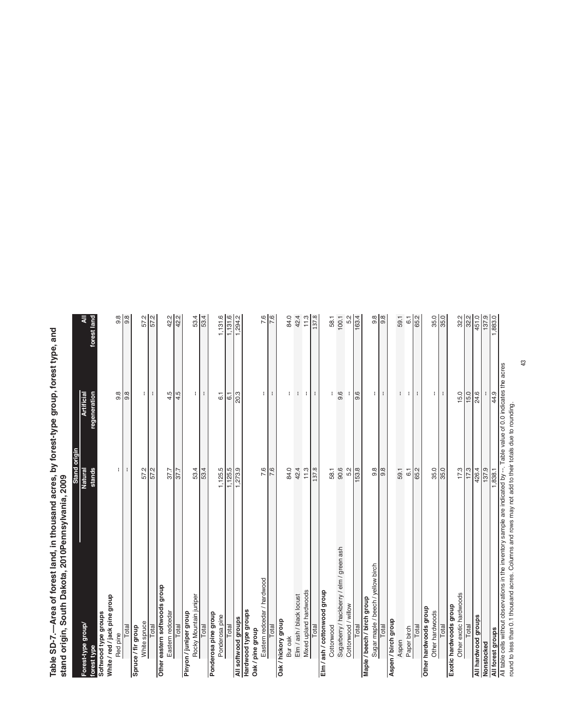Table SD-7.—Area of forest land, in thousand acres, by forest-type group, forest type, and<br>stand origin, South Dakota, 2010Pennsylvania, 2009 **Table SD-7.—Area of forest land, in thousand acres, by forest-type group, forest type, and**  stand origin, the Barta **stand origin, South Dakota, 2010Pennsylvania, 2009**

| 9.8<br>1,131.6<br>35.0<br>$\frac{8}{9}$<br>57.2<br>53.4<br>42.4<br>11.3<br>$\frac{8}{9}$<br>32.2<br>32.2<br>451.0<br>137.9<br>1,883.0<br>forest land<br>42.2<br>1,294.2<br>58.1<br>100.1<br>5.2<br>9.8<br>65.2<br>₹<br>163.4<br>59.1<br>6.1<br>£<br>sence ent serecipul 0.0 yo entex enter the server produces for the section of the server of the server of the s<br>44.9<br>9.6<br>15.0<br>regeneration<br>9.8<br>$9.\overline{8}$<br>÷,<br>4.5<br>4.5<br>$\mathbf{I}$<br>9.6<br>t<br>$\mathbf{I}$<br>15.0<br>24.6<br>÷<br>20.3<br>÷<br>÷<br>t<br>t<br>÷<br>÷.<br>÷<br>÷<br>÷<br>÷<br>H<br>6.1<br>6.1<br>round to less than 0.1 thousand acres. Columns and rows may not add to their totals due to rounding.<br>42.4<br>90.6<br>35.0<br>17.3<br>stands<br>÷<br>53.4<br>53.4<br>1,125.5<br>1,125.5<br>$\frac{1}{273.9}$<br>7.6<br>7.6<br>11.3<br>137.8<br>153.8<br>$9.\overline{8}$<br>65.2<br>35.0<br>17.3<br>426.4<br>137.9<br>Natural<br>57.2<br>57.2<br>84.0<br>58.1<br>5.2<br>$9.\overline{8}$<br>59.1<br>1,838.1<br>37.7<br>6.1<br>37.7<br>Sugarberry / hackberry / elm / green ash<br>Sugar maple / beech / yellow birch<br>Eastern redcedar / hardwood<br>Other eastern softwoods group<br>Mixed upland hardwoods<br>Elm / ash / cottonwood group<br>Other exotic hardwoods<br>Elm / ash / black locust<br>Rocky Mountain juniper<br>White / red / jack pine group<br>Maple / beech / birch group<br>Cottonwood / willow<br>Exotic hardwoods group<br>Other hardwoods group<br>Hardwood type groups<br>Eastern redcedar<br>Other hardwoods<br>Ponderosa pine group<br>Softwood type groups<br>Pinyon / juniper group<br>Ponderosa pine<br>All hardwood groups<br>All softwood groups<br>Aspen / birch group<br>Oak / hickory group<br>White spruce<br>Forest-type group/<br>Total<br>Total<br>Cottonwood<br>Total<br>Total<br>Total<br>Total<br>Total<br>Total<br>Total<br>Spruce / fir group<br>Total<br>Total<br>Total<br>Paper birch<br>All forest groups<br>Oak / pine group<br>Red pine<br>Bur oak<br>Aspen<br>Nonstocked<br>forest type | Stand origin |                   |                       |
|----------------------------------------------------------------------------------------------------------------------------------------------------------------------------------------------------------------------------------------------------------------------------------------------------------------------------------------------------------------------------------------------------------------------------------------------------------------------------------------------------------------------------------------------------------------------------------------------------------------------------------------------------------------------------------------------------------------------------------------------------------------------------------------------------------------------------------------------------------------------------------------------------------------------------------------------------------------------------------------------------------------------------------------------------------------------------------------------------------------------------------------------------------------------------------------------------------------------------------------------------------------------------------------------------------------------------------------------------------------------------------------------------------------------------------------------------------------------------------------------------------------------------------------------------------------------------------------------------------------------------------------------------------------------------------------------------------------------------------------------------------------------------------------------------------------------------------------------------------------------------------------------------------------------------------------------------------------------------------------------------------------------------------------------------------|--------------|-------------------|-----------------------|
|                                                                                                                                                                                                                                                                                                                                                                                                                                                                                                                                                                                                                                                                                                                                                                                                                                                                                                                                                                                                                                                                                                                                                                                                                                                                                                                                                                                                                                                                                                                                                                                                                                                                                                                                                                                                                                                                                                                                                                                                                                                          |              | <b>Artificial</b> |                       |
|                                                                                                                                                                                                                                                                                                                                                                                                                                                                                                                                                                                                                                                                                                                                                                                                                                                                                                                                                                                                                                                                                                                                                                                                                                                                                                                                                                                                                                                                                                                                                                                                                                                                                                                                                                                                                                                                                                                                                                                                                                                          |              |                   |                       |
|                                                                                                                                                                                                                                                                                                                                                                                                                                                                                                                                                                                                                                                                                                                                                                                                                                                                                                                                                                                                                                                                                                                                                                                                                                                                                                                                                                                                                                                                                                                                                                                                                                                                                                                                                                                                                                                                                                                                                                                                                                                          |              |                   |                       |
|                                                                                                                                                                                                                                                                                                                                                                                                                                                                                                                                                                                                                                                                                                                                                                                                                                                                                                                                                                                                                                                                                                                                                                                                                                                                                                                                                                                                                                                                                                                                                                                                                                                                                                                                                                                                                                                                                                                                                                                                                                                          |              |                   |                       |
|                                                                                                                                                                                                                                                                                                                                                                                                                                                                                                                                                                                                                                                                                                                                                                                                                                                                                                                                                                                                                                                                                                                                                                                                                                                                                                                                                                                                                                                                                                                                                                                                                                                                                                                                                                                                                                                                                                                                                                                                                                                          |              |                   |                       |
|                                                                                                                                                                                                                                                                                                                                                                                                                                                                                                                                                                                                                                                                                                                                                                                                                                                                                                                                                                                                                                                                                                                                                                                                                                                                                                                                                                                                                                                                                                                                                                                                                                                                                                                                                                                                                                                                                                                                                                                                                                                          |              |                   |                       |
|                                                                                                                                                                                                                                                                                                                                                                                                                                                                                                                                                                                                                                                                                                                                                                                                                                                                                                                                                                                                                                                                                                                                                                                                                                                                                                                                                                                                                                                                                                                                                                                                                                                                                                                                                                                                                                                                                                                                                                                                                                                          |              |                   |                       |
|                                                                                                                                                                                                                                                                                                                                                                                                                                                                                                                                                                                                                                                                                                                                                                                                                                                                                                                                                                                                                                                                                                                                                                                                                                                                                                                                                                                                                                                                                                                                                                                                                                                                                                                                                                                                                                                                                                                                                                                                                                                          |              |                   |                       |
|                                                                                                                                                                                                                                                                                                                                                                                                                                                                                                                                                                                                                                                                                                                                                                                                                                                                                                                                                                                                                                                                                                                                                                                                                                                                                                                                                                                                                                                                                                                                                                                                                                                                                                                                                                                                                                                                                                                                                                                                                                                          |              |                   |                       |
|                                                                                                                                                                                                                                                                                                                                                                                                                                                                                                                                                                                                                                                                                                                                                                                                                                                                                                                                                                                                                                                                                                                                                                                                                                                                                                                                                                                                                                                                                                                                                                                                                                                                                                                                                                                                                                                                                                                                                                                                                                                          |              |                   | 42.2                  |
|                                                                                                                                                                                                                                                                                                                                                                                                                                                                                                                                                                                                                                                                                                                                                                                                                                                                                                                                                                                                                                                                                                                                                                                                                                                                                                                                                                                                                                                                                                                                                                                                                                                                                                                                                                                                                                                                                                                                                                                                                                                          |              |                   |                       |
|                                                                                                                                                                                                                                                                                                                                                                                                                                                                                                                                                                                                                                                                                                                                                                                                                                                                                                                                                                                                                                                                                                                                                                                                                                                                                                                                                                                                                                                                                                                                                                                                                                                                                                                                                                                                                                                                                                                                                                                                                                                          |              |                   |                       |
|                                                                                                                                                                                                                                                                                                                                                                                                                                                                                                                                                                                                                                                                                                                                                                                                                                                                                                                                                                                                                                                                                                                                                                                                                                                                                                                                                                                                                                                                                                                                                                                                                                                                                                                                                                                                                                                                                                                                                                                                                                                          |              |                   | 53.4                  |
|                                                                                                                                                                                                                                                                                                                                                                                                                                                                                                                                                                                                                                                                                                                                                                                                                                                                                                                                                                                                                                                                                                                                                                                                                                                                                                                                                                                                                                                                                                                                                                                                                                                                                                                                                                                                                                                                                                                                                                                                                                                          |              |                   |                       |
|                                                                                                                                                                                                                                                                                                                                                                                                                                                                                                                                                                                                                                                                                                                                                                                                                                                                                                                                                                                                                                                                                                                                                                                                                                                                                                                                                                                                                                                                                                                                                                                                                                                                                                                                                                                                                                                                                                                                                                                                                                                          |              |                   |                       |
|                                                                                                                                                                                                                                                                                                                                                                                                                                                                                                                                                                                                                                                                                                                                                                                                                                                                                                                                                                                                                                                                                                                                                                                                                                                                                                                                                                                                                                                                                                                                                                                                                                                                                                                                                                                                                                                                                                                                                                                                                                                          |              |                   |                       |
|                                                                                                                                                                                                                                                                                                                                                                                                                                                                                                                                                                                                                                                                                                                                                                                                                                                                                                                                                                                                                                                                                                                                                                                                                                                                                                                                                                                                                                                                                                                                                                                                                                                                                                                                                                                                                                                                                                                                                                                                                                                          |              |                   | $\frac{1}{1}$ , 131.6 |
|                                                                                                                                                                                                                                                                                                                                                                                                                                                                                                                                                                                                                                                                                                                                                                                                                                                                                                                                                                                                                                                                                                                                                                                                                                                                                                                                                                                                                                                                                                                                                                                                                                                                                                                                                                                                                                                                                                                                                                                                                                                          |              |                   |                       |
|                                                                                                                                                                                                                                                                                                                                                                                                                                                                                                                                                                                                                                                                                                                                                                                                                                                                                                                                                                                                                                                                                                                                                                                                                                                                                                                                                                                                                                                                                                                                                                                                                                                                                                                                                                                                                                                                                                                                                                                                                                                          |              |                   |                       |
|                                                                                                                                                                                                                                                                                                                                                                                                                                                                                                                                                                                                                                                                                                                                                                                                                                                                                                                                                                                                                                                                                                                                                                                                                                                                                                                                                                                                                                                                                                                                                                                                                                                                                                                                                                                                                                                                                                                                                                                                                                                          |              |                   |                       |
|                                                                                                                                                                                                                                                                                                                                                                                                                                                                                                                                                                                                                                                                                                                                                                                                                                                                                                                                                                                                                                                                                                                                                                                                                                                                                                                                                                                                                                                                                                                                                                                                                                                                                                                                                                                                                                                                                                                                                                                                                                                          |              |                   | 7.6                   |
|                                                                                                                                                                                                                                                                                                                                                                                                                                                                                                                                                                                                                                                                                                                                                                                                                                                                                                                                                                                                                                                                                                                                                                                                                                                                                                                                                                                                                                                                                                                                                                                                                                                                                                                                                                                                                                                                                                                                                                                                                                                          |              |                   | 7.6                   |
|                                                                                                                                                                                                                                                                                                                                                                                                                                                                                                                                                                                                                                                                                                                                                                                                                                                                                                                                                                                                                                                                                                                                                                                                                                                                                                                                                                                                                                                                                                                                                                                                                                                                                                                                                                                                                                                                                                                                                                                                                                                          |              |                   |                       |
|                                                                                                                                                                                                                                                                                                                                                                                                                                                                                                                                                                                                                                                                                                                                                                                                                                                                                                                                                                                                                                                                                                                                                                                                                                                                                                                                                                                                                                                                                                                                                                                                                                                                                                                                                                                                                                                                                                                                                                                                                                                          |              |                   | 84.0                  |
|                                                                                                                                                                                                                                                                                                                                                                                                                                                                                                                                                                                                                                                                                                                                                                                                                                                                                                                                                                                                                                                                                                                                                                                                                                                                                                                                                                                                                                                                                                                                                                                                                                                                                                                                                                                                                                                                                                                                                                                                                                                          |              |                   |                       |
|                                                                                                                                                                                                                                                                                                                                                                                                                                                                                                                                                                                                                                                                                                                                                                                                                                                                                                                                                                                                                                                                                                                                                                                                                                                                                                                                                                                                                                                                                                                                                                                                                                                                                                                                                                                                                                                                                                                                                                                                                                                          |              |                   |                       |
|                                                                                                                                                                                                                                                                                                                                                                                                                                                                                                                                                                                                                                                                                                                                                                                                                                                                                                                                                                                                                                                                                                                                                                                                                                                                                                                                                                                                                                                                                                                                                                                                                                                                                                                                                                                                                                                                                                                                                                                                                                                          |              |                   | 137.8                 |
|                                                                                                                                                                                                                                                                                                                                                                                                                                                                                                                                                                                                                                                                                                                                                                                                                                                                                                                                                                                                                                                                                                                                                                                                                                                                                                                                                                                                                                                                                                                                                                                                                                                                                                                                                                                                                                                                                                                                                                                                                                                          |              |                   |                       |
|                                                                                                                                                                                                                                                                                                                                                                                                                                                                                                                                                                                                                                                                                                                                                                                                                                                                                                                                                                                                                                                                                                                                                                                                                                                                                                                                                                                                                                                                                                                                                                                                                                                                                                                                                                                                                                                                                                                                                                                                                                                          |              |                   |                       |
|                                                                                                                                                                                                                                                                                                                                                                                                                                                                                                                                                                                                                                                                                                                                                                                                                                                                                                                                                                                                                                                                                                                                                                                                                                                                                                                                                                                                                                                                                                                                                                                                                                                                                                                                                                                                                                                                                                                                                                                                                                                          |              |                   |                       |
|                                                                                                                                                                                                                                                                                                                                                                                                                                                                                                                                                                                                                                                                                                                                                                                                                                                                                                                                                                                                                                                                                                                                                                                                                                                                                                                                                                                                                                                                                                                                                                                                                                                                                                                                                                                                                                                                                                                                                                                                                                                          |              |                   |                       |
|                                                                                                                                                                                                                                                                                                                                                                                                                                                                                                                                                                                                                                                                                                                                                                                                                                                                                                                                                                                                                                                                                                                                                                                                                                                                                                                                                                                                                                                                                                                                                                                                                                                                                                                                                                                                                                                                                                                                                                                                                                                          |              |                   |                       |
|                                                                                                                                                                                                                                                                                                                                                                                                                                                                                                                                                                                                                                                                                                                                                                                                                                                                                                                                                                                                                                                                                                                                                                                                                                                                                                                                                                                                                                                                                                                                                                                                                                                                                                                                                                                                                                                                                                                                                                                                                                                          |              |                   |                       |
|                                                                                                                                                                                                                                                                                                                                                                                                                                                                                                                                                                                                                                                                                                                                                                                                                                                                                                                                                                                                                                                                                                                                                                                                                                                                                                                                                                                                                                                                                                                                                                                                                                                                                                                                                                                                                                                                                                                                                                                                                                                          |              |                   |                       |
|                                                                                                                                                                                                                                                                                                                                                                                                                                                                                                                                                                                                                                                                                                                                                                                                                                                                                                                                                                                                                                                                                                                                                                                                                                                                                                                                                                                                                                                                                                                                                                                                                                                                                                                                                                                                                                                                                                                                                                                                                                                          |              |                   |                       |
|                                                                                                                                                                                                                                                                                                                                                                                                                                                                                                                                                                                                                                                                                                                                                                                                                                                                                                                                                                                                                                                                                                                                                                                                                                                                                                                                                                                                                                                                                                                                                                                                                                                                                                                                                                                                                                                                                                                                                                                                                                                          |              |                   |                       |
|                                                                                                                                                                                                                                                                                                                                                                                                                                                                                                                                                                                                                                                                                                                                                                                                                                                                                                                                                                                                                                                                                                                                                                                                                                                                                                                                                                                                                                                                                                                                                                                                                                                                                                                                                                                                                                                                                                                                                                                                                                                          |              |                   |                       |
|                                                                                                                                                                                                                                                                                                                                                                                                                                                                                                                                                                                                                                                                                                                                                                                                                                                                                                                                                                                                                                                                                                                                                                                                                                                                                                                                                                                                                                                                                                                                                                                                                                                                                                                                                                                                                                                                                                                                                                                                                                                          |              |                   |                       |
|                                                                                                                                                                                                                                                                                                                                                                                                                                                                                                                                                                                                                                                                                                                                                                                                                                                                                                                                                                                                                                                                                                                                                                                                                                                                                                                                                                                                                                                                                                                                                                                                                                                                                                                                                                                                                                                                                                                                                                                                                                                          |              |                   |                       |
|                                                                                                                                                                                                                                                                                                                                                                                                                                                                                                                                                                                                                                                                                                                                                                                                                                                                                                                                                                                                                                                                                                                                                                                                                                                                                                                                                                                                                                                                                                                                                                                                                                                                                                                                                                                                                                                                                                                                                                                                                                                          |              |                   |                       |
|                                                                                                                                                                                                                                                                                                                                                                                                                                                                                                                                                                                                                                                                                                                                                                                                                                                                                                                                                                                                                                                                                                                                                                                                                                                                                                                                                                                                                                                                                                                                                                                                                                                                                                                                                                                                                                                                                                                                                                                                                                                          |              |                   |                       |
|                                                                                                                                                                                                                                                                                                                                                                                                                                                                                                                                                                                                                                                                                                                                                                                                                                                                                                                                                                                                                                                                                                                                                                                                                                                                                                                                                                                                                                                                                                                                                                                                                                                                                                                                                                                                                                                                                                                                                                                                                                                          |              |                   | 35.0                  |
|                                                                                                                                                                                                                                                                                                                                                                                                                                                                                                                                                                                                                                                                                                                                                                                                                                                                                                                                                                                                                                                                                                                                                                                                                                                                                                                                                                                                                                                                                                                                                                                                                                                                                                                                                                                                                                                                                                                                                                                                                                                          |              |                   |                       |
|                                                                                                                                                                                                                                                                                                                                                                                                                                                                                                                                                                                                                                                                                                                                                                                                                                                                                                                                                                                                                                                                                                                                                                                                                                                                                                                                                                                                                                                                                                                                                                                                                                                                                                                                                                                                                                                                                                                                                                                                                                                          |              |                   |                       |
|                                                                                                                                                                                                                                                                                                                                                                                                                                                                                                                                                                                                                                                                                                                                                                                                                                                                                                                                                                                                                                                                                                                                                                                                                                                                                                                                                                                                                                                                                                                                                                                                                                                                                                                                                                                                                                                                                                                                                                                                                                                          |              |                   |                       |
|                                                                                                                                                                                                                                                                                                                                                                                                                                                                                                                                                                                                                                                                                                                                                                                                                                                                                                                                                                                                                                                                                                                                                                                                                                                                                                                                                                                                                                                                                                                                                                                                                                                                                                                                                                                                                                                                                                                                                                                                                                                          |              |                   |                       |
|                                                                                                                                                                                                                                                                                                                                                                                                                                                                                                                                                                                                                                                                                                                                                                                                                                                                                                                                                                                                                                                                                                                                                                                                                                                                                                                                                                                                                                                                                                                                                                                                                                                                                                                                                                                                                                                                                                                                                                                                                                                          |              |                   |                       |
|                                                                                                                                                                                                                                                                                                                                                                                                                                                                                                                                                                                                                                                                                                                                                                                                                                                                                                                                                                                                                                                                                                                                                                                                                                                                                                                                                                                                                                                                                                                                                                                                                                                                                                                                                                                                                                                                                                                                                                                                                                                          |              |                   |                       |
|                                                                                                                                                                                                                                                                                                                                                                                                                                                                                                                                                                                                                                                                                                                                                                                                                                                                                                                                                                                                                                                                                                                                                                                                                                                                                                                                                                                                                                                                                                                                                                                                                                                                                                                                                                                                                                                                                                                                                                                                                                                          |              |                   |                       |
|                                                                                                                                                                                                                                                                                                                                                                                                                                                                                                                                                                                                                                                                                                                                                                                                                                                                                                                                                                                                                                                                                                                                                                                                                                                                                                                                                                                                                                                                                                                                                                                                                                                                                                                                                                                                                                                                                                                                                                                                                                                          |              |                   |                       |
|                                                                                                                                                                                                                                                                                                                                                                                                                                                                                                                                                                                                                                                                                                                                                                                                                                                                                                                                                                                                                                                                                                                                                                                                                                                                                                                                                                                                                                                                                                                                                                                                                                                                                                                                                                                                                                                                                                                                                                                                                                                          |              |                   |                       |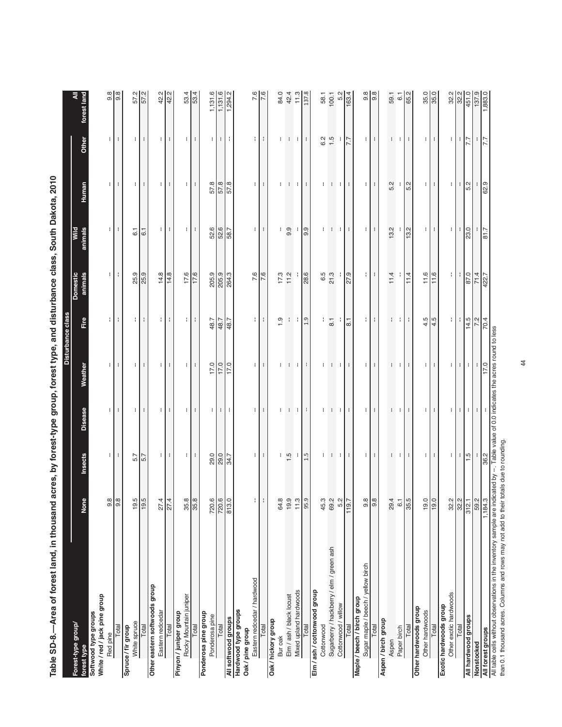|                                                                                        |                |                  |                       |                                                                    | Disturbance class        |                            |                       |                |                              |                               |
|----------------------------------------------------------------------------------------|----------------|------------------|-----------------------|--------------------------------------------------------------------|--------------------------|----------------------------|-----------------------|----------------|------------------------------|-------------------------------|
| Forest-type group/<br>forest type                                                      | None           | Insects          | <b>Disease</b>        | Weather                                                            | Fire                     | <b>Domestic</b><br>animals | animals<br>Wild       | <b>Human</b>   | Other                        | forest land                   |
| White / red / jack pine group<br>Softwood type groups                                  |                |                  |                       |                                                                    |                          |                            |                       |                |                              |                               |
| Red pine                                                                               | 9.8            | $\mathbf{H}$     | $\mathbf{H}$          | ÷.                                                                 | $\blacksquare$           | ÷.                         | $\mathbf{H}$          | ÷              | ÷.                           | 9.8                           |
| Total                                                                                  | $\frac{8}{9}$  | ÷                | $\pm$                 | $\mathbf{H}$                                                       | $\mathbf{H}$             |                            | ÷                     |                | $\mathbf{H}$                 | $\sqrt{8}$                    |
| Spruce / fir group                                                                     | 19.5           | 5.7              |                       |                                                                    |                          |                            | $\overline{6}$ .      |                |                              |                               |
| White spruce<br>Total                                                                  | 19.5           | $\frac{1}{5}$    | 1 H H                 | $\mathbf{I}$<br>$\mathbf{H}$                                       | ÷ I<br>$\mathbf{1}$      | 25.9<br>25.9               | $\overline{6.1}$      | H<br>÷         | $\mathbf{H}$<br>$\mathbf{r}$ | 57.2                          |
| Other eastern softwoods group                                                          |                |                  |                       |                                                                    |                          |                            |                       |                |                              |                               |
| Eastern redcedar                                                                       | 27.4           | Ħ                | $\mathbf{H}$          | $\mathbf{H}$                                                       | П                        | 14.8                       | $\mathbf{H}$          | $\mathbb{E}$   | $\mathbf{H}$                 | $rac{2}{42.2}$                |
| Total                                                                                  | 27.4           | $\pm$            | $\mathbf{L}$          | $\mathbb{C}^{\mathbb{Z}}$                                          | $\pm$                    | 14.8                       | $\mathbf{H}$          | $\mathbb{R}^n$ | $\mathbb{R}^n$               |                               |
| Rocky Mountain juniper<br>Pinyon / juniper group                                       | 35.8           |                  | $\lvert \cdot \rvert$ | Ħ                                                                  | Ŧ.                       | 17.6                       | $\lvert \cdot \rvert$ | $\mathbf{H}$   | ÷.                           |                               |
| Total                                                                                  | 35.8           | 8 H S            | $\cdot$               | ÷                                                                  | ÷                        | $\frac{17.6}{ }$           | ÷                     | ÷              | ÷                            | 53.4                          |
| Ponderosa pine group                                                                   |                |                  |                       |                                                                    |                          |                            |                       |                |                              |                               |
| Ponderosa pine<br>Total                                                                | 720.6<br>720.6 | $rac{1}{28}$     | $\mathbf{H}$          | 17.0                                                               | 48.7                     | 205.9                      | 52.6                  | 57.8           | ÷.                           | 1,131.6                       |
| All softwood groups                                                                    | 813.0          |                  | $\pm$<br>$\mathbf{f}$ | $\frac{0.21}{120}$                                                 | 48.7                     | 205.9                      | 52.6                  | 57.8           | $\pm$<br>$\mathbf{I}$        | $\frac{1,131.6}{1,294.2}$     |
| Hardwood type groups<br>Oak / pine group                                               |                |                  |                       |                                                                    |                          |                            |                       |                |                              |                               |
| Eastern redcedar / hardwood                                                            | ÷.             | 4 H H            | $\pm$ 1.1             | 4 H H                                                              | $\pm$                    | 7.6                        | 4 H H                 | ÷ I            | П                            | 7.6                           |
| Total                                                                                  | ÷              |                  |                       |                                                                    | $\pm$                    | $\frac{1}{6}$              |                       | $\mathbf{L}$   | $\pm$                        | $\frac{1}{2}$                 |
| Oak / hickory group<br>Bur oak                                                         | 64.8           | ÷                | ÷.                    |                                                                    | $\ddot{0}$               |                            | ÷                     | ÷              |                              | 84.0                          |
| Elm / ash / black locust                                                               | 19.9           | $1.\overline{5}$ | $\mathbb{R}^n$        | $\mathbf{1}$                                                       |                          | $17.3$<br>$11.2$           | 9.9                   | $\mathbf{H}$   | $1 - 1$                      | 42.4                          |
| Mixed upland hardwoods                                                                 | 11.3           | ÷                | $\pm$                 | $\pm$                                                              | ÷                        |                            | ÷                     | ÷              | $\pm$                        | 11.3                          |
| Total                                                                                  | 95.9           | $1.5\,$          | $\mathbf{1}$          | $\pm$                                                              | 1.9                      | 28.6                       | 9.9                   | ÷              | н.                           | 137.8                         |
| Elm / ash / cottonwood group                                                           |                |                  |                       |                                                                    |                          |                            |                       |                |                              |                               |
| Cottonwood                                                                             | 45.3           |                  | ÷                     | ÷                                                                  | $\frac{1}{\infty}$       | 6.5<br>21.3                | ÷                     | ÷              |                              |                               |
| Sugarberry / hackberry / elm / green ash                                               | 69.2           | $1 - 1 - 1$      | $\mathbf{H}$          | A.                                                                 |                          |                            | $\mathcal{L}$<br>n t  | ÷              | $6.2$ 5                      | 58.1<br>100.1<br>5.2<br>163.4 |
| Cottonwood / willow                                                                    | 5.2            |                  | H.                    | H.                                                                 | ÷                        |                            |                       | ÷              |                              |                               |
| Total                                                                                  | 119.7          | $\mathbb{R}^n$   | $\mathbf{H}$          | ÷.                                                                 | $\overline{8}$ .         | 27.9                       | $\mathbf{H}$          | ÷              | 7.7                          |                               |
| Sugar maple / beech / yellow birch<br>Maple / beech / birch group                      | 9.8            | ÷Г               | ÷Г                    | . I                                                                | $\cdot$ 1                | ÷ I                        | $\cdot$               | $\pm$          | - 1                          |                               |
| Total                                                                                  | 9.8            | $\mathbf{L}$     | $\mathbf{H}$          | $\mathbf{F}$                                                       | $\mathbf{H}$             | ÷                          | $\ddot{\phantom{a}}$  | ÷              | $\mathbf{H}$                 | $\frac{8}{9}$                 |
| Aspen / birch group                                                                    |                |                  |                       |                                                                    |                          |                            |                       |                |                              |                               |
| Aspen                                                                                  | 29.4           | ÷                | ÷                     | ÷                                                                  | ÷                        | 11.4                       | 13.2                  | 5.2            | ÷                            | 59.1                          |
| Paper birch                                                                            | 6.1            | $\pm 1 +$        | $\pm 1$               | ΠI                                                                 | ΠI                       |                            |                       |                | ÷ I                          | $\overline{6}$                |
| Total                                                                                  | 35.5           |                  | $\mathbf{L}$          | $\mathbb{R}^n$                                                     | $\mathbf{H}$             | 11.4                       | 13.2                  | 5.2            | ÷                            | 65.2                          |
| Other hardwoods group<br>Other hardwoods                                               | 19.0           | $\mathbf{H}$     | $\mathbf{H}$          | $\mathbf{H}$                                                       |                          | 11.6                       | ÷                     | H              | $\mathbf{H}$                 |                               |
| Total                                                                                  | 19.0           | $\mathbf{r}$     | $\mathbf{r}$          | ÷                                                                  | $\frac{4.5}{4.5}$        | 11.6                       | ÷                     | ÷              | ÷                            | 35.0                          |
| Other exotic hardwoods<br>Exotic hardwoods group                                       | 32.2           | ÷.               | $\pm$                 | $\mathbb{R}^n$                                                     | $\lvert \cdot \rvert$    | $\mathbf{H}$               | ÷.                    | ÷              | $\pm$                        |                               |
| Total                                                                                  | 32.2           |                  | $\mathbf{F}$          | $\pm$                                                              | $\mathbf{L}$             | ÷                          | $\mathbf{H}$          | $\mathcal{H}$  | $\mathbf{F}$                 | 32.2                          |
|                                                                                        | 312.1          | $\frac{1}{15}$   | $\pm$                 | ÷.                                                                 |                          |                            | 23.0                  | 5.2            | 7.7                          |                               |
| All hardwood groups<br>Nonstocked                                                      | 59.2           |                  | ÷.                    | ÷                                                                  | $\frac{14.5}{7}$<br>70.4 | $rac{87.0}{71.4}$          |                       |                |                              | 451.0<br>137.9<br>1,883.0     |
| All forest groups                                                                      | 1,184.3        | 36.2             |                       | 17.0                                                               |                          |                            | 81.7                  | $rac{1}{629}$  | $\frac{1}{7.7}$              |                               |
| All table cells without observations in the inventory sample are ind                   |                |                  |                       | icated by --. Table value of 0.0 indicates the acres round to less |                          |                            |                       |                |                              |                               |
| than 0.1 thousand acres. Columns and rows may not add to their totals due to rounding. |                |                  |                       |                                                                    |                          |                            |                       |                |                              |                               |

Table SD-8.—Area of forest land, in thousand acres, by forest-type group, forest type, and disturbance class, South Dakota, 2010 **Table SD-8.—Area of forest land, in thousand acres, by forest-type group, forest type, and disturbance class, South Dakota, 2010**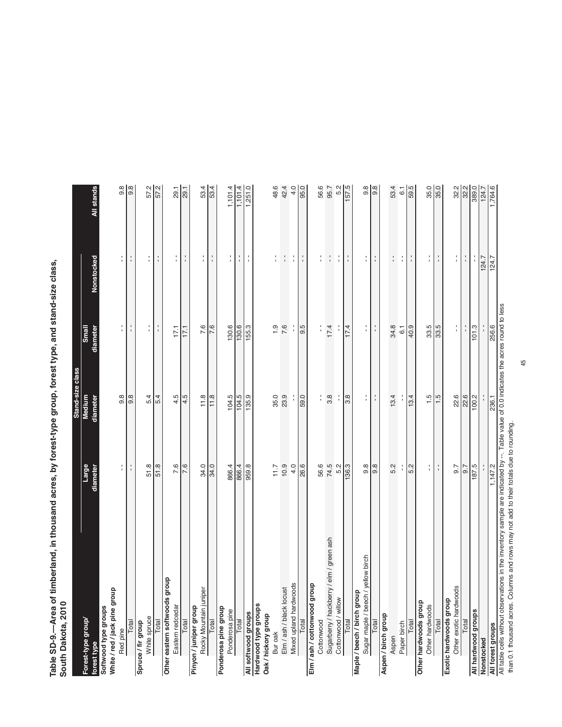Table SD-9.—Area of timberland, in thousand acres, by forest-type group, forest type, and stand-size class,<br>South Dakota, 2010 **Table SD-9.—Area of timberland, in thousand acres, by forest-type group, forest type, and stand-size class, South Dakota, 2010**

|                                                                                                                                                             |                        | Stand-size class |                |               |                  |
|-------------------------------------------------------------------------------------------------------------------------------------------------------------|------------------------|------------------|----------------|---------------|------------------|
| Forest-type group                                                                                                                                           | Large                  | <b>Medium</b>    | Small          |               |                  |
| forest type                                                                                                                                                 | diameter               | diameter         | diameter       | Nonstocked    | All stands       |
| Softwood type groups                                                                                                                                        |                        |                  |                |               |                  |
| White / red / jack pine group                                                                                                                               |                        |                  |                |               |                  |
| Red pine                                                                                                                                                    | ÷                      | 9.8              | Í              | Í             | 9.8              |
| Total                                                                                                                                                       | ÷                      | 9.8              | f,             | $\frac{1}{1}$ | $\frac{8}{9}$    |
| Spruce / fir group                                                                                                                                          |                        |                  |                |               |                  |
| White spruce                                                                                                                                                | 51.8                   | 5.4              | t,             | t,            |                  |
| Total                                                                                                                                                       | 51.8                   | 5.4              | f,             | t,            | 57.2             |
| qhou<br>Other eastern softwoods gr                                                                                                                          |                        |                  |                |               |                  |
| Eastern redcedar                                                                                                                                            | 7.6                    | 4.5              | 17.1           | t,            | 29.1             |
| Total                                                                                                                                                       | $\overline{7.6}$       | $\frac{4.5}{4}$  | 17.1           | ţ.            | 29.1             |
| Pinyon / juniper group                                                                                                                                      |                        |                  |                |               |                  |
| Rocky Mountain juniper                                                                                                                                      | 34.0                   | 11.8             | 7.6            | f,            | 53.4             |
| Total                                                                                                                                                       | 34.0                   | 11.8             | 7.6            | ÷,            | 53.4             |
| Ponderosa pine group                                                                                                                                        |                        |                  |                |               |                  |
| Ponderosa pine                                                                                                                                              | 866.4                  | 104.5            | 130.6          | f,            | 1,101.4          |
| Total                                                                                                                                                       | 866.4                  | 104.5            | 130.6          | t,            | 1,101.4          |
| All softwood groups                                                                                                                                         | 959.8                  | 135.9            | 155.3          | t             | 1,251.0          |
| Hardwood type groups                                                                                                                                        |                        |                  |                |               |                  |
| Oak / hickory group                                                                                                                                         |                        |                  |                |               |                  |
| Bur oak                                                                                                                                                     | $-11.7$                | 35.0             | $\frac{0}{1}$  | Í             | 48.6             |
| Elm / ash / black locust                                                                                                                                    | 10.9                   | 23.9             | 7.6            | ţ.            | 42.4             |
| Mixed upland hardwoods                                                                                                                                      | 4.0                    |                  |                | ţ.            | 4.0              |
| Total                                                                                                                                                       | 26.6                   | 59.0             | 9.5            | t             | 95.0             |
| Elm / ash / cottonwood group                                                                                                                                |                        |                  |                |               |                  |
| Cottonwood                                                                                                                                                  | 56.6                   |                  |                | f,            | 56.6             |
| Sugarberry / hackberry / elm / green ash                                                                                                                    | 74.5                   | 3.8              | 17.4           | $\mathbf{r}$  | 95.7             |
| Cottonwood / willow                                                                                                                                         | 5.2                    |                  |                | Í             | 5.2              |
| Total                                                                                                                                                       | 136.3                  | 3.8              | 17.4           | ÷             | 157.5            |
| dno.fo upseq / picp do.                                                                                                                                     |                        |                  |                |               |                  |
| yellow birch<br>Sugar maple / beech                                                                                                                         | $9.\overline{8}$       | ţ                | Ť.             | ţ.            | $9.\overline{8}$ |
| Total                                                                                                                                                       | 9.8                    | ţ.               | f,             | t,            | 9.8              |
| Aspen / birch group                                                                                                                                         |                        |                  |                |               |                  |
| Aspen                                                                                                                                                       | 5.2                    | 13.4             | 34.8           | $\frac{1}{4}$ | 53.4             |
| Paper birch                                                                                                                                                 |                        |                  | $\overline{6}$ | ţ.            | $\overline{6.1}$ |
| Total                                                                                                                                                       | 5.2                    | 13.4             | 40.9           | f,            | 59.5             |
| Other hardwoods group                                                                                                                                       |                        |                  |                |               |                  |
| Other hardwoods                                                                                                                                             | $\frac{1}{1}$          | $\ddot{5}$       | 33.5           | ţ.            | 35.0             |
| Total                                                                                                                                                       | $\mathord{\mathsf{I}}$ | 1.5              | 33.5           | ÷             | 35.0             |
| Exotic hardwoods group                                                                                                                                      |                        |                  |                |               |                  |
| $\overline{\omega}$<br>Other exotic hardwood                                                                                                                | 5.6                    | 22.6             | l,             | t,            | 32.2             |
| Total                                                                                                                                                       | 0.7                    | 22.6             |                | ţ.            | 32.2             |
| All hardwood groups                                                                                                                                         | 187.5                  | 100.2            | 101.3          | f,            | 389.0            |
| Nonstocked                                                                                                                                                  |                        |                  |                | 124.7         | 124.7            |
|                                                                                                                                                             |                        |                  |                | 124.7         | 1,764.6          |
| All forest groups<br>All table cells without observations in the inventory sample are indicated by --. Table value of 0.0 indicates the acres round to less |                        |                  |                |               |                  |

than 0.1 thousand acres. Columns and rows may not add to their totals due to rounding. than 0.1 thousand acres. Columns and rows may not add to their totals due to rounding.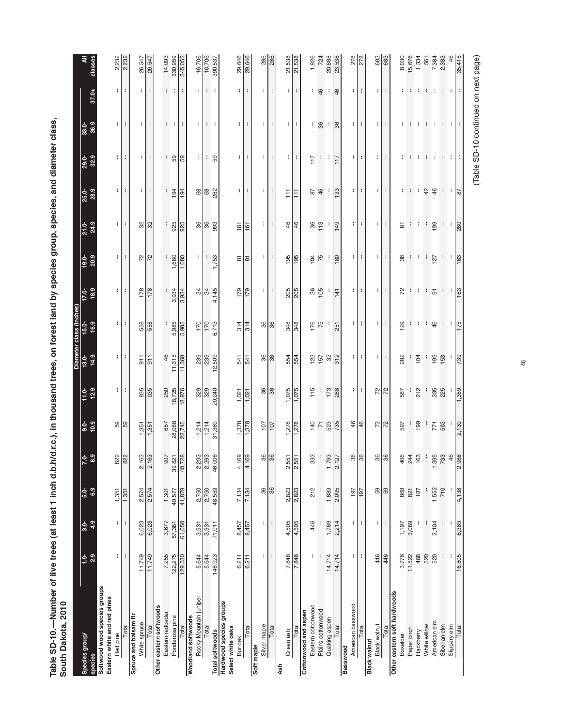Table SD-10.—Number of live trees (at least 1 inch d.b.h/d.r.c.), in thousand trees, on forest land by species group, species, and diameter class,<br>South Dakota, 2010 **Table SD-10.—Number of live trees (at least 1 inch d.b.h/d.r.c.), in thousand trees, on forest land by species group, species, and diameter class, South Dakota, 2010**

|                                                             |                      |               |               |                       |                          |              |                  | Diameter class (inches) |                 |                      |                 |                 |               |                 |                |                  |
|-------------------------------------------------------------|----------------------|---------------|---------------|-----------------------|--------------------------|--------------|------------------|-------------------------|-----------------|----------------------|-----------------|-----------------|---------------|-----------------|----------------|------------------|
| Species group/<br>species                                   | 2.9<br>$\frac{1}{2}$ | 4.9<br>$3.0-$ | 6.9<br>$5.0-$ | ್ತೆ ಇ                 | 10.9<br>$9.0-$           | 12.9<br>11.0 | $13.0-$<br>14.9  | 16.9<br>$15.0 -$        | 18.9<br>$17.0-$ | 20.9<br>$19.0 -$     | 24.9<br>$21.0-$ | 28.9<br>25.0-   | 32.9<br>29.0- | 36.9<br>$33.0-$ | 37.0+          | classes<br>₹     |
| Softwood wood species groups<br>Eastern white and red pines |                      |               |               |                       |                          |              |                  |                         |                 |                      |                 |                 |               |                 |                |                  |
| Red pine                                                    | ÷.                   | ł.            | 1,351         |                       | 59                       | ÷            | ÷                | ÷                       | ÷.              | ÷.                   | ÷.              | ÷.              | ÷.            | ÷.              | ÷.             |                  |
| Total                                                       | ÷                    | $\mathbf{I}$  | 1,351         | 822                   |                          | ÷            | ÷                | ÷                       | ÷               | ÷                    |                 | ÷               | ÷             | ÷               | ÷              | 2,232<br>2,232   |
| Spruce and balsam fir                                       |                      |               |               |                       |                          |              |                  |                         |                 |                      |                 |                 |               |                 |                |                  |
| White spruce                                                | 11,749               | 6,023         | 2,574         | 88<br>$2,1$           | 1,351                    | 935          | 911              | 558                     | 178             | $72^{2}$             | 32 <sub>8</sub> | t               | ÷             | ÷               | t              | 26,547<br>26,547 |
| Total                                                       | 11,749               | 6,023         | 2,574         | 2,1                   | 1,351                    | 935          | $\overline{911}$ | 558                     | 178             |                      |                 | ÷               | ÷             | ÷               | t              |                  |
| Other eastern softwoods                                     |                      |               |               |                       |                          |              |                  |                         |                 |                      |                 |                 |               |                 |                |                  |
| Eastern redcedar                                            | 7,255                | 3,677         | 1,301         | 907                   | 657                      | 250          | 46               | ł                       | ł               | ł                    | ł               | ł.              | t.            | t.              | t.             | 14,093           |
| Ponderosa pine                                              | 122,275              | 57,381        | 40,577        | 39,821                | 28,088                   | 18,725       | 11,315           | 5,985                   | 3,934           | 1,680                | 925             | 194             | 59            | ÷               | л.             | 330,959          |
| Total                                                       | 129,530              | 61,058        | 41,879        | 40,728                | 28,745                   | 18,976       | 11,360           | 5,985                   | 3,934           | 1,680                | 925             | 194             | 59            | ÷               | ÷              | 345,052          |
| Rocky Mountain juniper<br>Woodland softwoods                | 5,644                | 3,931         | 2,750         | 2,293                 | 1,214                    | 329          |                  | 170                     |                 | ÷.                   | 36              | 89              | ÷.            | ÷.              | ÷.             | 16,706           |
| Total                                                       | 5,644                | 3,931         | 2,750         |                       | 1,214                    | 329          | $\frac{23}{23}$  | 170                     | $\frac{34}{4}$  | ÷                    | 36              | 68              | ÷.            | ÷.              | ÷              | 16,706           |
| <b>Total softwoods</b>                                      | 146,923              | 71,011        | 48,553        | 2,293<br>46,006       | 31,369                   | 20,240       | 509<br><u>بہ</u> | 6,713                   | 4,145           | 1,753                | 888             | 262             | 59            | ÷               | ÷              | 390,537          |
| Hardwood species groups<br>Select white oaks<br>Bur oak     | 6,211                | 8,457         | 7,134         | 89<br>$\frac{1}{4}$   | 1,378                    | 1,021        | 541              | 314                     | 179             | 5                    | 161             | ŧ               | ÷             | ł.              | t.             | 29,646           |
| Total                                                       | 6,211                | 8,457         | 7,134         | 69<br>4,1             | 1,378                    | 1,021        | 541              | 314                     | 179             | ᇮ                    | 161             | ÷               | ÷             | ÷               | ÷              | 29,646           |
| Silver maple<br>Soft maple                                  | ţ.                   | ŧ             | 36            |                       | 107                      | 36           | 36               | 36                      | ÷,              | ÷,                   | ÷,              | ł.              | ł.            | ţ.              | ł.             | 286              |
| Total                                                       | ÷                    | ł             | 36            | <b>96</b>             | 107                      | 36           | 86               | 36                      | ÷               | ÷                    | ÷               | ÷               | ÷             | ÷               | $\mathbf i$    | 286              |
| Green ash<br>Ash                                            | 7,848                | 4,505         | 2,823         |                       |                          | 1,075        | 554              | 348                     | 205             | 195                  | 46              | F               | $\mathbf{H}$  | $\mathbb{E}$    | $\mathbb{E}$   |                  |
| Total                                                       | 7,848                | 4,505         | 2,823         | $\frac{2,551}{2,551}$ | $\frac{1,278}{1,278}$    | 1,075        | 554              | 348                     | 205             | 195                  | 46              | $\overline{11}$ | ÷             | ł               | ł              | 21,538<br>21,538 |
| Eastem cottonwood<br>Cottonwood and aspen                   | ÷                    | 446           | 212           | 33<br>ო               | 140                      | 115          | 123              | 176                     | 36              | 104                  | 36              | 52              | 117           | ŧ               |                | 1,926            |
| Plains cottonwood                                           | J.                   |               |               | Ť                     | $\overline{\phantom{a}}$ |              | 157              | 75                      | 105             | 75                   | 113             | 46              | ÷             | 36              | $+$ 46         | 724              |
| Quaking aspen                                               | 14,714               | 1,769         | 1,883         | $\frac{1,793}{2,127}$ | 523                      | 173          | 32               |                         |                 |                      |                 |                 | ÷             | ÷               | ÷              | 20,888           |
| Total                                                       | 14,714               | 2,214         | 2,095         |                       | 735                      | 288          | 312              | 251                     | 141             | 180                  | 149             | 133             | 117           | 36              | 46             | 23,538           |
| American basswood<br>Basswood                               | ÷                    | t             | 197           |                       | 46                       | ÷.           | ÷                | ÷                       | ÷               | ÷                    | ÷               | ÷               | ÷             | ÷               | ÷              |                  |
| Total                                                       | ÷                    | ŧ             | 197           | <b>36</b>             | 46                       | ÷            | ÷                | ÷                       | ÷               | ÷                    | ÷               | ÷               | ÷             | ÷               | ÷              | 278              |
| Black walnut<br><b>Black walnut</b>                         | 446                  | ÷             | S9            | 36                    | 72                       | 72           | ÷.               | ÷.                      | ÷.              | ÷.                   | t.              | ÷.              | ÷.            | ÷.              | ÷              | 683              |
| Total                                                       | 446                  | ÷             | 59            | 86                    | $\approx$                | $\approx$    | ÷                | ÷                       | ÷               | ÷                    | ÷               | ÷               | ÷             | ÷               | ÷              | 683              |
| Other eastern soft hardwoods                                |                      |               | 868           |                       |                          |              | 282              |                         |                 |                      |                 |                 |               |                 |                |                  |
| Boxelder                                                    | 3,776                | 1,197         |               | 406                   | 597                      | 587          |                  | 129                     | 72              | 36                   | 5               | ł               | t             | t               |                | 8,030            |
| Paper birch                                                 | 11,522               | 3,089         | 821           | 244                   |                          |              |                  |                         | ÷               | $\ddot{\phantom{a}}$ | ÷,              | ÷               | ÷             | ÷               | ÷              | 15,676           |
| Hackberry                                                   | 468                  | ÷             | 187           | 63                    | 199                      | 212          | 104              | H.                      | ÷               | ÷                    | ÷               | ÷               | ÷             | ÷               | H.             | 1,334            |
| White willow                                                | 520                  | ł             |               | ÷,                    |                          |              | I,               | ÷                       | ÷               | ÷,                   | ÷,              | 42              | ÷             | -1              | <b>COM</b>     | 561              |
| American elm                                                | 520                  | 2,104         | 1,552         | 1,395<br>733          | 771                      | 335          | 199              | 46                      | $\overline{5}$  | 127                  | 199             | 46              | ÷             | ÷               |                | 7,384            |
| Siberian elm<br>Slippery elm                                | t                    | ÷<br>÷        | 710<br>÷      |                       | 563                      | 225          | 153              | ÷<br>- 1                | $\mathbf{1}$    | ÷.<br>÷              | ÷<br>÷          | 4 H             | $1 - 1$       | $1 - 1$         | <b>COLLEGE</b> | 2,383            |
| Total                                                       | 16,805               | 6,389         | 4,138         | 46<br>2,986           | 2,130                    | 1,359        | 739              | 175                     | 163             | 163                  | 280             | $\frac{8}{2}$   |               |                 |                | 46<br>35,415     |
|                                                             |                      |               |               |                       |                          |              |                  |                         |                 |                      |                 |                 |               |                 | ł              |                  |

(Table SD-10 continued on next page) (Table SD-10 continued on next page)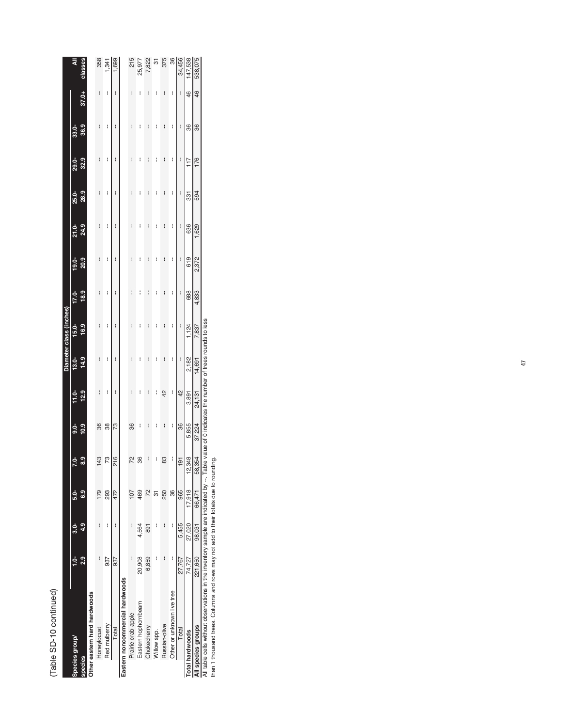## (Table SD-10 continued) (Table SD-10 continued)  $\frac{1}{2}$

|                                 |         |               |                |                  |          |               |          | Diameter class (inches) |       |          |          |              |          |      |       |         |
|---------------------------------|---------|---------------|----------------|------------------|----------|---------------|----------|-------------------------|-------|----------|----------|--------------|----------|------|-------|---------|
| Species group                   |         | <u>م</u><br>م | <u>ძ.</u>      | $7.0 -$          | <u>ം</u> | $\frac{1}{1}$ | $13.0 -$ | $15.0 -$                | 17.0- | $19.0 -$ | $21.0 -$ | <b>25.0-</b> | $29.0 -$ | 33.0 |       | ₹       |
| <b>Species</b>                  | o<br>N  | 4.9           | ဒီ             | 0<br>ස           | 10.9     | 12.9          | 14.9     | 16.9                    | 18.9  | 20.9     | 24.9     | 28.9         | 32.9     | 36.9 | 37.0+ | classes |
| Other eastern hard hardwoods    |         |               |                |                  |          |               |          |                         |       |          |          |              |          |      |       |         |
| Honeylocust                     | I       | I             | 179            |                  | 36       | i             | i        | i                       | I     | I        | I        | I            | I        | I    | I     | 358     |
| Red mulberry                    | 937     | ł             | 293            | 73               | 38       | I             | i        | l                       | I     | I        | I        | I            | I        | I    | I     | 1,341   |
| Total                           | 937     | i             | 472            | 216              | 73       | i             | I        | I                       | i     | i        | i        | i            | i        | i    | I     | 1,699   |
| Eastern noncommercial hardwoods |         |               |                |                  |          |               |          |                         |       |          |          |              |          |      |       |         |
| Prairie crab apple              | i       | I             | 107            |                  | 36       | I             | I        | I                       | I     | I        | I        | I            | I        | i    | I     | 215     |
| Eastern hophornbeam             | 20,908  | 4,564         | 469            | 36               | I        | I             | I        | I                       | I     | I        | I        | I            | I        | i    | I     | 25,977  |
| Chokecherry                     | 6,859   | 891           | $\overline{2}$ | i                | I        | i             | I        | I                       | i     | i        | I        | I            | I        | I    | I     | 7,822   |
| Willow spp.                     | i       | I             | ᢛ              | I                | I        | I             | I        | l                       | l     | I        | I        | I            | I        | I    | I     | 5       |
| Russian-olive                   | i       | I             | 250            | 83               | i        | 42            | i        | i                       | i     | i        | I        | I            | i        | i    | I     | 375     |
| Other or unknown live tree      | i       | i             | 36             | i                | I        | i             | i        | l                       | i     | I        | I        | I            | I        | I    | I     | 36      |
| Total                           | 27,767  | 5,455         | 965            | 191              | 36       | 42            | i        | I                       | I     | I        | i        | I            | I        | I    | I     | 34,456  |
| <b>Total hardwoods</b>          | 74.727  | 27,020        | 17.918         | 348<br>$\approx$ | 5,855    | 3,891         | 2,182    | 1,124                   | 688   | 619      | 636      | 331          | 117      | 36   | 46    | 147,538 |
| All species groups              | 221,650 | 98,031        | 66,471         | .354<br>S8       | 37,224   | 24,131        | 14,691   | 7,837                   | 4,833 | 2,372    | 1,629    | 594          | 176      | 36   | 46    | 538,075 |

All table cells without observations in the inventory sample are indicated by --. Table value of 0 indicates the number of trees rounds to less<br>than 1 thousand trees. Columns and rows may not add to their totals due to rou All table cells without observations in the inventory sample are indicated by --. Table value of 0 indicates the number of trees rounds to less

than 1 thousand trees. Columns and rows may not add to their totals due to rounding.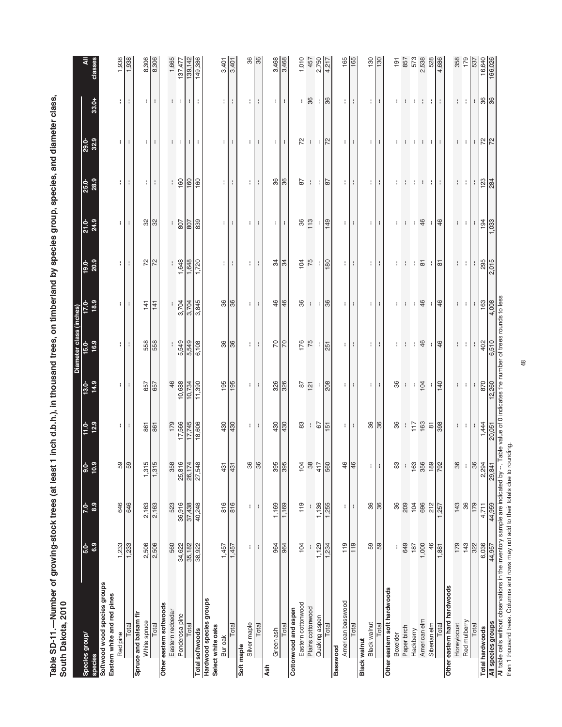Table SD-11.—Number of growing-stock trees (at least 1 inch d.b.h.), in thousand trees, on timberland by species group, species, and diameter class,<br>South Dakota, 2010 **Table SD-11.—Number of growing-stock trees (at least 1 inch d.b.h.), in thousand trees, on timberland by species group, species, and diameter class, South Dakota, 2010**

| Species group/<br>species                                                            | 6.9<br>$5.0-$   | 8.9<br>$7.0-$ | ဒိ<br>$rac{6}{5}$       | 12.9<br>$11.0 -$                  | 14.9<br>$13.0-$                                               | Diameter class (inches)<br>15.0-<br>17.0<br>16.9        | 18.9<br>17.0-           | 20.9<br>$19.0-$         | 24.9<br>21.0      | 25.0-<br>28.9                      | 32.9<br>$29.0-$                           | 33.0+          |                               |
|--------------------------------------------------------------------------------------|-----------------|---------------|-------------------------|-----------------------------------|---------------------------------------------------------------|---------------------------------------------------------|-------------------------|-------------------------|-------------------|------------------------------------|-------------------------------------------|----------------|-------------------------------|
| Softwood wood species groups<br>Eastern white and red pines<br>Red pine              | 1,233           | 646           |                         | $\lvert \cdot \rvert$             | ŧ.                                                            | -11                                                     | ÷.                      | ÷.                      | ÷.                | ÷.                                 | ÷.                                        | ÷              | 1,938                         |
| Total                                                                                | 1,233           | 646           | $\frac{59}{59}$         | ÷                                 | ÷                                                             | ÷                                                       | ÷                       | ÷                       | ÷                 | ÷                                  | ÷                                         | ÷              | 1,938                         |
| Spruce and balsam fir                                                                |                 |               |                         |                                   |                                                               |                                                         |                         |                         |                   |                                    |                                           |                |                               |
| White spruce                                                                         | 2,506           | 2,163         | $\frac{1,315}{1,315}$   | 861                               | 657                                                           | 558                                                     | 141                     | 72                      | $\frac{32}{32}$   | $\pm$                              | $\lvert \cdot \rvert$                     | $\mathbf{H}$   | 8,306                         |
| Total                                                                                | 2,506           | 2,163         | 1,31                    | 861                               | 657                                                           | 558                                                     | 141                     |                         |                   | ÷                                  | ÷.                                        | ÷              | 8,306                         |
| Other eastern softwoods                                                              |                 |               |                         |                                   |                                                               |                                                         |                         |                         |                   |                                    |                                           |                |                               |
| Eastern redcedar                                                                     | 560             | 523           | 358<br>25,816           |                                   | 46                                                            | ÷                                                       | $\pm$                   | $\mathbf{I}$            | п.                |                                    | $1 - 1$                                   | $\mathbf{1}$   | 1,665                         |
| Ponderosa pine                                                                       | 34,622          | 36,916        |                         |                                   | $\frac{10,688}{10,734}$                                       | 5,549<br>5,549                                          |                         | 1,648                   | 807               | $\frac{160}{160}$                  |                                           |                |                               |
| Total                                                                                | 35,182          | 37,438        | 26, 174<br>27, 548      | 179<br>17,566<br>18,606<br>18,606 |                                                               |                                                         | 3,704<br>3,704<br>3,845 |                         |                   |                                    | ÷                                         | $\mathbf{I}$   | 137,477<br>139,142<br>149,386 |
| <b>Total softwoods</b>                                                               | 38,922          | 40,248        |                         |                                   | 11,390                                                        | 6,108                                                   |                         | 1,720                   | 839               | 160                                | ÷                                         | ÷              |                               |
| Hardwood species groups<br>Select white oaks                                         |                 |               |                         |                                   |                                                               |                                                         |                         |                         |                   |                                    |                                           |                |                               |
| Bur oak                                                                              | 1,457           | 816           | 431                     | 430                               | 195                                                           |                                                         | $\frac{8}{3}$           | Ш                       | - 1               | $\pm$                              | $\pm$                                     | ÷Г             |                               |
| Total                                                                                | 1,457           | 816           | $\frac{43}{1}$          | 430                               | 195                                                           | $\frac{8}{36}$                                          | 36                      | $\mathbf{I}$            | ÷                 | ÷                                  | ÷                                         | ÷              | $\frac{3,401}{3,401}$         |
| Soft maple                                                                           |                 |               |                         |                                   |                                                               |                                                         |                         |                         |                   |                                    |                                           |                |                               |
| Silver maple                                                                         | ÷               | ÷             | $\frac{8}{36}$          | $\cdot$ 1                         | ÷.                                                            | $\mathbf{H}$                                            | $\ddot{\phantom{a}}$    | $\mathbf{H}$            | $\mathbf{H}$      | $\ddot{\phantom{a}}$               | $\mathbf{H}$                              | ÷.             | $\frac{8}{8}$                 |
| Total                                                                                | ŀ               | $\mathbf{I}$  |                         | ÷                                 | ÷                                                             | $\mathbf{I}$                                            | ÷                       | ÷.                      | $\mathbf{r}$      | ÷                                  | $\mathbf{H}$                              | $\mathbf{I}$   |                               |
| Ash                                                                                  |                 |               |                         |                                   |                                                               |                                                         |                         |                         |                   |                                    |                                           |                |                               |
| Green ash                                                                            | 964             | 1,169         | $\frac{395}{395}$       | 430                               | 326                                                           | RR                                                      | 46                      | 34                      | ÷                 | 86                                 | $\pm$                                     | Ħ              | 3,468                         |
| Total                                                                                | 964             | 1,169         |                         | 430                               | 326                                                           |                                                         | 46                      | $\frac{3}{4}$           | ÷.                | 36                                 | ÷.                                        | ÷.             | 3,468                         |
| Cottonwood and aspen                                                                 |                 |               |                         |                                   |                                                               |                                                         |                         |                         |                   |                                    |                                           |                |                               |
| Eastern cottonwood                                                                   | 104             | 119           | $\frac{1}{2}$           | $\pmb{\mathbb{S}}$                | $87$                                                          | 176                                                     | 36                      | $\frac{104}{75}$        | 86                | 28                                 | 72                                        | ÷              | 1,010                         |
| Plains cottonwood                                                                    |                 |               | $38$                    | $\mathbf{I}$                      | 121                                                           | 75                                                      | $\pm$                   |                         | 113               | $\left\langle \cdot \right\rangle$ | $1 - 1$                                   | 36             | 457                           |
| Quaking aspen                                                                        | 1,129           | 1,136         | 417                     | 67                                |                                                               | ÷                                                       | ÷                       |                         |                   | $\mathbf{I}$                       |                                           | ÷              | 2,750                         |
| Total                                                                                | 1,234           | 1,255         | 560                     | $\frac{15}{2}$                    | 208                                                           | 251                                                     | 86                      | 80                      | <b>9H</b>         | $\frac{8}{2}$                      | $\overline{2}$                            | 86             | 4,21                          |
| Basswood                                                                             | 119             |               |                         |                                   |                                                               |                                                         |                         |                         |                   |                                    |                                           |                |                               |
| American basswood                                                                    |                 | ÷.            | \$                      | - 1                               | ПI                                                            | $\mathbf{1}$                                            | $\ddot{\phantom{0}}$    | $\pm$ $\pm$             | $\pm$             | $\ddot{\phantom{0}}$               | - 1                                       | Ħ              | 165                           |
| Total                                                                                | 119             | $\mathbf{I}$  | $\frac{4}{3}$           | ÷                                 | $\pm$                                                         |                                                         | ÷                       |                         | $\mathbb{R}^n$    | ÷                                  | $\mathcal{V}$                             | Ч.             | 165                           |
| Black walnut<br><b>Black walnut</b>                                                  | 59              | 36            | ÷,                      | 36                                |                                                               | $\pm$                                                   | Ħ                       |                         | $\pm$             |                                    |                                           | Ħ              | 130                           |
| Total                                                                                | 59              | 36            |                         |                                   | 3 H S                                                         | H.                                                      | H.                      | H H                     | <b>H</b>          | 3 H S                              | 3 H S                                     | ÷              | $\frac{130}{2}$               |
| Other eastern soft hardwoods                                                         |                 |               |                         |                                   |                                                               |                                                         |                         |                         |                   |                                    |                                           |                |                               |
| Boxelder                                                                             | ł               | 36            | 83                      | 36                                | 86                                                            | ÷                                                       | ÷                       | ÷                       | ÷                 | ÷                                  | ÷                                         |                | 191                           |
| Paper birch                                                                          | 649             | 209           | ÷                       |                                   | $\mathbf{I}$                                                  | $\mathbf{I}$                                            |                         | $\mathbf{H}$            | ÷                 |                                    |                                           |                | 857                           |
| Hackberry                                                                            | 187             | 104           |                         | 117                               | $\cdot$                                                       | n t                                                     | $\cdot$                 | ÷                       | ÷                 | ÷                                  | ÷                                         | п.             | 573                           |
| American elm                                                                         | 1,000           | 696           |                         | 163                               | 104                                                           | 46                                                      | 46                      | $\overline{\mathtt{s}}$ | $\frac{4}{6}$     | $\cdot$                            | $\mathbf{1}$                              | $\cdot$        |                               |
| Siberian elm                                                                         | 46              | 212           | $163$<br>$356$<br>$189$ | $\overline{\bf 8}$                |                                                               | $\frac{4}{6}$                                           |                         | $\pm$                   | $\frac{4}{6}$     | ÷.                                 |                                           | ÷.             | 2,538<br>528                  |
| Total                                                                                | 1,881           | .257          | 792                     | 866                               | $\frac{140}{5}$                                               |                                                         | 46                      | $\frac{1}{8}$           |                   | ÷                                  | н.                                        | ÷              | 4,686                         |
| Other eastern hard hardwoods                                                         |                 |               |                         |                                   |                                                               |                                                         |                         |                         |                   |                                    |                                           |                |                               |
| Honeylocust                                                                          | 179             | 143           | 36                      | ÷.                                | t.                                                            |                                                         | ÷.                      |                         |                   | ÷.                                 |                                           | $\mathbb{R}^n$ | 358                           |
| Red mulberry                                                                         | 143             | 36            | ÷,                      | ÷                                 | $\blacksquare$                                                | $\left\vert 1\right\rangle$ $\left\vert 1\right\rangle$ | ÷                       | $\cdots$                | $\cdots$          | ÷.                                 | $\cdots$                                  | - 1            | 179                           |
| Total                                                                                | 322             | 179           | 86                      |                                   |                                                               | $\mathbf{1}$                                            |                         | $\pm$                   |                   |                                    |                                           |                | 537                           |
| <b>Total hardwoods</b>                                                               | 6,036<br>44,957 | 4,711         | 2,294                   | $\frac{1,444}{20,051}$            | $\frac{1}{870}$                                               | 402<br>6,510                                            | $\frac{163}{4,008}$     | 295<br>2,015            | $\frac{1}{1,033}$ | $\frac{188}{284}$                  | $\frac{1}{2}$ $\frac{1}{2}$ $\frac{1}{2}$ | $\frac{1}{8}$  | 16,640<br>166,026             |
| All species groups                                                                   |                 | 44,959        |                         |                                   | 12,260                                                        |                                                         |                         |                         |                   |                                    |                                           |                |                               |
| All table cells without observations in the inventory sample are indicated by ---    |                 |               |                         |                                   | Table value of 0 indicates the number of trees rounds to less |                                                         |                         |                         |                   |                                    |                                           |                |                               |
| than 1 thousand trees. Columns and rows may not add to their totals due to rounding. |                 |               |                         |                                   |                                                               |                                                         |                         |                         |                   |                                    |                                           |                |                               |
|                                                                                      |                 |               |                         |                                   |                                                               | 48                                                      |                         |                         |                   |                                    |                                           |                |                               |
|                                                                                      |                 |               |                         |                                   |                                                               |                                                         |                         |                         |                   |                                    |                                           |                |                               |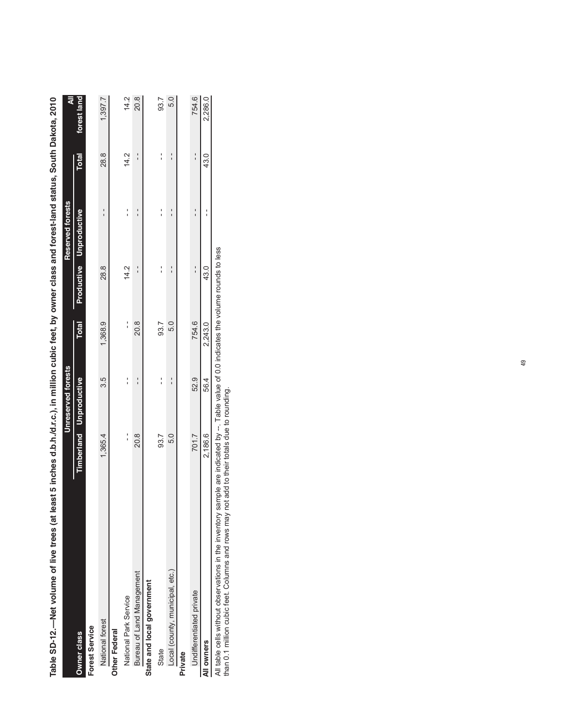| rable SD-12.—Net Volume of Irve trees (at least 5 Inc.), in million cubic feer, by owner class and by owner class and besi-lands south Dakota, 2010 |         |                                |              |      |                         |              |             |
|-----------------------------------------------------------------------------------------------------------------------------------------------------|---------|--------------------------------|--------------|------|-------------------------|--------------|-------------|
|                                                                                                                                                     |         | Unreserved forests             |              |      | Reserved forests        |              | ₹           |
| <b>Owner class</b>                                                                                                                                  |         | <b>Timberland Unproductive</b> | <b>Total</b> |      | Productive Unproductive | <b>Total</b> | forest land |
| <b>Forest Service</b>                                                                                                                               |         |                                |              |      |                         |              |             |
| National forest                                                                                                                                     | 1,365.4 | 3.5                            | 1,368.9      | 28.8 |                         | 28.8         | 1,397.7     |
| <b>Other Federal</b>                                                                                                                                |         |                                |              |      |                         |              |             |
| National Park Service                                                                                                                               |         | ı                              | י<br>י       | 14.2 |                         | 14.2         | 14.2        |
| Bureau of Land Management                                                                                                                           | 20.8    |                                | 20.8         |      |                         |              | 20.8        |
| State and local government                                                                                                                          |         |                                |              |      |                         |              |             |
| State                                                                                                                                               | 93.7    |                                | 93.7         |      |                         |              | 93.7        |
| Local (county, municipal, etc.)                                                                                                                     | 5.0     |                                | 5.0          |      |                         |              | 5.0         |
| Private                                                                                                                                             |         |                                |              |      |                         |              |             |
| Undifferentiated private                                                                                                                            | 701.7   | 52.9                           | 754.6        |      |                         |              | 754.6       |
| All owners                                                                                                                                          | 2,186.6 | 56.4                           | 2,243.0      | 43.0 |                         | 43.0         | 2,286.0     |
|                                                                                                                                                     |         |                                |              |      |                         |              |             |

and forest-land status South Dakota 2010 **Table SD-12.—Net volume of live trees (at least 5 inches d.b.h./d.r.c.), in million cubic feet, by owner class and forest-land status, South Dakota, 2010** alace ł cubic feat by own Tabla SD-12 —Nat volume of live trees (at least 5 inches d b b /d r o ) in million

All table cells without observations in the inventory sample are indicated by --. Table value of 0.0 indicates the volume rounds to less<br>than 0.1 million cubic feet. Columns and rows may not add to their totals due to roun All table cells without observations in the inventory sample are indicated by --. Table value of 0.0 indicates the volume rounds to less

than 0.1 million cubic feet. Columns and rows may not add to their totals due to rounding.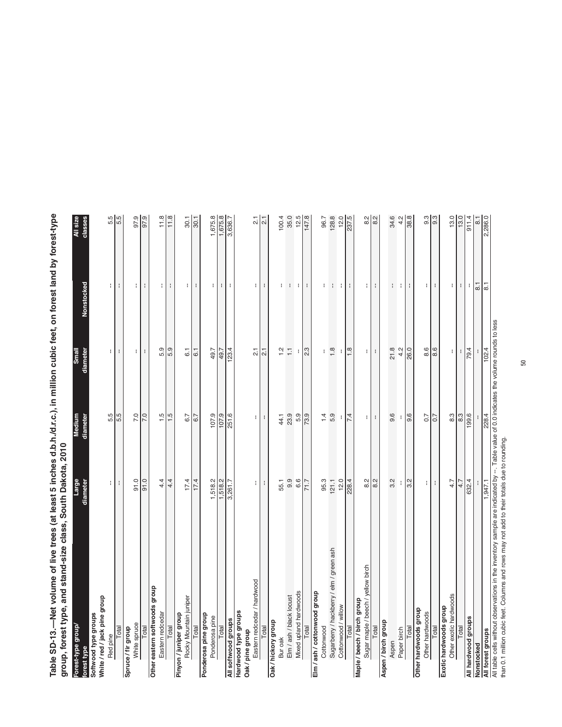Table SD-13.—Net volume of live trees (at least 5 inches d.b.h./d.r.c.), in million cubic feet, on forest land by forest-type<br>group, forest type, and stand-size class, South Dakota, 2010 **Table SD-13.—Net volume of live trees (at least 5 inches d.b.h./d.r.c.), in million cubic feet, on forest land by forest-type group, forest type, and stand-size class, South Dakota, 2010**

| Forest-type group/                                                                                                                              | Large            | Medium           | Small            |                  | All size          |
|-------------------------------------------------------------------------------------------------------------------------------------------------|------------------|------------------|------------------|------------------|-------------------|
| orest type                                                                                                                                      | diameter         | diameter         | diameter         | Nonstocked       | classes           |
| Softwood type groups                                                                                                                            |                  |                  |                  |                  |                   |
| White / red / jack pine group                                                                                                                   |                  |                  |                  |                  |                   |
| Red pine                                                                                                                                        | ł.               | 5.5              | ÷.               | ÷.               | 5.5<br>5.5        |
| Total                                                                                                                                           | $\mathbf{I}$     | 5.5              | $\mathbf{I}$     | $\mathbf{I}$     |                   |
| Spruce / fir group                                                                                                                              |                  |                  |                  |                  |                   |
| White spruce                                                                                                                                    | 0.10             | 7.0              | ÷                | ÷                | 97.9              |
| Total                                                                                                                                           | 91.0             | 7.0              | ÷                | ÷                | 97.9              |
| Other eastern softwoods group                                                                                                                   |                  |                  |                  |                  |                   |
| Eastern redcedar                                                                                                                                | 4.4              | 1.5              | 5.9              | ÷                | 11.8              |
| Total                                                                                                                                           | 4.4              | 1.5              | 5.9              | $\mathbf{I}$     | 11.8              |
| Pinyon / juniper group                                                                                                                          |                  |                  |                  |                  |                   |
| Rocky Mountain juniper                                                                                                                          | 17.4             | 6.7              | $\overline{6}$ . | П                | 30.1              |
| Total                                                                                                                                           | 17.4             | 6.7              | 6.1              | ÷                | $\overline{30.1}$ |
| Ponderosa pine group                                                                                                                            |                  |                  |                  |                  |                   |
| Ponderosa pine                                                                                                                                  | 1,518.2          | 107.9            | 49.7             | ÷                |                   |
| Total                                                                                                                                           | 1,518.2          | 107.9            | 49.7             | ÷                | 1,675.8           |
| All softwood groups                                                                                                                             | 3,261.7          | 251.6            | 123.4            | ÷                | 3,636.7           |
| Hardwood type groups                                                                                                                            |                  |                  |                  |                  |                   |
| Oak / pine group                                                                                                                                |                  |                  |                  |                  |                   |
| Eastern redcedar / hardwood                                                                                                                     | ÷                | ŧ.               | $\overline{21}$  | $\blacksquare$   | $\overline{2}$ .  |
| Total                                                                                                                                           | ÷                | $\mathbf{I}$     | $\overline{2}$ . | $\mathbf{I}$     | $\overline{c}$    |
| Oak / hickory group                                                                                                                             |                  |                  |                  |                  |                   |
| Bur oak                                                                                                                                         | 55.1             | 44.1             | $\frac{1}{2}$    | ÷.               | 100.4             |
| Elm / ash / black locust                                                                                                                        | 9.9              | 23.9             | $\overline{1}$   | ÷                | 35.0              |
| Mixed upland hardwoods                                                                                                                          | 6.6              | 5.9              |                  | n i              | 12.5              |
| Total                                                                                                                                           | 71.7             | 73.9             | 2.3              | ÷                | 147.8             |
| Elm / ash / cottonwood group                                                                                                                    |                  |                  |                  |                  |                   |
| Cottonwood                                                                                                                                      | 95.3             | 1.4              | ŧ                | ł.               | 96.7              |
| Sugarberry / hackberry / elm / green ash                                                                                                        | 121.1            | 5.9              | $\frac{8}{1}$    | $\cdot$          | 128.8             |
| Cottonwood / willow                                                                                                                             | 12.0             | t                |                  | ÷                | 12.0              |
| Total                                                                                                                                           | 228.4            | 7.4              | $\frac{8}{1}$    | ÷                | 237.5             |
| Maple / beech / birch group                                                                                                                     |                  |                  |                  |                  |                   |
| Sugar maple / beech / yellow birch                                                                                                              | 8.2              | ÷.               | ÷.               | ÷                | $8.2$             |
| Total                                                                                                                                           | $\frac{1}{8}$    | ÷                | $\mathbf{I}$     | ÷                | ଅ<br>             |
| Aspen / birch group                                                                                                                             |                  |                  |                  |                  |                   |
| Aspen                                                                                                                                           | 3.2              | 9.6              | 21.8             | ł                | 34.6              |
| Paper birch                                                                                                                                     |                  | t                | 4.2              | ÷                | 4.2               |
| Total                                                                                                                                           | $\overline{3.2}$ | $\frac{9.6}{ }$  | 26.0             | ÷                | 38.8              |
| Other hardwoods group                                                                                                                           |                  |                  |                  |                  |                   |
| Other hardwoods                                                                                                                                 | н                | 0.7              | 8.6              | ŧ.               |                   |
| Total                                                                                                                                           | ÷                | 0.7              | 8.6              | $\mathbf{I}$     | က<br>၁ တ          |
| Exotic hardwoods group                                                                                                                          |                  |                  |                  |                  |                   |
| Other exotic hardwoods                                                                                                                          | 4.7              | $8.\overline{3}$ | ÷                | ÷.               | 13.0              |
| Total                                                                                                                                           | 4.7              | $8.\overline{3}$ | ŧ                | ÷                | 13.0              |
| All hardwood groups                                                                                                                             | 632.4            | 199.6            | 79.4             | ÷                | 911.4             |
| Vonstocked                                                                                                                                      |                  |                  |                  | $\overline{8}$ . | $\overline{8}$    |
| All forest groups                                                                                                                               | 1,947.1          | 228.4            | 102.4            | $\overline{8}$   | 2,286.0           |
| asel of sommer provided without observations in the inventory sample are indicated by --. Table vlaw low on indicates the volume rounds to less |                  |                  |                  |                  |                   |

All table cells without observations in the inventory sample are indicated by --. Table value of 0.0 indicates the volume rounds to less

All table cells without observations in the invertiory sample are intuicated by ... . Table value<br>than 0.1 million cubic feet. Columns and rows may not add to their totals due to rounding. than 0.1 million cubic feet. Columns and rows may not add to their totals due to rounding.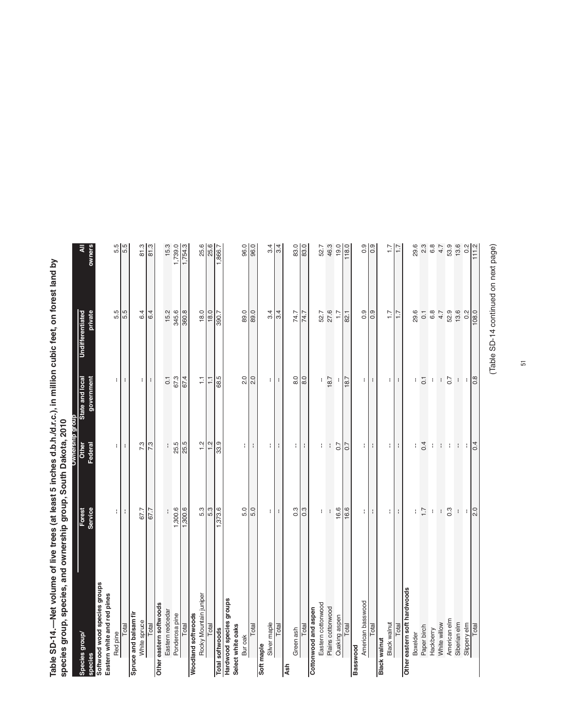Table SD-14.—Net volume of live trees (at least 5 inches d.b.h./d.r.c.), in million cubic feet, on forest land by<br>species group, species, and ownership group, South Dakota, 2010 **Table SD-14.—Net volume of live trees (at least 5 inches d.b.h./d.r.c.), in million cubic feet, on forest land by**  by species group, species, and ownership group, South Dakota, 2010 **species group, species, and ownership group, South Dakota, 2010**

|                              |                       |                       | Ownership group             |                               |               |
|------------------------------|-----------------------|-----------------------|-----------------------------|-------------------------------|---------------|
| Species group/               | Forest                | Other                 | State and local             | <b>Undifferentiated</b>       |               |
| species                      | Service               | Federal               | government                  | private                       | pwners        |
| Softwood wood species groups |                       |                       |                             |                               |               |
| Eastern white and red pines  |                       |                       |                             |                               |               |
| Red pine                     | $\lvert \cdot \rvert$ | $\lvert \cdot \rvert$ | $\lceil$                    | 5.5                           | 5.5<br>5.5    |
| Total                        | ÷                     | ÷                     | $\mathbf{I}$                | 5.5                           |               |
| Spruce and balsam fir        |                       |                       |                             |                               |               |
| White spruce                 | 67.7                  | 7.3                   | $\blacksquare$              | 6.4                           | $rac{3}{813}$ |
| Total                        | 67.7                  | $\sqrt{3}$            | $\cdot$                     | 6.4                           |               |
| Other eastern softwoods      |                       |                       |                             |                               |               |
| Eastern redcedar             | ľ                     | $\mathbf{I}$          | $\overline{0}$ .            | 15.2                          | 15.3          |
| Ponderosa pine               | 1,300.6               | 25.5                  | 67.3                        | 345.6                         | 1,739.0       |
| Total                        | .300.6                | 25.5                  | 67.4                        | 360.8                         | 1,754.3       |
| Woodland softwoods           |                       |                       |                             |                               |               |
| Rocky Mountain juniper       | 5.3                   | $\frac{1}{2}$         | H                           | 18.0                          |               |
| Total                        | 5.3                   | 1.2                   | $\overline{1}$              | 18.0                          | 25.6          |
| <b>Total softwoods</b>       | ,373.6                | $\overline{33}$       | 68.5                        | 390.7                         | 1,866.7       |
| Hardwood species groups      |                       |                       |                             |                               |               |
| Select white oaks            |                       |                       |                             |                               |               |
| Bur oak                      | 5.0                   | Η                     | 2.0                         | 89.0                          | 96.0          |
| Total                        | $\overline{5.0}$      | п.                    | $\overline{2.0}$            | $\overline{\phantom{1}}$ 89.0 | 96.0          |
| Soft maple                   |                       |                       |                             |                               |               |
| Silver maple                 | Ħ                     | н                     | $\mathbf{H}$                | 3.4                           |               |
| Total                        | $\mathbf{I}$          | ÷                     | ÷                           | $\overline{3.4}$              | $\frac{9}{4}$ |
| Ash                          |                       |                       |                             |                               |               |
| Green ash                    | $0.\overline{3}$      | $\pm$                 | 8.0                         | 74.7                          | 83.0          |
| Total                        | 0.3                   | н.                    | $\frac{8}{6}$               | 74.7                          | 83.0          |
| Cottonwood and aspen         |                       |                       |                             |                               |               |
| Eastern cottonwood           | $\mathbf{I}$          | $\mathbf{I}$          | ŧ                           | 52.7                          | 52.7          |
| Plains cottonwood            | ł                     | $\mathbf{I}$          | 18.7                        | 27.6                          | 46.3          |
| Quaking aspen                | 16.6                  | 0.7                   |                             | $\overline{1}$ : 7            | 19.0          |
| Total                        | 16.6                  | 0.7                   | 18.7                        | 82.1                          | 118.0         |
| Basswood                     |                       |                       |                             |                               |               |
| American basswood            |                       |                       | ПI                          | 0.9                           | 0.900         |
| Total                        | 3 H S                 | $\mathbf{H}$          | $\mathcal{L}_{\mathcal{A}}$ | 0.9                           |               |
| Black walnut                 |                       |                       |                             |                               |               |
| <b>Black walnut</b>          | 3 H S                 | $\pm$                 | $\mathbf{H}$                | $\overline{1.7}$              | $\frac{7}{1}$ |
| Total                        |                       | ÷                     | ÷                           | 7.7                           |               |
| Other eastern soft hardwoods |                       |                       |                             |                               |               |
| Boxelder                     | ÷,                    | ł                     | H                           | 29.6                          | 29.6          |
| Paper birch                  | $\overline{1}$ .      | 0.4                   | $\overline{0}$ .            | $\overline{0}$ .              | 2.3           |
| Hackberry                    | $\mathfrak{f}$        | $\mathbf{I}$          | $\mathfrak{t}$              | 6.8                           | 6.8           |
| White willow                 | $\mathfrak{f}$        | $\Gamma$              | $\mathfrak i$               | 4.7                           | 4.7           |
| American elm                 | 0.3                   |                       | 0.7                         | 52.9                          | 53.9          |
| Siberian elm                 | $\mathbf{I}$          | $1 - 1$ .             | $\mathbf{I}$                | 13.6                          | 13.6          |
| Slippery elm                 | $\lvert \cdot \rvert$ | ÷.                    | ÷                           | 0.2                           | 0.2           |
| Total                        | $\overline{2.0}$      |                       | 0.8                         | 108.0                         | 111.2         |
|                              |                       |                       |                             |                               |               |

(Table SD-14 continued on next page) (Table SD-14 continued on next page)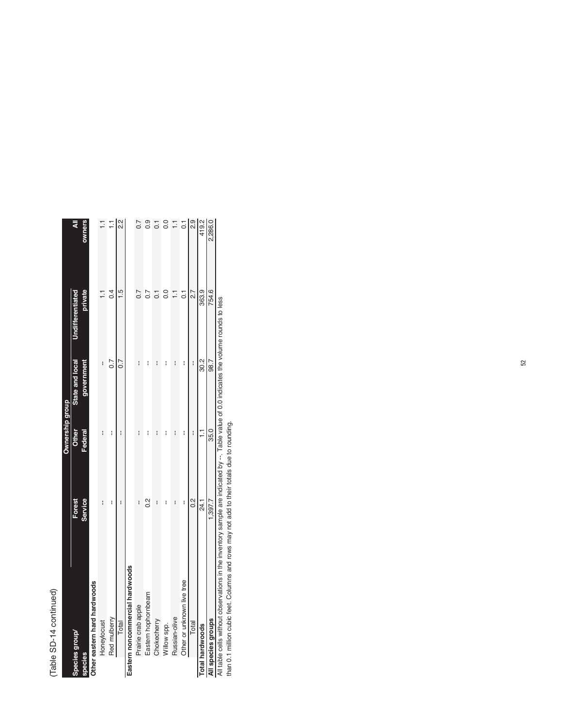## (Table SD-14 continued) (Table SD-14 continued)  $\frac{1}{2}$

|                                 |         | Ownership group |                  |                  |                |
|---------------------------------|---------|-----------------|------------------|------------------|----------------|
| Species group                   | Forest  | Other           | State and local  | Undifferentiated | ₹              |
| species                         | Service | Federal         | government       | private          | owners         |
| Other eastern hard hardwoods    |         |                 |                  |                  |                |
| Honeylocust                     | i       | I               | i                |                  |                |
| Red mulberry                    | I       | i               | $\overline{0.7}$ | 0.4              |                |
| Total                           | i       | i               | 0.7              | $\frac{5}{1}$    |                |
| Eastern noncommercial hardwoods |         |                 |                  |                  |                |
| Prairie crab apple              | I       | i               | i                |                  |                |
| Eastern hophornbeam             | 2<br>O. | I               | ł                |                  |                |
| Chokecherry                     | I       | i               |                  |                  |                |
| Willow spp.                     | I       | i               |                  | $\frac{0}{0}$    |                |
| Russian-olive                   | I       | I               | I                | Ę                | Ξ              |
| Other or unknown live tree      | I       | I               | I                | $\overline{c}$   | $\overline{c}$ |
| Total                           | 0.2     | I               | I                | 2.7              | 2.9            |
| <b>Total hardwoods</b>          | 24.1    |                 | 30.2             | 363.9            | 419.2          |
| All species groups              | 1,397.7 | 35.0            | 98.7             | 754.6            | 2,286.0        |

All table cells without observations in the inventory sample are indicated by --. Table value of 0.0 indicates the volume rounds to less than 0.1 million cubic feet. Columns and rows may not add to their totals due to roun All table cells without observations in the inventory sample are indicated by --. Table value of 0.0 indicates the volume rounds to less

than 0.1 million cubic feet. Columns and rows may not add to their totals due to rounding.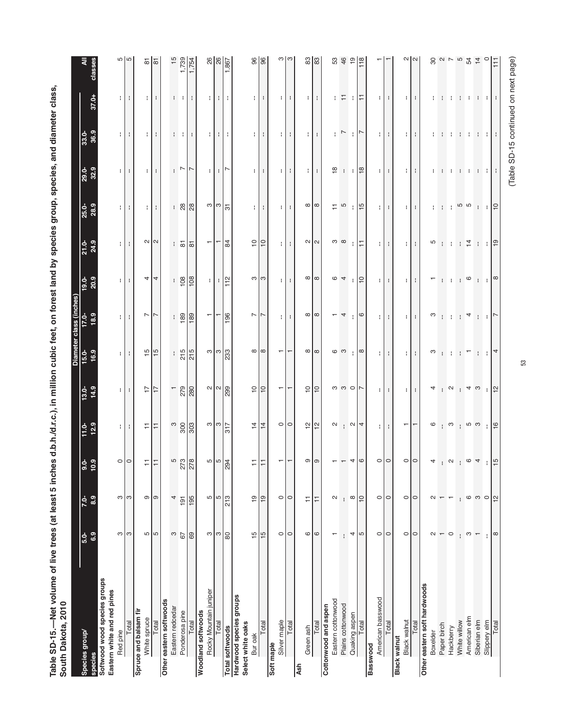| South Dakota, 2010                           |                          |                    |                          |                      |                                                                                                                                                                                                                                                                                                                     |                                          |                   |                     |                                  |                   |                                  |                  |                |                |
|----------------------------------------------|--------------------------|--------------------|--------------------------|----------------------|---------------------------------------------------------------------------------------------------------------------------------------------------------------------------------------------------------------------------------------------------------------------------------------------------------------------|------------------------------------------|-------------------|---------------------|----------------------------------|-------------------|----------------------------------|------------------|----------------|----------------|
|                                              |                          |                    |                          |                      |                                                                                                                                                                                                                                                                                                                     | Diam                                     | class (in         |                     |                                  |                   |                                  |                  |                |                |
| Species group/<br>species                    | $5.0-$<br>6.9            | $7.0-$<br>8.9      | $9.0 - 10.9$             | $11.0 - 12.9$        | $13.0-$<br>14.9                                                                                                                                                                                                                                                                                                     | 16.9<br>$15.0+$                          | 18.9<br>$17.0 -$  | $\frac{19.0}{20.9}$ | $21.0 - 24.9$                    | 25.0-<br>28.9     | 29.0-<br>32.9                    | 33.0-<br>36.9    | 37.0+          | ₹<br>classes   |
| Softwood wood species groups                 |                          |                    |                          |                      |                                                                                                                                                                                                                                                                                                                     |                                          |                   |                     |                                  |                   |                                  |                  |                |                |
| Eastern white and red pines                  |                          |                    |                          |                      |                                                                                                                                                                                                                                                                                                                     |                                          |                   |                     |                                  |                   |                                  |                  |                |                |
| Red pine                                     | ო                        | ო ო                | $\circ$                  | .                    | $\pm$ $\pm$                                                                                                                                                                                                                                                                                                         | $\pm$ $\pm$                              | $\pm$ 1 $\pm$     | $\pm$ $\pm$         | 3 L L                            | 1 L L             | 1 L L                            | 1 L L            | 1 L L          | <u> ဟ</u> ကြ   |
| Total                                        | S                        |                    |                          |                      |                                                                                                                                                                                                                                                                                                                     |                                          |                   |                     |                                  |                   |                                  |                  |                |                |
| Spruce and balsam fir                        |                          |                    |                          |                      |                                                                                                                                                                                                                                                                                                                     |                                          |                   |                     |                                  |                   |                                  |                  |                |                |
| White spruce                                 | ъ                        |                    |                          | 뉘                    | $\overline{z}$                                                                                                                                                                                                                                                                                                      | $\frac{15}{15}$                          | $\sim$ $\sim$     |                     |                                  | ÷Г                | ÷Т                               | ÷Г               | ÷ I            |                |
| Total                                        | ъ                        | တ တြ               | 되다                       |                      |                                                                                                                                                                                                                                                                                                                     |                                          |                   | 44                  | $\sim$ $\sim$                    |                   | ÷                                | ÷                | н.             | $\frac{5}{6}$  |
| Other eastern softwoods                      |                          |                    |                          |                      |                                                                                                                                                                                                                                                                                                                     |                                          |                   |                     |                                  |                   |                                  |                  |                |                |
| Eastern redcedar                             | S                        | 4                  |                          |                      | Τ                                                                                                                                                                                                                                                                                                                   |                                          |                   |                     |                                  |                   |                                  |                  |                | $\frac{5}{1}$  |
| Ponderosa pine                               | 67                       | 191                |                          |                      |                                                                                                                                                                                                                                                                                                                     |                                          |                   |                     |                                  |                   | $\vert \sim \vert \sim$          | $\cdots$         | $\cdots$       | 1,739          |
| Total                                        | 69                       | 195                | $rac{278}{278}$          | $\frac{800}{800}$    | 279                                                                                                                                                                                                                                                                                                                 | $rac{15}{215}$                           | $\frac{180}{180}$ | $\frac{108}{108}$   | $\frac{1}{10}$ is $\frac{1}{10}$ | .88               |                                  |                  |                | 1,754          |
| <b>Woodland softwoods</b>                    |                          |                    |                          |                      |                                                                                                                                                                                                                                                                                                                     |                                          |                   |                     |                                  |                   |                                  |                  |                |                |
| Rocky Mountain juniper                       | ო                        | 5                  |                          |                      |                                                                                                                                                                                                                                                                                                                     |                                          | T                 | ÷.                  | $\overline{\phantom{0}}$         |                   | ÷.                               | ÷                | ÷.             |                |
| Total                                        | က                        | ∣ທ                 | $\frac{56}{10}$          | $\frac{3}{2}$        | $\frac{1}{2}$ $\frac{1}{2}$ $\frac{1}{2}$ $\frac{1}{2}$ $\frac{1}{2}$ $\frac{1}{2}$ $\frac{1}{2}$ $\frac{1}{2}$ $\frac{1}{2}$ $\frac{1}{2}$ $\frac{1}{2}$ $\frac{1}{2}$ $\frac{1}{2}$ $\frac{1}{2}$ $\frac{1}{2}$ $\frac{1}{2}$ $\frac{1}{2}$ $\frac{1}{2}$ $\frac{1}{2}$ $\frac{1}{2}$ $\frac{1}{2}$ $\frac{1}{2}$ | ື $\begin{bmatrix} 3 \\ 3 \end{bmatrix}$ |                   |                     |                                  | ო $\frac{1}{3}$   | $\mathbf{L}$                     | ÷                |                | $\frac{8}{8}$  |
| <b>Total softwoods</b>                       | ္လ                       | $\frac{1}{213}$    |                          |                      |                                                                                                                                                                                                                                                                                                                     |                                          | 196               | $\frac{1}{12}$      | 84                               |                   | ∣∼                               | н.               | .              | 1,867          |
| Hardwood species groups<br>Select white oaks |                          |                    |                          |                      |                                                                                                                                                                                                                                                                                                                     |                                          |                   |                     |                                  |                   |                                  |                  |                |                |
| Bur oak                                      | $\frac{15}{2}$           | $\overline{e}$     | 뉘                        | $\frac{4}{1}$        | $\frac{1}{2}$                                                                                                                                                                                                                                                                                                       |                                          | $\overline{ }$    | က ကြ                | $\overline{C}$                   |                   | ÷.                               | $\pm$            |                | 96             |
| Total                                        | $\frac{15}{2}$           | $\overline{9}$     |                          | $\frac{1}{4}$        | ∣≘                                                                                                                                                                                                                                                                                                                  | $\infty$ $\infty$                        |                   |                     | $\supseteq$                      | 1 H H             |                                  |                  | $\blacksquare$ | 96             |
| Soft maple                                   |                          |                    |                          |                      |                                                                                                                                                                                                                                                                                                                     |                                          |                   |                     |                                  |                   |                                  |                  |                |                |
| Silver maple                                 | $\circ$                  | $\circ$            | ⊤l⊤                      | $\circ$   $\circ$    | $\overline{\phantom{0}}$                                                                                                                                                                                                                                                                                            | $\overline{\phantom{0}}$                 | $\mathbf{H}$      | ŧ.                  | $\mathbf{H}$                     | Ħ                 | $\mathbf{H}$                     | $\mathbf{H}$     | $\mathbf{H}$   | ო              |
| Total                                        | $\circ$                  | $\circ$            |                          |                      |                                                                                                                                                                                                                                                                                                                     | $\overline{\phantom{0}}$                 | ÷                 | ÷                   | ÷                                | ÷                 | $\cdot$                          | - 1              | н.             |                |
| Ash                                          |                          |                    |                          |                      |                                                                                                                                                                                                                                                                                                                     |                                          |                   |                     |                                  |                   |                                  |                  |                |                |
| Green ash                                    | 6                        | Ξ                  | ത $  \circ  $            | $\frac{1}{2}$        | 99                                                                                                                                                                                                                                                                                                                  | $\infty$ $\infty$                        | $\infty$ $\infty$ | $\infty$ $\infty$   | $\sim$ $\sim$                    | $\infty$ $\infty$ | 111                              | $\mathbf{1}$     | H H            | $\frac{3}{8}$  |
| Total                                        | $\circ$                  | Ξ                  |                          |                      |                                                                                                                                                                                                                                                                                                                     |                                          |                   |                     |                                  |                   |                                  |                  |                |                |
| Eastern cottonwood<br>Cottonwood and aspen   | ↽                        | $\sim$             |                          |                      |                                                                                                                                                                                                                                                                                                                     |                                          |                   |                     |                                  |                   | $\overset{\circ}{=}$             | ÷                |                |                |
|                                              |                          |                    |                          |                      |                                                                                                                                                                                                                                                                                                                     | ဖေ                                       | $-4$              | $\circ$ 4           | က ထ                              | $\frac{1}{2}$     |                                  | $\overline{a}$   |                | 53<br>46       |
| Plains cottonwood                            |                          | ÷                  |                          | $\sim$ $\sim$ $\sim$ | $\circ$ $\circ$ $\circ$ $\sim$                                                                                                                                                                                                                                                                                      |                                          |                   |                     |                                  |                   | $\cdot \cdot$ $\frac{\infty}{2}$ |                  | 비도 비는          |                |
| Quaking aspen                                | 4                        | $\infty$           | 40                       |                      |                                                                                                                                                                                                                                                                                                                     | $  \cdot  $                              | $  \circ$         | $ $ $\approx$       | ÷∣≍                              | $\frac{1}{15}$    |                                  | $\cdot$   $\sim$ |                | ္စာ            |
| Total                                        | 5                        | $\vert$ 2          |                          |                      |                                                                                                                                                                                                                                                                                                                     |                                          |                   |                     |                                  |                   |                                  |                  |                |                |
| Basswood                                     |                          |                    |                          |                      |                                                                                                                                                                                                                                                                                                                     |                                          |                   |                     |                                  |                   |                                  |                  |                |                |
| American basswood                            | $\circ$                  | $\circ$<br>$\circ$ | $\circ$ $\circ$          | $\mathbf{L}$         | ÷                                                                                                                                                                                                                                                                                                                   | -11<br>H.                                | $\pm$             | ÷.                  | $\pm$ 1.1                        | $\pm$             | $\pm$                            | $\blacksquare$   | $\pm$<br>Н.    |                |
| Total                                        | $\circ$                  |                    |                          | ÷                    | ÷                                                                                                                                                                                                                                                                                                                   |                                          |                   |                     |                                  |                   |                                  |                  |                |                |
| <b>Black walnut</b><br>Black walnut          | $\circ$                  | $\circ$ $\circ$    | $\circ$ $\circ$          | T                    |                                                                                                                                                                                                                                                                                                                     | .                                        |                   | ÷ I                 |                                  |                   |                                  |                  |                |                |
| Total                                        | $\circ$                  |                    |                          |                      | $\pm$ $\pm$                                                                                                                                                                                                                                                                                                         |                                          | 4 L L             | $\mathbf{r}$        | 4 H H                            | 111               | $\blacksquare$                   | $\pm$ $\pm$      | $\pm$ $\pm$    | ∾∣∾            |
| Other eastern soft hardwoods                 |                          |                    |                          |                      |                                                                                                                                                                                                                                                                                                                     |                                          |                   |                     |                                  |                   |                                  |                  |                |                |
| Boxelder                                     | $\mathbf{\Omega}$        | $\sim$             | $\overline{\mathcal{A}}$ | $\mathbf{\circ}$     | 4                                                                                                                                                                                                                                                                                                                   | S                                        | S                 | ┯                   | 5                                |                   | ÷                                |                  |                | 80             |
| Paper birch                                  | $\overline{\phantom{m}}$ |                    | $\mathbb{R}^{\infty}$    |                      | $\mathbf{R}$                                                                                                                                                                                                                                                                                                        |                                          |                   |                     |                                  | $1 - 1 -$         |                                  | $\mathbf{1}$     | .              | $\sim$         |
| Hackberry                                    | $\circ$                  | ۳                  |                          | က                    |                                                                                                                                                                                                                                                                                                                     | $1 - 1 - 1 - 1$                          | $\mathbb{R}^n$    | 1110                | $1 + 7 = 1 + 7 = 1$              |                   | .                                | n di             |                | $\overline{ }$ |
| White willow                                 |                          | ÷                  |                          |                      | $\vert + \vert + \vert \omega$                                                                                                                                                                                                                                                                                      |                                          | $\mathbf{L}$      |                     |                                  | 5<br>5            |                                  | ÷                | $\mathbf{1}$   | Ю              |
| American elm                                 | ო                        | 6                  | $\circ$ 4                |                      |                                                                                                                                                                                                                                                                                                                     |                                          | 4                 |                     |                                  |                   |                                  |                  |                | $\mathbb{R}^2$ |
| Siberian elm                                 | $\overline{\phantom{0}}$ | $\circ$            |                          |                      |                                                                                                                                                                                                                                                                                                                     | $\pm$ $\pm$                              | ÷                 |                     | $\cdot$ $\cdot$ $\circ$          | ÷                 |                                  | $\mathbf{1}$     | $\mathbf{1}$   | $\frac{1}{4}$  |
| Slippery elm                                 | ÷                        |                    |                          |                      | $\frac{1}{2}$                                                                                                                                                                                                                                                                                                       |                                          |                   | $1 - 1$             |                                  | - 1               |                                  |                  |                | $\circ$        |
| Total                                        | $\infty$                 | $\approx$          | ယ                        | $\frac{6}{1}$        |                                                                                                                                                                                                                                                                                                                     | 4                                        |                   | $\infty$            |                                  | $\vert$ $\ominus$ |                                  |                  |                |                |
|                                              |                          |                    |                          |                      |                                                                                                                                                                                                                                                                                                                     |                                          |                   |                     |                                  |                   |                                  |                  |                |                |

Table SD-15.—Net volume of live trees (at least 5 inches d.b.h./d.r.c.), in million cubic feet, on forest land by species group, species, and diameter class, **Table SD-15.—Net volume of live trees (at least 5 inches d.b.h./d.r.c.), in million cubic feet, on forest land by species group, species, and diameter class,**  by species group, species, and diameter class, South Dakota, 2010

53

## (Table SD-15 continued on next page) (Table SD-15 continued on next page)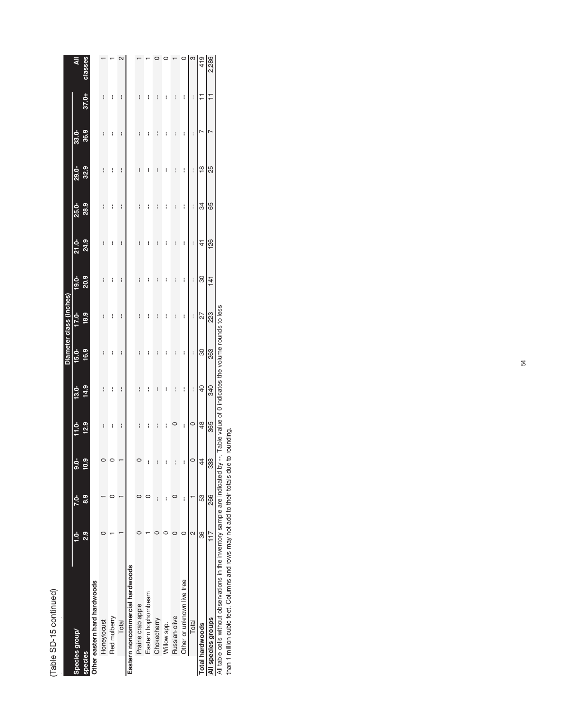| с |  |
|---|--|
|   |  |
|   |  |
|   |  |

|                                 |               |          |                |                |                |          | Diameter class (inches) |          |       |       |               |      |                |        |
|---------------------------------|---------------|----------|----------------|----------------|----------------|----------|-------------------------|----------|-------|-------|---------------|------|----------------|--------|
| Species group/                  |               | 52       | ತ              |                | $13.0 -$       | $15.0 -$ | 17.0-                   | $19.0 -$ | 21.0- | 25.0- | <b>29.0-</b>  | 33.0 |                | ব      |
| <b>species</b>                  | $\frac{2}{3}$ | <u>ය</u> | ę              | 12.9           | 14.9           | 16.9     | 18.9                    | 20.9     | 24.9  | 28.9  | 32.9          | 36.9 | 37.0+          | classe |
| Other eastern hard hardwoods    |               |          |                |                |                |          |                         |          |       |       |               |      |                |        |
| Honeylocust                     |               |          |                | I              | I              | I        | i                       | i        | i     | i     | i             | i    | I              |        |
| Red mulberry                    |               |          |                | I              | I              | i        | I                       | I        | I     | I     | I             | I    | I              |        |
| Total                           |               |          |                | I              | i              | I        | i                       | I        | I     | I     | I             | I    | I              | $\sim$ |
| Eastern noncommercial hardwoods |               |          |                |                |                |          |                         |          |       |       |               |      |                |        |
| Prairie crab apple              |               |          |                | i              | i              | i        | i                       | i        | I     | I     | i             | I    | i              |        |
| Eastern hophornbeam             |               |          |                | i              | i              | i        | i                       | i        | i     | i     | i             | I    | i              |        |
| Chokecherry                     |               | i        |                | I              |                | i        | I                       |          |       |       | i             |      |                |        |
| Willow spp.                     |               | I        |                | i              | i              | I        | i                       | i        | i     | i     | i             | ፡    | i              |        |
| Russian-olive                   |               |          |                |                | I              | I        | I                       | i        | i     | i     | i             | I    | I              |        |
| Other or unknown live tree      |               | i        | ł              | I              | I              | I        | i                       | i        | i     | i     | I             | I    | i              |        |
| Total                           |               |          | $\circ$        | $\circ$        | I              | i        | I                       | I        | i     | I     | I             | I    | I              |        |
| Total hardwoods                 | 36            | 53       | 4              | $\frac{48}{5}$ | $\overline{a}$ | 80       | 27                      | 8        | 4     | 34    | $\frac{8}{1}$ |      | ∓              | 419    |
| All species groups              | 117           | 266      | $\infty$<br>ශී | 365            | 340            | 263      | 23                      | 141      | 126   | 65    | 25            |      | $\overline{1}$ | 2,286  |
|                                 |               |          |                |                |                |          |                         |          |       |       |               |      |                |        |

All table cells without observations in the inventory sample are indicated by --. Table value of 0 indicates the volume rounds to less<br>than 1 million cubic feet. Columns and rows may not add to their totals due to rounding All table cells without observations in the inventory sample are indicated by --. Table value of 0 indicates the volume rounds to less

than 1 million cubic feet. Columns and rows may not add to their totals due to rounding.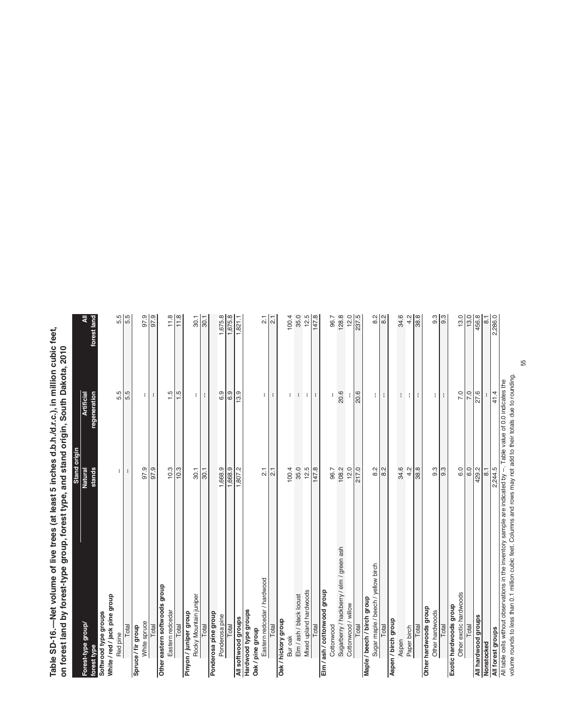Table SD-16.—Net volume of live trees (at least 5 inches d.b.h./d.r.c.), in million cubic feet,<br>on forest land by forest-type group, forest type, and stand origin, South Dakota, 2010 **Table SD-16.—Net volume of live trees (at least 5 inches d.b.h./d.r.c.), in million cubic feet, on forest land by forest-type group, forest type, and stand origin, South Dakota, 2010** by forest-type, forest type, forest type, and stand origin,  $\alpha$ 

| Eastern redcedar / hardwood<br>Other eastern softwoods group<br>Mixed upland hardwoods<br>Elm / ash / cottonwood group<br>Elm / ash / black locust<br>White / red / jack pine group<br>Rocky Mountain juniper<br>Hardwood type groups<br>Eastern redcedar<br>Pinyon / juniper group<br>Softwood type groups<br>Ponderosa pine group<br>Ponderosa pine<br>All softwood groups<br>Oak / hickory group<br>White spruce<br>Forest-type group/<br>Total<br>Total<br>Total<br>Spruce / fir group<br>Total<br>Total<br>Total<br>Total<br>Oak / pine group<br>Red pine<br>Bur oak<br>forest type | stands<br>97.9<br>97.9<br>10.3<br>10.3<br>1,668.9<br>1,668.9<br>1,807.2<br><b>Natural</b><br>30.1<br>21<br>21<br>30.1<br>$\overline{2}$<br>÷<br>÷. | regeneration<br>5.5<br>$\frac{1.5}{1}$<br>6.9<br>6.9<br>13.9<br><b>Artificial</b><br>5.5<br>1.5<br>÷<br>÷<br>÷<br>÷<br>÷<br>÷ | 5.5<br>5.5<br>97.9<br>11.8<br>₹<br>forest land<br>87.9<br>11.8<br>1,675.8<br>1,675.8<br>30.1<br>30.1<br>1,821.1 |
|------------------------------------------------------------------------------------------------------------------------------------------------------------------------------------------------------------------------------------------------------------------------------------------------------------------------------------------------------------------------------------------------------------------------------------------------------------------------------------------------------------------------------------------------------------------------------------------|----------------------------------------------------------------------------------------------------------------------------------------------------|-------------------------------------------------------------------------------------------------------------------------------|-----------------------------------------------------------------------------------------------------------------|
|                                                                                                                                                                                                                                                                                                                                                                                                                                                                                                                                                                                          |                                                                                                                                                    |                                                                                                                               |                                                                                                                 |
|                                                                                                                                                                                                                                                                                                                                                                                                                                                                                                                                                                                          |                                                                                                                                                    |                                                                                                                               |                                                                                                                 |
|                                                                                                                                                                                                                                                                                                                                                                                                                                                                                                                                                                                          |                                                                                                                                                    |                                                                                                                               |                                                                                                                 |
|                                                                                                                                                                                                                                                                                                                                                                                                                                                                                                                                                                                          |                                                                                                                                                    |                                                                                                                               |                                                                                                                 |
|                                                                                                                                                                                                                                                                                                                                                                                                                                                                                                                                                                                          |                                                                                                                                                    |                                                                                                                               |                                                                                                                 |
|                                                                                                                                                                                                                                                                                                                                                                                                                                                                                                                                                                                          |                                                                                                                                                    |                                                                                                                               |                                                                                                                 |
|                                                                                                                                                                                                                                                                                                                                                                                                                                                                                                                                                                                          |                                                                                                                                                    |                                                                                                                               |                                                                                                                 |
|                                                                                                                                                                                                                                                                                                                                                                                                                                                                                                                                                                                          |                                                                                                                                                    |                                                                                                                               |                                                                                                                 |
|                                                                                                                                                                                                                                                                                                                                                                                                                                                                                                                                                                                          |                                                                                                                                                    |                                                                                                                               |                                                                                                                 |
|                                                                                                                                                                                                                                                                                                                                                                                                                                                                                                                                                                                          |                                                                                                                                                    |                                                                                                                               |                                                                                                                 |
|                                                                                                                                                                                                                                                                                                                                                                                                                                                                                                                                                                                          |                                                                                                                                                    |                                                                                                                               |                                                                                                                 |
|                                                                                                                                                                                                                                                                                                                                                                                                                                                                                                                                                                                          |                                                                                                                                                    |                                                                                                                               |                                                                                                                 |
|                                                                                                                                                                                                                                                                                                                                                                                                                                                                                                                                                                                          |                                                                                                                                                    |                                                                                                                               |                                                                                                                 |
|                                                                                                                                                                                                                                                                                                                                                                                                                                                                                                                                                                                          |                                                                                                                                                    |                                                                                                                               |                                                                                                                 |
|                                                                                                                                                                                                                                                                                                                                                                                                                                                                                                                                                                                          |                                                                                                                                                    |                                                                                                                               |                                                                                                                 |
|                                                                                                                                                                                                                                                                                                                                                                                                                                                                                                                                                                                          |                                                                                                                                                    |                                                                                                                               |                                                                                                                 |
|                                                                                                                                                                                                                                                                                                                                                                                                                                                                                                                                                                                          |                                                                                                                                                    |                                                                                                                               |                                                                                                                 |
|                                                                                                                                                                                                                                                                                                                                                                                                                                                                                                                                                                                          |                                                                                                                                                    |                                                                                                                               |                                                                                                                 |
|                                                                                                                                                                                                                                                                                                                                                                                                                                                                                                                                                                                          |                                                                                                                                                    |                                                                                                                               |                                                                                                                 |
|                                                                                                                                                                                                                                                                                                                                                                                                                                                                                                                                                                                          |                                                                                                                                                    |                                                                                                                               |                                                                                                                 |
|                                                                                                                                                                                                                                                                                                                                                                                                                                                                                                                                                                                          |                                                                                                                                                    |                                                                                                                               | $\frac{1}{2}$                                                                                                   |
|                                                                                                                                                                                                                                                                                                                                                                                                                                                                                                                                                                                          |                                                                                                                                                    |                                                                                                                               | $\overline{2.1}$                                                                                                |
|                                                                                                                                                                                                                                                                                                                                                                                                                                                                                                                                                                                          |                                                                                                                                                    |                                                                                                                               |                                                                                                                 |
|                                                                                                                                                                                                                                                                                                                                                                                                                                                                                                                                                                                          | 100.4                                                                                                                                              | ÷                                                                                                                             | 100.4                                                                                                           |
|                                                                                                                                                                                                                                                                                                                                                                                                                                                                                                                                                                                          | 35.0                                                                                                                                               | $\mathbf{I}$                                                                                                                  | 35.0                                                                                                            |
|                                                                                                                                                                                                                                                                                                                                                                                                                                                                                                                                                                                          | 12.5                                                                                                                                               | t                                                                                                                             | 12.5                                                                                                            |
|                                                                                                                                                                                                                                                                                                                                                                                                                                                                                                                                                                                          | 147.8                                                                                                                                              | ÷                                                                                                                             | 147.8                                                                                                           |
|                                                                                                                                                                                                                                                                                                                                                                                                                                                                                                                                                                                          |                                                                                                                                                    |                                                                                                                               |                                                                                                                 |
| Cottonwood                                                                                                                                                                                                                                                                                                                                                                                                                                                                                                                                                                               | 96.7                                                                                                                                               |                                                                                                                               | 96.7                                                                                                            |
| Sugarberry / hackberry / elm / green ash                                                                                                                                                                                                                                                                                                                                                                                                                                                                                                                                                 | 108.2                                                                                                                                              | 20.6                                                                                                                          | 128.8                                                                                                           |
| Cottonwood / willow                                                                                                                                                                                                                                                                                                                                                                                                                                                                                                                                                                      | 12.0                                                                                                                                               |                                                                                                                               | 12.0                                                                                                            |
| Total                                                                                                                                                                                                                                                                                                                                                                                                                                                                                                                                                                                    | 217.0                                                                                                                                              | 20.6                                                                                                                          | 237.5                                                                                                           |
| Maple / beech / birch group                                                                                                                                                                                                                                                                                                                                                                                                                                                                                                                                                              |                                                                                                                                                    |                                                                                                                               |                                                                                                                 |
| Sugar maple / beech / yellow birch                                                                                                                                                                                                                                                                                                                                                                                                                                                                                                                                                       | $\frac{2}{8}$                                                                                                                                      | ŧ.                                                                                                                            | $\frac{2}{8}$                                                                                                   |
| Total                                                                                                                                                                                                                                                                                                                                                                                                                                                                                                                                                                                    | 8.2                                                                                                                                                |                                                                                                                               |                                                                                                                 |
| Aspen / birch group                                                                                                                                                                                                                                                                                                                                                                                                                                                                                                                                                                      |                                                                                                                                                    |                                                                                                                               |                                                                                                                 |
| Aspen                                                                                                                                                                                                                                                                                                                                                                                                                                                                                                                                                                                    | 34.6                                                                                                                                               | ÷                                                                                                                             | 34.6                                                                                                            |
| Paper birch                                                                                                                                                                                                                                                                                                                                                                                                                                                                                                                                                                              | 4.2                                                                                                                                                | ÷                                                                                                                             | 4.2                                                                                                             |
| Total                                                                                                                                                                                                                                                                                                                                                                                                                                                                                                                                                                                    | 38.8                                                                                                                                               | ÷                                                                                                                             | 38.8                                                                                                            |
| Other hardwoods group                                                                                                                                                                                                                                                                                                                                                                                                                                                                                                                                                                    |                                                                                                                                                    |                                                                                                                               |                                                                                                                 |
| Other hardwoods                                                                                                                                                                                                                                                                                                                                                                                                                                                                                                                                                                          | 9.3                                                                                                                                                | ÷                                                                                                                             | $9.\overline{3}$                                                                                                |
| Total                                                                                                                                                                                                                                                                                                                                                                                                                                                                                                                                                                                    | $9.\overline{3}$                                                                                                                                   | ÷                                                                                                                             | 9.3                                                                                                             |
| Exotic hardwoods group                                                                                                                                                                                                                                                                                                                                                                                                                                                                                                                                                                   | 6.0                                                                                                                                                |                                                                                                                               |                                                                                                                 |
| Other exotic hardwoods                                                                                                                                                                                                                                                                                                                                                                                                                                                                                                                                                                   |                                                                                                                                                    | 7.0                                                                                                                           | 13.0                                                                                                            |
| Total                                                                                                                                                                                                                                                                                                                                                                                                                                                                                                                                                                                    | 6.0                                                                                                                                                | 7.0                                                                                                                           | 13.0                                                                                                            |
| All hardwood groups                                                                                                                                                                                                                                                                                                                                                                                                                                                                                                                                                                      | 429.2                                                                                                                                              | 27.6                                                                                                                          | 456.8                                                                                                           |
| Nonstocked                                                                                                                                                                                                                                                                                                                                                                                                                                                                                                                                                                               | $\overline{8}$ .                                                                                                                                   |                                                                                                                               | $\overline{8}$                                                                                                  |
| All table cells without observations in the inventory sample are indicated by --. Table value of 0.0 indicates the<br>All forest groups                                                                                                                                                                                                                                                                                                                                                                                                                                                  | 2,244.5                                                                                                                                            | 41.4                                                                                                                          | 2,286.0                                                                                                         |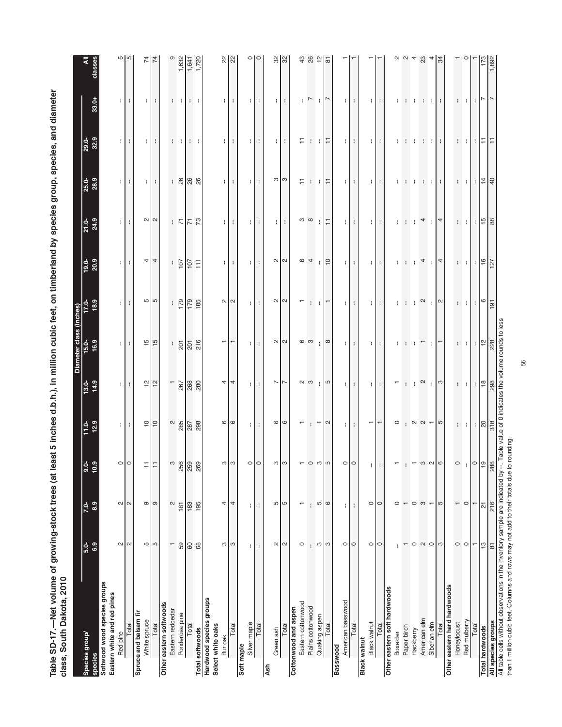Table SD-17.—Net volume of growing-stock trees (at least 5 inches d.b.h.), in million cubic feet, on timberland by species group, species, and diameter<br>class, South Dakota, 2010 **Table SD-17.—Net volume of growing-stock trees (at least 5 inches d.b.h.), in million cubic feet, on timberland by species group, species, and diameter**  st  $5$  inches d.b.b.), in million cubic feet, on timbe **class, South Dakota, 2010**

|                                                                                   |                          |                            |                    |                                      |                                                                                                                                                                                                                                                                                                                       | Diameter cla                                                                                                                                                                                                                                                                                                        | ass (inches)                                                                                            |                                               |                                                                                 |                                     |                |               |                     |
|-----------------------------------------------------------------------------------|--------------------------|----------------------------|--------------------|--------------------------------------|-----------------------------------------------------------------------------------------------------------------------------------------------------------------------------------------------------------------------------------------------------------------------------------------------------------------------|---------------------------------------------------------------------------------------------------------------------------------------------------------------------------------------------------------------------------------------------------------------------------------------------------------------------|---------------------------------------------------------------------------------------------------------|-----------------------------------------------|---------------------------------------------------------------------------------|-------------------------------------|----------------|---------------|---------------------|
| Species group/<br>species                                                         | 6.9<br>$5.0-$            | 8.9<br>$7.0 -$             | $\frac{0.0}{10.9}$ | $11.0 - 12.9$                        | 14.9<br>$13.0 -$                                                                                                                                                                                                                                                                                                      | 16.9<br><u>15.0</u>                                                                                                                                                                                                                                                                                                 | 18.9<br>.<br>이                                                                                          | 20.9<br>$19.0 -$                              | 21.0-<br>24.9                                                                   | 25.0-<br>28.9                       | 29.0-<br>32.9  | $33.0+$       | classes             |
| Softwood wood species groups                                                      |                          |                            |                    |                                      |                                                                                                                                                                                                                                                                                                                       |                                                                                                                                                                                                                                                                                                                     |                                                                                                         |                                               |                                                                                 |                                     |                |               |                     |
| Eastern white and red pines                                                       |                          |                            |                    |                                      |                                                                                                                                                                                                                                                                                                                       |                                                                                                                                                                                                                                                                                                                     |                                                                                                         |                                               |                                                                                 |                                     |                |               |                     |
| Red pine                                                                          | $\sim$                   | $\sim$ $\sim$              |                    | П                                    | ÷.                                                                                                                                                                                                                                                                                                                    | $\mathbf{H}$                                                                                                                                                                                                                                                                                                        | ÷.                                                                                                      | $\mathbf{H}$                                  | ÷.                                                                              | $\mathbb{I}$                        | $\mathbf{H}$   | ÷.            | <u> က</u> က         |
| Total                                                                             | $\sim$                   |                            |                    | ÷                                    | $\mathbf{I}$                                                                                                                                                                                                                                                                                                          | $\cdot$                                                                                                                                                                                                                                                                                                             |                                                                                                         | н.                                            | $\mathbf{r}$                                                                    | ÷                                   | н.             | ÷             |                     |
| Spruce and balsam fir                                                             |                          |                            |                    |                                      |                                                                                                                                                                                                                                                                                                                       |                                                                                                                                                                                                                                                                                                                     |                                                                                                         |                                               |                                                                                 |                                     |                |               |                     |
| White spruce                                                                      | 5                        | $\sigma$                   |                    | $\overline{C}$                       | $\frac{1}{2}$                                                                                                                                                                                                                                                                                                         | $\frac{15}{15}$                                                                                                                                                                                                                                                                                                     | <u> က</u> က                                                                                             | 4                                             | $\sim$ $\sim$                                                                   |                                     |                |               | $\overline{7}$      |
| Total                                                                             | ∿ו                       | $\circ$                    |                    | $\vert$ $\circ$                      |                                                                                                                                                                                                                                                                                                                       |                                                                                                                                                                                                                                                                                                                     |                                                                                                         | $\overline{4}$                                |                                                                                 | 1 H                                 | $\blacksquare$ | 1 H L         | $\frac{1}{4}$       |
| Other eastern softwoods                                                           |                          |                            |                    |                                      |                                                                                                                                                                                                                                                                                                                       |                                                                                                                                                                                                                                                                                                                     |                                                                                                         |                                               |                                                                                 |                                     |                |               |                     |
| Eastern redcedar                                                                  | $\overline{\phantom{0}}$ | $\mathbf{\Omega}$          |                    |                                      | $\overline{\phantom{0}}$                                                                                                                                                                                                                                                                                              |                                                                                                                                                                                                                                                                                                                     |                                                                                                         |                                               |                                                                                 |                                     |                |               |                     |
| Ponderosa pine                                                                    | 59                       | 181                        |                    | $285$                                |                                                                                                                                                                                                                                                                                                                       |                                                                                                                                                                                                                                                                                                                     | $\frac{179}{ }$                                                                                         | $\frac{1}{107}$                               | $\vdash \overline{\mathbb{N}}$                                                  |                                     | $1 - 1 -$      | $1 - 1$       | 1,632               |
| Total                                                                             | $60\,$                   | 183                        | ີ 80<br>259<br>269 | 287                                  | 267<br>288                                                                                                                                                                                                                                                                                                            | $\frac{1}{20}$ $\frac{5}{20}$ $\frac{1}{20}$                                                                                                                                                                                                                                                                        | $\frac{621}{1}$                                                                                         | $\overline{107}$                              | $\overline{5}$                                                                  |                                     | $\pm$          | $\pm$         | 1,64                |
| Total softwoods                                                                   | 89                       | 195                        |                    | 298                                  |                                                                                                                                                                                                                                                                                                                       |                                                                                                                                                                                                                                                                                                                     | 185                                                                                                     | 111                                           | $\mathbb{R}$                                                                    |                                     | ÷              | ÷             |                     |
| Hardwood species groups<br>Select white oaks                                      |                          |                            |                    |                                      |                                                                                                                                                                                                                                                                                                                       |                                                                                                                                                                                                                                                                                                                     |                                                                                                         |                                               |                                                                                 |                                     |                |               |                     |
| Bur oak                                                                           |                          | 4                          | ຕ I                |                                      | 4                                                                                                                                                                                                                                                                                                                     | ÷                                                                                                                                                                                                                                                                                                                   |                                                                                                         |                                               |                                                                                 | $\mathbf{H}$                        | $\mathbf{H}$   |               |                     |
| Total                                                                             | ო ო                      | 4                          | ന                  | $\circ$ $\circ$                      | $\overline{4}$                                                                                                                                                                                                                                                                                                        |                                                                                                                                                                                                                                                                                                                     | $\sim$ $\sim$                                                                                           | 1 H L                                         | тĿ.                                                                             | $\cdot$                             | $\cdot$        | 1 L L         |                     |
| Soft maple                                                                        |                          |                            |                    |                                      |                                                                                                                                                                                                                                                                                                                       |                                                                                                                                                                                                                                                                                                                     |                                                                                                         |                                               |                                                                                 |                                     |                |               |                     |
| Silver maple                                                                      | ÷                        | t                          | $\circ$            | ÷Г                                   | 111                                                                                                                                                                                                                                                                                                                   | ПL                                                                                                                                                                                                                                                                                                                  |                                                                                                         | ÷Г                                            | a La                                                                            | ÷Г                                  | ÷ I            | ÷Г            | ం∣ం                 |
| Total                                                                             | I                        | ÷                          | $\circ$            |                                      |                                                                                                                                                                                                                                                                                                                       | $\cdot$                                                                                                                                                                                                                                                                                                             |                                                                                                         | ÷                                             |                                                                                 | ÷                                   | ÷              | ÷             |                     |
| <b>Ash</b>                                                                        |                          |                            |                    |                                      |                                                                                                                                                                                                                                                                                                                       |                                                                                                                                                                                                                                                                                                                     |                                                                                                         |                                               |                                                                                 |                                     |                |               |                     |
| Green ash                                                                         | $\mathbf{\sim}$          | $\omega$                   | က $\log$           | $\circ$ $\circ$                      | $\overline{ }$                                                                                                                                                                                                                                                                                                        | $\sim$ $\sim$                                                                                                                                                                                                                                                                                                       | $\sim$ $\sim$                                                                                           | $\sim$ $\sim$                                 | 3 H S                                                                           | ო ო                                 | $\blacksquare$ | 3 H S         | $\frac{8}{32}$      |
| Total                                                                             | $\sim$                   | S                          |                    |                                      | $\overline{ }$                                                                                                                                                                                                                                                                                                        |                                                                                                                                                                                                                                                                                                                     |                                                                                                         |                                               |                                                                                 |                                     | ÷              |               |                     |
| Cottonwood and aspen                                                              |                          |                            |                    |                                      |                                                                                                                                                                                                                                                                                                                       |                                                                                                                                                                                                                                                                                                                     |                                                                                                         |                                               |                                                                                 |                                     |                |               |                     |
| Eastern cottonwood                                                                | $\circ$                  | $\overline{\phantom{0}}$   |                    |                                      | လ က                                                                                                                                                                                                                                                                                                                   | ဖေ                                                                                                                                                                                                                                                                                                                  |                                                                                                         | $\frac{4}{5}$                                 | က ထ                                                                             |                                     | H              | $\sim$        | 43                  |
| Plains cottonwood                                                                 | ł                        | ł                          |                    |                                      |                                                                                                                                                                                                                                                                                                                       |                                                                                                                                                                                                                                                                                                                     |                                                                                                         |                                               |                                                                                 | - 中国                                | 그 그는           |               | 26                  |
| Quaking aspen                                                                     | S                        | Б                          |                    | $\overline{\phantom{0}}$             | ÷                                                                                                                                                                                                                                                                                                                     |                                                                                                                                                                                                                                                                                                                     | n t                                                                                                     | $ $ $\approx$                                 | ÷.                                                                              |                                     |                |               |                     |
| Total                                                                             | S                        | $\circ$                    | 5                  | $\sim$                               | ယ                                                                                                                                                                                                                                                                                                                     | $\infty$                                                                                                                                                                                                                                                                                                            |                                                                                                         |                                               | l≓                                                                              |                                     |                | ∣∼            | ᇮ                   |
| Basswood                                                                          |                          |                            |                    |                                      |                                                                                                                                                                                                                                                                                                                       |                                                                                                                                                                                                                                                                                                                     |                                                                                                         |                                               |                                                                                 |                                     |                |               |                     |
| American basswood                                                                 | $\circ$                  | ÷                          | $\circ$ lo         | ÷.                                   | ÷.                                                                                                                                                                                                                                                                                                                    | ÷.                                                                                                                                                                                                                                                                                                                  | ÷.                                                                                                      | $\mathbf{H}$                                  | Ħ                                                                               | ÷.                                  | ÷.             | ÷             |                     |
| Total                                                                             | $\circ$                  | ÷                          |                    |                                      | $\mathbf{I}$                                                                                                                                                                                                                                                                                                          | ÷                                                                                                                                                                                                                                                                                                                   | ÷                                                                                                       | ÷                                             | $\mathbf{I}$                                                                    | ÷                                   | ÷              |               |                     |
| <b>Black walnut</b>                                                               |                          |                            |                    |                                      |                                                                                                                                                                                                                                                                                                                       |                                                                                                                                                                                                                                                                                                                     |                                                                                                         |                                               |                                                                                 |                                     |                |               |                     |
| Black walnut                                                                      | $\circ$                  | $\circ$                    |                    | $\overline{\phantom{0}}$             | 1 H L                                                                                                                                                                                                                                                                                                                 | ÷.                                                                                                                                                                                                                                                                                                                  | Ħ                                                                                                       | ÷.                                            | ÷.                                                                              | ŧ.                                  | ÷.             | ÷.            |                     |
| Other eastern soft hardwoods<br>Total                                             | $\circ$                  | $\circ$                    | ÷                  | $\overline{\phantom{0}}$             |                                                                                                                                                                                                                                                                                                                       |                                                                                                                                                                                                                                                                                                                     | $\ddot{\phantom{a}}$                                                                                    | ÷                                             |                                                                                 |                                     | ÷              |               |                     |
| Boxelder                                                                          |                          | $\circ$                    |                    | $\circ$                              |                                                                                                                                                                                                                                                                                                                       |                                                                                                                                                                                                                                                                                                                     | ŧ                                                                                                       | ł.                                            |                                                                                 |                                     |                |               |                     |
| Paper birch                                                                       |                          |                            |                    |                                      |                                                                                                                                                                                                                                                                                                                       |                                                                                                                                                                                                                                                                                                                     |                                                                                                         |                                               |                                                                                 |                                     |                |               |                     |
| Hackberry                                                                         | $\circ$                  | $\circ$                    |                    |                                      | Π,                                                                                                                                                                                                                                                                                                                    |                                                                                                                                                                                                                                                                                                                     | ÷                                                                                                       | $\pm$ $\pm$                                   |                                                                                 | ÷                                   | n t            |               |                     |
| American elm                                                                      |                          | S                          |                    |                                      | $\mathbf{\Omega}$                                                                                                                                                                                                                                                                                                     |                                                                                                                                                                                                                                                                                                                     | $\sim$                                                                                                  | $\overline{4}$                                | 4                                                                               | <b>H</b>                            | $\mathbf{1}$   |               |                     |
| Siberian elm                                                                      | $\sim$ 0 $\sim$          |                            |                    |                                      | $\mathbf{L}$                                                                                                                                                                                                                                                                                                          | ÷                                                                                                                                                                                                                                                                                                                   |                                                                                                         | ÷                                             | $\mathbf{1}$                                                                    |                                     |                |               |                     |
| Total                                                                             |                          | LO                         | $\circ$            | $\alpha$ $\alpha$ $\alpha$           | က                                                                                                                                                                                                                                                                                                                     |                                                                                                                                                                                                                                                                                                                     | $  \alpha$                                                                                              | 4                                             | $\overline{4}$                                                                  | $\pm 1$                             | $\pm 1$        | 8 H S         | ਲ਼                  |
| Other eastern hard hardwoods                                                      |                          |                            |                    |                                      |                                                                                                                                                                                                                                                                                                                       |                                                                                                                                                                                                                                                                                                                     |                                                                                                         |                                               |                                                                                 |                                     |                |               |                     |
| Honeylocust                                                                       | $\circ$                  |                            | $\circ$            |                                      |                                                                                                                                                                                                                                                                                                                       |                                                                                                                                                                                                                                                                                                                     |                                                                                                         |                                               |                                                                                 |                                     |                | H.            |                     |
| Red mulberry                                                                      | $\circ$                  | $\circ$                    |                    | $\vdots$ $\frac{1}{8}$ $\frac{8}{5}$ | $\frac{1}{2}$ : $\frac{1}{2}$ $\frac{1}{2}$ $\frac{1}{2}$ $\frac{1}{2}$ $\frac{1}{2}$ $\frac{1}{2}$ $\frac{1}{2}$ $\frac{1}{2}$ $\frac{1}{2}$ $\frac{1}{2}$ $\frac{1}{2}$ $\frac{1}{2}$ $\frac{1}{2}$ $\frac{1}{2}$ $\frac{1}{2}$ $\frac{1}{2}$ $\frac{1}{2}$ $\frac{1}{2}$ $\frac{1}{2}$ $\frac{1}{2}$ $\frac{1}{2}$ | $\left  \cdot \right $                                                                                                                                                                                                                                                                                              | $\begin{bmatrix} \cdot & \cdot & \cdot \\ \cdot & \cdot & \cdot \\ \cdot & \cdot & \cdot \end{bmatrix}$ | $\frac{1}{2}$ : $\frac{1}{2}$ : $\frac{1}{2}$ | $\begin{array}{c c c c c} \hline \cdots & \cdots & \cdots & \cdots \end{array}$ | : : : $\frac{1}{4}$ = $\frac{4}{4}$ | + 비미디트         | $\cdot$       |                     |
| Total                                                                             | $\overline{ }$           | T                          | $  \circ  $ ത      |                                      |                                                                                                                                                                                                                                                                                                                       |                                                                                                                                                                                                                                                                                                                     |                                                                                                         |                                               |                                                                                 |                                     |                | $\cdot$       |                     |
| <b>Total hardwoods</b>                                                            | $\tilde{c}$              | $\overline{\mathsf{\sim}}$ |                    |                                      |                                                                                                                                                                                                                                                                                                                       | $\frac{1}{2}$ $\frac{1}{2}$ $\frac{1}{2}$ $\frac{1}{2}$ $\frac{1}{2}$ $\frac{1}{2}$ $\frac{1}{2}$ $\frac{1}{2}$ $\frac{1}{2}$ $\frac{1}{2}$ $\frac{1}{2}$ $\frac{1}{2}$ $\frac{1}{2}$ $\frac{1}{2}$ $\frac{1}{2}$ $\frac{1}{2}$ $\frac{1}{2}$ $\frac{1}{2}$ $\frac{1}{2}$ $\frac{1}{2}$ $\frac{1}{2}$ $\frac{1}{2}$ |                                                                                                         |                                               |                                                                                 |                                     |                | $\sim$ $\sim$ | $\frac{173}{1,892}$ |
| All species groups                                                                | $\overline{\infty}$      | 216                        | 288                |                                      |                                                                                                                                                                                                                                                                                                                       |                                                                                                                                                                                                                                                                                                                     |                                                                                                         |                                               |                                                                                 |                                     |                |               |                     |
| All table cells without observations in the inventory sample are indicated by --. |                          |                            |                    | value of 0 indicates the vo          |                                                                                                                                                                                                                                                                                                                       | rounds to less                                                                                                                                                                                                                                                                                                      |                                                                                                         |                                               |                                                                                 |                                     |                |               |                     |

All table cells without observations in the inventory sample are indicated by --. Table valu<br>than 1 million cubic feet. Columns and rows may not add to their totals due to rounding. than 1 million cubic feet. Columns and rows may not add to their totals due to rounding.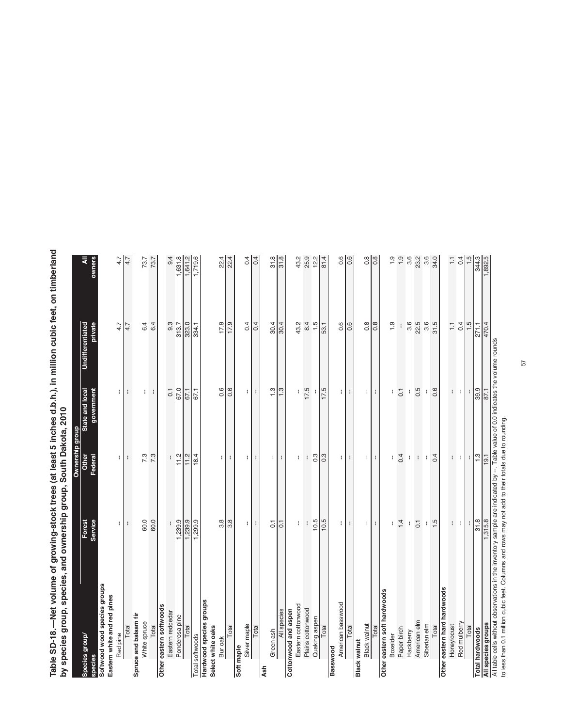Table SD-18.—Net volume of growing-stock trees (at least 5 inches d.b.h.), in million cubic feet, on timberland<br>by species group, species, and ownership group, South Dakota, 2010 **Table SD-18.—Net volume of growing-stock trees (at least 5 inches d.b.h.), in million cubic feet, on timberland**  by species and ownership group, species, and dependence of  $\mathsf{A}$ **by species group, species, and ownership group, South Dakota, 2010**

|                              |                  | Ownership group  |                    |                         |                   |
|------------------------------|------------------|------------------|--------------------|-------------------------|-------------------|
| Species group/               | Forest           | Other            | State and local    | <b>Undifferentiated</b> |                   |
| species                      | Service          | Federal          | government         | private                 | owners            |
| Softwood wood species groups |                  |                  |                    |                         |                   |
| Eastern white and red pines  |                  |                  |                    |                         |                   |
| Red pine                     | $\lceil$         | ÷.               | ÷.                 | 4.7                     | 4.7               |
| Total                        | ÷                | ÷                | ÷                  | 4.7                     | 4.7               |
| Spruce and balsam fir        |                  |                  |                    |                         |                   |
| White spruce                 | 60.0             | 7.3              | ŧ.                 | 6.4                     | 73.7              |
| Total                        | 60.0             | 7.3              | $\mathbf{I}$       | 6.4                     | 73.7              |
| Other eastern softwoods      |                  |                  |                    |                         |                   |
| Eastern redcedar             | ł                | ł                | $\overline{0}$ .   | $9.\overline{3}$        | 9.4               |
| Ponderosa pine               | 1,239.9          | 11.2             | 67.0               | 313.7                   | 1,631.8           |
| Total                        | 1,239.9          | $\frac{11.2}{1}$ | 67.1               | 323.0                   | 1,641.2           |
| <b>Total softwoods</b>       | 1,299.9          | 18.4             | 67.1               | 334.1                   | 1,719.6           |
| Hardwood species groups      |                  |                  |                    |                         |                   |
| Select white oaks            |                  |                  |                    |                         |                   |
| Bur oak                      | 3.8              | Ŧ.               | 0.6                | 17.9                    |                   |
| Total                        | $\frac{8}{3}$    | ÷                | $\frac{6}{16}$     | $\frac{17.9}{ }$        | $\frac{224}{224}$ |
| Soft maple                   |                  |                  |                    |                         |                   |
| Silver maple                 | ł.               | ÷.               | ł.                 | 0.4                     | 0.4               |
| Total                        | ł                | ÷                | ŧ                  | 0.4                     | 0.4               |
| <b>Ash</b>                   |                  |                  |                    |                         |                   |
| Green ash                    | $\overline{0}$   | ÷.               | 1.3                | 30.4                    |                   |
| All species                  | $\overline{0}$ . | ÷                | 1.3                | $\frac{30.4}{ }$        | $rac{8}{5}$       |
| Cottonwood and aspen         |                  |                  |                    |                         |                   |
| Eastern cottonwood           | ł.               | ÷                |                    | 43.2                    | 43.2              |
| Plains cottonwood            | $\mathbf{I}$     | $\mathbf{I}$     | 17.5               | 8.4                     | 25.9              |
| Quaking aspen                | 10.5             | $0.\overline{3}$ |                    | 1.5                     | $12.2$<br>81.4    |
| Total                        | 10.5             | 0.3              | 17.5               | 53.1                    |                   |
| <b>Basswood</b>              |                  |                  |                    |                         |                   |
| American basswood            | ÷.               | $\pm$            | $\pm$              | 0.6                     | 0.6               |
| Total                        | ÷                | ÷                | ÷                  | 0.6                     | $\overline{0.6}$  |
| Black walnut                 |                  |                  |                    |                         |                   |
| Black walnut                 | $\lceil$         | $\blacksquare$   | $\mathbf{H}$       | 0.8                     | $\frac{8}{0.8}$   |
| Total                        | ÷                | $\mathbf{I}$     | $\mathbf{I}$       | $\overline{0.8}$        |                   |
| Other eastern soft hardwoods |                  |                  |                    |                         |                   |
| Boxelder                     | ł                |                  |                    | 1.9                     | 1.9               |
| Paper birch                  | 1.4              | 0.4              | $\overline{0}$ .   | $\mathop{!}\nolimits$   | 1.9               |
| Hackberry                    | $\mathbf{I}$     | ł                | ł                  | 3.6                     | 3.6               |
| American elm                 | $\overline{0}$ . | $\mathfrak{f}$   | 0.5                | 22.5                    | 23.2              |
| Siberian elm                 | ÷                | ÷                | ÷                  | 3.6                     | 34.0              |
| Total                        | 1.5              | 0.4              | 0.6                | 31.5                    |                   |
| Other eastern hard hardwoods |                  |                  |                    |                         |                   |
| Honeylocust                  | ŧ                | t.               | t.                 | $\overline{1}$          | $\overline{1}$    |
| Red mulberry                 | ÷                | ÷                | $\mathbf{I}$       | 0.4                     | 0.4               |
| Total                        |                  | ÷                | $\mathbf{I}$       | 1.5                     |                   |
| <b>Total hardwoods</b>       | $\frac{8}{31.8}$ | 1.3              | 39.9               | 271.1                   | 344.3             |
| All species groups           | 1,315.8          | 19.1             | 87.1               | 470.4                   | 1,892.5           |
| 1 tahle celle without        |                  |                  | 0 M to alliev ahe. |                         |                   |

All table cells without observations in the inventory sample are indicated by --. Table value of 0.0 indicates the volume rounds All table cells without observations in the inventory sample are indicated by --. Table value of 0.0<br>to less than 0.1 million cubic feet. Columns and rows may not add to their totals due to rounding.

to less than 0.1 million cubic feet. Columns and rows may not add to their totals due to rounding.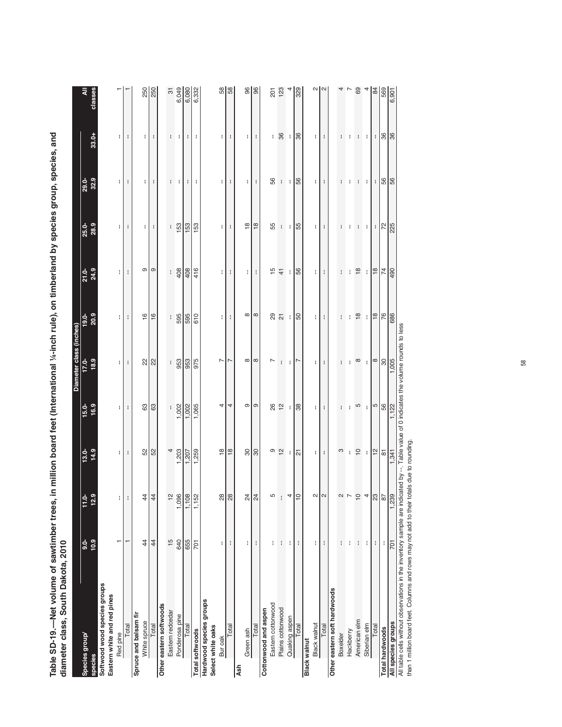Table SD-19.—Net volume of sawtimber trees, in million board feet (International ¼-inch rule), on timberland by species group, species, and<br>diameter class. South Dakota. 2010 **Table SD-19.—Net volume of sawtimber trees, in million board feet (International ¼-inch rule), on timberland by species group, species, and**  ion board feet (International 1/4-inch rule) on tir **diameter class, South Dakota, 2010**

| )<br>)<br>)<br>)                                            | <br> <br>      |               |                          |              |                         |                |                |                  |              |                |                |
|-------------------------------------------------------------|----------------|---------------|--------------------------|--------------|-------------------------|----------------|----------------|------------------|--------------|----------------|----------------|
|                                                             |                |               |                          |              | Diameter class (inches) |                |                |                  |              |                |                |
| Species group/                                              | $\frac{1}{9}$  | $\frac{1}{2}$ | $13.0 -$                 | $15.0-$      | $17.0 -$                | $19.0 -$       | 21.0-          | <b>25.0-</b>     | $29.0 -$     |                | ₹              |
| species                                                     | 10.9           | 12.5          | 14.9                     | 16.9         | 18.9                    | 20.9           | 24.9           | 28.9             | 32.9         | 33.0+          | classes        |
| Softwood wood species groups<br>Eastern white and red pines |                |               |                          |              |                         |                |                |                  |              |                |                |
| Red pine                                                    | ┯              | ŧ.            | ÷                        | ŧ            | f.                      | ŧ              | ŧ              | ÷                | f.           | ŧ              |                |
| Total                                                       | T              | ÷             | $\mathbf{I}$             | $\mathbf{I}$ | ÷                       | $\mathfrak{f}$ | ł              | ł                | ÷            | ł              |                |
| Spruce and balsam fir                                       |                |               |                          |              |                         |                |                |                  |              |                |                |
| White spruce                                                | $\overline{4}$ | $\frac{4}{4}$ |                          | 83           | $\approx$               | $\frac{6}{1}$  | Θ              | ł                | ŧ            | ł              | 250            |
| <b>Total</b>                                                | 44             | $\ddot{A}$    | <b>52</b><br>52          | 63           | 22                      | 16             | Θ              | ł                | ł            | ł              | 250            |
| Other eastern softwoods                                     |                |               |                          |              |                         |                |                |                  |              |                |                |
| Eastern redcedar                                            | 15             | $\tilde{t}$   | 4                        |              | t                       | ł              | ł.             | ł                | ÷            | ÷.             | $\overline{5}$ |
| Ponderosa pine                                              | 640            | 1,096         | 1,203                    | 1,002        | 953                     | 595            | 408            | 153              | ÷            | ÷              | 6,049          |
| Total                                                       | 655            | 1,108         | 1,207                    | 1,002        | 953                     | 595            | 408            | 153              | ÷            | $\mathbf{I}$   | 6,080          |
| Total softwoods                                             | 701            | 1,152         | ,259                     | 1,065        | 975                     | 610            | 416            | 153              | ÷            | ł              | 6,332          |
| Hardwood species groups<br>Select white oaks                |                |               |                          |              |                         |                |                |                  |              |                |                |
| Bur oak                                                     | f              | 2g            | $\overset{\circ}{=}$     | 4            | $\overline{ }$          | ł.             | ŧ              | ł.               | t            | ł.             |                |
| Total                                                       | ł              | $\approx$     | $\frac{8}{1}$            | 4            | $\overline{ }$          | ł              | ÷              | ÷                | ŧ            | ÷              | 88             |
| Ash                                                         |                |               |                          |              |                         |                |                |                  |              |                |                |
| Green ash                                                   | ł              | $\frac{5}{2}$ | 90                       | Φ            | $^\infty$               | $^\infty$      | ł              | $\frac{8}{1}$    | ÷.           | ł              | $\frac{8}{3}$  |
| Total                                                       | ł              | $\frac{5}{4}$ | 80                       | σ            | ${}^{\circ}$            | ${}^{\circ}$   | ÷              | $\frac{8}{1}$    | ł            | $\mathbf{I}$   | 8              |
| Cottonwood and aspen                                        |                |               |                          |              |                         |                |                |                  |              |                |                |
| Eastern cottonwood                                          | I              |               | σ                        | 26 2         | L                       |                | 15             | 55               | 56           | ŧ.             | 201            |
| Plains cottonwood                                           | ł              | ł             | 12                       |              | ł                       | 29 21          | $\frac{4}{3}$  | $\mathbf i$      | ÷            | 36             | 123            |
| Quaking aspen                                               | ł              |               | ÷                        | ÷            | ÷                       | ÷              | ł              | ł                | ÷            | ÷              |                |
| Total                                                       | ÷              | $\cong$       | $\overline{\mathcal{L}}$ | 38           | L                       | 50             | 56             | 55               | 56           | 36             | 329            |
| <b>Black walnut</b>                                         |                |               |                          |              |                         |                |                |                  |              |                |                |
| Black walnut                                                | ÷              |               | ÷                        | ÷            | ł                       | ÷              | ł              | ÷                | ÷            | ÷              | $\sim$ $\sim$  |
| Total                                                       | ÷              |               | ÷                        | ÷            | ł                       | ł              | ł              | ÷                | ÷            | ł              |                |
| Other eastern soft hardwoods                                |                |               |                          |              |                         |                |                |                  |              |                |                |
| Boxelder                                                    | ł              |               | က                        | ł            | ł                       | ł              | ł              | ł                | I            | ł              | 4              |
| Hackberry                                                   | ł              |               | ł                        | H            | I                       | ł              | ł              | ł                | I            | ł              |                |
| American elm                                                | $\mathbf{I}$   | $\breve{=}$   | $\overline{C}$           | 5            | $\infty$                | $\frac{8}{18}$ | $\frac{8}{3}$  | ł                | $\mathbf{I}$ | $\mathbf{I}$   | $\frac{6}{4}$  |
| Siberian elm                                                | ł              |               | H.                       | ÷            | ÷                       | $\mathbf{I}$   | ÷              | ÷                | ÷            | ÷              |                |
| Total                                                       | ŧ              | ς,            | $\frac{1}{2}$            | 5            | $\infty$                | $\frac{8}{18}$ | $\frac{8}{18}$ | ÷                | ÷            | $\mathbf{f}$   | $\frac{1}{3}$  |
| <b>Total hardwoods</b>                                      | ł              | a             | $\frac{1}{8}$            | 56           | $\rm ^{30}$             |                | $\overline{z}$ |                  |              | $\frac{8}{36}$ | 569<br>6,901   |
| All species groups                                          | 701            | $\frac{8}{3}$ | 1,341                    |              | 1,005                   | 76             | 490            | $\frac{72}{225}$ | 56           |                |                |

All table cells without observations in the inventory sample are indicated by --. Table value of 0 indicates the volume rounds to less than 1 million board feet. Columns and rows may not add to their totals due to rounding All table cells without observations in the inventory sample are indicated by --. Table value of 0 indicates the volume rounds to less

than 1 million board feet. Columns and rows may not add to their totals due to rounding.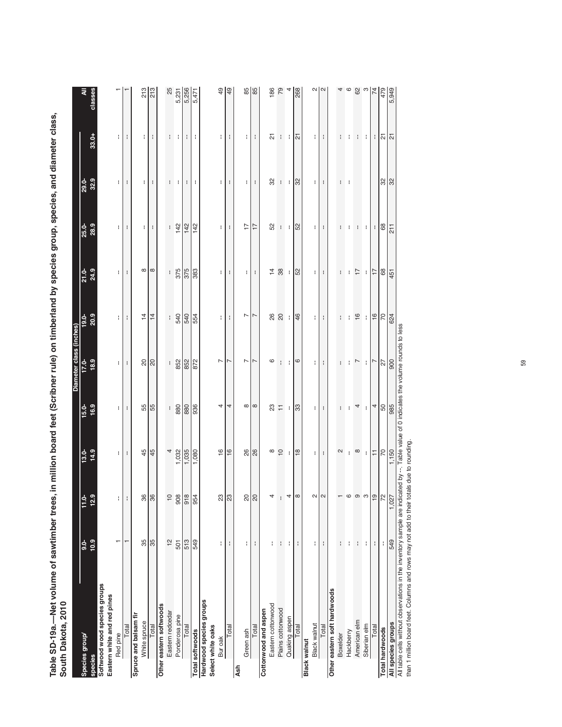Table SD-19a.—Net volume of sawtimber trees, in million board feet (Scribner rule) on timberland by species group, species, and diameter class,<br>South Dakota. 2010 **Table SD-19a.—Net volume of sawtimber trees, in million board feet (Scribner rule) on timberland by species group, species, and diameter class,**  by species and the species group, species, South Dakota, 2010, South Dakota, 2010, 2011, South Dakota, 2010, 20 **South Dakota, 2010**

| <b>Sonni Darora, 4010</b>                                   |               |                   |                          |               |                         |                  |                |                  |               |                        |                       |
|-------------------------------------------------------------|---------------|-------------------|--------------------------|---------------|-------------------------|------------------|----------------|------------------|---------------|------------------------|-----------------------|
|                                                             |               |                   |                          |               | Diameter class (inches) |                  |                |                  |               |                        |                       |
| Species group/                                              | $\frac{1}{9}$ | $\frac{1}{2}$     | $13.0 -$                 | $15.0 -$      | 17.0                    | $19.0 -$         | $21.0 - 24.9$  | 25.0-<br>28.9    |               |                        | ₹                     |
| <b>species</b>                                              | $\frac{3}{2}$ | 12.5              | 14.9                     | 16.9          | 18.9                    | 20.9             |                |                  | 29.0-<br>32.9 | 33.0+                  | classes               |
| Softwood wood species groups<br>Eastern white and red pines |               |                   |                          |               |                         |                  |                |                  |               |                        |                       |
| Red pine                                                    |               | I,                | ł.                       | ł.            | ł.                      | f.               | ÷              | ł                | ÷.            | f.                     |                       |
| Total                                                       |               | f,                | ÷                        | $\mathbf{I}$  | ÷                       | ÷                | $\mathbf{I}$   | $\mathbf{I}$     | ÷             | t                      |                       |
| Spruce and balsam fir                                       |               |                   |                          |               |                         |                  |                |                  |               |                        |                       |
| White spruce                                                | 35            | 36                | 45                       | 55            | $\frac{1}{20}$          | $\frac{4}{3}$    | $\infty$       | ÷                | ÷             | t                      | 213                   |
| Total                                                       | 35            | 36                | 45                       | 55            | $\overline{0}$          | $\overline{4}$   | $\infty$       | ÷                | ÷             | ŧ                      | 213                   |
| Other eastern softwoods                                     |               |                   |                          |               |                         |                  |                |                  |               |                        |                       |
| Eastern redcedar                                            | $\frac{1}{2}$ | $\overline{10}$   | 4                        |               | ł                       | ŧ                | ł              | ł                | ł             |                        | 25                    |
| Ponderosa pine                                              | 501           | 908               | 1,032                    | $\frac{1}{8}$ | 852                     | 540              | 375            | 142              | ÷             | Ηt                     | 5,231                 |
| Total                                                       | 513           | 918               | 1,035                    | 880           | 852                     | 540              | 375            | 142              | ÷             | ÷                      | 5,256                 |
| <b>Total softwoods</b>                                      | 549           | 95                | 1,080                    | 936           | 872                     | 554              | 383            | 142              | ł             | ÷                      | 5,471                 |
| Hardwood species groups<br>Select white oaks                |               |                   |                          |               |                         |                  |                |                  |               |                        |                       |
| Bur oak                                                     | ł             | $\frac{3}{2}$     | $\frac{6}{1}$            | 4             | $\overline{ }$          | t                | ŧ              | ŧ                | ÷.            | t.                     | $\overline{6}$        |
| Total                                                       | ŧ             | $\overline{23}$   | $\frac{6}{1}$            | 4             | L                       | ł                | ÷              | ÷                | ÷             | t                      | 49                    |
| Ash                                                         |               |                   |                          |               |                         |                  |                |                  |               |                        |                       |
| Green ash                                                   | ł.            |                   | $\frac{8}{2}$            | $\infty$      | N                       | 7                | ÷.             | 17               | ŧ.            | ÷.                     | 85                    |
| Total                                                       | $\mathbf{I}$  | ನ∣ನ               | 26                       | $\infty$      | L                       | L                | H              | 17               | $\mathbf{I}$  | ÷                      | 85                    |
| Cottonwood and aspen                                        |               |                   |                          |               |                         |                  |                |                  |               |                        |                       |
| Eastern cottonwood                                          | ł             |                   | $\infty$                 |               | $\circ$                 |                  | $\frac{1}{4}$  | S <sub>2</sub>   | 32            | 24                     | 186                   |
| Plains cottonwood                                           | ł             |                   | $\overline{C}$           | $\frac{2}{5}$ | ŧ                       |                  | $38\,$         | $\mathbf{I}$     | ÷             | ŧ                      | 79                    |
| Quaking aspen                                               | ŧ             |                   | H.                       | H.            | $\mathbf{I}$            |                  | ÷              | n t              | ÷             | ÷                      |                       |
| Total                                                       | ÷             |                   | $\frac{8}{18}$           | 33            | $\mathbf{\circ}$        | 46               | 52             | <b>B</b>         | $\frac{2}{3}$ | $\overline{\tilde{c}}$ | 268                   |
| <b>Black walnut</b>                                         |               |                   |                          |               |                         |                  |                |                  |               |                        |                       |
| Black walnut                                                | ł             |                   | ŧ.                       | ŧ.            | ÷                       | ŧ.               | ŧ.             | ŧ.               | ÷.            | ÷.                     | $\sim$ $\blacksquare$ |
| Total                                                       | ł             |                   | ÷                        | ł             | ł                       | ł                | ÷              | ÷                |               | ÷                      | $\sim$                |
| Other eastern soft hardwoods                                |               |                   |                          |               |                         |                  |                |                  |               |                        |                       |
| Boxelder                                                    | ł             |                   | $\sim$                   | ł             | ł                       | ł                | ł              | ł                | ł             | I                      |                       |
| Hackberry                                                   | ł             |                   | ŧ                        |               | ł                       | ł                | H              | H                | H             |                        | 68977                 |
| American elm                                                | ł             |                   | $\infty$                 | 4             | $\overline{ }$          | 16               | $\overline{1}$ | ł                |               | ÷                      |                       |
| Siberian elm                                                | ŧ             |                   | $\pm$                    | ÷.            | $\mathbb{R}^n$          | H.               | $\mathbf{L}$   | n t              |               | ÷                      |                       |
| Total                                                       | $\mathbf{I}$  | Ť                 | $\overline{\phantom{a}}$ | 4             | $\overline{ }$          | $\frac{16}{1}$   | $\overline{1}$ | ÷                |               | ÷                      |                       |
| <b>Total hardwoods</b>                                      | ŧ             |                   | $\frac{70}{1,150}$       |               |                         |                  |                | 8                |               |                        | 479                   |
| All species groups                                          | 549           | $\frac{1}{1,027}$ |                          | 58<br>985     | $\frac{27}{900}$        | $\frac{70}{624}$ | 68             | $\overline{211}$ | $\frac{8}{3}$ | $\frac{21}{21}$        | 5,949                 |

All table cells without observations in the inventory sample are indicated by --. Table value of 0 indicates the volume rounds to less<br>than 1 million board feet. Columns and rows may not add to their totals due to rounding All table cells without observations in the inventory sample are indicated by --. Table value of 0 indicates the volume rounds to less

than 1 million board feet. Columns and rows may not add to their totals due to rounding.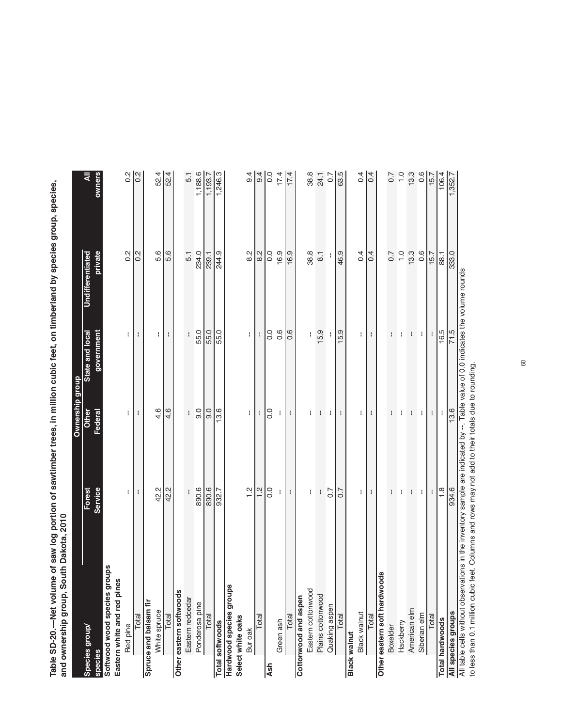| Service<br>42.2<br>890.6<br>890.6<br>Forest<br>42.2<br>932.7<br>Ŧ<br>ł<br>Softwood wood species groups<br>Eastern white and red pines<br>Hardwood species groups<br>Other eastern softwoods<br>Eastern redcedar<br>Spruce and balsam fir<br>Ponderosa pine<br>White spruce<br>Total<br>Total<br>Total<br>Total softwoods<br>Red pine<br>Species group<br>species | 4.6<br>4.6<br>0.6<br>$\frac{0}{9}$<br>Other<br>Federal<br>÷<br>ł<br>H | government<br>State and local<br>÷<br>ł | <b>Undifferentiated</b><br>private | owners<br>₹      |
|------------------------------------------------------------------------------------------------------------------------------------------------------------------------------------------------------------------------------------------------------------------------------------------------------------------------------------------------------------------|-----------------------------------------------------------------------|-----------------------------------------|------------------------------------|------------------|
|                                                                                                                                                                                                                                                                                                                                                                  |                                                                       |                                         |                                    |                  |
|                                                                                                                                                                                                                                                                                                                                                                  |                                                                       |                                         |                                    |                  |
|                                                                                                                                                                                                                                                                                                                                                                  |                                                                       |                                         |                                    |                  |
|                                                                                                                                                                                                                                                                                                                                                                  |                                                                       |                                         |                                    |                  |
|                                                                                                                                                                                                                                                                                                                                                                  |                                                                       |                                         | $0.\overline{2}$                   | $0.\overline{2}$ |
|                                                                                                                                                                                                                                                                                                                                                                  |                                                                       |                                         | 0.2                                | 0.2              |
|                                                                                                                                                                                                                                                                                                                                                                  |                                                                       |                                         |                                    |                  |
|                                                                                                                                                                                                                                                                                                                                                                  |                                                                       | ÷.                                      | 5.6                                | 52.4             |
|                                                                                                                                                                                                                                                                                                                                                                  |                                                                       | ÷                                       | 5.6                                | 52.4             |
|                                                                                                                                                                                                                                                                                                                                                                  |                                                                       |                                         |                                    |                  |
|                                                                                                                                                                                                                                                                                                                                                                  |                                                                       |                                         | 5.1                                | 5.1              |
|                                                                                                                                                                                                                                                                                                                                                                  |                                                                       | 55.0                                    | 234.0                              | 1,188.6          |
|                                                                                                                                                                                                                                                                                                                                                                  |                                                                       | 55.0                                    | 239.1                              | 1,193.7          |
|                                                                                                                                                                                                                                                                                                                                                                  | 13.6                                                                  | 55.0                                    | 244.9                              | 1,246.3          |
|                                                                                                                                                                                                                                                                                                                                                                  |                                                                       |                                         |                                    |                  |
| Select white oaks                                                                                                                                                                                                                                                                                                                                                |                                                                       |                                         |                                    |                  |
| $\frac{2}{1}$<br>Bur oak                                                                                                                                                                                                                                                                                                                                         | ł                                                                     | ŧ                                       | 8.2                                | 9.4              |
| $\frac{2}{1}$<br>Total                                                                                                                                                                                                                                                                                                                                           | ÷.                                                                    |                                         | 8.2                                | $\frac{1}{9.4}$  |
| 0.0<br>Ash                                                                                                                                                                                                                                                                                                                                                       | 0.0                                                                   | 0.0                                     | 0.0                                | $\overline{0.0}$ |
| Ŧ.<br>Green ash                                                                                                                                                                                                                                                                                                                                                  | Ŧ                                                                     | $0.\overline{6}$                        | 16.9                               | 17.4             |
| ł<br>Total                                                                                                                                                                                                                                                                                                                                                       | ł                                                                     | 0.6                                     | 16.9                               | 17.4             |
| Cottonwood and aspen                                                                                                                                                                                                                                                                                                                                             |                                                                       |                                         |                                    |                  |
| ł.<br>Eastern cottonwood                                                                                                                                                                                                                                                                                                                                         | ł                                                                     |                                         | 38.8                               | 38.8             |
| ł.<br>Plains cottonwood                                                                                                                                                                                                                                                                                                                                          | ÷                                                                     | 15.9                                    | $\overline{\text{8}}$              | 24.1             |
| 0.7<br>Quaking aspen                                                                                                                                                                                                                                                                                                                                             | ÷                                                                     |                                         |                                    | 0.7              |
| 0.7<br>Total                                                                                                                                                                                                                                                                                                                                                     | ł                                                                     | 15.9                                    | 46.9                               | 63.5             |
| <b>Black walnut</b>                                                                                                                                                                                                                                                                                                                                              |                                                                       |                                         |                                    |                  |
| ÷<br>Black walnut                                                                                                                                                                                                                                                                                                                                                | ÷                                                                     | ÷                                       | 0.4                                | 0.4              |
| ÷<br>Total                                                                                                                                                                                                                                                                                                                                                       | ÷,                                                                    | ł                                       | 0.4                                | 0.4              |
| Other eastern soft hardwoods                                                                                                                                                                                                                                                                                                                                     |                                                                       |                                         |                                    |                  |
| ł<br>Boxelder                                                                                                                                                                                                                                                                                                                                                    | ł                                                                     | ł                                       | 0.7                                | 0.7              |
| ÷<br>Hackberry                                                                                                                                                                                                                                                                                                                                                   | ÷                                                                     | ÷                                       | $\frac{0}{1}$                      | $\overline{1.0}$ |
| $\langle \cdot \rangle$<br>American elm                                                                                                                                                                                                                                                                                                                          | ÷.                                                                    | ł                                       | 13.3                               | 13.3             |
| ÷<br>Siberian elm                                                                                                                                                                                                                                                                                                                                                | ÷                                                                     | ł                                       | $0.\overline{6}$                   | $0.\overline{6}$ |
| Ŧ<br>Total                                                                                                                                                                                                                                                                                                                                                       | $\mathbf{H}$                                                          |                                         | 15.7                               | 15.7             |
| $\frac{8}{1}$<br><b>Total hardwoods</b>                                                                                                                                                                                                                                                                                                                          | Ŧ                                                                     | 16.5                                    | 88.1                               | 106.4            |
| 934.6<br>All species groups                                                                                                                                                                                                                                                                                                                                      | 13.6                                                                  | 71.5                                    | 333.0                              | 1,352.7          |

Table SD-20.-Net volume of saw log portion of sawtimber trees, in million cubic feet, on timberland by species group, species, **Table SD-20.—Net volume of saw log portion of sawtimber trees, in million cubic feet, on timberland by species group, species,**  by species group, species, and ownership group, South Dakota, 2010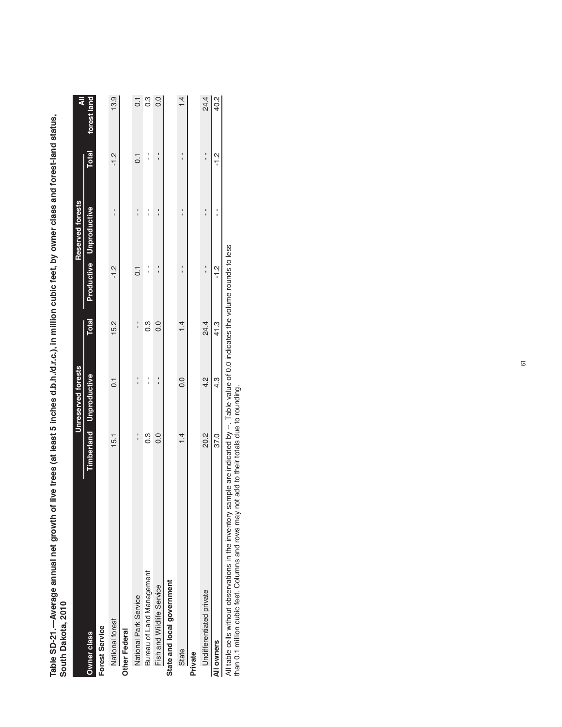| -SD-21.---Average annual net grown | of live trees (at least 5 inches d.b.h./d.r.c.), in million cubic feet, by owner class and forest-lar |   |
|------------------------------------|-------------------------------------------------------------------------------------------------------|---|
| o<br>outh Dakota, 2011             |                                                                                                       |   |
|                                    |                                                                                                       | ï |

| Table SD-21.—Average annual net growth of live trees (at least 5 inches d.b.h./d.r.c.), in million cubic feet, by owner class and forest-land status,<br>South Dakota, 2010 |               |                           |               |                |                         |                |                  |
|-----------------------------------------------------------------------------------------------------------------------------------------------------------------------------|---------------|---------------------------|---------------|----------------|-------------------------|----------------|------------------|
|                                                                                                                                                                             |               | <b>Unreserved forests</b> |               |                | <b>Reserved forests</b> |                | ₹                |
| Owner class                                                                                                                                                                 |               | Timberland Unproductive   | <b>Total</b>  |                | Productive Unproductive | Total          | forest land      |
| Forest Service                                                                                                                                                              |               |                           |               |                |                         |                |                  |
| National forest                                                                                                                                                             | 15.1          | $\overline{0}$            | 15.2          | $-1.2$         |                         | $-1.2$         | 13.9             |
| Other Federal                                                                                                                                                               |               |                           |               |                |                         |                |                  |
| National Park Service                                                                                                                                                       | $\frac{1}{1}$ | $\frac{1}{1}$             | $\frac{1}{1}$ | $\overline{C}$ | ı                       | $\overline{c}$ | $\overline{C}$   |
| Bureau of Land Management                                                                                                                                                   | $\frac{3}{2}$ |                           | c3            |                |                         |                | $0.\overline{3}$ |
| Fish and Wildlife Service                                                                                                                                                   | 0.0           |                           | 0.0           |                |                         |                | 0.0              |
| State and local government                                                                                                                                                  |               |                           |               |                |                         |                |                  |
| State                                                                                                                                                                       | $\frac{1}{4}$ | 0.0                       | 1.4           |                |                         |                | 1.4              |
| Private                                                                                                                                                                     |               |                           |               |                |                         |                |                  |
| Undifferentiated private                                                                                                                                                    | 20.2          | 4.2                       | 24.4          |                |                         |                | 24.4             |
| All owners                                                                                                                                                                  | 37.0          | 4.3                       | 41.3          | $\frac{2}{1}$  |                         | $-1.2$         | 40.2             |

All table cells without observations in the inventory sample are indicated by --. Table value of 0.0 indicates the volume rounds to less<br>than 0.1 million cubic feet. Columns and rows may not add to their totals due to roun All table cells without observations in the inventory sample are indicated by --. Table value of 0.0 indicates the volume rounds to less

than 0.1 million cubic feet. Columns and rows may not add to their totals due to rounding.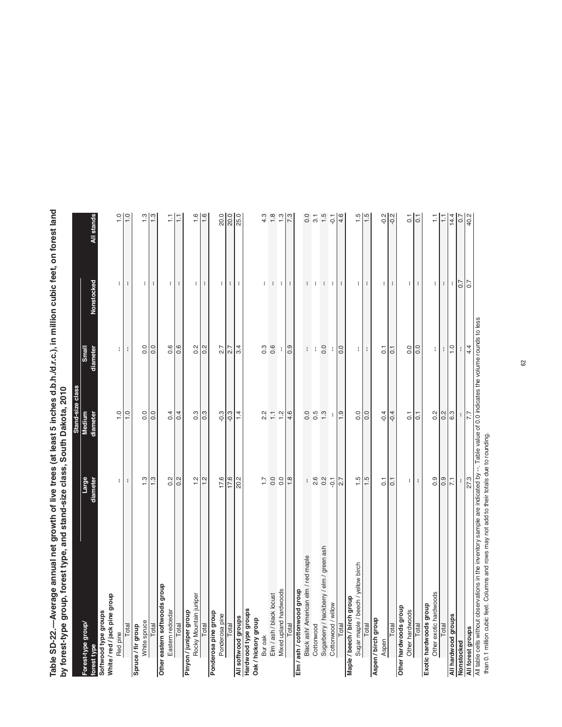Table SD-22.—Average annual net growth of live trees (at least 5 inches d.b.h./d.r.c.), in million cubic feet, on forest land<br>by forest-type group, forest type, and stand-size class, South Dakota, 2010 **Table SD-22.—Average annual net growth of live trees (at least 5 inches d.b.h./d.r.c.), in million cubic feet, on forest land**  t arouth of live trees (at least 5 inches d b b d r c ) is **by forest-type group, forest type, and stand-size class, South Dakota, 2010**

|                                                                                                                                            |                             | Stand-size class        |                                      |                          |                  |
|--------------------------------------------------------------------------------------------------------------------------------------------|-----------------------------|-------------------------|--------------------------------------|--------------------------|------------------|
| Forest-type group/<br>forest type                                                                                                          | Large<br>diameter           | Medium<br>diameter      | diameter<br>Small                    | Nonstocked               | All stands       |
| Softwood type groups                                                                                                                       |                             |                         |                                      |                          |                  |
| White / red / jack pine group<br>Red pine                                                                                                  | $\lvert \cdot \rvert$       | 1.0                     | $\lvert \cdot \rvert$                | $\mathbf{H}$             | 1.0              |
| Total                                                                                                                                      | $\mathbf i$                 | $\overline{0}$ .        | ł                                    | ÷                        | 1.0              |
| Spruce / fir group                                                                                                                         |                             |                         |                                      |                          |                  |
| White spruce                                                                                                                               | 1.3                         | 0.0                     | 0.0                                  | $\lceil$                 | $\frac{3}{1}$    |
| Total                                                                                                                                      | 1.3                         | $\overline{0.0}$        | 0.0                                  | ł                        | $\frac{3}{2}$    |
| Other eastern softwoods group                                                                                                              |                             |                         |                                      |                          |                  |
| Eastern redcedar                                                                                                                           | $_{\rm 0.2}^{\rm 2}$        | 0.4                     | 0.6                                  | $\lvert \cdot \rvert$    | Ξ                |
| Total                                                                                                                                      | 0.2                         | 0.4                     | 0.6                                  | ÷                        | Ξ                |
| Pinyon / juniper group                                                                                                                     |                             |                         |                                      |                          |                  |
| Rocky Mountain juniper<br>Total                                                                                                            | $\frac{2}{1}$ $\frac{2}{1}$ | $0.\overline{3}$<br>0.3 | $0.\overline{2}$<br>$\overline{0.2}$ | Η<br>÷                   | 1.6<br>1.6       |
| Ponderosa pine group                                                                                                                       |                             |                         |                                      |                          |                  |
| Ponderosa pine                                                                                                                             | 17.6                        | $-0.3$                  | 2.7                                  | П                        | 20.0             |
| Total                                                                                                                                      | 17.6                        | $-0.3$                  | $\overline{2.7}$                     | $\mathbf{f}$             |                  |
| All softwood groups                                                                                                                        | 20.2                        | 1.4                     | $\overline{3.4}$                     | $\mathbf{I}$             | 20.0             |
| Hardwood type groups                                                                                                                       |                             |                         |                                      |                          |                  |
| Oak / hickory group                                                                                                                        |                             |                         |                                      |                          |                  |
| Bur oak                                                                                                                                    | $\overline{1}$ .            | 2.2                     | $0.\overline{3}$                     | ł                        |                  |
| Elm / ash / black locust                                                                                                                   | 0.0                         | $\overline{1}$          | 0.6                                  | $\mathord{\text{\rm I}}$ | $\frac{8}{1}$    |
| Mixed upland hardwoods                                                                                                                     | 0.0                         | $\frac{1}{2}$           | ł                                    | $\pm$                    | 1.3              |
| Total                                                                                                                                      | 1.8                         | 4.6                     | 0.9                                  | $\mathbf{I}$             |                  |
| Elm / ash / cottonwood group                                                                                                               |                             |                         |                                      |                          |                  |
| Black ash/ American elm / red maple                                                                                                        |                             | 0.0                     | ŧ                                    | ÷                        | 0.0              |
| Cottonwood                                                                                                                                 | 2.6                         | 0.5                     | I                                    | ł                        | $\overline{3}$ . |
| Sugarberry / hackberry / elm / green ash                                                                                                   | 0.2                         | 1.3                     | $\overline{0}$                       | $\mathbf{I}$             | 1.5              |
| Cottonwood / willow                                                                                                                        | $-0.1$                      | ł                       |                                      | $\mathbf{H}$             | $-0.1$           |
| Total                                                                                                                                      | 2.7                         | 1.9                     | 0.0                                  | ÷                        | 4.6              |
| Maple / beech / birch group                                                                                                                |                             |                         |                                      |                          |                  |
| Sugar maple / beech / yellow birch                                                                                                         | $\ddot{1}$ .5               | 0.0                     | П                                    | 1 H                      | 1.5              |
| Total                                                                                                                                      | 1.5                         | $\overline{0.0}$        | H.                                   |                          | 1.5              |
| Aspen / birch group                                                                                                                        |                             |                         |                                      |                          |                  |
| Aspen                                                                                                                                      | $\overline{0}$              | $-0.4$                  | $\overline{0}$ .                     | П                        | $\frac{1}{2}$    |
| Total                                                                                                                                      | $\overline{0}$              | $-0.4$                  | $\overline{0}$ .                     | ÷                        |                  |
| Other hardwoods group                                                                                                                      |                             |                         |                                      |                          |                  |
| Other hardwoods                                                                                                                            | $\mathbf{H}$                | $\overline{0}$          | 0.0                                  | ÷ I                      | $\overline{0}$ . |
| Total                                                                                                                                      | $\mathbf{f}$                | $\overline{0}$ .        | $\overline{0.0}$                     | $\ddot{\phantom{a}}$     | $\overline{c}$   |
| Exotic hardwoods group                                                                                                                     |                             |                         |                                      |                          |                  |
| Other exotic hardwoods                                                                                                                     | 0.9                         | 0.2                     | $\mathbb{F}^1$                       | ŧ.                       | H                |
| <b>Total</b>                                                                                                                               | 0.9                         | $\overline{0.2}$        |                                      | ÷                        | $\overline{1}$   |
| All hardwood groups                                                                                                                        | $\overline{21}$             | 6.3                     | $\frac{0}{1}$                        | ŧ                        | 14.4             |
| Nonstocked                                                                                                                                 | ł                           | ł                       |                                      | 0.7                      | $\overline{0.7}$ |
| All forest groups                                                                                                                          | 27.3                        | 7.7                     | 4.4                                  | $\overline{0.7}$         | 40.2             |
| All table cells without observations in the inventory sample are indicated by $-$ . Table value of 0.0 indicates the volume rounds to less |                             |                         |                                      |                          |                  |

than 0.1 million cubic feet. Columns and rows may not add to their totals due to rounding. than 0.1 million cubic feet. Columns and rows may not add to their totals due to rounding.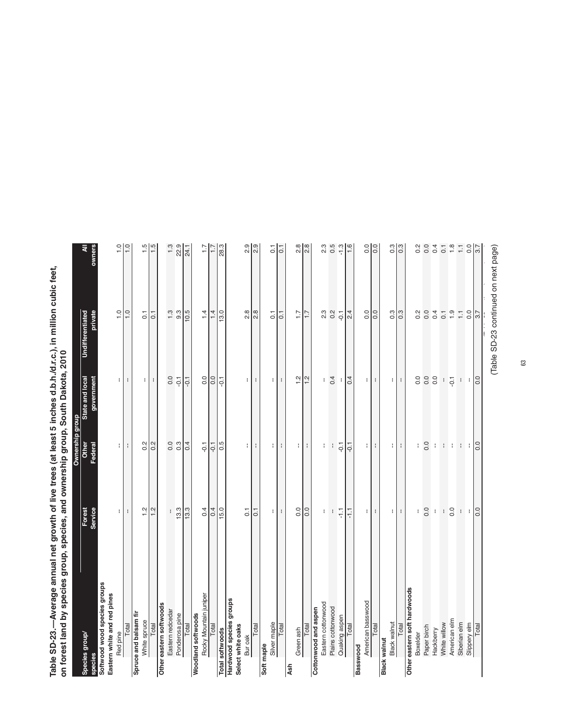Table SD-23.—Average annual net growth of live trees (at least 5 inches d.b.h./d.r.c.), in million cubic feet,<br>on forest land by species group, species, and ownership group, South Dakota, 2010 **Table SD-23.—Average annual net growth of live trees (at least 5 inches d.b.h./d.r.c.), in million cubic feet, on forest land by species group, species, and ownership group, South Dakota, 2010** by d b by species (at least 5 inches d b b d

|                              |                     | Ownership group               |                               |                                    |                         |
|------------------------------|---------------------|-------------------------------|-------------------------------|------------------------------------|-------------------------|
| Species group                | Forest<br>Service   | Other<br>Federal              | State and local<br>government | <b>Undifferentiated</b><br>private | ₹                       |
| Softwood wood species groups |                     |                               |                               |                                    |                         |
| Eastern white and red pines  |                     |                               |                               |                                    |                         |
| Red pine                     | ŧ                   | ÷                             | ÷,                            | $\frac{0}{1}$                      | $\frac{1}{2}$           |
| Total                        | ÷                   | ÷                             | ÷                             | $\overline{1}$ .0                  | $\frac{0}{1}$           |
| Spruce and balsam fir        |                     |                               |                               |                                    |                         |
| White spruce                 | $\frac{2}{1}$       | 0.2                           |                               | $\overline{0}$ .                   |                         |
| Total                        | 1.2                 | $\frac{1}{2}$                 | $\mathbb{E}[\cdot]$           | $\overline{0}$ .                   | $\frac{15}{15}$         |
| Other eastern softwoods      |                     |                               |                               |                                    |                         |
| Eastern redcedar             | ł                   | 0.0                           | 0.0                           | 1.3                                | 1.3                     |
| Ponderosa pine               | 13.3                | $0.\overline{3}$              | $-0.1$                        | 9.3                                |                         |
| Total                        | 13.3                | 0.4                           | $-0.1$                        | 10.5                               | 22.9                    |
| Woodland softwoods           |                     |                               |                               |                                    |                         |
| Rocky Mountain juniper       | 0.4                 | $-0.1$                        | $\overline{0}$ .              | 1.4                                | $\ddot{ }$              |
| Total                        | 0.4                 |                               | 0.0                           | 1.4                                | ₽                       |
| <b>Total softwoods</b>       | 15.0                | $\frac{1}{10}$                | $-0.1$                        | 13.0                               | 28.3                    |
| Hardwood species groups      |                     |                               |                               |                                    |                         |
| Select white oaks            |                     |                               |                               |                                    |                         |
| Bur oak                      | $\overline{0}$      | $\lceil$                      | $\lvert \cdot \rvert$         | 2.8                                | 2.9                     |
| Total                        | $\overline{0}$ .    | ÷                             | ÷                             | 2.8                                | 2.9                     |
| Soft maple                   |                     |                               |                               |                                    |                         |
| Silver maple                 | Η                   |                               | $\mathbf{H}$                  | $\overline{0}$ .                   | $\overline{0}$          |
| Total                        | ÷                   | Η<br>÷.                       | $\mathbf{I}$                  | $\overline{\text{o}}$              | ĪΞ                      |
| Ash                          |                     |                               |                               |                                    |                         |
| Green ash                    | 0.0                 |                               |                               | $\overline{1}$ :                   |                         |
|                              |                     | $\left\vert \cdot\right\vert$ | $\frac{24}{1}$                |                                    | $\frac{8}{20}$          |
| Total                        | 0.0                 |                               |                               | $\frac{1}{1}$                      |                         |
| Cottonwood and aspen         |                     |                               |                               |                                    |                         |
| Eastern cottonwood           | ÷                   | ÷                             | ł                             | 23                                 | $2.\overline{3}$        |
| Plains cottonwood            | $\mathbf{I}$        | $\mathbf{I}$                  | 0.4                           | $\frac{2}{1}$                      | 0.5                     |
| Quaking aspen                | $\overline{\gamma}$ | $-0.1$                        | ÷                             | $-0.1$                             | $-1.3$                  |
| Total                        | F                   | $-0.1$                        | 0.4                           | 2.4                                | 1.6                     |
| Basswood                     |                     |                               |                               |                                    |                         |
| American basswood            |                     |                               |                               | 0.0                                |                         |
| Total                        | 8 H S               | $\left\vert \cdot\right\vert$ | $\pm$ $\pm$                   | 0.0                                |                         |
| <b>Black walnut</b>          |                     |                               |                               |                                    |                         |
| <b>Black walnut</b>          |                     | - 1                           | $\mathbf{H}$                  | $0.\overline{3}$                   | 0.3                     |
| Total                        | $\pm$ $\pm$         | 4                             | н.                            | 0.3                                | $\overline{0.3}$        |
| Other eastern soft hardwoods |                     |                               |                               |                                    |                         |
| Boxelder                     | ŧ                   | ÷                             | 0.0                           | 0.2                                | 0.2                     |
| Paper birch                  | 0.0                 | 0.0                           | 0.0                           | 0.0                                | $_{\rm 0.0}$            |
| Hackberry                    | ŧ                   | ÷                             | 0.0                           | 0.4                                | 0.4                     |
| White willow                 | $\mathfrak i$       |                               | ł,                            | $\overline{0}$ .                   | $\overline{\text{o}}$   |
| American elm                 | 0.0                 | 11111                         | $-0.1$                        | 1.9                                | $1.8$                   |
| Siberian elm                 | $\mathbb{C}$        |                               | $\Gamma$                      | $\overline{\mathbb{H}}$            | $\overline{\mathbb{H}}$ |
| Slippery elm                 |                     |                               |                               | 0.0                                | $rac{0}{37}$            |
| Total                        | <b>P</b>            |                               | <b>PO</b>                     | $\overline{37}$                    |                         |
|                              |                     |                               |                               |                                    |                         |

(Table SD-23 continued on next page) (Table 23 continued on next page)  $\frac{1}{2}$ (Table SD-23 continued on next page)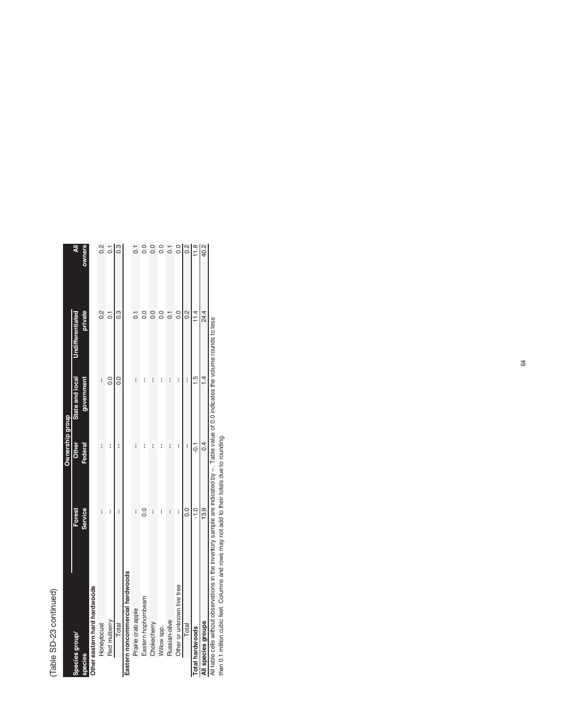## (Table SD-23 continued) (Table SD-23 continued)

|                |                                 |                | <b>Ownership group</b> |                 |                  |                |
|----------------|---------------------------------|----------------|------------------------|-----------------|------------------|----------------|
|                | Species group/                  | Forest         | Other                  | State and local | Undifferentiated | ₹              |
| <b>species</b> |                                 | <b>Service</b> | Federal                | government      | private          | owners         |
|                | Other eastern hard hardwoods    |                |                        |                 |                  |                |
|                | Honeylocust                     | ľ              | i                      | I               | $\frac{2}{3}$    | $\frac{2}{3}$  |
|                | Red mulberry                    | i              | i                      | 0.0             | $\overline{c}$   | $\overline{0}$ |
|                | Total                           | i              | I                      | 0.0             | 0.3              |                |
|                | Eastern noncommercial hardwoods |                |                        |                 |                  |                |
|                | Prairie crab apple              | i              | I                      | I               |                  |                |
|                | Eastern hophornbeam             | $\frac{0}{2}$  | i                      | i               |                  |                |
|                | Chokecherry                     | i              | i                      | i               | $\frac{0}{2}$    |                |
|                | Willow spp.                     | i              | I                      | i               | $\frac{0}{2}$    |                |
|                | Russian-olive                   | I              | I                      | I               | $\overline{C}$   | $\overline{0}$ |
|                | Other or unknown live tree      | I              | I                      | I               | $\frac{0}{0}$    | $\overline{0}$ |
|                | Total                           | 0.0            | I                      | I               | $\frac{2}{3}$    |                |
|                | <b>Total hardwoods</b>          | $-1.0$         | $-0.1$                 | $\frac{5}{1}$   | 11.4             | $\frac{8}{11}$ |
|                | All species groups              | 13.9           | 0.4                    | $\overline{4}$  | 24.4             | 40.2           |

All species groups<br>All table cells without observations in the inventory sample are indicated by --. Table value of 0.0 indicates the volume rounds to less<br>than 0.1 million cubic feet. Columns and rows may not add to their All table cells without observations in the inventory sample are indicated by --. Table value of 0.0 indicates the volume rounds to less

than 0.1 million cubic feet. Columns and rows may not add to their totals due to rounding.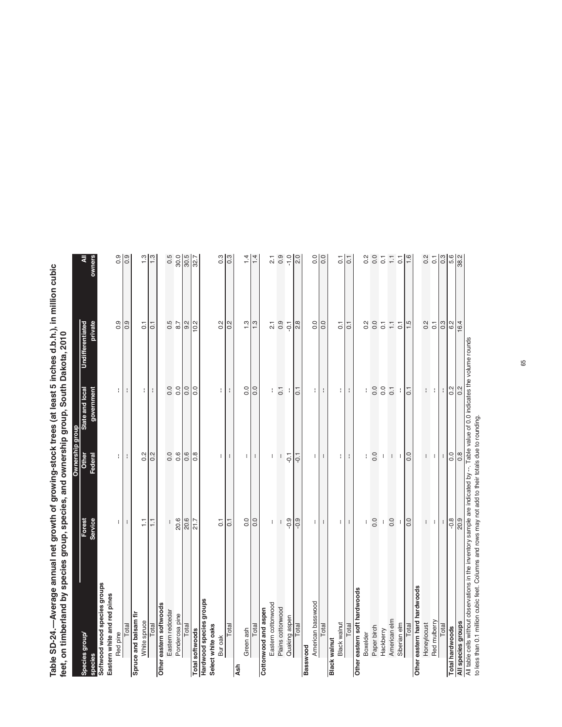Table SD-24.—Average annual net growth of growing-stock trees (at least 5 inches d.b.h.), in million cubic<br>feet, on timberland by species group, species, and ownership group, South Dakota, 2010 **Table SD-24.—Average annual net growth of growing-stock trees (at least 5 inches d.b.h.), in million cubic feet, on timberland by species group, species, and ownership group, South Dakota, 2010**by species and around proceed and one of a

|                                                                                                                                    |                   | <b>Ownership group</b> |                          |                          |                       |
|------------------------------------------------------------------------------------------------------------------------------------|-------------------|------------------------|--------------------------|--------------------------|-----------------------|
| Species group                                                                                                                      |                   | Other                  | State and local          | <b>Undifferentiated</b>  |                       |
|                                                                                                                                    | Forest<br>Service | Federal                | government               | private                  |                       |
| Softwood wood species groups                                                                                                       |                   |                        |                          |                          |                       |
| Eastern white and red pines                                                                                                        |                   |                        |                          |                          |                       |
| Red pine                                                                                                                           | ÷.                | ł.                     | ł.                       | 0.9                      | 0.9                   |
|                                                                                                                                    | ÷                 | ÷                      | ÷                        | $\overline{0.9}$         | $\overline{0.9}$      |
| Total<br>Spruce and balsam fir                                                                                                     |                   |                        |                          |                          |                       |
| White spruce                                                                                                                       | $\overline{1}$    |                        | $\pm$                    | $\overline{0}$ .         | 1.3                   |
| Total                                                                                                                              | $\overline{1}$    | $\frac{2}{10}$         | $\mathfrak{f}$           | $\overline{c}$           | 1.3                   |
| Other eastern softwoods                                                                                                            |                   |                        |                          |                          |                       |
| Eastern redcedar                                                                                                                   | ÷                 |                        | 0.0                      | 0.5                      | 0.5                   |
| Ponderosa pine                                                                                                                     | 20.6              | 0.0                    | 0.0                      | 8.7                      | 30.0                  |
| Total                                                                                                                              | 20.6              | 0.6                    | 0.0                      |                          |                       |
| <b>Total softwoods</b>                                                                                                             | $\frac{7}{21.7}$  | $\overline{0.8}$       | $\overline{0.0}$         | $9.2$<br>$9.2$           | $\frac{30.5}{32.7}$   |
| Hardwood species groups                                                                                                            |                   |                        |                          |                          |                       |
| Select white oaks                                                                                                                  |                   |                        |                          |                          |                       |
| Bur oak                                                                                                                            | $\overline{0}$    | ÷.                     | t.                       | 0.2                      | $0.\overline{3}$      |
| Total                                                                                                                              | $\overline{0}$    | ÷                      | ÷                        | 0.2                      | $0.\overline{3}$      |
| Ash                                                                                                                                |                   |                        |                          |                          |                       |
| Green ash                                                                                                                          | 0.0               | $\lceil$               | 0.0                      | 1.3                      | $\frac{1}{4}$         |
| Total                                                                                                                              | 0.0               | $\mathbf{I}$           | 0.0                      | 1.3                      | $\frac{1}{4}$         |
| Cottonwood and aspen                                                                                                               |                   |                        |                          |                          |                       |
| Eastern cottonwood                                                                                                                 | ł                 | ł                      | ł                        | $\overline{2}$ .         | $\overline{2}$        |
| Plains cottonwood                                                                                                                  | t                 | ł                      | $\overline{\phantom{a}}$ | $0.\overline{9}$         | 0.9                   |
| Quaking aspen                                                                                                                      | $-0.9$            | $-0.1$                 | ÷                        |                          | $-1.0$                |
| Total                                                                                                                              | $-0.9$            | $\frac{1}{10}$         | $\overline{0}$ .         | $rac{1}{2}$              | $\frac{0}{20}$        |
| Basswood                                                                                                                           |                   |                        |                          |                          |                       |
| American basswood                                                                                                                  | $\mathbf{H}$      | $\lceil$               | $\mathbf{H}$             | 0.0                      | 0.0                   |
| <b>Total</b>                                                                                                                       | $\mathbf{r}$      | $\mathbf{I}$           | ÷                        | 0.0                      | 0.0                   |
| <b>Black walnut</b>                                                                                                                |                   |                        |                          |                          |                       |
| Black walnut                                                                                                                       | $\mathbf{H}$      | $\mathbf{H}$           | $\mathbf{H}$             | $\overline{0}$ .         | $\overline{0}$ .      |
| Total                                                                                                                              | н.                | ÷                      | $\cdot$                  | 0.1                      | Б                     |
| Other eastern soft hardwoods                                                                                                       |                   |                        |                          |                          |                       |
| Boxelder                                                                                                                           | ŧ.                |                        | f.                       | 0.2                      | $0.\overline{2}$      |
| Paper birch                                                                                                                        | 0.0               | 0.0                    | 0.0                      | 0.0                      | 0.0                   |
| Hackberry                                                                                                                          | $\mathbf i$       | ł                      | 0.0                      | $\overline{0}$ .         | $\overline{0}$ .      |
| American elm                                                                                                                       | 0.0               | $\mathbf i$            | $\overline{0}$           | $\overline{\phantom{0}}$ | H                     |
| Siberian elm                                                                                                                       | ł                 | $\mathbf{I}$           | ł                        | $\overline{0}$ .         | $\overline{C}$        |
| Total                                                                                                                              | 0.0               | 0.0                    | $\overline{0.1}$         | 1.5                      | $\frac{1}{6}$         |
| Other eastern hard hardwoods                                                                                                       |                   |                        |                          |                          |                       |
| Honeylocust                                                                                                                        | ÷.                | ÷.                     | $\mathbb{I}$             | 0.2                      | 0.2                   |
| Red mulberry                                                                                                                       | ÷                 | ÷ I                    | ÷ I                      | $\overline{0}$ .         | $\overline{\text{o}}$ |
| Total                                                                                                                              | $\mathbf{I}$      | $\mathbf{I}$           | $\mathbf{I}$             | 0.3                      | $\sqrt{3}$            |
| <b>Total hardwoods</b>                                                                                                             | $-0.8$            | $rac{0}{0.8}$          | $\frac{2}{0.2}$          | $\frac{6.2}{16.4}$       | 5.6                   |
| All species groups                                                                                                                 | 20.9              |                        |                          |                          |                       |
| All table cells without observations in the inventory sample are indicated by $-$ . Table value of 0.0 indicates the volume rounds |                   |                        |                          |                          |                       |

to less than 0.1 million cubic feet. Columns and rows may not add to their totals due to rounding.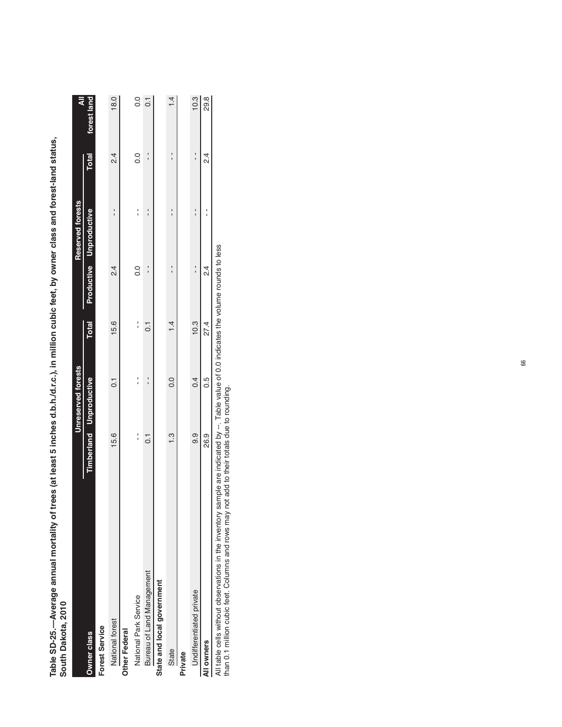Table SD-25.—Average annual mortality of trees (at least 5 inches d.b.h./d.r.c.), in million cubic feet, by owner class and forest-land status,<br>South Dakota, 2010 **Table SD-25.—Average annual mortality of trees (at least 5 inches d.b.h./d.r.c.), in million cubic feet, by owner class and forest-land status, South Dakota, 2010**

|                                            |                                                                                                                                                                                                                                                                                                                     | Unreserved forests             |              |               | <b>Reserved forests</b>                    |                | ₹                |
|--------------------------------------------|---------------------------------------------------------------------------------------------------------------------------------------------------------------------------------------------------------------------------------------------------------------------------------------------------------------------|--------------------------------|--------------|---------------|--------------------------------------------|----------------|------------------|
| Owner class                                |                                                                                                                                                                                                                                                                                                                     | <b>Timberland</b> Unproductive | <b>Total</b> |               | Productive Unproductive                    | <b>Total</b>   | forest land      |
| <b>Forest Service</b>                      |                                                                                                                                                                                                                                                                                                                     |                                |              |               |                                            |                |                  |
| National forest                            | 15.6                                                                                                                                                                                                                                                                                                                | $\overline{c}$                 | 15.6         | $\frac{4}{3}$ | י<br>י                                     | $\frac{24}{3}$ | 18.0             |
| Other Federal                              |                                                                                                                                                                                                                                                                                                                     |                                |              |               |                                            |                |                  |
| National Park Service                      | $\frac{1}{1}$                                                                                                                                                                                                                                                                                                       |                                |              | $\frac{0}{2}$ | ֧֧ׅ֧֧ׅ֧֚֚֚֚֚֚֚֚֚֚֚֚֚֚֚֚֚֚֚֚֚֚֚֚֚֚֬֡֡֜֓֡֓֜֓ | $\frac{0}{2}$  | 0.0              |
| Bureau of Land Management                  | 0.1                                                                                                                                                                                                                                                                                                                 |                                | 0.1          |               |                                            |                | $\overline{0}$ . |
| State and local government                 |                                                                                                                                                                                                                                                                                                                     |                                |              |               |                                            |                |                  |
| State                                      | $\frac{3}{2}$                                                                                                                                                                                                                                                                                                       | 0.0                            | 1.4          |               |                                            |                | 14               |
| Private                                    |                                                                                                                                                                                                                                                                                                                     |                                |              |               |                                            |                |                  |
| Undifferentiated private                   | თ<br>თ                                                                                                                                                                                                                                                                                                              | 0.4                            | 10.3         |               |                                            |                | 10.3             |
| All owners                                 | 26.9                                                                                                                                                                                                                                                                                                                | 0.5                            | 27.4         | $\frac{4}{2}$ |                                            | $\frac{4}{2}$  | 29.8             |
| アンファイン アンファー アンファー こうしょう こうしょう こうしゃ しゅうしょう | $\frac{1}{2}$ $\frac{1}{2}$ $\frac{1}{2}$ $\frac{1}{2}$ $\frac{1}{2}$ $\frac{1}{2}$ $\frac{1}{2}$ $\frac{1}{2}$ $\frac{1}{2}$ $\frac{1}{2}$ $\frac{1}{2}$ $\frac{1}{2}$ $\frac{1}{2}$ $\frac{1}{2}$ $\frac{1}{2}$ $\frac{1}{2}$ $\frac{1}{2}$ $\frac{1}{2}$ $\frac{1}{2}$ $\frac{1}{2}$ $\frac{1}{2}$ $\frac{1}{2}$ |                                |              | $\frac{1}{2}$ |                                            |                |                  |

All table cells without observations in the inventory sample are indicated by --. Table value of 0.0 indicates the volume rounds to less<br>than 0.1 million cubic feet. Columns and rows may not add to their totals due to roun All table cells without observations in the inventory sample are indicated by --. Table value of 0.0 indicates the volume rounds to less

than 0.1 million cubic feet. Columns and rows may not add to their totals due to rounding.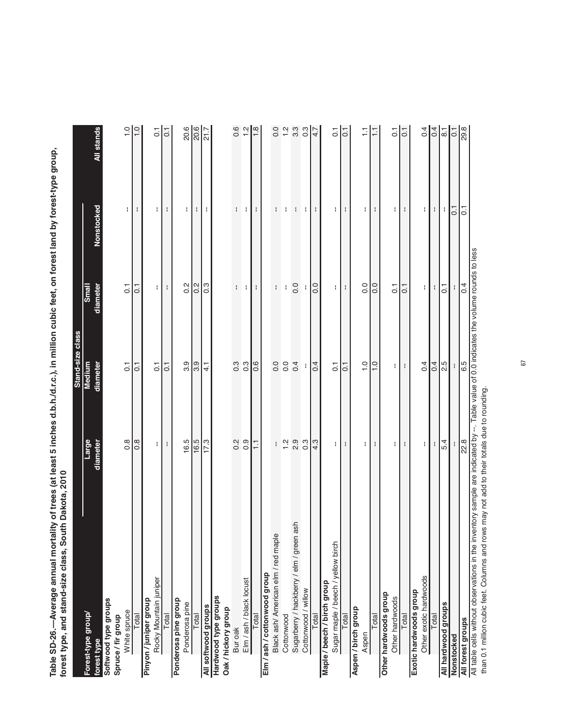Table SD-26.—Average annual mortality of trees (at least 5 inches d.b.h./d.r.c.), in million cubic feet, on forest land by forest-type group,<br>forest type, and stand-size class, South Dakota, 2010 **Table SD-26.—Average annual mortality of trees (at least 5 inches d.b.h./d.r.c.), in million cubic feet, on forest land by forest-type group,**  by forest-type group, forest type, and stand-size class, South Dakota, 2010 **forest type, and stand-size class, South Dakota, 2010**

|                                                                                                                                          |                  | Stand-size class |                  |                |                                               |
|------------------------------------------------------------------------------------------------------------------------------------------|------------------|------------------|------------------|----------------|-----------------------------------------------|
| Forest-type group/                                                                                                                       | Large            | Medium           | Small            |                |                                               |
| forest type                                                                                                                              | diameter         | diameter         | diameter         | Nonstocked     | All stands                                    |
| Softwood type groups                                                                                                                     |                  |                  |                  |                |                                               |
| Spruce/fir group                                                                                                                         |                  |                  |                  |                |                                               |
| White spruce                                                                                                                             | $\frac{8}{2}$    | $\overline{C}$   | $\overline{C}$   | Ŧ              | $\frac{0}{1}$                                 |
| Total                                                                                                                                    | $0.\overline{8}$ | $\overline{0}$   | $\overline{C}$   | ł              | $\frac{0}{1}$                                 |
| Pinyon / juniper group                                                                                                                   |                  |                  |                  |                |                                               |
| Rocky Mountain juniper                                                                                                                   | ÷.               | $\overline{C}$   | ÷.               | ÷              | $\overline{0}$                                |
| Total                                                                                                                                    | ÷                | $\overline{C}$   | ÷                | ł              | $\overline{0}$ .                              |
| Ponderosa pine group                                                                                                                     |                  |                  |                  |                |                                               |
| Ponderosa pine                                                                                                                           | 16.5             | 3.9              | 0.2              | ÷.             | 20.6                                          |
| Total                                                                                                                                    | 16.5             | 3.9              | 0.2              | H              | 20.6                                          |
| All softwood groups                                                                                                                      | 17.3             | $\frac{1}{4}$    | $0.\overline{3}$ | ÷.             | 21.7                                          |
| Hardwood type groups                                                                                                                     |                  |                  |                  |                |                                               |
| Oak/hickory group                                                                                                                        |                  |                  |                  |                |                                               |
| Bur oak                                                                                                                                  | $0.\overline{2}$ | $0.\overline{3}$ | ł                | ł              | 0.6                                           |
| Elm / ash / black locust                                                                                                                 | 0.9              | 0.3              | ÷                | ÷              | $\frac{1}{2}$                                 |
| <b>Total</b>                                                                                                                             | $\overline{11}$  | 0.6              | ł                | ÷              | 1.8                                           |
| Elm / ash / cottonwood group                                                                                                             |                  |                  |                  |                |                                               |
| Black ash/ American elm / red maple                                                                                                      |                  | 0.0              | ł                | ł              | 0.0                                           |
| Cottonwood                                                                                                                               | $\frac{2}{1}$    | 0.0              | ł                | ł              | $\frac{1}{2}$                                 |
| ash<br>Sugarberry / hackberry / elm / green                                                                                              | 2.9              | 0.4              | 0.0              | ł              | $3.\overline{3}$                              |
| Cottonwood / willow                                                                                                                      | $0.\overline{3}$ | H                | ł                | ÷              | $0.\overline{3}$                              |
| Total                                                                                                                                    | 4.3              | 0.4              | 0.0              | ÷              | 4.7                                           |
| Maple / beech / birch group                                                                                                              |                  |                  |                  |                |                                               |
| Sugar maple / beech / yellow birch                                                                                                       | ł.               | $\overline{C}$   | Ŧ                | Ŧ              | $\overline{C}$                                |
| Total                                                                                                                                    | ÷                | $\overline{0}$   | ÷                | ÷              | $\overline{0}$ .                              |
| Aspen / birch group                                                                                                                      |                  |                  |                  |                |                                               |
| Aspen                                                                                                                                    | Н                | $\frac{0}{1}$    | 0.0              | H.             |                                               |
| Total                                                                                                                                    | ÷                | $\frac{0}{1}$    | 0.0              | ÷              | Ξ                                             |
| Other hardwoods group                                                                                                                    |                  |                  |                  |                |                                               |
| Other hardwoods                                                                                                                          | ł.               | ł                | $\overline{0}$   | ł              | $\overline{0}$ .                              |
| Total                                                                                                                                    | ÷                | ÷                | $\overline{0}$ . | ÷              | $\overline{0}$ .                              |
| Exotic hardwoods group                                                                                                                   |                  |                  |                  |                |                                               |
| Other exotic hardwoods                                                                                                                   | ł.               | 0.4              | ł.               | ł              | 0.4                                           |
| Total                                                                                                                                    | ŧ                | $\overline{0}$   | Ŧ                | Ŧ.             | 0.4                                           |
| All hardwood groups                                                                                                                      | 5.4              | 2.5              | 5                | ÷,             | $\overline{\text{8}}$ , $\overline{\text{1}}$ |
| Nonstocked                                                                                                                               |                  |                  |                  | $\overline{0}$ | $\overline{0}$ .                              |
| All forest groups                                                                                                                        | 22.8             | 6.5              | 0.4              | $\overline{C}$ | 29.8                                          |
| All table cells without observations in the inventory sample are indicated by --. Table value of 0.0 indicates the volume rounds to less |                  |                  |                  |                |                                               |

than 0.1 million cubic feet. Columns and rows may not add to their totals due to rounding. than 0.1 million cubic feet. Columns and rows may not add to their totals due to rounding.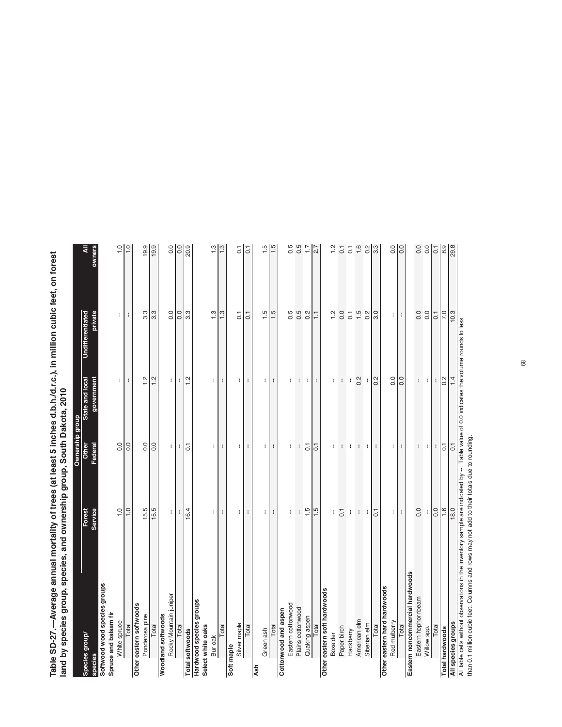Table SD-27.—Average annual mortality of trees (at least 5 inches d.b.h./d.r.c.), in million cubic feet, on forest<br>Iand by species group, species, and ownership group, South Dakota, 2010 **Table SD-27.—Average annual mortality of trees (at least 5 inches d.b.h./d.r.c.), in million cubic feet, on forest**  portality of trees (at least 5 inches d.b.b. $\mu$ c.). i **land by species group, species, and ownership group, South Dakota, 2010**

|                                                                                                                                                                                                                                        |                   | Ownership group       |                               |                             |                    |
|----------------------------------------------------------------------------------------------------------------------------------------------------------------------------------------------------------------------------------------|-------------------|-----------------------|-------------------------------|-----------------------------|--------------------|
| Species group/<br>species                                                                                                                                                                                                              | Forest<br>Service | Other<br>Federal      | State and local<br>government | Undifferentiated<br>private | pwners<br>₹        |
| Softwood wood species groups                                                                                                                                                                                                           |                   |                       |                               |                             |                    |
| Spruce and balsam fir                                                                                                                                                                                                                  |                   |                       |                               |                             |                    |
| White spruce                                                                                                                                                                                                                           | $\frac{0}{1}$     | 0.0                   | ŧ                             | ŧ                           | $\frac{0}{1}$      |
| Total                                                                                                                                                                                                                                  | $\frac{0}{1}$     | 0.0                   | ÷                             | ÷                           | $\frac{0}{1}$      |
| Other eastern softwoods                                                                                                                                                                                                                |                   |                       |                               |                             |                    |
| Ponderosa pine                                                                                                                                                                                                                         | 15.5              | 0.0                   | $\frac{2}{1}$                 | $3.\overline{3}$            | 19.9               |
| Total                                                                                                                                                                                                                                  | 15.5              | 0.0                   | 1.2                           | 3.3                         | 19.9               |
| <b>Woodland softwoods</b>                                                                                                                                                                                                              |                   |                       |                               |                             |                    |
| Rocky Mountain juniper                                                                                                                                                                                                                 | ł.                | $\lvert \cdot \rvert$ | ÷.                            | $\overline{0}$              | 0.0                |
| Total                                                                                                                                                                                                                                  | t                 | $\mathbf{I}$          | ÷                             | $\frac{1}{2}$               | <b>PO</b>          |
| <b>Total softwoods</b>                                                                                                                                                                                                                 | 16.4              | $\overline{0.1}$      | $\frac{2}{1}$                 |                             | 20.9               |
| sdno.l6 seipads poomp.ue                                                                                                                                                                                                               |                   |                       |                               |                             |                    |
| Select white oaks                                                                                                                                                                                                                      |                   |                       |                               |                             |                    |
| Bur oak                                                                                                                                                                                                                                | $\mathbf{H}$      | ۰I                    | $\mathbf{H}$                  | 1.3                         |                    |
| Total                                                                                                                                                                                                                                  | ÷                 | $\mathbf{I}$          | ÷                             | 1.3                         |                    |
| Soft maple                                                                                                                                                                                                                             |                   |                       |                               |                             |                    |
| Silver maple                                                                                                                                                                                                                           | Ħ                 | Ħ                     | $\lvert \cdot \rvert$         | $\overline{0}$ .            | $\overline{c}$     |
| Total                                                                                                                                                                                                                                  | ÷                 | $\mathbf{I}$          | ÷                             | $\overline{0}$ .            | $\overline{0}$ .   |
| <b>Ash</b>                                                                                                                                                                                                                             |                   |                       |                               |                             |                    |
| Green ash                                                                                                                                                                                                                              | $\mathbf{H}$      | $\mathbf{H}$          | $\lceil$                      | 1.5                         | $\frac{5}{1}$      |
| Total                                                                                                                                                                                                                                  | ŧ                 | $\mathbf{I}$          | ÷                             | $\frac{5}{1}$               | 1.5                |
| Cottonwood and aspen                                                                                                                                                                                                                   |                   |                       |                               |                             |                    |
| Eastern cottonwood                                                                                                                                                                                                                     | ł                 | ł                     | H                             | 0.5                         | 0.5                |
| Plains cottonwood                                                                                                                                                                                                                      | $\mathbf{I}$      | $\cdot$               | $\cdot$                       |                             | 0.5                |
| Quaking aspen                                                                                                                                                                                                                          | 1.5               | $\overline{0}$        | ÷                             | $0.5$<br>0.2                | 1.7                |
| Total                                                                                                                                                                                                                                  | 1.5               | $\overline{0}$ .      | $\mathbf{I}$                  | H                           | 2.7                |
| Other eastern soft hardwoods                                                                                                                                                                                                           |                   |                       |                               |                             |                    |
| Boxelder                                                                                                                                                                                                                               | ł                 | Ŧ                     | H                             | 1.2                         | $\frac{2}{1}$      |
| Paper birch                                                                                                                                                                                                                            | $\overline{C}$    | $\mathbf{I}$          | $\mathbf{I}$                  | 0.0                         | $\overline{0}$ .   |
| Hackberry                                                                                                                                                                                                                              | $\mathbf i$       | ÷                     | ÷                             | $\overline{0}$ .1           | $\overline{\circ}$ |
| American elm                                                                                                                                                                                                                           | $\mathbf{I}$      | $\mathbf{I}$          | 0.2                           | $\ddot{1}$ .5               | 1.6                |
| Siberian elm                                                                                                                                                                                                                           | ł                 | $\pm$                 | $\mathbf{I}$                  | 0.2                         | 0.2                |
| Total                                                                                                                                                                                                                                  | $\overline{c}$    | H.                    | $\overline{0.2}$              | ြ ကို                       | 3.3                |
| Other eastern hard hardwoods                                                                                                                                                                                                           |                   |                       |                               |                             |                    |
| Red mulberry                                                                                                                                                                                                                           | $\mathbb{E}$      | $\mathbf{H}$          | 0.0                           | $\pm$                       | 0.0                |
| Total                                                                                                                                                                                                                                  | $\mathbf{r}$      | $\mathbf{H}$          | 0.0                           | ÷                           | 0.0                |
| Eastern noncommercial hardwoods                                                                                                                                                                                                        |                   |                       |                               |                             |                    |
| Eastern hophornbeam                                                                                                                                                                                                                    | 0.0               | ÷                     | ÷                             | 0.0                         | 0.0                |
| Willow spp.                                                                                                                                                                                                                            |                   | ŧ.                    | ÷                             | 0.0                         | 0.0                |
| Total                                                                                                                                                                                                                                  | 0.0               | $\mathbf{I}$          | ÷                             | $\overline{0}$ .            | $\overline{0}$ .   |
| <b>Total hardwoods</b>                                                                                                                                                                                                                 | 1.6               | $\overline{0.1}$      | 0.2                           | $\overline{5}$              | $\sqrt{8.9}$       |
| All species groups                                                                                                                                                                                                                     | 18.0              | $\overline{0}$        | $\frac{1}{4}$                 | 10.3                        | 29.8               |
| All table cells without observations in the inventory sample are indicated by --. Table value of 0.0 indicates the volume rounds to less<br>than 0.1 million cubic feet. Columns and rows may not add to their totals due to rounding. |                   |                       |                               |                             |                    |
|                                                                                                                                                                                                                                        |                   |                       |                               |                             |                    |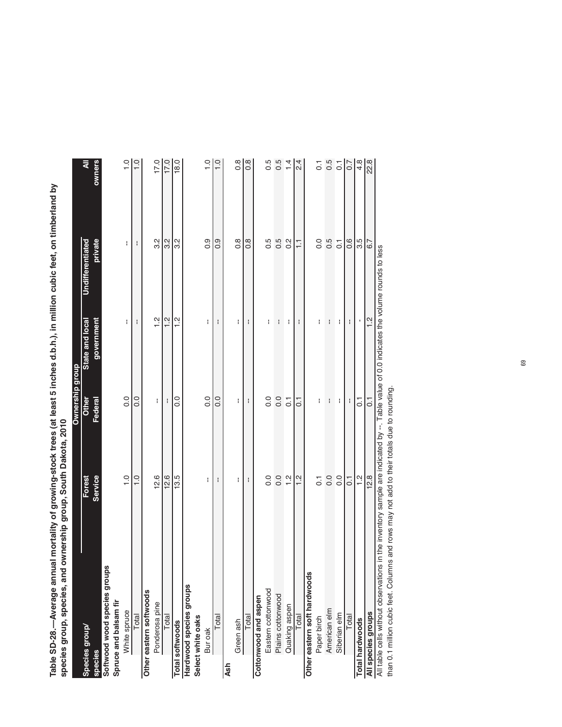Table SD-28.—Average annual mortality of growing-stock trees (at least 5 inches d.b.h.), in million cubic feet, on timberland by<br>species group, species, and ownership group, South Dakota, 2010 **Table SD-28.—Average annual mortality of growing-stock trees (at least 5 inches d.b.h.), in million cubic feet, on timberland by species group, species, and ownership group, South Dakota, 2010**

|                                                                                                                                          |                | Ownership group  |                 |                  |                    |
|------------------------------------------------------------------------------------------------------------------------------------------|----------------|------------------|-----------------|------------------|--------------------|
| Species group/                                                                                                                           | Forest         | Other            | State and local | Undifferentiated | ব                  |
| species                                                                                                                                  | Service        | Federal          | government      | private          | owners             |
| Softwood wood species groups                                                                                                             |                |                  |                 |                  |                    |
| Spruce and balsam fir                                                                                                                    |                |                  |                 |                  |                    |
| White spruce                                                                                                                             | $\frac{0}{1}$  | $\overline{0}$ . | ł               | ł                | $\frac{0}{1}$      |
| Total                                                                                                                                    | $\frac{0}{1}$  | $\frac{0}{0}$    | ł               | ł                | $\frac{0}{1}$      |
| Other eastern softwoods                                                                                                                  |                |                  |                 |                  |                    |
| Ponderosa pine                                                                                                                           | 12.6           | ł                | $\frac{2}{1}$   | 32               | 17.0               |
| Total                                                                                                                                    | 12.6           | H                | $\frac{2}{1}$   | 32               | 17.0               |
| Total softwoods                                                                                                                          | 13.5           | $\frac{0}{0}$    | $\frac{2}{1}$   | 2.S              | 18.0               |
| Hardwood species groups                                                                                                                  |                |                  |                 |                  |                    |
| Select white oaks                                                                                                                        |                |                  |                 |                  |                    |
| Bur oak                                                                                                                                  | ł              | $\frac{0}{0}$    | ł               | $\frac{0}{0}$    | $\frac{0}{1}$      |
| Total                                                                                                                                    | ł              | 0.0              | I               | 0.0              | $\frac{0}{1}$      |
| Ash                                                                                                                                      |                |                  |                 |                  |                    |
| Green ash                                                                                                                                | ł              | ł                | ł               | $\frac{8}{2}$    | $0.\overline{8}$   |
| Total                                                                                                                                    | ł              | ł                | ł               | $\frac{8}{2}$    | $\frac{8}{2}$      |
| Cottonwood and aspen                                                                                                                     |                |                  |                 |                  |                    |
| Eastern cottonwood                                                                                                                       | 0.0            | 0.0              | ł               | 0.5              | 0.5                |
| Plains cottonwood                                                                                                                        | 0.0            | 0.0              | I               | 0.5              | 0.5                |
| Quaking aspen                                                                                                                            | 1.2            | $\overline{0}$   | ł               | $0.\overline{2}$ | 1.4                |
| Total                                                                                                                                    | $\frac{2}{1}$  | $\overline{C}$   | ł               | $\overline{1}$   | 2.4                |
| Other eastern soft hardwoods                                                                                                             |                |                  |                 |                  |                    |
| Paper birch                                                                                                                              | $\overline{0}$ | ł                | I               | 0.0              | $\overline{\circ}$ |
| American elm                                                                                                                             | 0.0            | ł                | ł               | 0.5              | $0.5$<br>$0.1$     |
| Siberian elm                                                                                                                             | 0.0            | ł                | ł               | $\overline{0}$   |                    |
| Total                                                                                                                                    | $\overline{c}$ | ł                | ł               | $\frac{6}{1}$    | 0.7                |
| <b>Total hardwoods</b>                                                                                                                   | $\frac{2}{1}$  | $\overline{C}$   |                 | 3.5              | 4.8                |
| All species groups                                                                                                                       | 12.8           | $\overline{C}$   | $\frac{2}{1}$   | 6.7              | 22.8               |
| All table cells without observations in the inventory sample are indicated by --. Table value of 0.0 indicates the volume rounds to less |                |                  |                 |                  |                    |

All table cells without observations in the inventory sample are indicated by --. Table value of 0.0 indicates the volume rounds to less than 0.1 million cubic feet. Columns and rows may not add to their totals due to rounding. than 0.1 million cubic feet. Columns and rows may not add to their totals due to rounding.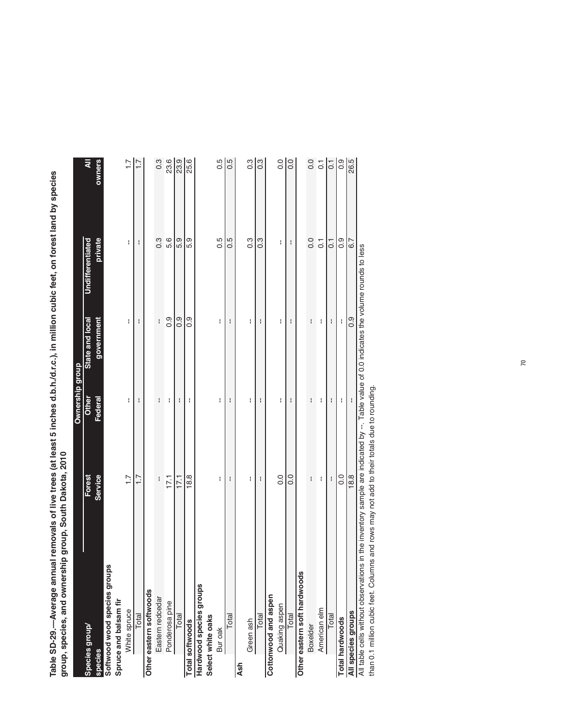Table SD-29.—Average annual removals of live trees (at least 5 inches d.b.h./d.r.c.), in million cubic feet, on forest land by species<br>group, species, and ownership group, South Dakota, 2010 **Table SD-29.—Average annual removals of live trees (at least 5 inches d.b.h./d.r.c.), in million cubic feet, on forest land by species**  by species group, species, and ownership group, South Dakota, 2010 **group, species, and ownership group, South Dakota, 2010**

| יין של האינו לא באינו לא האינו לא האינו לא האינו להודע האינו לא האינו להודע האינו להודע האינו להודע האינו להוד<br>אינו לא האינו להודע האינו להודע האינו להודע האינו להודע האינו להודע האינו להודע האינו להודע האינו להודע האינו<br>שופרויי ביות המוני בקר לקומים ועל | ĺ                 |                       |                                                        |                  |                    |
|----------------------------------------------------------------------------------------------------------------------------------------------------------------------------------------------------------------------------------------------------------------------|-------------------|-----------------------|--------------------------------------------------------|------------------|--------------------|
|                                                                                                                                                                                                                                                                      |                   | Ownership group       |                                                        |                  |                    |
| Species group/                                                                                                                                                                                                                                                       | Forest<br>Service | Other                 | State and local                                        | Undifferentiated | ₹                  |
| species                                                                                                                                                                                                                                                              |                   | Federal               | government                                             | private          | owners             |
| Softwood wood species groups                                                                                                                                                                                                                                         |                   |                       |                                                        |                  |                    |
| Spruce and balsam fir                                                                                                                                                                                                                                                |                   |                       |                                                        |                  |                    |
| White spruce                                                                                                                                                                                                                                                         | $\overline{1.7}$  | ł                     | ł                                                      | ł                | $\overline{.}1$    |
| Total                                                                                                                                                                                                                                                                | $\overline{1}$ .  | ł                     | ł                                                      | I                | $-1.7$             |
| Other eastern softwoods                                                                                                                                                                                                                                              |                   |                       |                                                        |                  |                    |
| Eastern redcedar                                                                                                                                                                                                                                                     | ł                 | ł                     | ł                                                      | $0.\overline{3}$ | 0.3                |
| Ponderosa pine                                                                                                                                                                                                                                                       | 17.1              | ł                     | $\frac{0}{2}$                                          | 5.6              | 23.6               |
| Total                                                                                                                                                                                                                                                                | 17.1              | ł                     | $\overline{0}$                                         | 5.9              | 23.9               |
| Total softwoods                                                                                                                                                                                                                                                      | 18.8              | ł                     | ၀ိ                                                     | 5.9              | 25.6               |
| Hardwood species groups                                                                                                                                                                                                                                              |                   |                       |                                                        |                  |                    |
| Select white oaks                                                                                                                                                                                                                                                    |                   |                       |                                                        |                  |                    |
| Bur oak                                                                                                                                                                                                                                                              | Ŧ                 | ł                     | ł                                                      | $0.\overline{5}$ | 0.5                |
| Total                                                                                                                                                                                                                                                                | ł                 | ł                     | ł                                                      | 5 O              | 0.5                |
| Ash                                                                                                                                                                                                                                                                  |                   |                       |                                                        |                  |                    |
| Green ash                                                                                                                                                                                                                                                            | ł                 | ł                     | ł                                                      | $0.\overline{3}$ | 0.3                |
| Total                                                                                                                                                                                                                                                                | I                 | I                     | $\mathop{!}\nolimits$                                  | $0.\overline{3}$ | 0.3                |
| Cottonwood and aspen                                                                                                                                                                                                                                                 |                   |                       |                                                        |                  |                    |
| Quaking aspen                                                                                                                                                                                                                                                        | 0.0               | I                     | ł                                                      | ł                | 0.0                |
| Total                                                                                                                                                                                                                                                                | $\frac{0}{0}$     | ł                     | ł                                                      |                  | 0.0                |
| Other eastern soft hardwoods                                                                                                                                                                                                                                         |                   |                       |                                                        |                  |                    |
| Boxelder                                                                                                                                                                                                                                                             | ł                 | ł                     | ł                                                      | 0.0              | 0.0                |
| American elm                                                                                                                                                                                                                                                         | ł                 | ł                     | ł                                                      | $\overline{0}$   | $\overline{\circ}$ |
| Total                                                                                                                                                                                                                                                                | ł                 | ł                     | ł                                                      | $\overline{C}$   | $\overline{0}$ .   |
| <b>Total hardwoods</b>                                                                                                                                                                                                                                               | 0.0               | ł                     | f                                                      | 0.9              | 0.9                |
| All species groups                                                                                                                                                                                                                                                   | 18.8              | $\mathop{!}\nolimits$ | 0.9                                                    | 6.7              | 26.5               |
| All table cells without observations in the inventory sample are indicated by                                                                                                                                                                                        |                   |                       | Table value of 0.0 indicates the volume rounds to less |                  |                    |

volume rounds to less All table cells without observations in the inventory sample are indicated by --. Table value of 0.0 indicates the volume rounds to less **INDICALES LIE** n<br>D All table cells without observations in the inventory sample are indicated by --. I able value of<br>than 0.1 million cubic feet. Columns and rows may not add to their totals due to rounding. than 0.1 million cubic feet. Columns and rows may not add to their totals due to rounding.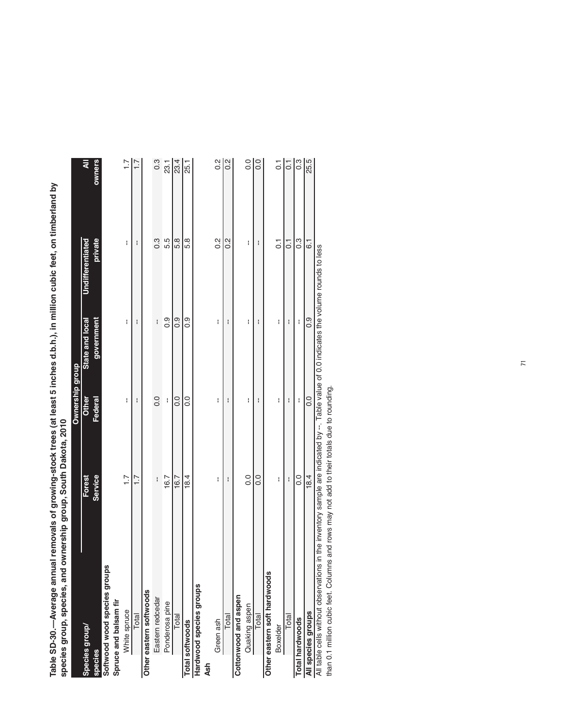Table SD-30.—Average annual removals of growing-stock trees (at least 5 inches d.b.h.), in million cubic feet, on timberland by<br>species group, species, and ownership group, South Dakota, 2010 **Table SD-30.—Average annual removals of growing-stock trees (at least 5 inches d.b.h.), in million cubic feet, on timberland by species group, species, and ownership group, South Dakota, 2010**

|                                                                                                                                         |                  | Ownership group |                 |                         |                  |
|-----------------------------------------------------------------------------------------------------------------------------------------|------------------|-----------------|-----------------|-------------------------|------------------|
| Species group/                                                                                                                          | Forest           | <b>Other</b>    | State and local | <b>Undifferentiated</b> | ₹                |
| species                                                                                                                                 | Service          | Federal         | government      | private                 | owners           |
| Softwood wood species groups                                                                                                            |                  |                 |                 |                         |                  |
| Spruce and balsam fir                                                                                                                   |                  |                 |                 |                         |                  |
| White spruce                                                                                                                            | $\overline{1}$ . | ł               | ł               | ł                       | $\overline{1}$ . |
| Total                                                                                                                                   | $\overline{1}$ . | H               | Η               | H                       | 71               |
| Other eastern softwoods                                                                                                                 |                  |                 |                 |                         |                  |
| Eastern redcedar                                                                                                                        | $\mathbf{I}$     | $\frac{0}{0}$   | ł               | c.o                     | 0.3              |
| Ponderosa pine                                                                                                                          | 16.7             | $\mathbf i$     | 0.9             | 5.5                     | 23.1             |
| Total                                                                                                                                   | 16.7             | $\frac{0}{0}$   | 0.0             | 5.8                     | 23.4             |
| Total softwoods                                                                                                                         | 18.4             | $\frac{0}{2}$   | 0.9             | 5.8                     | 25.1             |
| Hardwood species groups                                                                                                                 |                  |                 |                 |                         |                  |
| Ash                                                                                                                                     |                  |                 |                 |                         |                  |
| Green ash                                                                                                                               | ł                | ł               | ł               | $\frac{2}{3}$           | $\frac{2}{3}$    |
| Total                                                                                                                                   | I                | I               | H               | $\frac{2}{3}$           | 0.2              |
| Cottonwood and aspen                                                                                                                    |                  |                 |                 |                         |                  |
| Quaking aspen                                                                                                                           | $\frac{0}{0}$    | ł               | ł               | ł                       | 0.0              |
| Total                                                                                                                                   | $\frac{0}{0}$    | ł               | ł               | I                       | 0.0              |
| Other eastern soft hardwoods                                                                                                            |                  |                 |                 |                         |                  |
| Boxelder                                                                                                                                | ł                | ł               | ł               | $\overline{0}$          | $\overline{C}$   |
| Total                                                                                                                                   | ł                | I               | H               | $\overline{C}$          | $\overline{0}$ . |
| Total hardwoods                                                                                                                         | o.               | ł               | ł               | ი<br>0.3                | $0.\overline{3}$ |
| All species groups                                                                                                                      | 18.4             | 0.0             | $\frac{0}{2}$   | $\overline{6}$ .        | 25.5             |
| All table cells without observations in the inventory sample are indicated by -- Table value of 0.0 indicates the volume rounds to less |                  |                 |                 |                         |                  |
| than 0.1 million cubic feet. Columns and rows may not add to their totals due to rounding.                                              |                  |                 |                 |                         |                  |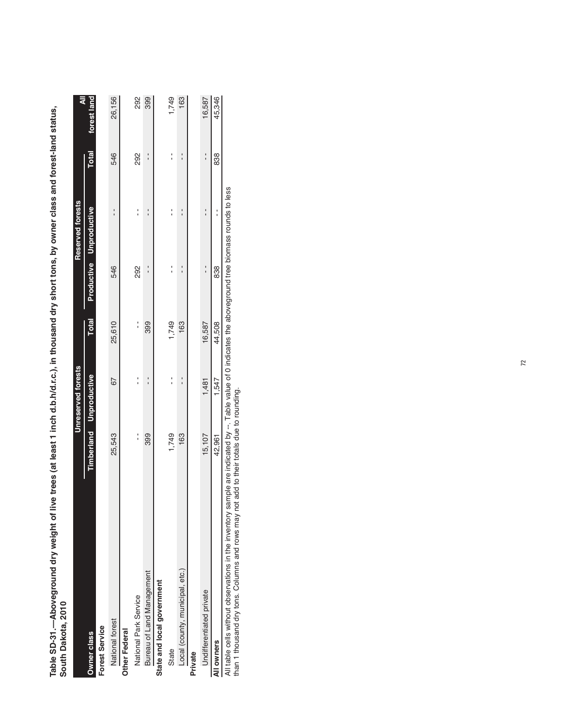Table SD-31.—Aboveground dry weight of live trees (at least 1 inch d.b.h/d.r.c.), in thousand dry short tons, by owner class and forest-land status,<br>South Dakota, 2010 **Table SD-31.—Aboveground dry weight of live trees (at least 1 inch d.b.h/d.r.c.), in thousand dry short tons, by owner class and forest-land status, South Dakota, 2010**

|                                 |               | Unreserved forests            |              |               | Reserved forests        |               | ₹           |
|---------------------------------|---------------|-------------------------------|--------------|---------------|-------------------------|---------------|-------------|
| Owner class                     |               | Timberland Unproductive       | <b>Total</b> |               | Productive Unproductive | <b>Total</b>  | forest land |
| <b>Forest Service</b>           |               |                               |              |               |                         |               |             |
| National forest                 | 25,543        | 67                            | 25,610       | 546           |                         | 546           | 26,156      |
| Other Federal                   |               |                               |              |               |                         |               |             |
| National Park Service           | $\frac{1}{1}$ |                               | :            | 292           |                         | 292           | 292         |
| Bureau of Land Management       | 399           | ֧֢ׅ֧֚֚֚֚֚֚֚֚֚֚֚֚֚֚֚֚֚֚֚֬֡֜֡֜֓ | 399          | $\frac{1}{1}$ |                         | $\frac{1}{1}$ | 399         |
| State and local government      |               |                               |              |               |                         |               |             |
| State                           | 1,749         |                               | 1,749        |               |                         |               | 1,749       |
| Local (county, municipal, etc.) | 163           |                               | 163          |               |                         |               | 163         |
| Private                         |               |                               |              |               |                         |               |             |
| Undifferentiated private        | 15,107        | 1,481                         | 16,587       | $\frac{1}{1}$ |                         | $\frac{1}{1}$ | 16,587      |
| All owners                      | 42,961        | 1,547                         | 44,508       | 838           |                         | 838           | 45,346      |

(Table 32 continued on next page) All table cells without observations in the inventory sample are indicated by --. Table value of 0 indicates the aboveground tree biomass rounds to less<br>than 1 thousand dry tons. Columns and rows may not add to their total All table cells without observations in the inventory sample are indicated by --. Table value of 0 indicates the aboveground tree biomass rounds to less

than 1 thousand dry tons. Columns and rows may not add to their totals due to rounding.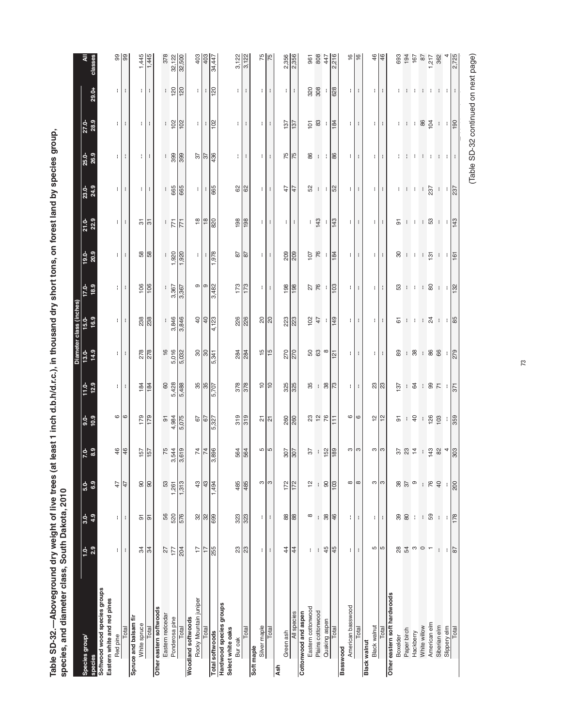Table SD-32.—Aboveground dry weight of live trees (at least 1 inch d.b.h/d.r.c.), in thousand dry short tons, on forest land by species group,<br>species, and diameter class, South Dakota, 2010 **Table SD-32.—Aboveground dry weight of live trees (at least 1 inch d.b.h/d.r.c.), in thousand dry short tons, on forest land by species group,**  ast 1 inch d.b.h/d.r.c.), in thousand dry short **species, and diameter class, South Dakota, 2010**

| Species group/<br>species                                   | 2.9<br>ុំ                | 4.9<br>$3.0 -$       | 6.9<br>$5.0-$     | $7.0 - 8.9$                   | $9.9$<br>$10.9$               | 12.9<br>$11.0 -$                    | 14.9              | Diameter class (inches)<br>13.0-<br>15.0-<br>16.9 | 17.0-<br>18.9              | 20.9<br>$19.0 -$                       | $21.0 - 22.9$                         | 23.0-<br>24.9              | 25.0-<br>26.9              | 27.0-<br>28.9                | $29.0 +$                   |                                |
|-------------------------------------------------------------|--------------------------|----------------------|-------------------|-------------------------------|-------------------------------|-------------------------------------|-------------------|---------------------------------------------------|----------------------------|----------------------------------------|---------------------------------------|----------------------------|----------------------------|------------------------------|----------------------------|--------------------------------|
| Softwood wood species groups<br>Eastern white and red pines |                          |                      |                   |                               |                               |                                     |                   |                                                   |                            |                                        |                                       |                            |                            |                              |                            |                                |
| Red pine                                                    | ÷.                       | ÷                    | 47                | 46                            | $\circ$ $\circ$               | Ħ                                   | Ħ                 | $\mathbf{H}$                                      | $\mathbf{H}$               | $\mathbf{H}$                           | $\mathbf{L}$                          | ÷.                         | $\mathbf{H}$               | $\mathbf{H}$                 | $\pm$                      | 88                             |
| Total                                                       | ł                        | H                    | 47                |                               |                               | ÷                                   | ÷                 | ÷                                                 | ÷                          | ÷                                      | ÷                                     | ÷                          | ÷                          | ÷                            | ÷                          |                                |
| Spruce and balsam fir                                       |                          |                      |                   |                               |                               |                                     |                   |                                                   |                            |                                        |                                       |                            |                            |                              |                            |                                |
| White spruce                                                | 34                       | 5                    | 8                 | $\frac{157}{157}$             | 179                           | 184                                 | 278               | 238                                               | 106                        | 38                                     | 5                                     | ÷                          | ÷                          | ÷                            | ÷                          | 1,445                          |
| Total                                                       | $\approx$                | 5                    | $\frac{8}{3}$     |                               | 179                           | 184                                 | 278               | 238                                               | 106                        | 58                                     | $\overline{5}$                        | ł                          | ÷                          | ł                            | ł                          | 1,445                          |
| Other eastern softwoods                                     |                          |                      |                   |                               |                               |                                     |                   |                                                   |                            |                                        |                                       |                            |                            |                              |                            |                                |
| Eastem redcedar                                             | $\overline{27}$          | 56                   | $53\,$            |                               |                               | $\mbox{6}$                          | 16<br>5,016       |                                                   |                            |                                        |                                       |                            |                            |                              |                            | 378                            |
| Ponderosa pine                                              | 177                      | 520                  | 1,261             | $\frac{75}{3,544}$            | 91<br>4,984<br>5,075          | 5,428                               |                   | $\frac{1}{3,846}$                                 | $\frac{3,367}{3,367}$      | 1,920                                  | $\frac{1}{7}$                         | $\frac{1}{665}$            | $\frac{8}{300}$            | $\frac{1}{102}$              | $\frac{18}{12}$            | 32,122                         |
| Total                                                       | 204                      | 576                  | 1,313             |                               |                               |                                     | 5,032             |                                                   |                            | 1,920                                  | 771                                   | 665                        |                            | 102                          |                            |                                |
| Rocky Mountain juniper<br>Woodland softwoods                | 17                       |                      | 43                |                               | $67\,$                        |                                     |                   | $\overline{40}$                                   | $\circ$                    | ŧ.                                     | $\frac{8}{10}$                        | ÷.                         |                            | ÷.                           | ŧ.                         | 403                            |
| Total                                                       | $\overline{1}$           | 32 <sub>8</sub>      | 43                | 74                            | 67                            | 35                                  | $\frac{8}{8}$     | $\overline{4}$                                    | စြ                         | ÷.                                     | $\frac{8}{18}$                        |                            | $\frac{2}{3}$              | ÷.                           | ÷.                         | 403                            |
| <b>Total softwoods</b>                                      | 255                      | 699                  | 1,494             | 896                           | 5,327                         | 5,707                               | 5,341             | 4,123                                             | 3,482                      | 1,978                                  | 820                                   | $\frac{1}{665}$            | 436                        | 102                          | 120                        | 34,447                         |
| Hardwood species groups<br>Select white oaks<br>Bur oak     | S3                       | 323                  | 485               |                               | 319                           | 378                                 |                   | 226                                               | 173                        | $87$                                   | 198                                   | 8                          | ÷.                         | ÷                            | ÷.                         |                                |
| Total                                                       | $\mathbb{S}^2$           | 323                  | 485               | 564<br>564                    | 319                           | 378                                 | <b>284</b>        | 226                                               | 173                        | $\overline{8}$                         | 198                                   | 62                         | ÷.                         | ÷                            | ÷                          | $3,122$<br>$3,122$             |
| Silver maple<br>Soft maple                                  | ÷.                       | ł.                   |                   |                               |                               |                                     |                   |                                                   |                            |                                        |                                       |                            |                            |                              |                            |                                |
| Total                                                       | ÷                        | ÷                    | က က               | <u> ທ</u>                     | $\frac{1}{2}$                 | $=$ $\approx$                       | $\frac{15}{15}$   | $\frac{8}{20}$                                    | $\lvert \cdot \rvert$<br>÷ | $\ddot{\phantom{a}}$<br>$\blacksquare$ | $\lvert \cdot \rvert$<br>$\mathbf{I}$ | $\ddot{\phantom{a}}$<br>ŧ. | $\ddot{\phantom{a}}$<br>t. | $\mathbf{H}$<br>$\mathbf{I}$ | $\mathbf{H}$<br>÷          | 75                             |
| Green ash<br>Ash                                            | $\ddot{4}$               | $88$                 | 172               |                               | 260                           | 325                                 | 270               |                                                   | 198                        | 209                                    |                                       | 47                         |                            | 137                          |                            |                                |
| All species                                                 | $\overline{4}$           | 88                   | 172               | $rac{207}{307}$               | 260                           | 325                                 | 270               | 223<br>223                                        | 198                        | 209                                    | t.<br>÷                               | $\frac{4}{7}$              | 75                         | 137                          | ŧ.<br>÷                    | 2,356                          |
| Cottonwood and aspen                                        |                          |                      |                   |                               |                               |                                     |                   |                                                   |                            |                                        |                                       |                            |                            |                              |                            |                                |
| Eastern cottonwood                                          | t                        | $\infty$             | $\frac{1}{2}$     | 57                            |                               | 35                                  |                   | 10 <sup>2</sup>                                   |                            | 107                                    | ÷                                     | 52                         |                            | $101$                        | 320                        | 961                            |
| Plains cottonwood                                           | ł                        | ł                    | ł                 |                               | 23 2 2                        | .88                                 | 8 8 0             | $47$                                              | 27<br>76                   | 76                                     | 143                                   | $\cdot \cdot$ 8            | 8 : 1                      | $_{83}$                      | 308                        | 808                            |
| Quaking aspen                                               | 45                       | 38                   | $\infty$          | $\frac{158}{150}$             |                               |                                     |                   | $\cdot$                                           |                            | n i                                    |                                       |                            |                            | ÷                            | ÷                          | 447                            |
| Total                                                       | 45                       | $\frac{46}{5}$       | $\overline{103}$  |                               | H                             |                                     | 121               | 149                                               | 103                        | 184                                    | 143                                   |                            | 86                         | 184                          | 628                        | 2,216                          |
| American basswood<br>Basswood                               |                          |                      |                   |                               |                               |                                     |                   |                                                   |                            |                                        |                                       |                            |                            |                              |                            |                                |
| Total                                                       | ÷<br>ł                   | ÷<br>÷               | $\infty$ $\infty$ | က က                           | $\circ$                       | $\lvert \cdot \rvert$<br>ł          | $\mathbf{H}$<br>÷ | $\mathbf{H}$<br>t                                 | Ħ<br>t                     | $\mathbf{H}$<br>t                      | Ħ<br>$\mathbf i$                      | t<br>$\mathbf{H}$          | $\mathbf{H}$<br>t          | $\mathbf{H}$<br>÷            | $\lvert \cdot \rvert$<br>÷ | $\frac{6}{5}$<br>$\frac{6}{5}$ |
| Black walnut                                                |                          |                      |                   |                               |                               |                                     |                   |                                                   |                            |                                        |                                       |                            |                            |                              |                            |                                |
| <b>Black walnut</b>                                         | Ю                        | ŧ                    | S                 | က က                           | $\frac{1}{2}$                 | ន $\sqrt{3}$                        | $\pm$             | ÷.                                                | ÷.                         | $\pm$                                  | ÷                                     | $\pm$                      | ÷                          | $\mathbf{H}$                 | ÷.                         | 46                             |
| Total                                                       | Ю                        | ÷                    | S                 |                               |                               |                                     | ÷                 |                                                   |                            |                                        | ÷                                     | ÷                          |                            | ÷                            |                            |                                |
| Other eastern soft hardwoods                                |                          |                      |                   |                               |                               |                                     |                   |                                                   |                            |                                        |                                       |                            |                            |                              |                            |                                |
| Boxelder                                                    | $_{28}$                  | 30                   | 88<br>37          |                               |                               | 137                                 | 89                | $\overline{6}$                                    |                            | 80                                     |                                       |                            | ÷.                         |                              | ÷.                         | 693                            |
| Paper birch                                                 | 54                       |                      |                   |                               | $\frac{5}{6}$ + $\frac{5}{6}$ |                                     |                   | $\pm$                                             |                            | $\pm$ $\pm$                            |                                       | 1 I I                      |                            |                              | $\pm$                      |                                |
| Hackberry                                                   | S                        | $\mathbf{I}$         | $\circ$           | 384                           |                               |                                     |                   |                                                   | 3 : 1 : 8                  |                                        |                                       |                            |                            | 1:1.8                        |                            | $\frac{194}{167}$              |
| White willow                                                | $\circ$                  | J.                   | ÷                 |                               | $\langle \cdot \rangle$       |                                     |                   |                                                   |                            | - 1                                    |                                       | - 11                       |                            |                              | $\mathcal{A}$              |                                |
| American elm                                                | $\overline{ }$           | 59                   | 76                |                               | 126                           |                                     |                   |                                                   |                            | 131                                    |                                       | 237                        |                            | 104                          | ÷                          | 1,217                          |
| Siberian elm                                                | $\mathord{\text{\rm l}}$ | $\ddot{\phantom{a}}$ | $\overline{40}$   | $\frac{4}{3}$ % $\frac{4}{3}$ |                               | $\frac{1}{4}$ 1 8 5 1 $\frac{1}{6}$ | 98.88             | : 8 : 18                                          | $\cdot \cdot \frac{1}{2}$  | $\cdot$ $\cdot$ $\approx$              | $25 + 1 + 8 + 12$                     | $\frac{1}{237}$            | .                          | $\frac{1}{190}$              | $-1 - 1 - 1$               | 362                            |
| Slippery elm                                                | ÷                        | ÷.                   | ÷                 |                               | $\frac{1}{359}$               |                                     |                   |                                                   |                            |                                        |                                       |                            |                            |                              |                            |                                |
| Total                                                       | 87                       | 178                  | 200               |                               |                               |                                     |                   |                                                   |                            |                                        |                                       |                            |                            |                              |                            | 2,725                          |
|                                                             |                          |                      |                   |                               |                               |                                     |                   |                                                   |                            |                                        |                                       |                            |                            |                              |                            |                                |

73

(Table SD-32 continued on next page) (Table SD-32 continued on next page)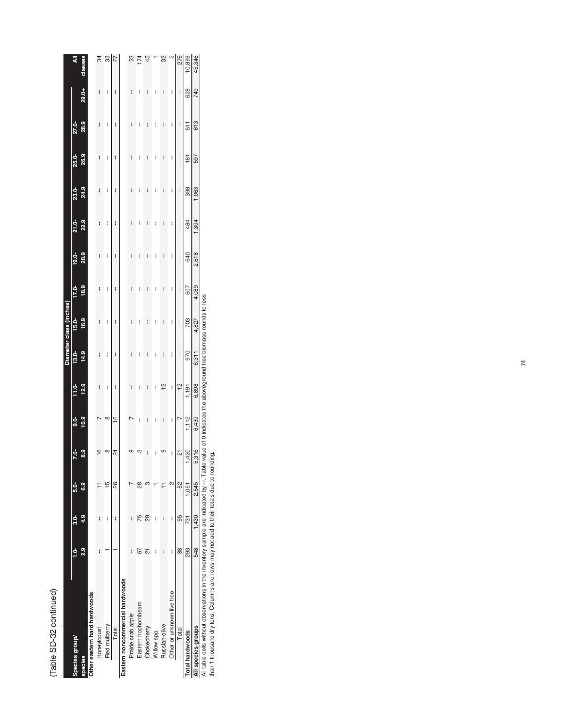| i<br>г |  |
|--------|--|
| č<br>ć |  |
|        |  |

|                                                                                                      |     |             |                |                         |               |               |                                                                        | Diameter class (inches) |          |          |          |              |              |       |       |                   |
|------------------------------------------------------------------------------------------------------|-----|-------------|----------------|-------------------------|---------------|---------------|------------------------------------------------------------------------|-------------------------|----------|----------|----------|--------------|--------------|-------|-------|-------------------|
| Species group/                                                                                       |     | <u>ಕ್ಕೆ</u> | 5.0-           | $7.0 -$                 | <u>ძ.</u>     | $11.0 -$      | $13.0 -$                                                               | $15.0-$                 | $17.0 -$ | $19.0 -$ | $21.0 -$ | <b>23.0-</b> | <b>25.0-</b> | 27.0- |       | ₹                 |
| species                                                                                              | 2.9 | 4.9         | 6.9            | 8.3                     | 10.9          | 12.9          | 14.9                                                                   | 16.9                    | 18.9     | 20.9     | 22.9     | 24.9         | 26.9         | 28.9  | 29.0+ | classes           |
| Other eastern hard hardwoods                                                                         |     |             |                |                         |               |               |                                                                        |                         |          |          |          |              |              |       |       |                   |
| Honeylocust                                                                                          | I   | I           |                |                         |               | I             | I                                                                      | I                       | I        | I        | I        | I            | I            | I     | I     | 34                |
| Red mulberry                                                                                         |     | ł           | $\frac{15}{2}$ | ∞                       | $\infty$      | I             | I                                                                      | I                       | I        | I        | I        | I            | ł            | ł     | I     | ౢ                 |
| Total                                                                                                |     | I           | 88             | 24                      | $\frac{6}{5}$ | I             | I                                                                      | I                       | I        | I        | I        | I            | I            | I     | I     | 67                |
| Eastern noncommercial hardwoods                                                                      |     |             |                |                         |               |               |                                                                        |                         |          |          |          |              |              |       |       |                   |
| Prairie crab apple                                                                                   | I   | i           |                |                         |               | I             | I                                                                      | I                       | i        | I        | ł        | I            | I            | i     | I     | 23                |
| Eastern hophornbeam                                                                                  | 67  | 75          | $\frac{8}{2}$  |                         | i             | I             | ł                                                                      | ł                       | I        | I        | I        | I            | ł            | I     | ł     | 174               |
| Chokecherry                                                                                          | ᠗   | ನಿ          | ო              | I                       | i             | i             | i                                                                      | i                       | i        | I        | I        | I            | i            | I     | I     |                   |
| Willow spp.                                                                                          | I   | I           |                |                         | ł             | I             | I                                                                      | ł                       | I        | I        | I        | I            | I            | I     | I     |                   |
| Russian-olive                                                                                        | I   | I           |                | $\mathcal{D}$           | ł             | $\frac{1}{2}$ | I                                                                      | i                       | I        | I        | I        | I            | I            | I     | I     | 32                |
| Other or unknown live tree                                                                           | I   | I           | Ν              | i                       | I             | I             | I                                                                      | I                       | I        | I        | I        | I            | I            | I     | I     | $\mathbf{\Omega}$ |
| Total                                                                                                | 88  | 95          | 52             | $\overline{\mathbf{c}}$ |               | $\frac{1}{2}$ | I                                                                      | I                       | I        | I        | I        | I            | I            | I     | I     | 276               |
| Total hardwoods                                                                                      | 293 | 731         | 1,051          | 420                     | 1,112         | 1,191         | 970                                                                    | 703                     | 607      | 640      | 484      | 398          | 161          | 51    | 628   | 10,899            |
| All species groups                                                                                   | 548 | 1,430       | 2.545          | .316<br>L               | 6,439         | 6,898         | 6,311                                                                  | 4,827                   | 4,089    | 2,618    | 1,304    | 1,063        | 597          | 613   | 749   | 45,346            |
| النظ المواصحات من حسب ما مصحوص من مقصوص الملك من معامل من المواصل المن المطلب المواصل المواصل المواص |     |             |                | T <sub>abl</sub>        |               |               | معالمه المستحد محمد مستقل معينة المستحدين والمستحدي والمتحدث والمتنافي |                         |          |          |          |              |              |       |       |                   |

All table cells without observations in the inventory sample are indicated by --. Table value of 0 indicates the aboveground tree biomass rounds to less<br>than 1 thousand dry tons. Columns and rows may not add to their total All table cells without observations in the inventory sample are indicated by --. Table value of 0 indicates the aboveground tree biomass rounds to less

than 1 thousand dry tons. Columns and rows may not add to their totals due to rounding.

74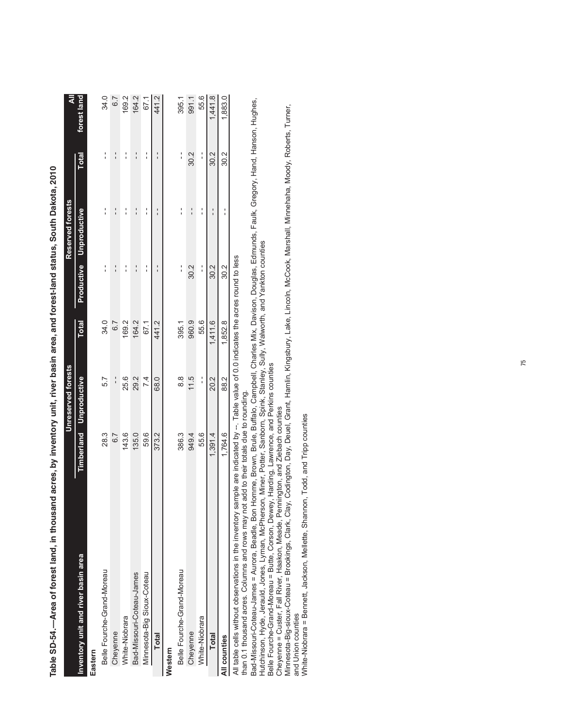|                                                                                                                                        |         | Unreserved forests             |              |               | Reserved forests        |               | ₹           |
|----------------------------------------------------------------------------------------------------------------------------------------|---------|--------------------------------|--------------|---------------|-------------------------|---------------|-------------|
| Inventory unit and river basin area                                                                                                    |         | <b>Timberland Unproductive</b> | <b>Total</b> |               | Productive Unproductive | <b>Total</b>  | forest land |
| Eastern                                                                                                                                |         |                                |              |               |                         |               |             |
| Belle Fourche-Grand-Moreau                                                                                                             | 28.3    | 5.7                            | 34.0         | ;             | $\frac{1}{1}$           | $\frac{1}{1}$ | 34.0        |
| Cheyenne                                                                                                                               | 6.7     | $\frac{1}{1}$                  | 6.7          | $\frac{1}{1}$ | $\frac{1}{1}$           | $\frac{1}{1}$ | 6.7         |
| White-Niobrara                                                                                                                         | 143.6   | 25.6                           | 169.2        | ı             | I                       | :             | 169.2       |
| Bad-Missouri-Coteau-James                                                                                                              | 135.0   | 29.2                           | 164.2        | $\frac{1}{1}$ | $\frac{1}{1}$           | $\frac{1}{1}$ | 164.2       |
| Minnesota-Big Sioux-Coteau                                                                                                             | 59.6    | 7.4                            | 67.1         | $\frac{1}{1}$ | $\frac{1}{1}$           | $\frac{1}{1}$ | 67.1        |
| <b>Total</b>                                                                                                                           | 373.2   | 68.0                           | 441.2        | $\frac{1}{1}$ | $\frac{1}{1}$           | $\frac{1}{1}$ | 441.2       |
| Western                                                                                                                                |         |                                |              |               |                         |               |             |
| Belle Fourche-Grand-Moreau                                                                                                             | 386.3   | 8.8                            | 395.1        | :             | ;                       | $\frac{1}{1}$ | 395.1       |
| Cheyenne                                                                                                                               | 949.4   | 11.5                           | 960.9        | 30.2          | $\frac{1}{1}$           | 30.2          | 991.1       |
| White-Niobrara                                                                                                                         | 55.6    | $\frac{1}{1}$                  | 55.6         | $\frac{1}{1}$ | $\frac{1}{1}$           | $\frac{1}{1}$ | 55.6        |
| <b>Total</b>                                                                                                                           | 1,391.4 | 20.2                           | 1,411.6      | 30.2          | $\frac{1}{1}$           | 30.2          | 1,441.8     |
| All counties                                                                                                                           | 1,764.6 | 88.2                           | 1,852.8      | 30.2          | $\frac{1}{1}$           | 30.2          | 1,883.0     |
| All table cells without observations in the inventory sample are indicated by $-$ Table value of 0.0 indicates the acres round to less |         |                                |              |               |                         |               |             |

Table SD-54.--Area of forest land, in thousand acres, by inventory unit, river basin area, and forest-land status, South Dakota, 2010 **Table SD-54.—Area of forest land, in thousand acres, by inventory unit, river basin area, and forest-land status, South Dakota, 2010**

All table cells without observations in the inventory sample are indicated by --. Table value of 0.0 indicates the acres round to less All labor cells will low to conservations in the invertiony samiliple are invictated by -- Tradic value<br>than 0.1 thousand acres. Columns and rows may not add to their totals due to rounding.

than 0.1 thousand acres. Columns and rows may not add to their totals due to rounding.

Bad-Missouri-Coteau-James = Aurora, Beadle, Bon Homme, Brown, Brule, Buffalo, Campbell, Charles Mix, Davison, Douglas, Edmunds, Faulk, Gregory, Hand, Hanson, Hughes,<br>Hutchinson, Hyde, Jerauld, Jones, Lyman, McPherson, Mine Bad-Missouri-Coteau-James = Aurora, Beadle, Bon Homme, Brown, Brule, Buffalo, Campbell, Charles Mix, Davison, Douglas, Edmunds, Faulk, Gregory, Hand, Hanson, Hughes, Hutchinson, Hyde, Jerauld, Jones, Lyman, McPherson, Miner, Potter, Sanborn, Spink, Stanley, Sully, Walworth, and Yankton counties

Belle Fourche-Grand-Moreau = Butte, Corson, Dewey, Harding, Lawrence, and Perkins counties

Cheyenne = Custer, Fall River, Haakon, Meade, Pennington, and Ziebach counties

Minnesota-Big-sioux-Coteau = Brookings, Clark, Clay, Codington, Day, Deuel, Grant, Hamlin, Kingsbury, Lake, Lincoln, McCook, Marshall, Minnehaha, Moody, Roberts, Turner, and Union counties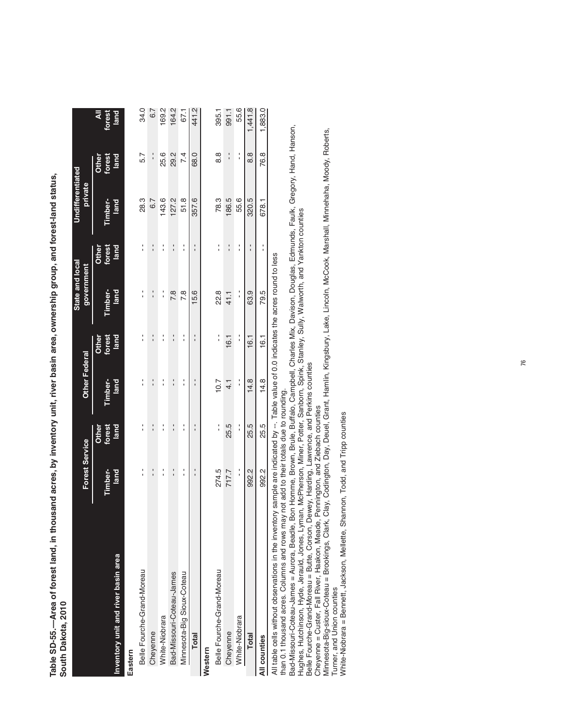Table SD-55.--Area of forest land, in thousand acres, by inventory unit, river basin area, ownership group, and forest-land status, **Table SD-55.—Area of forest land, in thousand acres, by inventory unit, river basin area, ownership group, and forest-land status,**  South Dakota, 2010 **South Dakota, 2010**

|                                                                                                                                        | Forest Service |                         | <b>Other Federal</b> |                                 | State and local<br>government |                 | Undifferentiated<br>private |                 |                    |
|----------------------------------------------------------------------------------------------------------------------------------------|----------------|-------------------------|----------------------|---------------------------------|-------------------------------|-----------------|-----------------------------|-----------------|--------------------|
|                                                                                                                                        | Timber-        | forest<br>land<br>Other | Timber-              | forest<br>land<br>Other         | Timber-                       | forest<br>Other | Timber-                     | forest<br>Other | ₹<br><b>Forest</b> |
| Inventory unit and river basin area                                                                                                    | land           |                         | land                 |                                 | land                          | land            | land                        | land            | land               |
| Eastern                                                                                                                                |                |                         |                      |                                 |                               |                 |                             |                 |                    |
| Belle Fourche-Grand-Moreau                                                                                                             | :              | í                       | í                    | í                               | í                             | l,              | 28.3                        | 5.7             | 34.0               |
| Cheyenne                                                                                                                               | $\frac{1}{1}$  | :                       | :                    | $\frac{1}{1}$                   | $\frac{1}{1}$                 | $\frac{1}{1}$   | $\overline{6.7}$            | $\frac{1}{1}$   | 6.7                |
| White-Niobrara                                                                                                                         | í              | :                       | :                    | :                               | l,                            | :               | 143.6                       | 25.6            | 169.2              |
| Bad-Missouri-Coteau-James                                                                                                              | $\frac{1}{1}$  | $\frac{1}{1}$           | $\frac{1}{1}$        | ׅ֪֚֚֚֚֚֚֚֚֚֚֚֚֚֚֚֚֚֚֬֡֡֜֡֡֜֓֡֡֝ | 7.8                           | $\frac{1}{1}$   | 127.2                       | 29.2            | 164.2              |
| Minnesota-Big Sioux-Coteau                                                                                                             | :              | :                       | :                    | :                               | 7.8                           | ı               | 51.8                        | 7.4             | 67.1               |
| <b>Total</b>                                                                                                                           | :              | $\frac{1}{1}$           | $\frac{1}{1}$        | ı<br>ı                          | 15.6                          | ı               | 357.6                       | 68.0            | 441.2              |
| Western                                                                                                                                |                |                         |                      |                                 |                               |                 |                             |                 |                    |
| Belle Fourche-Grand-Moreau                                                                                                             | 274.5          | í                       | 10.7                 | í                               | 22.8                          | :               | 78.3                        | 8.8             | 395.1              |
| Chevenne                                                                                                                               | 717.7          | 25.5                    | $\frac{1}{4}$        | 16.1                            | 41.1                          | $\frac{1}{1}$   | 186.5                       |                 | 991.1              |
| White-Niobrara                                                                                                                         | í              | :                       | :                    | í                               | :                             | :               | 55.6                        | í               | 55.6               |
| <b>Total</b>                                                                                                                           | 992.2          | 25.5                    | 14.8                 | 16.1                            | 63.9                          |                 | 320.5                       | 8.8             | 1,441.8            |
| All counties                                                                                                                           | 992.2          | 25.5                    | 14.8                 | 16.1                            | 79.5                          | Î               | 678.1                       | 76.8            | 1,883.0            |
| All table cells without observations in the inventory sample are indicated by --. Table value of 0.0 indicates the acres round to less |                |                         |                      |                                 |                               |                 |                             |                 |                    |

than 0.1 thousand acres. Columns and rows may not add to their totals due to rounding. than 0.1 thousand acres. Columns and rows may not add to their totals due to rounding.

Bad-Missouri-Coteau-James = Aurora, Beadle, Bon Homme, Brown, Brule, Buffalo, Campbell, Charles Mix, Davison, Douglas, Edmunds, Faulk, Gregory, Hand, Hanson,<br>Hughes, Hutchinson, Hyde, Jerauld, Jones, Lyman, McPherson, Mine Bad-Missouri-Coteau-James = Aurora, Beadle, Bon Homme, Brown, Brule, Buffalo, Campbell, Charles Mix, Davison, Douglas, Edmunds, Faulk, Gregory, Hand, Hanson, Hughes, Hutchinson, Hyde, Jerauld, Jones, Lyman, McPherson, Miner, Potter, Sanborn, Spink, Stanley, Sully, Walworth, and Yankton counties

Belle Fourche-Grand-Moreau = Butte, Corson, Dewey, Harding, Lawrence, and Perkins counties

Cheyenne = Custer, Fall River, Haakon, Meade, Pennington, and Ziebach counties

Minnesota-Big-sioux-Coteau = Brookings, Clark, Clay, Codington, Day, Deuel, Grant, Hamlin, Kingsbury, Lake, Lincoln, McCook, Marshall, Minnehaha, Moody, Roberts, Turner, and Union counties Turner, and Union counties

white-Niobrara = Bennett, Jackson, Mellette, Shannon, Todd, and Tripp counties White-Niobrara = Bennett, Jackson, Mellette, Shannon, Todd, and Tripp counties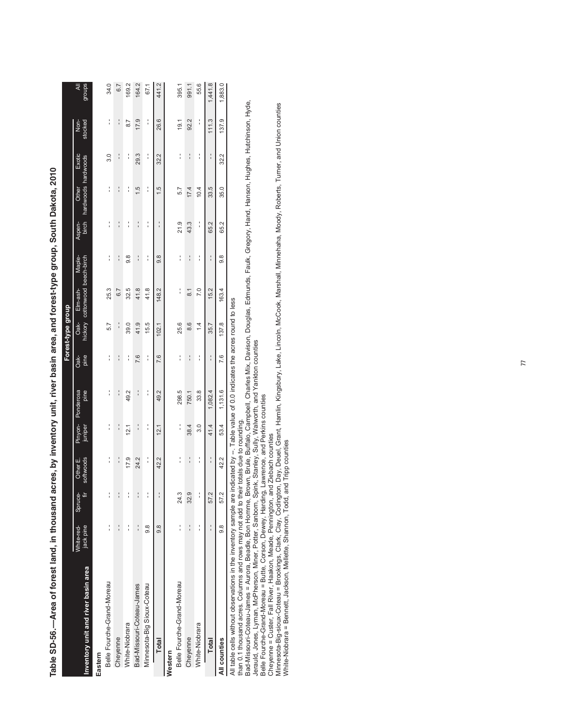|                                       |                         |              |                       |               |                           |               | Forest-type group |                                            |               |                 |                              |               |                      |             |
|---------------------------------------|-------------------------|--------------|-----------------------|---------------|---------------------------|---------------|-------------------|--------------------------------------------|---------------|-----------------|------------------------------|---------------|----------------------|-------------|
| Inventory unit and river basin area   | White-red-<br>jack pine | Spruce-<br>È | softwoods<br>Other E. | juniper       | Pinyon- Ponderosa<br>pine | pine<br>Oak-  | Oak-              | hickory cottonwood beech-birch<br>Elm-ash- | Maple-        | birch<br>Aspen- | hardwoods hardwoods<br>Other | Exotic        | stocked<br>S<br>Note | groups<br>₹ |
| Belle Fourche-Grand-Moreau<br>Eastern | $\frac{1}{1}$           | í            | :                     | :             | ا<br>ا                    | ا<br>ا        | 5.7               | 25.3                                       | ا<br>ا        | י<br>י          | ا<br>ا                       | 3.0           | ا<br>ا               | 34.0        |
| Cheyenne                              | $\vdots$                | $\vdots$     | $\frac{1}{1}$         | $\frac{1}{1}$ | $\frac{1}{1}$             | :             | $\frac{1}{1}$     | 6.7                                        | $\frac{1}{1}$ | :               |                              | $\frac{1}{1}$ | í                    | 6.7         |
| White-Niobrara                        | :                       | í            | 17.9                  | 12.1          | 49.2                      | :             | 39.0              | 32.5                                       | 9.8           | :               | :                            | :             | 8.7                  | 169.2       |
| Bad-Missouri-Coteau-James             | $\frac{1}{1}$           | $\vdots$     | 24.2                  | $\frac{1}{1}$ | $\frac{1}{1}$             | 7.6           | 41.9              | 41.8                                       | :             | $\frac{1}{1}$   | 1.5                          | 29.3          | 17.9                 | 164.2       |
| Minnesota-Big Sioux-Coteau            | 8.6                     | í            | ¦                     | ¦             | ا<br>ا                    | ا<br>ا        | 15.5              | 41.8                                       | í             | ;               | ا<br>ا                       | í             | í                    | 67.1        |
| <b>Total</b>                          | 8.6                     |              | 42.2                  | 12.1          | 49.2                      | 7.6           | 102.1             | 148.2                                      | 9.8           | $\frac{1}{1}$   | 1.5                          | 32.2          | 26.6                 | 441.2       |
| Western                               |                         |              |                       |               |                           |               |                   |                                            |               |                 |                              |               |                      |             |
| Belle Fourche-Grand-Moreau            | í                       | 24.3         | í                     | í             | 298.5                     | Î             | 25.6              | í                                          | ا<br>ا        | 21.9            | 5.7                          | :             | 19.1                 | 395.1       |
| Cheyenne                              | $\frac{1}{1}$           | 32.9         | í                     | 38.4          | 750.1                     | $\frac{1}{1}$ | 8.6               | $\overline{8}$                             | $\frac{1}{1}$ | 43.3            | 17.4                         |               | 92.2                 | 991.1       |
| White-Niobrara                        |                         | í            | :                     | $\frac{0}{3}$ | 33.8                      | :             | $\dot{4}$         | 7.0                                        | :             | י<br>י          | 10.4                         | :             | ¦                    | 55.6        |
| <b>Total</b>                          | $\frac{1}{1}$           | 57.2         | $\frac{1}{1}$         | 41.4          | 1,082.4                   | :             | 35.7              | 15.2                                       | :             | 65.2            | 33.5                         | $\frac{1}{1}$ | 111.3                | 1,441.8     |
| All counties                          | 8.6                     | 57.2         | 42.2                  | 53.4          | 1,131.6                   | 7.6           | 137.8             | 163.4                                      | 9.8           | 65.2            | 35.0                         | 32.2          | 137.9                | 1,883.0     |
| $\ddot{\phantom{0}}$                  |                         |              |                       | :<br>ا        | .<br>.<br>.               |               | :                 |                                            |               |                 |                              |               |                      |             |

Table SD-56.-Area of forest land, in thousand acres, by inventory unit, river basin area, and forest-type group, South Dakota, 2010 **Table SD-56.—Area of forest land, in thousand acres, by inventory unit, river basin area, and forest-type group, South Dakota, 2010**

All table cells without observations in the inventory sample are indicated by --. Table value of 0.0 indicates the acres round to less

than 0.1 thousand acres. Columns and rows may not add to their totals due to rounding.

All table cells without observations in the inventory sample are indicated by --. Table value of 0.0 indicates the acres round to less<br>than 0.1 thousand acres. Columns and rows may not add to their totals due to rounding.<br> Bad-Missouri-Coteau-James = Aurora, Beadle, Bon Homme, Brown, Brule, Buffalo, Campbell, Charles Mix, Davison, Douglas, Edmunds, Faulk, Gregory, Hand, Hanson, Hughes, Hutchinson, Hyde, Jerauld, Jones, Lyman, McPherson, Miner, Potter, Sanborn, Spink, Stanley, Sully, Walworth, and Yankton counties

Belle Fourche-Grand-Moreau = Butte, Corson, Dewey, Harding, Lawrence, and Perkins counties

Cheyenne = Custer, Fall River, Haakon, Meade, Pennington, and Ziebach counties

Minnesota-Big-sioux-Coteau = Brookings, Clark, Clay, Codington, Day, Deuel, Grant, Hamlin, Kingsbury, Lake, Lincoln, McCook, Marshall, Minnehaha, Moody, Roberts, Turner, and Union counties White-Niobrara = Bennett, Jackson, Mellette, Shannon, Todd, and Tripp counties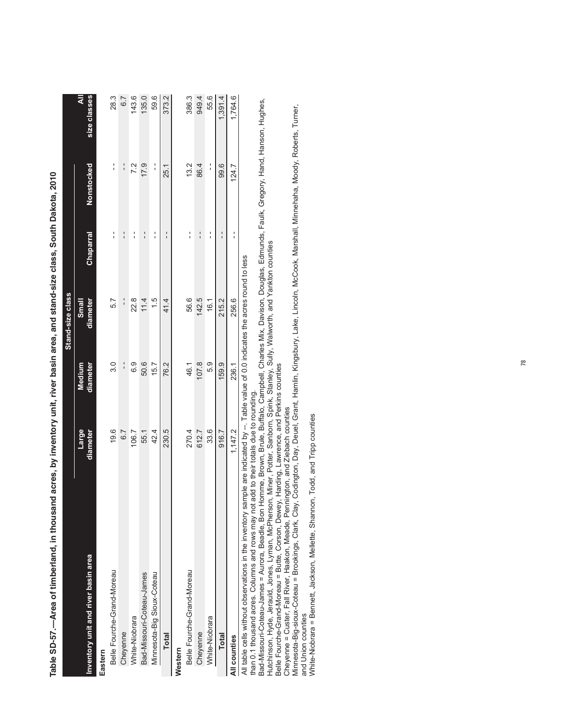|                                                                                                                                                                                                                                   |                   |                    | Stand-size class  |               |                   |                           |
|-----------------------------------------------------------------------------------------------------------------------------------------------------------------------------------------------------------------------------------|-------------------|--------------------|-------------------|---------------|-------------------|---------------------------|
| Inventory unit and river basin area                                                                                                                                                                                               | Large<br>diameter | diameter<br>Medium | diameter<br>Small | Chaparral     | <b>Nonstocked</b> | $\bar{a}$<br>size classes |
| Eastern                                                                                                                                                                                                                           |                   |                    |                   |               |                   |                           |
| Belle Fourche-Grand-Moreau                                                                                                                                                                                                        | 19.6              | 3.0                | 5.7               | :             | ¦                 | 28.3                      |
| Cheyenne                                                                                                                                                                                                                          | 67                | $\frac{1}{1}$      | $\frac{1}{1}$     | $\frac{1}{1}$ | $\frac{1}{1}$     | 6.7                       |
| White-Niobrara                                                                                                                                                                                                                    | 106.7             | <u>၀</u>           | 22.8              | :             | 7.2               | 143.6                     |
| Bad-Missouri-Coteau-James                                                                                                                                                                                                         | 55.1              | 50.6               | 11.4              | $\frac{1}{1}$ | 17.9              | 135.0                     |
| Minnesota-Big Sioux-Coteau                                                                                                                                                                                                        | 42.4              | 15.7               | 1.5               | ا<br>ا        | í                 | 59.6                      |
| <b>Total</b>                                                                                                                                                                                                                      | 230.5             | 76.2               | 41.4              |               | 25.1              | 373.2                     |
| Western                                                                                                                                                                                                                           |                   |                    |                   |               |                   |                           |
| Belle Fourche-Grand-Moreau                                                                                                                                                                                                        | 270.4             | 46.1               | 56.6              | Î             | 13.2              | 386.3                     |
| Cheyenne                                                                                                                                                                                                                          | 612.7             | 107.8              | 142.5             | $\frac{1}{1}$ | 86.4              | 949.4                     |
| White-Niobrara                                                                                                                                                                                                                    | 33.6              | 5.9                | 16.1              | :             | í                 | 55.6                      |
| <b>Total</b>                                                                                                                                                                                                                      | 916.7             | 159.9              | 215.2             | ı             | 99.6              | 1,391.4                   |
| All counties                                                                                                                                                                                                                      | 1,147.2           | 236.1              | 256.6             | :             | 124.7             | 1,764.6                   |
| All table cells without observations in the inventory sample are indicated by $-$ . Table value of 0.0 indicates the acres round to less<br>than 0.1 thousand acres. Columns and rows may not add to their totals the to rounding |                   |                    |                   |               |                   |                           |

Table SD-57.--Area of timberland, in thousand acres, by inventory unit, river basin area, and stand-size class, South Dakota, 2010 **Table SD-57.—Area of timberland, in thousand acres, by inventory unit, river basin area, and stand-size class, South Dakota, 2010**

than 0.1 thousand acres. Columns and rows may not add to their totals due to rounding.

Bad-Missouri-Coteau-James = Aurora, Beadle, Bon Homme, Brown, Brule, Buffalo, Campbell, Charles Mix, Davison, Douglas, Edmunds, Faulk, Gregory, Hand, Hanson, Hughes, Hutchinson, Hyde, Jerauld, Jones, Lyman, McPherson, Miner, Potter, Sanborn, Spink, Stanley, Sully, Walworth, and Yankton counties

Belle Fourche-Grand-Moreau = Butte, Corson, Dewey, Harding, Lawrence, and Perkins counties

Cheyenne = Custer, Fall River, Haakon, Meade, Pennington, and Ziebach counties

than 0.1 thousand acres. Columns and rows may not add to their totals due to rounding.<br>Bad-Missouri-Coteau-James = Aurora, Beadle, Bon Homme, Brown, Brule, Buffalo, Campbell, Charles Mix, Davison, Douglas, Edmunds, Faulk, Minnesota-Big-sioux-Coteau = Brookings, Clark, Clay, Codington, Day, Deuel, Grant, Hamlin, Kingsbury, Lake, Lincoln, McCook, Marshall, Minnehaha, Moody, Roberts, Turner, and Union counties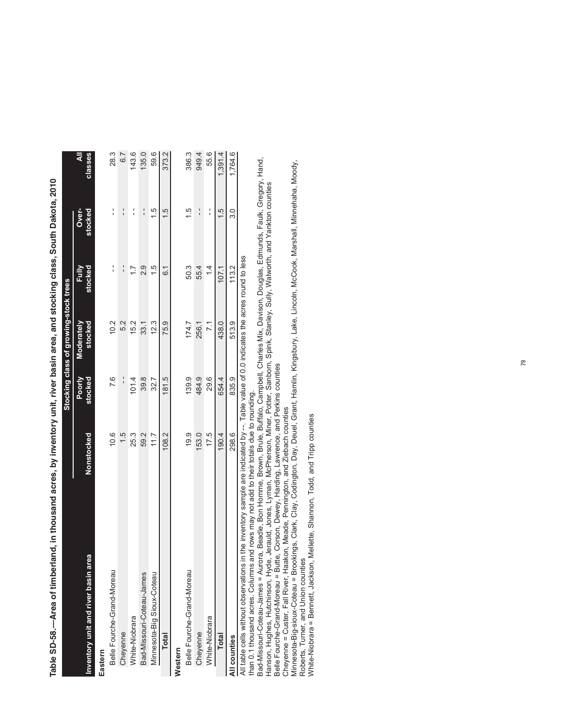|                                          |                                                                                                  |                   | Stocking class of growing-stock trees |                  |                  |                           |
|------------------------------------------|--------------------------------------------------------------------------------------------------|-------------------|---------------------------------------|------------------|------------------|---------------------------|
| rea<br>Inventory unit and river basin ar | Nonstocked                                                                                       | Poorly<br>stocked | Moderately<br>stocked                 | stocked<br>Fully | Over-<br>stocked | $\overline{4}$<br>classes |
| Eastern                                  |                                                                                                  |                   |                                       |                  |                  |                           |
| Belle Fourche-Grand-Moreau               | 10.6                                                                                             | 7.6               | 10.2                                  | í                | $\frac{1}{1}$    | 28.3                      |
| Cheyenne                                 | $\frac{15}{1}$                                                                                   | $\frac{1}{1}$     | 52                                    | $\frac{1}{1}$    | $\frac{1}{1}$    | 6.7                       |
| White-Niobrara                           | 25.3                                                                                             | 101.4             | 15.2                                  | Ē                | $\frac{1}{1}$    | 143.6                     |
| Bad-Missouri-Coteau-James                | 59.2                                                                                             | 39.8              | 33.1                                  | 2.9              | $\frac{1}{1}$    | 135.0                     |
| Minnesota-Big Sioux-Coteau               | 11.7                                                                                             | 32.7              | 12.3                                  | 1.5              | $\frac{5}{1}$    | 59.6                      |
| <b>Total</b>                             | 108.2                                                                                            | 181.5             | 75.9                                  | $\tilde{\circ}$  | 15               | 373.2                     |
| Western                                  |                                                                                                  |                   |                                       |                  |                  |                           |
| Belle Fourche-Grand-Moreau               | 19.9                                                                                             | 139.9             | 174.7                                 | 50.3             | $\frac{5}{1}$    | 386.3                     |
| Cheyenne                                 | 153.0                                                                                            | 484.9             | 256.1                                 | 55.4             | $\frac{1}{1}$    | 949.4                     |
| White-Niobrara                           | 17.5                                                                                             | 29.6              | $\overline{71}$                       | $\frac{1}{4}$    | $\frac{1}{1}$    | 55.6                      |
| <b>Total</b>                             | 190.4                                                                                            | 654.4             | 438.0                                 | 107.1            | 1.5              | 1,391.4                   |
| All counties                             | 298.6                                                                                            | 835.9             | 513.9                                 | 113.2            | 30               | 1.764.6                   |
| All table cells without observations     | in the inventory sample are indicated by -- Table value of 0.0 indicates the acres round to less |                   |                                       |                  |                  |                           |

Table SD-58.--Area of timberland, in thousand acres, by inventory unit, river basin area, and stocking class, South Dakota, 2010 **Table SD-58.—Area of timberland, in thousand acres, by inventory unit, river basin area, and stocking class, South Dakota, 2010**

than 0.1 thousand acres. Columns and rows may not add to their totals due to rounding.<br>than 0.1 thousand acres. Columns and rows may not add to their totals due to rounding. than 0.1 thousand acres. Columns and rows may not add to their totals due to rounding.

Bad-Missouri-Coteau-James = Aurora, Beadle, Bon Homme, Brown, Brule, Buffalo, Campbell, Charles Mix, Davison, Douglas, Edmunds, Faulk, Gregory, Hand,

Bad-Missouri-Coteau-James = Aurora, Beadle, Bon Homme, Brown, Brule, Buffalo, Campbell, Charles Mix, Davison, Douglas, Edmunds, Faulk, Gregory, Hand,<br>Hanson, Hughes, Hutchinson, Hyde, Jerauld, Jones, Lyman, McPherson, Mine Hanson, Hughes, Hutchinson, Hyde, Jerauld, Jones, Lyman, McPherson, Miner, Potter, Sanborn, Spink, Stanley, Sully, Walworth, and Yankton counties Belle Fourche-Grand-Moreau = Butte, Corson, Dewey, Harding, Lawrence, and Perkins counties

Cheyenne = Custer, Fall River, Haakon, Meade, Pennington, and Ziebach counties

Belle Fourche-Grand-Moreau = Butte, Corson, Dewey, Harding, Lawrence, and Perkins counties<br>Cheyenne = Custer, Fall River, Haakon, Meade, Pennington, and Ziebach counties<br>Minnesota-Big-sioux-Coteau = Brookings, Clark, Clay, Minnesota-Big-sioux-Coteau = Brookings, Clark, Clay, Codington, Day, Deuel, Grant, Hamlin, Kingsbury, Lake, Lincoln, McCook, Marshall, Minnehaha, Moody, Roberts, Turner, and Union counties<br>White-Niobrara = Bennett, Jackson, Mellette, Shannon, Todd, and Tripp counties Roberts, Turner, and Union counties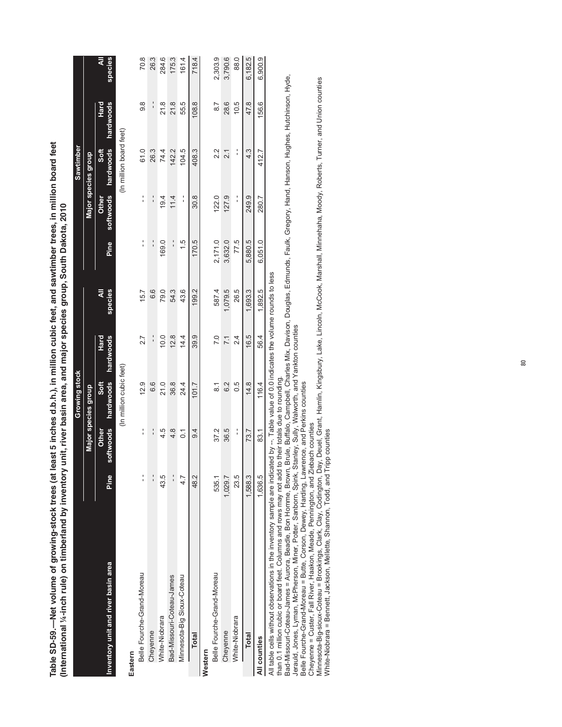Table SD-59.—Net volume of growing-stock trees (at least 5 inches d.b.h.), in million cubic feet, and sawtimber trees, in million board feet<br>(International ¼-inch rule) on timberland by inventory unit, river basin area, an **Table SD-59.—Net volume of growing-stock trees (at least 5 inches d.b.h.), in million cubic feet, and sawtimber trees, in million board feet (International ¼-inch rule) on timberland by inventory unit, river basin area, and major species group, South Dakota, 2010**by inventory unit, river basin area, and major species group, South Dakota, 2010

|                                                                                                                                                                                                                                       |               |                         | Growing stock                                     |                   |                     |               |                    | Sawtimber               |                   |              |
|---------------------------------------------------------------------------------------------------------------------------------------------------------------------------------------------------------------------------------------|---------------|-------------------------|---------------------------------------------------|-------------------|---------------------|---------------|--------------------|-------------------------|-------------------|--------------|
|                                                                                                                                                                                                                                       |               |                         | Major species group                               |                   |                     |               |                    | Major species group     |                   |              |
| Inventory unit and river basin area                                                                                                                                                                                                   | Pine          | softwoods<br>Other      | hardwoods<br>Soft                                 | hardwoods<br>Hard | <b>species</b><br>₹ | Pine          | softwoods<br>Other | hardwoods<br>Soft       | hardwoods<br>Hard | ₹<br>species |
|                                                                                                                                                                                                                                       |               |                         | (In million cubic feet)                           |                   |                     |               |                    | (In million board feet) |                   |              |
| Eastern                                                                                                                                                                                                                               |               |                         |                                                   |                   |                     |               |                    |                         |                   |              |
| Belle Fourche-Grand-Moreau                                                                                                                                                                                                            | $\frac{1}{1}$ | $\frac{1}{1}$           | 12.9                                              | 2.7               | 15.7                | :             | í                  | 61.0                    | 9.8               | 70.8         |
| Cheyenne                                                                                                                                                                                                                              | $\frac{1}{1}$ | $\frac{1}{1}$           | 6.6                                               | $\frac{1}{1}$     | 6.6                 | ۱,            | í                  | 26.3                    | $\frac{1}{1}$     | 26.3         |
| White-Niobrara                                                                                                                                                                                                                        | 43.5          | 4.5                     | 21.0                                              | 10.0              | 79.0                | 169.0         | 19.4               | 74.4                    | 21.8              | 284.6        |
| Bad-Missouri-Coteau-James                                                                                                                                                                                                             | $\frac{1}{1}$ | 4.8                     | 36.8                                              | 12.8              | 54.3                | ۱,            | 11.4               | 142.2                   | 21.8              | 175.3        |
| Minnesota-Big Sioux-Coteau                                                                                                                                                                                                            | 4.7           | $\overline{C}$          | 24.4                                              | 14.4              | 43.6                | $\frac{5}{1}$ | í                  | 104.5                   | 55.5              | 161.4        |
| <b>Total</b>                                                                                                                                                                                                                          | 48.2          | 9.4                     | 101.7                                             | 39.9              | 199.2               | 170.5         | 30.8               | 408.3                   | 108.8             | 718.4        |
| Western                                                                                                                                                                                                                               |               |                         |                                                   |                   |                     |               |                    |                         |                   |              |
| Belle Fourche-Grand-Moreau                                                                                                                                                                                                            | 535.1         | 37.2                    | $\overline{\circ}$                                | $\overline{C}$    | 587.4               | 2,171.0       | 122.0              | 2.2                     | $\overline{8.7}$  | 2,303.9      |
| Cheyenne                                                                                                                                                                                                                              | 1,029.7       | 36.5                    | 6.2                                               | $\overline{71}$   | 1,079.5             | 3,632.0       | 127.9              | $\overline{21}$         | 28.6              | 3,790.6      |
| White-Niobrara                                                                                                                                                                                                                        | 23.5          | $\frac{1}{1}$           | 0.5                                               | 24                | 26.5                | 77.5          | $\frac{1}{1}$      | Î                       | 10.5              | 88.0         |
| Total                                                                                                                                                                                                                                 | 1,588.3       | 73.7                    | 14.8                                              | 16.5              | 1,693.3             | 5,880.5       | 249.9              | 4.3                     | 47.8              | 6,182.5      |
| All counties                                                                                                                                                                                                                          | 1,636.5       | 83.1                    | 116.4                                             | 56.4              | 1,892.5             | 6,051.0       | 280.7              | 412.7                   | 156.6             | 6,900.9      |
| All table cells without observations in the inventory sample are indicated by -- Table value of 0.0 indicates the volume rounds to less<br>than 0.1 million cubic or board feet. Columns and rows may not add<br>$\ddot{\phantom{0}}$ |               | -<br>د<br>$\frac{1}{2}$ | to their totals due to rounding.<br>$\frac{1}{2}$ | $\frac{1}{2}$     | i<br>$\frac{1}{2}$  | :<br>ا        |                    |                         | $\frac{1}{2}$     |              |

Bad-Missouri-Coteau-James = Aurora, Beadle, Bon Homme, Brown, Brule, Buffalo, Campbell, Charles Mix, Davison, Douglas, Edmunds, Faulk, Gregory, Hand, Hanson, Hughes, Hutchinson, Hyde,

Jerauld, Jones, Lyman, McPherson, Miner, Potter, Sanborn, Spink, Stanley, Sully, Walworth, and Yankton counties

Belle Fourche-Grand-Moreau = Butte, Corson, Dewey, Harding, Lawrence, and Perkins counties Cheyenne = Custer, Fall River, Haakon, Meade, Pennington, and Ziebach counties

Bad-Missouri-Coteau-James = Aurora, Beadle, Bon Homme, Brown, Brule, Buffalo, Campbell, Charles Mix, Davison, Douglas, Edmunds, Faulk, Gregory, Hand, Hanson, Hughes, Hutchinson, Hyde,<br>Jerauld, Jones, Lyman, McPherson, Mine Minnesota-Big-sioux-Coteau = Brookings, Clark, Clay, Codington, Day, Deuel, Grant, Hamlin, Kingsbury, Lake, Lincoln, McCook, Marshall, Minnehaha, Moody, Roberts, Turner, and Union counties White-Niobrara = Bennett, Jackson, Mellette, Shannon, Todd, and Tripp counties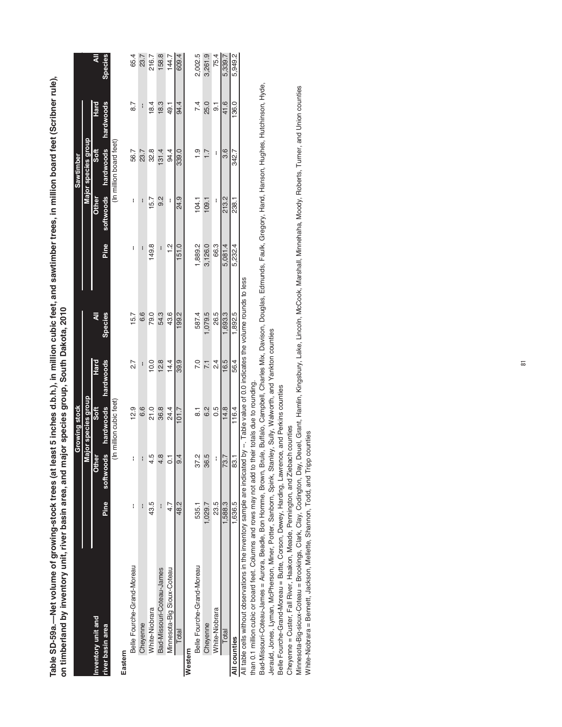| i<br>∏<br>مصطحتها أأحببتها<br>ees.<br>I           |                                                                                                                                                                                                |
|---------------------------------------------------|------------------------------------------------------------------------------------------------------------------------------------------------------------------------------------------------|
| <b>The Same Same in the Same Inc.</b><br>さててい ところ | ĺ                                                                                                                                                                                              |
| $\mathbf{s}$ (at<br>E<br>CD E                     | ֦֧֦֦֪֦֪֦֪֦֦֪֪֦֧֦֧֦֧֦֧֦֧֦֧֦֧֦֧֦֧֦֧֦֧֦֧֦֧֦֧֦֧֦֧֝֝֝֝֝֬֝֓֟֓֟֓֝֬֓֝֬֓֓֓֓֓<br>י<br>י<br>ة<br>ا<br><u>נו נו</u><br>2<br>-<br>יוממה ומחו<br>֧֧֧֧֧֦֧֧֪֧֛֪֧֛֪֚֚֚֚֚֚֚֚֚֚֚֚֚֚֚֚֚֚֚֚֚֚֚֚֞֟֬֜֡֓֜֟֓֝֬֜֓֝֬֜֝֬֜֝ |

|                                                                                                                                          |             |                | Growing stock           |                  |            |          |       | Sawtimber               |                  |                |
|------------------------------------------------------------------------------------------------------------------------------------------|-------------|----------------|-------------------------|------------------|------------|----------|-------|-------------------------|------------------|----------------|
|                                                                                                                                          |             |                | Major species group     |                  |            |          |       | Major species group     |                  |                |
| nventory unit and                                                                                                                        |             | <b>Other</b>   | $5$ oft                 | Hard             | ₹          |          | Other | $5$ oft                 | Hard             | ₹              |
| river basin area                                                                                                                         | <b>Pine</b> | softwoods      | hardwoods               | hardwoods        | Species    | Pine     |       | softwoods hardwoods     | hardwoods        | <b>Species</b> |
|                                                                                                                                          |             |                | (In million cubic feet) |                  |            |          |       | (In million board feet) |                  |                |
| Eastern                                                                                                                                  |             |                |                         |                  |            |          |       |                         |                  |                |
| Belle Fourche-Grand-Moreau                                                                                                               | I           | I              | 12.9                    | 2.7              | 15.7       | I        | ł     | 56.7                    | $\overline{8.7}$ | 65.4           |
| Cheyenne                                                                                                                                 | I           | i              | 6.6                     |                  | 6.6        |          | I     | 23.7                    | i                | 23.7           |
| White-Niobrara                                                                                                                           | 43.5        | 4.5            | 21.0                    | 10.0             | 79.0       | 149.8    | 15.7  | 32.8                    | 18.4             | 216.7          |
| Bad-Missouri-Coteau-James                                                                                                                | H           | 4.8            | 36.8                    | 12.8             | 54.3       | I        | 0.2   | 131.4                   | 18.3             | 158.8          |
| Minnesota-Big Sioux-Coteau                                                                                                               | 4.7         | $\overline{c}$ | 24.4                    | 14.4             | 43.6       | <u>이</u> | i     | 94.4                    | - 49.1           | 144.7          |
| Total                                                                                                                                    | 48.2        | 9.4            | 101.7                   | 39.9             | 199.2      | 151.0    | 24.9  | 339.0                   | 94.4             | 609.4          |
| Western                                                                                                                                  |             |                |                         |                  |            |          |       |                         |                  |                |
| Belle Fourche-Grand-Moreau                                                                                                               | 535.1       | 37.2           | $\overline{8}$          | 7.0              | 587.4      | 1,889.2  | 104.1 | $\frac{1}{1}$           | 7.4              | 2,002.5        |
| Cheyenne                                                                                                                                 | 1,029.7     | 36.5           | 6.2                     | $\overline{7.1}$ | $-0.079.5$ | 3,126.0  | 109.1 | 1.7                     | 25.0             | 3,261.9        |
| White-Niobrara                                                                                                                           | 23.5        | i              | 0.5                     | $\frac{4}{2}$    | 26.5       | 66.3     |       | i                       | $\overline{9}$   | 75.4           |
| Total                                                                                                                                    | 1,588.3     | 73.7           | 14.8                    | 16.5             | 1,693.3    | 5.081.4  | 213.2 | 3.6                     | 41.6             | 5,339.7        |
| All counties                                                                                                                             | 1,636.5     | 83.1           | 116.4                   | 56.4             | 1,892.5    | 5,232.4  | 238.1 | 342.7                   | 136.0            | 5,949.2        |
| All table cells without observations in the inventory sample are indicated by --. Table value of 0.0 indicates the volume rounds to less |             |                |                         |                  |            |          |       |                         |                  |                |

than 0.1 million cubic or board feet. Columns and rows may not add to their totals due to rounding.

Bad-Missouri-Coteau-James = Aurora, Beadle, Bon Homme, Brown, Brule, Buffalo, Campbell, Charles Mix, Davison, Douglas, Edmunds, Faulk, Gregory, Hand, Hanson, Hughes, Hutchinson, Hyde, Bad-Missouri-Coteau-James = Aurora, Beadle, Bon Homme, Brown, Brule, Buffalo, Campbell, Charles Mix, Davison, Douglas, Edmunds, Faulk, Gregory, Hand, Hanson, Hughes, Hutchinson, Hyde, than 0.1 million cubic or board feet. Columns and rows may not add to their totals due to rounding.

Jerauld, Jones, Lyman, McPherson, Miner, Potter, Sanborn, Spink, Stanley, Sully, Walworth, and Yankton counties Jerauld, Jones, Lyman, McPherson, Miner, Potter, Sanborn, Spink, Stanley, Sully, Walworth, and Yankton counties

Belle Fourche-Grand-Moreau = Butte, Corson, Dewey, Harding, Lawrence, and Perkins counties

Belle Fourche-Grand-Moreau = Butte, Corson, Dewey, Harding, Lawrence, and Perkins counties<br>Cheyenne = Custer, Fall River, Haakon, Meade, Pennington, and Ziebach counties Cheyenne = Custer, Fall River, Haakon, Meade, Pennington, and Ziebach counties

Minnesota-Big-sioux-Coteau = Brookings, Clark, Clay, Codington, Day, Deuel, Grant, Harnlin, Kingsbury, Lake, Lincoln, McCook, Marshall, Minnehaha, Moody, Roberts, Turner, and Union counties<br>White-Niobrara = Bennett, Jackso Minnesota-Big-sioux-Coteau = Brookings, Clark, Clay, Codington, Day, Deuel, Grant, Hamlin, Kingsbury, Lake, Lincoln, McCook, Marshall, Minnehaha, Moody, Roberts, Turner, and Union counties White-Niobrara = Bennett, Jackson, Mellette, Shannon, Todd, and Tripp counties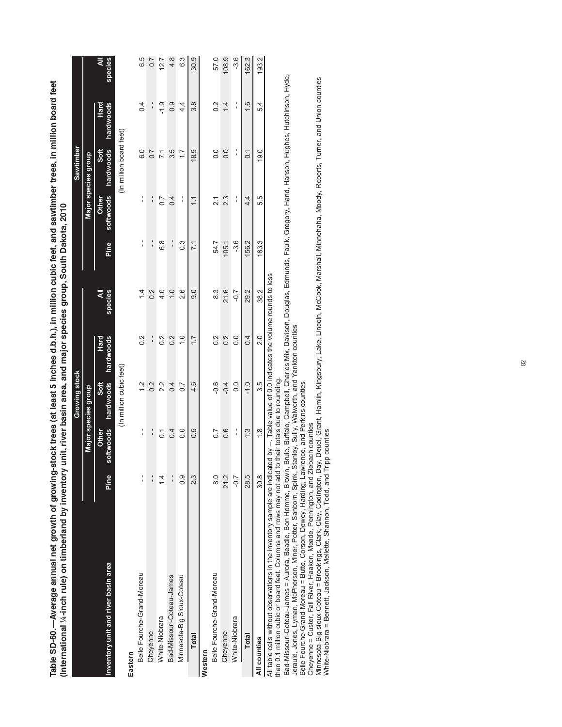| g-stock trees (at least 5 inches d.b.h.), in million cubic feet, and sawtimber trees, in million board feet<br>ry unit, river basin area, and major species group, South Dakota, 2010 | <b>Sawtimber</b><br>Growing stock | Maior enociae aroun |
|---------------------------------------------------------------------------------------------------------------------------------------------------------------------------------------|-----------------------------------|---------------------|
| nternational 1/4-inch rule) on timberland by inventor<br>fable SD-60.—Average annual net growth of growir                                                                             |                                   | aior enocioe aroun  |

п

|                                                                                                                                                  |                |                    |                                |                   |                                                                   |                 |                    | <br> <br> <br> <br> <br> |                   |              |
|--------------------------------------------------------------------------------------------------------------------------------------------------|----------------|--------------------|--------------------------------|-------------------|-------------------------------------------------------------------|-----------------|--------------------|--------------------------|-------------------|--------------|
|                                                                                                                                                  |                |                    | Major species group            |                   |                                                                   |                 |                    | Major species group      |                   |              |
| Inventory unit and river basin area                                                                                                              | Pine           | softwoods<br>Other | hardwoods<br>Soft              | hardwoods<br>Hard | species<br>₹                                                      | Pine            | softwoods<br>Other | hardwoods<br>Soft        | hardwoods<br>Hard | ₹<br>species |
|                                                                                                                                                  |                |                    | (In million cubic feet)        |                   |                                                                   |                 |                    | (In million board feet)  |                   |              |
| Eastern                                                                                                                                          |                |                    |                                |                   |                                                                   |                 |                    |                          |                   |              |
| Belle Fourche-Grand-Moreau                                                                                                                       | í              | l,                 | $\frac{2}{1}$                  | 0.2               | $\overline{4}$                                                    | ۱,              | l,                 | 0.0                      | 0.4               | 6.5          |
| Cheyenne                                                                                                                                         | $\frac{1}{1}$  | $\frac{1}{1}$      | $\frac{2}{3}$                  | ¦                 | $\frac{2}{3}$                                                     | $\frac{1}{1}$   | $\frac{1}{1}$      | $\overline{0}$ .7        |                   | $\sim$       |
| White-Niobrara                                                                                                                                   | $\overline{4}$ | $\overline{0}$     | 2.2                            | 0.2               | 4.0                                                               | 6.8             | $\overline{0}$ .   | $\overline{71}$          | ب<br>-1.9         | 12.7         |
| Bad-Missouri-Coteau-James                                                                                                                        | $\frac{1}{1}$  | 0.4                | 0.4                            | 0.2               | $\overline{0}$                                                    | $\frac{1}{1}$   | 0.4                | 3.5                      | $\frac{0}{2}$     | 4.8          |
| Minnesota-Big Sioux-Coteau                                                                                                                       | $\frac{0}{2}$  | $\frac{0}{0}$      | $\overline{0}$                 | $\frac{0}{1}$     | 2.6                                                               | $\frac{3}{2}$   | í                  | $\ddot{ }$ :             | 4.<br>4           | 6.3          |
| <b>Total</b>                                                                                                                                     | 2.3            | 0.5                | 4.6                            | $\overline{1}$ .  | 0.6                                                               | $\overline{71}$ | $\overline{1}$     | 18.9                     | 3.8               | 30.9         |
| Western                                                                                                                                          |                |                    |                                |                   |                                                                   |                 |                    |                          |                   |              |
| Belle Fourche-Grand-Moreau                                                                                                                       | $\frac{0}{8}$  | $\overline{0}$ .   | $-0.6$                         | $0.\overline{2}$  | ვ<br>8                                                            | 54.7            | $\tilde{2}$        | $\overline{0}$ .         | 0.2               | 57.0         |
| Cheyenne                                                                                                                                         | 21.2           | 0.6                | $-0.4$                         | 0.2               | 21.6                                                              | 105.1           | 2.3                | 0.0                      | $\overline{4}$    | 108.9        |
| White-Niobrara                                                                                                                                   | $-0.7$         | í                  | 0.0                            | $\overline{0}$    | $-0.7$                                                            | $-3.6$          | í                  | í                        | í                 | $-3.6$       |
| <b>Total</b>                                                                                                                                     | 28.5           | $\frac{3}{2}$      | $-1.0$                         | 0.4               | 29.2                                                              | 156.2           | 4.4                | $\overline{0}$           | 1.6               | 162.3        |
| All counties                                                                                                                                     | 30.8           | $\frac{8}{1}$      | 3.5                            | $\frac{0}{2}$     | 38.2                                                              | 163.3           | 5.5                | 19.0                     | 54                | 193.2        |
| All table cells without observations in the inventory sample are indicat<br>than 0.1 million cubic or board feet. Columns and rows may not add t |                |                    | o their totals due to rounding |                   | ted by --. Table value of 0.0 indicates the volume rounds to less |                 |                    |                          |                   |              |

Bad-Missouri-Coteau-James = Aurora, Beadle, Bon Homme, Brown, Brule, Buffalo, Campbell, Charles Mix, Davison, Douglas, Edmunds, Faulk, Gregory, Hand, Hanson, Hughes, Hutchinson, Hyde,

Jerauld, Jones, Lyman, McPherson, Miner, Potter, Sanborn, Spink, Stanley, Sully, Walworth, and Yankton counties

Belle Fourche-Grand-Moreau = Butte, Corson, Dewey, Harding, Lawrence, and Perkins counties

Cheyenne = Custer, Fall River, Haakon, Meade, Pennington, and Ziebach counties

Bad-Missouri-Coteau-James = Aurora, Beadle, Bon Homme, Brown, Brule, Buffalo, Campbell, Charles Mix, Davison, Douglas, Edmunds, Faulk, Gregory, Hand, Hanson, Hughes, Hutchinson, Hyde,<br>Jerauld, Jones, Lyman, McPherson, Mine Minnesota-Big-sioux-Coteau = Brookings, Clark, Clay, Codington, Day, Deuel, Grant, Hamlin, Kingsbury, Lake, Lincoln, McCook, Marshall, Minnehaha, Moody, Roberts, Turner, and Union counties White-Niobrara = Bennett, Jackson, Mellette, Shannon, Todd, and Tripp counties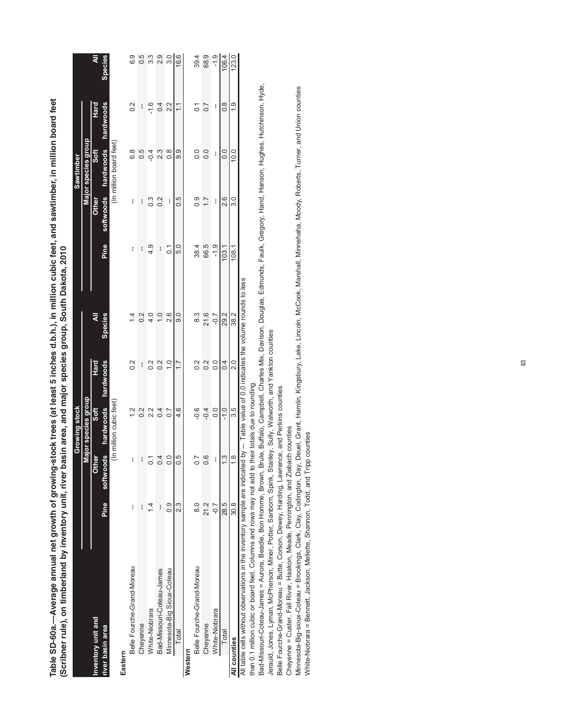| (scripper rule), on timperance by the correct parameter pa                 |                |                     |                               |                     | isin area, and major species group, South Dakota, 2010        |                |                  |                         |                |               |
|----------------------------------------------------------------------------|----------------|---------------------|-------------------------------|---------------------|---------------------------------------------------------------|----------------|------------------|-------------------------|----------------|---------------|
|                                                                            |                |                     | Growing stock                 |                     |                                                               |                |                  | Sawtimber               |                |               |
|                                                                            |                |                     | Major species group           |                     |                                                               |                |                  | Major species group     |                |               |
| Inventory unit and                                                         |                | Other               | $rac{\pi}{2}$                 | Hard                | ₹                                                             |                | Other            | Soft                    | Hard           |               |
| river basin area                                                           | Pine           | ø<br>softwoog       |                               | hardwoods hardwoods | <b>Species</b>                                                | Pine           |                  | softwoods hardwoods     | hardwoods      | Species       |
|                                                                            |                |                     | (In million cubic feet)       |                     |                                                               |                |                  | (In million board feet) |                |               |
| Eastern                                                                    |                |                     |                               |                     |                                                               |                |                  |                         |                |               |
| Belle Fourche-Grand-Moreau                                                 | ł              | ł                   | $\frac{2}{1}$                 | 0.2                 | $\bar{4}$                                                     | ł              | ł                | 6.8                     | 0.2            | 6.9           |
| Cheyenne                                                                   | I              |                     | $\frac{2}{5}$                 | I                   | $\frac{2}{3}$                                                 | I              |                  | 5 O                     | I              |               |
| White-Niobrara                                                             | $\overline{4}$ |                     | 2.2                           | 0.2                 | 4.0                                                           | $\frac{4}{3}$  | $0.\overline{3}$ | $-0.4$                  | $-1.6$         | ი<br>თ        |
| Bad-Missouri-Coteau-James                                                  | I              |                     | 0.4                           | 0.2                 | $\frac{0}{1}$                                                 | ł              | $\frac{2}{3}$    | 2.3                     | 0.4            | 2.9           |
| Minnesota-Big Sioux-Coteau                                                 | 0.9            |                     | $\overline{0}$ .7             | $\frac{0}{1}$       | 2.6                                                           | $\overline{c}$ | I                | $\frac{8}{1}$           | 2.2            | $\frac{0}{3}$ |
| Total                                                                      | 2.3            | r.                  | 4.6                           | 1.7                 | 0.6                                                           | 5.0            | $0.\overline{5}$ | 9.9                     | $\tilde{=}$    | 16.6          |
| Western                                                                    |                |                     |                               |                     |                                                               |                |                  |                         |                |               |
| Belle Fourche-Grand-Moreau                                                 | $\frac{0}{8}$  |                     | $\frac{6}{7}$                 | 0.2                 | 8.3                                                           | 38.4           | 0.9              | 0.0                     | $\overline{0}$ | 39.4          |
| Cheyenne                                                                   | 21.2           | 9                   | $-0.4$                        | 0.2                 | 21.6                                                          | 66.5           |                  | 0.0                     | $\sim$         | 68.9          |
| White-Niobrara                                                             | $-0.7$         |                     | 0.0                           | $\overline{0}$      | $-0.7$                                                        | $-1.9$         | I                | I                       | I              | $-1.9$        |
| Total                                                                      | 28.5           | $\ddot{\mathrm{c}}$ | $-1.0$                        | 0.4                 | 29.2                                                          | 103.1          | 2.6              | 0.0                     | $\frac{8}{2}$  | 106.4         |
| All counties                                                               | 30.8           | œ                   | 3.5                           | 2.0                 | 38.2                                                          | 108.1          | 3.0              | 10.0                    | $\frac{0}{1}$  | 123.0         |
| All table cells without observations in the inventory sample are indicated |                |                     |                               |                     | by --. Table value of 0.0 indicates the volume rounds to less |                |                  |                         |                |               |
| than 0.1 million cubic or board feet. Columns and rows may not add to '    |                |                     | their totals due to rounding. |                     |                                                               |                |                  |                         |                |               |

Table SD-60a.—Average annual net growth of growing-stock trees (at least 5 inches d.b.h.), in million cubic feet, and sawtimber, in million board feet<br>(Scribner rule), on timberland by inventory unit, river basin area, and **Table SD-60a.—Average annual net growth of growing-stock trees (at least 5 inches d.b.h.), in million cubic feet, and sawtimber, in million board feet**  by inventory unit, river basin area, and major species group, South Dakota, 2010 **(Scribner rule), on timberland by inventory unit, river basin area, and major species group, South Dakota, 2010** Bad-Missouri-Coteau-James = Aurora, Beadle, Bon Homme, Brown, Brule, Buffalo, Campbell, Charles Mix, Davison, Douglas, Edmunds, Faulk, Gregory, Hand, Hanson, Hughes, Hutchinson, Hyde,<br>Jerauld, Jones, Lyman, McPherson, Min Bad-Missouri-Coteau-James = Aurora, Beadle, Bon Homme, Brown, Brule, Buffalo, Campbell, Charles Mix, Davison, Douglas, Edmunds, Faulk, Gregory, Hand, Hanson, Hughes, Hutchinson, Hyde, Jerauld, Jones, Lyman, McPherson, Miner, Potter, Sanborn, Spink, Stanley, Sully, Walworth, and Yankton counties

Belle Fourche-Grand-Moreau = Butte, Corson, Dewey, Harding, Lawrence, and Perkins counties Belle Fourche-Grand-Moreau = Butte, Corson, Dewey, Harding, Lawrence, and Perkins counties

Cheyenne = Custer, Fall River, Haakon, Meade, Pennington, and Ziebach counties Cheyenne = Custer, Fall River, Haakon, Meade, Pennington, and Ziebach counties

Minnesota-Big-sioux-Coteau = Brookings, Clark, Clay, Codington, Day, Deuel, Grant, Hamlin, Kingsbury, Lake, Lincoln, McCook, Marshall, Minnehaha, Moody, Roberts, Turner, and Union counties<br>White-Niobrara = Bennett, Jackson Minnesota-Big-sioux-Coteau = Brookings, Clark, Clay, Codington, Day, Deuel, Grant, Hamlin, Kingsbury, Lake, Lincoln, McCook, Marshall, Minnehaha, Moody, Roberts, Turner, and Union counties White-Niobrara = Bennett, Jackson, Mellette, Shannon, Todd, and Tripp counties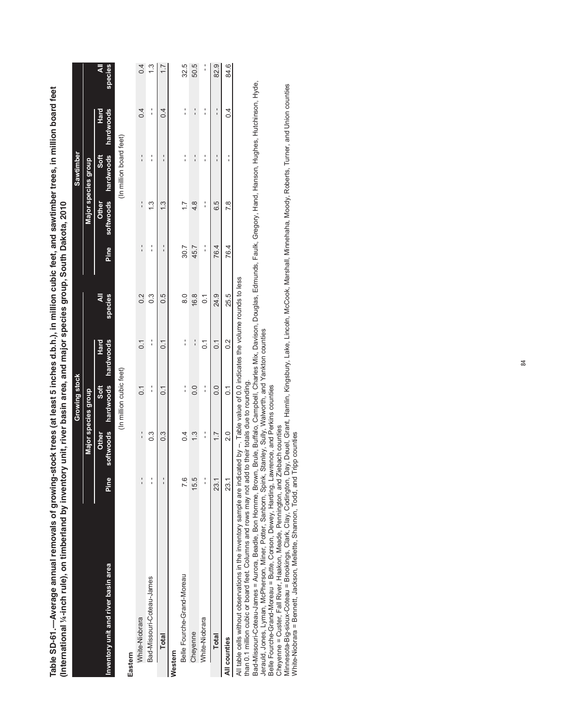Table SD-61.--Average annual removals of growing-stock trees (at least 5 inches d.b.h.), in million cubic feet, and sawtimber trees, in million board feet **Table SD-61.—Average annual removals of growing-stock trees (at least 5 inches d.b.h.), in million cubic feet, and sawtimber trees, in million board feet**  (International 1/4-inch rule), on timberland by inventory unit, river basin area, and major species group, South Dakota, 2010 **(International ¼-inch rule), on timberland by inventory unit, river basin area, and major species group, South Dakota, 2010**rowing-stock trees (at least 5 inches d.b.h.), in million cubic feet, and sawti

|                                                                                                                                          |               |                    | Growing stock           |                             |                     |               |                    | Sawtimber               |                   |                  |
|------------------------------------------------------------------------------------------------------------------------------------------|---------------|--------------------|-------------------------|-----------------------------|---------------------|---------------|--------------------|-------------------------|-------------------|------------------|
|                                                                                                                                          |               |                    | Major species group     |                             |                     |               |                    | Major species group     |                   |                  |
| Inventory unit and river basin area                                                                                                      | Pine          | softwoods<br>Other | Soft                    | hardwoods hardwoods<br>Hard | ₹<br><b>species</b> | Pine          | softwoods<br>Other | hardwoods<br>Soft       | hardwoods<br>Hard | species<br>₹     |
|                                                                                                                                          |               |                    | (In million cubic feet) |                             |                     |               |                    | (In million board feet) |                   |                  |
| Eastern                                                                                                                                  |               |                    |                         |                             |                     |               |                    |                         |                   |                  |
| White-Niobrara                                                                                                                           | $\frac{1}{1}$ | $\frac{1}{1}$      | $\overline{c}$          | $\overline{0}$              | 0.2                 | $\frac{1}{1}$ | $\frac{1}{1}$      | $\frac{1}{1}$           | 0.4               | 0.4              |
| Bad-Missouri-Coteau-James                                                                                                                | $\frac{1}{1}$ | ი<br>0.3           | $\frac{1}{1}$           | $\frac{1}{1}$               | $\frac{3}{2}$       | $\frac{1}{1}$ | 13                 | í                       | $\frac{1}{1}$     | 13               |
| <b>Total</b>                                                                                                                             | $\frac{1}{1}$ | $0.\overline{3}$   | 0.1                     | $\overline{0}$              | 0.5                 |               | $\frac{3}{2}$      | $\frac{1}{1}$           | 0.4               | $\overline{1}$ . |
| Western                                                                                                                                  |               |                    |                         |                             |                     |               |                    |                         |                   |                  |
| Belle Fourche-Grand-Moreau                                                                                                               | 7.6           | $\overline{0}$     | $\frac{1}{1}$           | $\frac{1}{1}$               | $\frac{0}{8}$       | 30.7          | $\frac{7}{1}$      | $\frac{1}{1}$           | $\frac{1}{1}$     | 32.5             |
| Cheyenne                                                                                                                                 | 15.5          | $\frac{3}{2}$      | $\frac{0}{0}$           | $\frac{1}{1}$               | 16.8                | 45.7          | $\frac{4}{8}$      | $\frac{1}{1}$           | $\frac{1}{1}$     | 50.5             |
| White-Niobrara                                                                                                                           | $\frac{1}{1}$ | í                  | $\frac{1}{1}$           | $\overline{0}$              | $\overline{0}$      | í             | $\frac{1}{1}$      | $\frac{1}{1}$           | $\frac{1}{1}$     | Î                |
| <b>Total</b>                                                                                                                             | 23.1          | 1.7                | 0.0                     | $\overline{0}$ .            | 24.9                | 76.4          | 6.5                | $\frac{1}{1}$           | $\frac{1}{1}$     | 82.9             |
| All counties                                                                                                                             | 23.1          | $\frac{0}{2}$      | $\overline{0}$ .        | 0.2                         | 25.5                | 76.4          | 7.8                | ;                       | 0.4               | 84.6             |
| All table cells without observations in the inventory sample are indicated by --. Table value of 0.0 indicates the volume rounds to less |               |                    |                         |                             |                     |               |                    |                         |                   |                  |

than 0.1 million cubic or board feet. Columns and rows may not add to their totals due to rounding.

than 0.1 million cubic or board feet. Columns and rows may not add to their totals due to rounding.<br>Bad-Missouri-Coteau-James = Aurora, Beadle, Bon Homme, Brown, Brule, Bulfalo, Campbell, Charles Mix, Davison, Douglas, Edm Bad-Missouri-Coteau-James = Aurora, Beadle, Bon Homme, Brown, Brule, Buffalo, Campbell, Charles Mix, Davison, Douglas, Edmunds, Faulk, Gregory, Hand, Hanson, Hughes, Hutchinson, Hyde, Jerauld, Jones, Lyman, McPherson, Miner, Potter, Sanborn, Spink, Stanley, Sully, Walworth, and Yankton counties

Belle Fourche-Grand-Moreau = Butte, Corson, Dewey, Harding, Lawrence, and Perkins counties

Cheyenne = Custer, Fall River, Haakon, Meade, Pennington, and Ziebach counties

Minnesota-Big-sioux-Coteau = Brookings, Clark, Clay, Codington, Day, Deuel, Grant, Hamlin, Kingsbury, Lake, Lincoln, McCook, Marshall, Minnehaha, Moody, Roberts, Turner, and Union counties White-Niobrara = Bennett, Jackson, Mellette, Shannon, Todd, and Tripp counties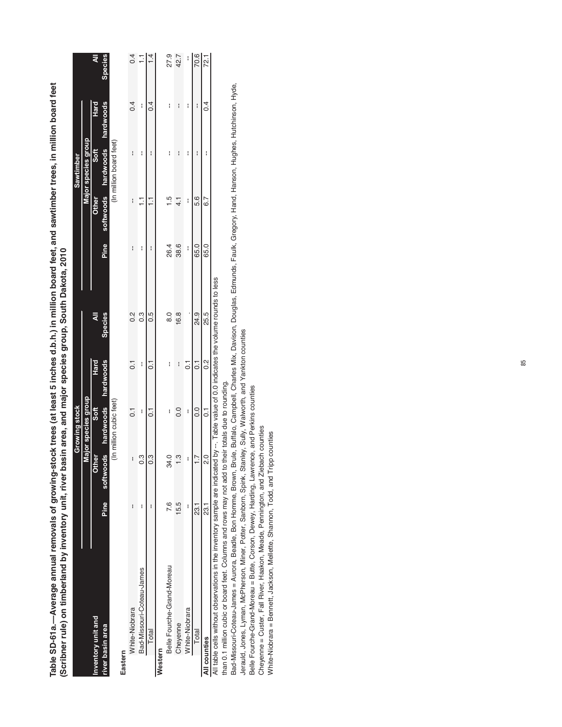| (Scribner rule) on timberland by inventory unit, river basin area, and major species group, South Dakota, 2010                           |      |                |                               |                    |                |      |               |                         |           |                |
|------------------------------------------------------------------------------------------------------------------------------------------|------|----------------|-------------------------------|--------------------|----------------|------|---------------|-------------------------|-----------|----------------|
|                                                                                                                                          |      |                | Growing stock                 |                    |                |      |               | Sawtimber               |           |                |
|                                                                                                                                          |      |                | Major species group           |                    |                |      |               | Major species group     |           |                |
| Inventory unit and                                                                                                                       |      | <b>Other</b>   | Soft                          | Hard               | ₹              |      | <b>Other</b>  | Soft                    | Hard      | ₹              |
| river basin area                                                                                                                         | Pine |                | softwoods hardwoods hardwoods |                    | <b>Species</b> | Pine |               | softwoods hardwoods     | hardwoods | <b>Species</b> |
|                                                                                                                                          |      |                | (In million cubic feet)       |                    |                |      |               | (In million board feet) |           |                |
| Eastern                                                                                                                                  |      |                |                               |                    |                |      |               |                         |           |                |
| White-Niobrara                                                                                                                           | I    | i              | $\overline{\circ}$            | $\overline{\circ}$ | $\frac{2}{3}$  | i    | I             | I                       | 0.4       | 0.4            |
| Bad-Missouri-Coteau-James                                                                                                                | I    | ი<br>ი         | I                             | I                  | $\frac{3}{2}$  | I    | Ξ             | I                       | I         |                |
| Total                                                                                                                                    |      | $\ddot{3}$     | $\overline{c}$                | $\overline{c}$     | 0.5            | I    |               | I                       | 0.4       |                |
| Western                                                                                                                                  |      |                |                               |                    |                |      |               |                         |           |                |
| Belle Fourche-Grand-Moreau                                                                                                               | 7.6  | $\mathfrak{A}$ | I                             | I                  | $\frac{8}{6}$  | 26.4 | د.<br>-       | I                       | I         | 27.9           |
| Cheyenne                                                                                                                                 | 15.5 |                | $\frac{0}{2}$                 | i                  | 16.8           | 38.6 | $\frac{1}{4}$ | I                       | I         | 42.7           |
| White-Niobrara                                                                                                                           | I    | I              | I                             | $\overline{c}$     |                | I    | I             | I                       | I         | I              |
| Total                                                                                                                                    | 73.1 |                | 0.0                           | $\overline{C}$     | 24.9           | 65.0 | 5.6           | I                       | i         | 70.6           |
| All counties                                                                                                                             | 73.1 | O.             | $\overline{0}$                | 0.2                | 25.5           | 65.0 | $\frac{2}{3}$ | i                       | 0.4       | 72.1           |
| All table cells without observations in the inventory sample are indicated by --. Table value of 0.0 indicates the volume rounds to less |      |                |                               |                    |                |      |               |                         |           |                |
| than 0.1 million cubic or board feet. Columns and rows may not add to                                                                    |      |                | their totals due to rounding. |                    |                |      |               |                         |           |                |

Table SD-61a.--Average annual removals of growing-stock trees (at least 5 inches d.b.h.) in million board feet, and sawtimber trees, in million board feet **Table SD-61a.—Average annual removals of growing-stock trees (at least 5 inches d.b.h.) in million board feet, and sawtimber trees, in million board feet**  by inventory unit, ••• • ••• • • •• •• •• • • • • • • • • • • • • • • • • • , and major species group, South Dakota, 2010

Bad-Missouri-Coteau-James = Aurora, Beadle, Bon Homme, Brown, Brule, Buffalo, Campbell, Charles Mix, Davison, Douglas, Edmunds, Faulk, Gregory, Hand, Hanson, Hughes, Hutchinson, Hyde, Bad-Missouri-Coteau-James = Aurora, Beadle, Bon Homme, Brown, Brule, Buffalo, Campbell, Charles Mix, Davison, Douglas, Edmunds, Faulk, Gregory, Hand, Hanson, Hughes, Hutchinson, Hyde, Jerauld, Jones, Lyman, McPherson, Miner, Potter, Sanborn, Spink, Stanley, Sully, Walworth, and Yankton counties

Jerauld, Jones, Lyman, McPherson, Miner, Potter, Sanborn, Spink, Stanley, Sully, Walworth, and Yankton counties<br>Belle Fourche-Grand-Moreau = Butte, Corson, Dewey, Harding, Lawrence, and Perkins counties<br>Cheyenne = Custer,

Belle Fourche-Grand-Moreau = Butte, Corson, Dewey, Harding, Lawrence, and Perkins counties

Cheyenne = Custer, Fall River, Haakon, Meade, Pennington, and Ziebach counties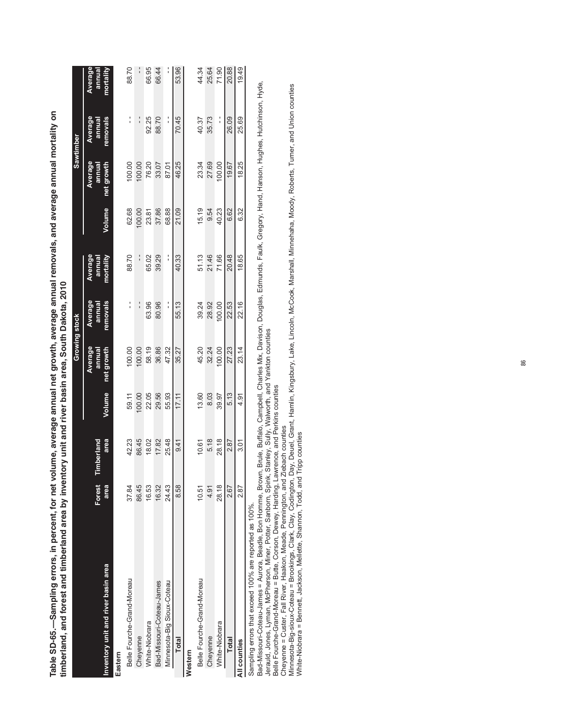| urmoeriand, and rolest and the and area by liven |                      |                   |        | tory unit and river pasin area, south Dakota, 2010 |                              |                                |        |                                 |                                     |                              |
|--------------------------------------------------|----------------------|-------------------|--------|----------------------------------------------------|------------------------------|--------------------------------|--------|---------------------------------|-------------------------------------|------------------------------|
|                                                  |                      |                   |        |                                                    | Growing stock                |                                |        |                                 | Sawtimber                           |                              |
| Inventory unit and river basin area              | Forest<br>area       | area<br>imberland | Volume | Average<br>net growth<br>annual                    | Average<br>emovals<br>annual | Average<br>annual<br>nortality | Volume | Average<br>net growth<br>annual | Average<br><b>emovals</b><br>annual | Average<br>annua<br>nortalit |
| Eastern                                          |                      |                   |        |                                                    |                              |                                |        |                                 |                                     |                              |
| Belle Fourche-Grand-Moreau                       | 37.84                | 42.23             | 59.11  | 100.00                                             |                              | 88.70                          | 62.68  | 100.00                          |                                     | 88.70                        |
| Cheyenne                                         | 86.45                | 86.45             | 100.00 | 100.00                                             |                              |                                | 100.00 | 100.00                          |                                     |                              |
| White-Niobrara                                   | 16.53                | 18.02             | 22.05  | 58.19                                              | 63.96                        | 65.02                          | 23.81  | 76.20                           | 92.25                               | 66.95                        |
| Bad-Missouri-Coteau-James                        | 16.32                | 17.82             | 29.56  | 36.86                                              | 80.96                        | 39.29                          | 37.86  | 33.07                           | 88.70                               | 66.44                        |
| Minnesota-Big Sioux-Coteau                       | 24.43                | 25.48             | 55.93  | 47.32                                              | Í                            | í                              | 68.88  | 87.01                           | Í                                   |                              |
| <b>Total</b>                                     | 8.58                 | 9.41              | 17.11  | 35.27                                              | 55.13                        | 40.33                          | 21.09  | 46.25                           | 70.45                               | 53.96                        |
| Western                                          |                      |                   |        |                                                    |                              |                                |        |                                 |                                     |                              |
| Belle Fourche-Grand-Moreau                       | 10.51                | 10.61             | 13.60  | 45.20                                              | 39.24                        | 51.13                          | 15.19  | 23.34                           | 40.37                               | 44.34                        |
| Cheyenne                                         | 4.91                 | 5.18              | 8.03   | 32.24                                              | 28.92                        | 21.46                          | 9.54   | 27.69                           | 35.73                               | 25.64                        |
| White-Niobrara                                   | 28.18                | 28.18             | 39.97  | 100.00                                             | 100.00                       | 71.66                          | 40.23  | 100.00                          | $\frac{1}{1}$                       | 71.90                        |
| <b>Total</b>                                     | 2.67                 | 2.87              | 5.13   | 27.23                                              | 22.53                        | 20.48                          | 6.62   | 19.67                           | 26.09                               | 20.88                        |
| All counties                                     | 2.87                 | 3.01              | 4.91   | 23.14                                              | 22.16                        | 18.65                          | 6.32   | 18.25                           | 25.69                               | 19.49                        |
| $\ddot{\phantom{0}}$                             | $\ddot{\phantom{0}}$ |                   |        |                                                    |                              |                                |        |                                 |                                     |                              |

Table SD-65.—Sampling errors, in percent, for net volume, average annual net growth, average annual removals, and average annual mortality on<br>האמפות המשפחת מה היום להיכפו מיוח למשפחת היום להיום להיום להיו במשפחת המשפחת המ **Table SD-65.—Sampling errors, in percent, for net volume, average annual net growth, average annual removals, and average annual mortality on timberland, and forest and timberland area by inventory unit and river basin area, South Dakota, 2010** nnal net growth, av

Sampling errors that exceed 100% are reported as 100%. Sampling errors that exceed 100% are reported as 100%.

Bad-Missouri-Coteau-James = Aurora, Beadle, Bon Homme, Brown, Brule, Buffalo, Campbell, Charles Mix, Davison, Douglas, Edmunds, Faulk, Gregory, Hand, Hanson, Hughes, Hutchinson, Hyde,<br>Jerauld, Jones, Lyman, McPherson, Mine Bad-Missouri-Coteau-James = Aurora, Beadle, Bon Homme, Brown, Brule, Buffalo, Campbell, Charles Mix, Davison, Douglas, Edmunds, Faulk, Gregory, Hand, Hanson, Hughes, Hutchinson, Hyde, Jerauld, Jones, Lyman, McPherson, Miner, Potter, Sanborn, Spink, Stanley, Sully, Walworth, and Yankton counties

Belle Fourche-Grand-Moreau = Butte, Corson, Dewey, Harding, Lawrence, and Perkins counties

Cheyenne = Custer, Fall River, Haakon, Meade, Pennington, and Ziebach counties

Minnesota-Big-sioux-Coteau = Brookings, Clark, Clay, Codington, Day, Deuel, Grant, Hamlin, Kingsbury, Lake, Lincoln, McCook, Marshall, Minnehaha, Moody, Roberts, Turner, and Union counties White-Niobrara = Bennett, Jackson, Mellette, Shannon, Todd, and Tripp counties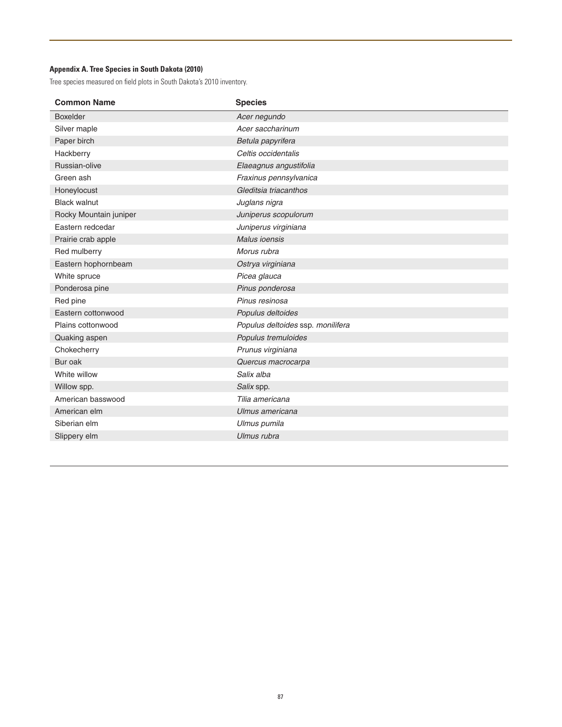## **Appendix A. Tree Species in South Dakota (2010)**

Tree species measured on field plots in South Dakota's 2010 inventory.

| <b>Species</b>                    |
|-----------------------------------|
| Acer negundo                      |
| Acer saccharinum                  |
| Betula papyrifera                 |
| Celtis occidentalis               |
| Elaeagnus angustifolia            |
| Fraxinus pennsylvanica            |
| Gleditsia triacanthos             |
| Juglans nigra                     |
| Juniperus scopulorum              |
| Juniperus virginiana              |
| <b>Malus ioensis</b>              |
| Morus rubra                       |
| Ostrya virginiana                 |
| Picea glauca                      |
| Pinus ponderosa                   |
| Pinus resinosa                    |
| Populus deltoides                 |
| Populus deltoides ssp. monilifera |
| Populus tremuloides               |
| Prunus virginiana                 |
| Quercus macrocarpa                |
| Salix alba                        |
| Salix spp.                        |
| Tilia americana                   |
| Ulmus americana                   |
| Ulmus pumila                      |
| Ulmus rubra                       |
|                                   |